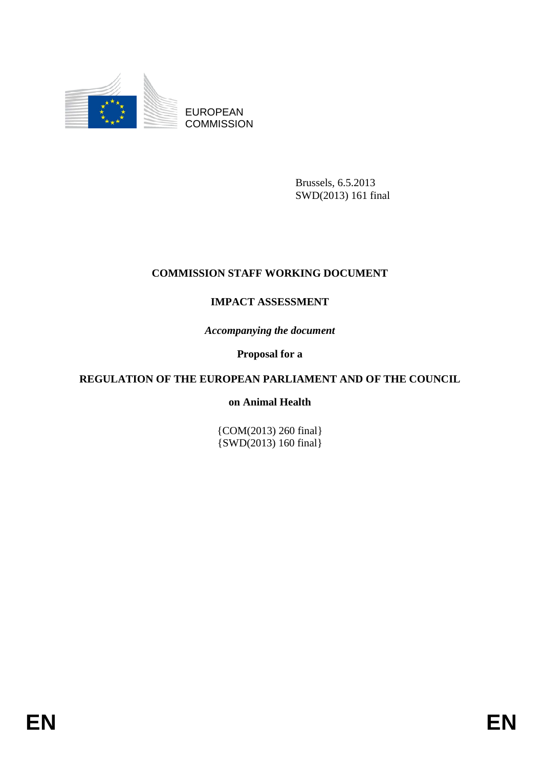

EUROPEAN **COMMISSION** 

> Brussels, 6.5.2013 SWD(2013) 161 final

# **COMMISSION STAFF WORKING DOCUMENT**

# **IMPACT ASSESSMENT**

*Accompanying the document* 

**Proposal for a** 

# **REGULATION OF THE EUROPEAN PARLIAMENT AND OF THE COUNCIL**

#### **on Animal Health**

{COM(2013) 260 final}  $\{SWD(2013) 160 \text{ final}\}$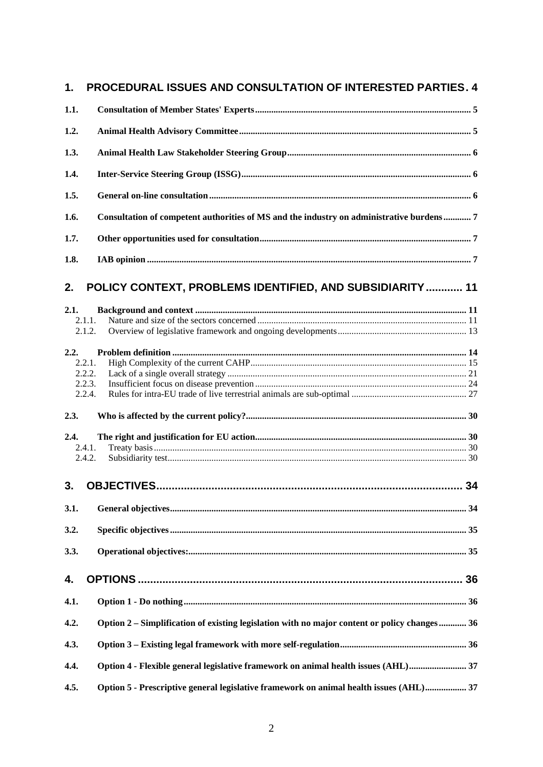| 1.   | PROCEDURAL ISSUES AND CONSULTATION OF INTERESTED PARTIES. 4                                  |    |
|------|----------------------------------------------------------------------------------------------|----|
| 1.1. |                                                                                              |    |
| 1.2. |                                                                                              |    |
| 1.3. |                                                                                              |    |
| 1.4. |                                                                                              |    |
| 1.5. |                                                                                              |    |
| 1.6. | Consultation of competent authorities of MS and the industry on administrative burdens 7     |    |
| 1.7. |                                                                                              |    |
| 1.8. |                                                                                              |    |
| 2.   | POLICY CONTEXT, PROBLEMS IDENTIFIED, AND SUBSIDIARITY  11                                    |    |
| 2.1. |                                                                                              |    |
|      | 2.1.1.<br>2.1.2.                                                                             |    |
|      |                                                                                              |    |
| 2.2. | 2.2.1.                                                                                       |    |
|      | 2.2.2.                                                                                       |    |
|      | 2.2.3.                                                                                       |    |
|      | 2.2.4.                                                                                       |    |
| 2.3. |                                                                                              |    |
| 2.4. |                                                                                              |    |
|      | 2.4.1.                                                                                       |    |
|      | 2.4.2.                                                                                       |    |
| 3.   |                                                                                              |    |
|      |                                                                                              |    |
| 3.1. |                                                                                              |    |
| 3.2. |                                                                                              |    |
| 3.3. |                                                                                              |    |
| 4.   |                                                                                              |    |
| 4.1. |                                                                                              |    |
| 4.2. | Option 2 – Simplification of existing legislation with no major content or policy changes 36 |    |
| 4.3. |                                                                                              |    |
| 4.4. | Option 4 - Flexible general legislative framework on animal health issues (AHL) 37           |    |
| 4.5  | Ontion 5 - Prescriptive general legislative framework on animal health issues (AHI)          | 37 |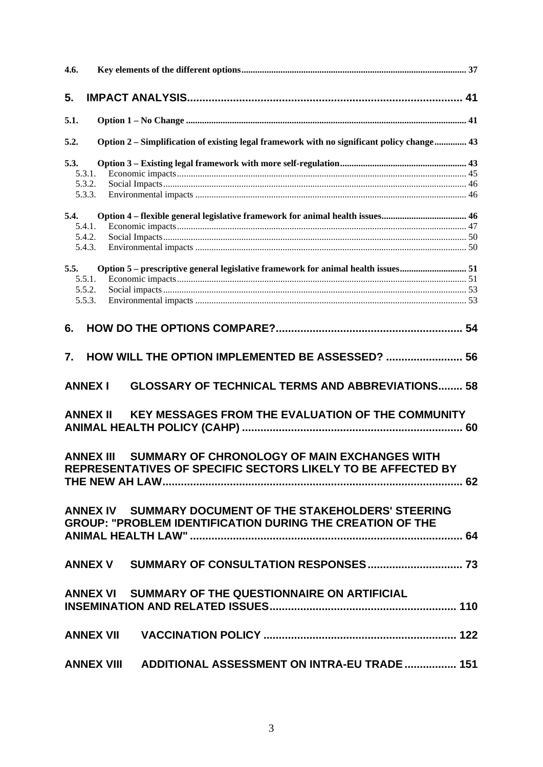| 4.6.             |                                                                                                                             |
|------------------|-----------------------------------------------------------------------------------------------------------------------------|
| 5.               |                                                                                                                             |
| 5.1.             |                                                                                                                             |
| 5.2.             | Option 2 – Simplification of existing legal framework with no significant policy change 43                                  |
| 5.3.             |                                                                                                                             |
| 5.3.1.           |                                                                                                                             |
| 5.3.2.           |                                                                                                                             |
| 5.3.3.           |                                                                                                                             |
| 5.4.             |                                                                                                                             |
| 5.4.1.           |                                                                                                                             |
| 5.4.2.           |                                                                                                                             |
| 5.4.3.           |                                                                                                                             |
| 5.5.             | Option 5 - prescriptive general legislative framework for animal health issues 51                                           |
| 5.5.1.           |                                                                                                                             |
| 5.5.2.           |                                                                                                                             |
| 5.5.3.           |                                                                                                                             |
| 6.               |                                                                                                                             |
| 7.               | HOW WILL THE OPTION IMPLEMENTED BE ASSESSED?  56                                                                            |
| <b>ANNEX I</b>   | <b>GLOSSARY OF TECHNICAL TERMS AND ABBREVIATIONS 58</b>                                                                     |
| <b>ANNEX II</b>  | KEY MESSAGES FROM THE EVALUATION OF THE COMMUNITY                                                                           |
| <b>ANNEX III</b> | SUMMARY OF CHRONOLOGY OF MAIN EXCHANGES WITH<br>REPRESENTATIVES OF SPECIFIC SECTORS LIKELY TO BE AFFECTED BY                |
|                  | ANNEX IV SUMMARY DOCUMENT OF THE STAKEHOLDERS' STEERING<br><b>GROUP: "PROBLEM IDENTIFICATION DURING THE CREATION OF THE</b> |
|                  |                                                                                                                             |
|                  |                                                                                                                             |
|                  | ANNEX VI SUMMARY OF THE QUESTIONNAIRE ON ARTIFICIAL                                                                         |
|                  |                                                                                                                             |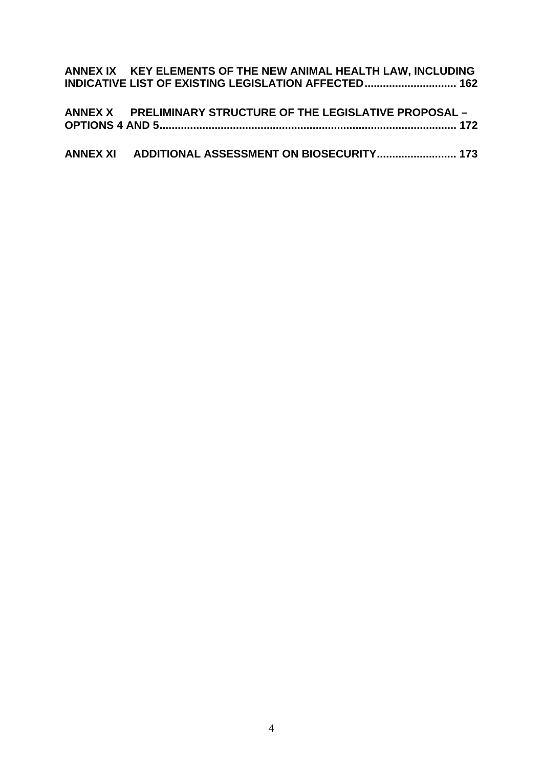| ANNEX IX KEY ELEMENTS OF THE NEW ANIMAL HEALTH LAW, INCLUDING |
|---------------------------------------------------------------|
| <b>INDICATIVE LIST OF EXISTING LEGISLATION AFFECTED 162</b>   |
|                                                               |
| ANNEX X PRELIMINARY STRUCTURE OF THE LEGISLATIVE PROPOSAL -   |
|                                                               |
|                                                               |
| ANNEX XI ADDITIONAL ASSESSMENT ON BIOSECURITY 173             |
|                                                               |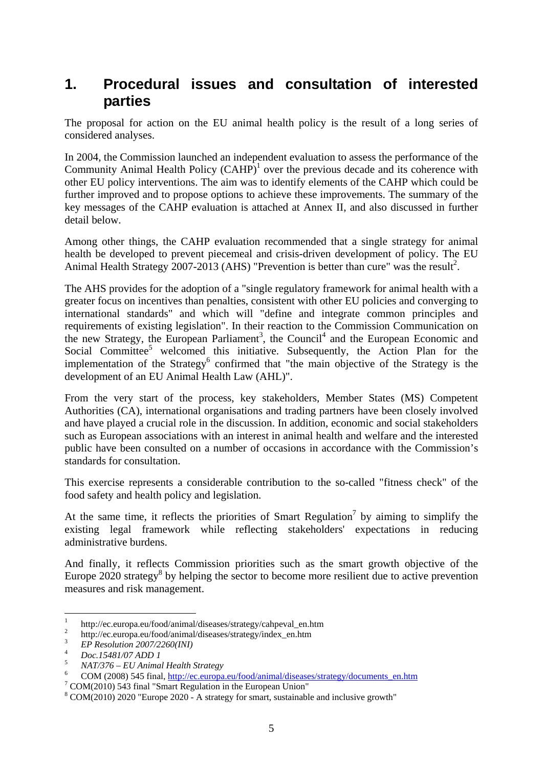# <span id="page-4-0"></span>**1. Procedural issues and consultation of interested parties**

The proposal for action on the EU animal health policy is the result of a long series of considered analyses.

In 2004, the Commission launched an independent evaluation to assess the performance of the Community Animal Health Policy  $(CAHP)^1$  over the previous decade and its coherence with other EU policy interventions. The aim was to identify elements of the CAHP which could be further improved and to propose options to achieve these improvements. The summary of the key messages of the CAHP evaluation is attached at Annex II, and also discussed in further detail below.

Among other things, the CAHP evaluation recommended that a single strategy for animal health be developed to prevent piecemeal and crisis-driven development of policy. The EU Animal Health Strategy  $2007-2013$  (AHS) "Prevention is better than cure" was the result<sup>2</sup>.

The AHS provides for the adoption of a "single regulatory framework for animal health with a greater focus on incentives than penalties, consistent with other EU policies and converging to international standards" and which will "define and integrate common principles and requirements of existing legislation". In their reaction to the Commission Communication on the new Strategy, the European Parliament<sup>3</sup>, the Council<sup>4</sup> and the European Economic and Social Committee<sup>5</sup> welcomed this initiative. Subsequently, the Action Plan for the implementation of the Strategy<sup>6</sup> confirmed that "the main objective of the Strategy is the development of an EU Animal Health Law (AHL)".

From the very start of the process, key stakeholders, Member States (MS) Competent Authorities (CA), international organisations and trading partners have been closely involved and have played a crucial role in the discussion. In addition, economic and social stakeholders such as European associations with an interest in animal health and welfare and the interested public have been consulted on a number of occasions in accordance with the Commission's standards for consultation.

This exercise represents a considerable contribution to the so-called "fitness check" of the food safety and health policy and legislation.

At the same time, it reflects the priorities of Smart Regulation<sup>7</sup> by aiming to simplify the existing legal framework while reflecting stakeholders' expectations in reducing administrative burdens.

And finally, it reflects Commission priorities such as the smart growth objective of the Europe  $2020$  strategy<sup>8</sup> by helping the sector to become more resilient due to active prevention measures and risk management.

 $\frac{1}{1}$ http://ec.europa.eu/food/animal/diseases/strategy/cahpeval\_en.htm

<sup>2</sup> http://ec.europa.eu/food/animal/diseases/strategy/index\_en.htm 3 *EP Resolution 2007/2260(INI)* <sup>4</sup> *Doc.15481/07 ADD 1* <sup>5</sup> *NAT/376 – EU Animal Health Strategy* <sup>6</sup>

COM (2008) 545 final[, http://ec.europa.eu/food/animal/diseases/strategy/documents\\_en.htm](http://ec.europa.eu/food/animal/diseases/strategy/documents_en.htm) <sup>7</sup>

 $\frac{7}{1}$  COM(2010) 543 final "Smart Regulation in the European Union"

<sup>8</sup> COM(2010) 2020 "Europe 2020 - A strategy for smart, sustainable and inclusive growth"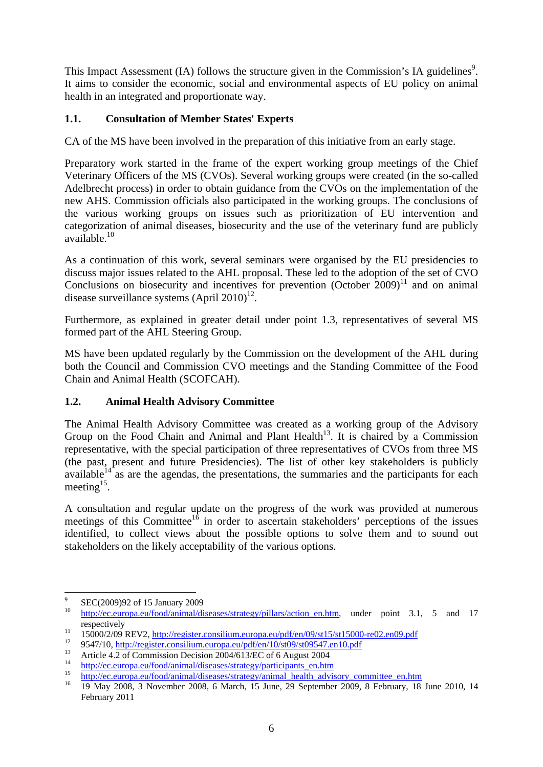This Impact Assessment (IA) follows the structure given in the Commission's IA guidelines<sup>9</sup>. It aims to consider the economic, social and environmental aspects of EU policy on animal health in an integrated and proportionate way.

# <span id="page-5-0"></span>**1.1. Consultation of Member States' Experts**

CA of the MS have been involved in the preparation of this initiative from an early stage.

Preparatory work started in the frame of the expert working group meetings of the Chief Veterinary Officers of the MS (CVOs). Several working groups were created (in the so-called Adelbrecht process) in order to obtain guidance from the CVOs on the implementation of the new AHS. Commission officials also participated in the working groups. The conclusions of the various working groups on issues such as prioritization of EU intervention and categorization of animal diseases, biosecurity and the use of the veterinary fund are publicly available.10

As a continuation of this work, several seminars were organised by the EU presidencies to discuss major issues related to the AHL proposal. These led to the adoption of the set of CVO Conclusions on biosecurity and incentives for prevention (October  $2009$ )<sup>11</sup> and on animal disease surveillance systems  $(Apri 2010)^{12}$ .

Furthermore, as explained in greater detail under point 1.3, representatives of several MS formed part of the AHL Steering Group.

MS have been updated regularly by the Commission on the development of the AHL during both the Council and Commission CVO meetings and the Standing Committee of the Food Chain and Animal Health (SCOFCAH).

# <span id="page-5-1"></span>**1.2. Animal Health Advisory Committee**

The Animal Health Advisory Committee was created as a working group of the [Advisory](http://ec.europa.eu/food/committees/advisory/index_en.htm)  Group on the Food Chain and Animal and Plant Health<sup>13</sup>. It is chaired by a Commission representative, with the special participation of three representatives of CVOs from three MS (the past, present and future Presidencies). The list of other key stakeholders is publicly available $^{14}$  as are the agendas, the presentations, the summaries and the participants for each meeting<sup>15</sup>.

A consultation and regular update on the progress of the work was provided at numerous meetings of this Committee<sup>16</sup> in order to ascertain stakeholders' perceptions of the issues identified, to collect views about the possible options to solve them and to sound out stakeholders on the likely acceptability of the various options.

<sup>-&</sup>lt;br>9  $\frac{9}{10}$  SEC(2009)92 of 15 January 2009

http://ec.europa.eu/food/animal/diseases/strategy/pillars/action en.htm, under point 3.1, 5 and 17

respectively<br>
15000/2/09 REV2[, http://register.consilium.europa.eu/pdf/en/09/st15/st15000-re02.en09.pdf](http://register.consilium.europa.eu/pdf/en/09/st15/st15000-re02.en09.pdf)<br>
14 9547/10,<http://register.consilium.europa.eu/pdf/en/10/st09/st09547.en10.pdf><br>
13 Article 4.2 of Commission Decisi

<sup>&</sup>lt;sup>14</sup> [http://ec.europa.eu/food/animal/diseases/strategy/participants\\_en.htm](http://ec.europa.eu/food/animal/diseases/strategy/participants_en.htm)<br><sup>15</sup> [http://ec.europa.eu/food/animal/diseases/strategy/animal\\_health\\_advisory\\_committee\\_en.htm](http://ec.europa.eu/food/animal/diseases/strategy/animal_health_advisory_committee_en.htm)<br><sup>16</sup> 19 May 2008, 3 November 2008, 6 March, 15 June, February 2011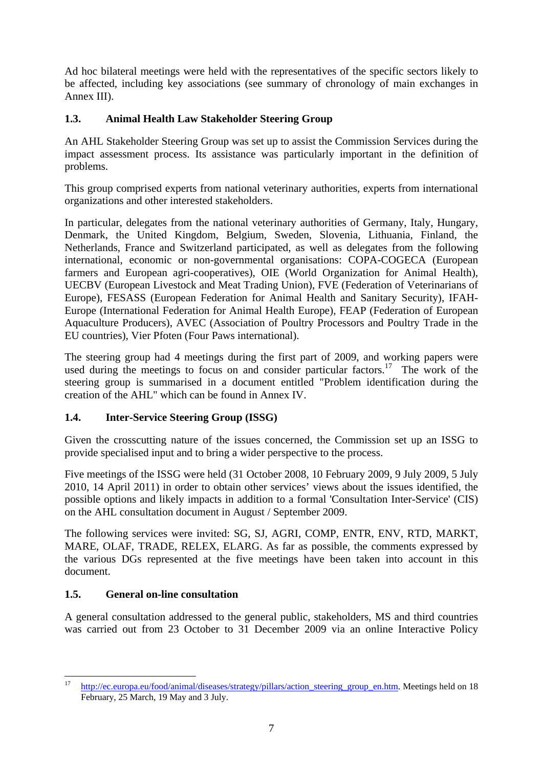Ad hoc bilateral meetings were held with the representatives of the specific sectors likely to be affected, including key associations (see summary of chronology of main exchanges in Annex III).

# <span id="page-6-0"></span>**1.3. Animal Health Law Stakeholder Steering Group**

An AHL Stakeholder Steering Group was set up to assist the Commission Services during the impact assessment process. Its assistance was particularly important in the definition of problems.

This group comprised experts from national veterinary authorities, experts from international organizations and other interested stakeholders.

In particular, delegates from the national veterinary authorities of Germany, Italy, Hungary, Denmark, the United Kingdom, Belgium, Sweden, Slovenia, Lithuania, Finland, the Netherlands, France and Switzerland participated, as well as delegates from the following international, economic or non-governmental organisations: COPA-COGECA (European farmers and European agri-cooperatives), OIE (World Organization for Animal Health), UECBV (European Livestock and Meat Trading Union), FVE (Federation of Veterinarians of Europe), FESASS (European Federation for Animal Health and Sanitary Security), IFAH-Europe (International Federation for Animal Health Europe), FEAP (Federation of European Aquaculture Producers), AVEC (Association of Poultry Processors and Poultry Trade in the EU countries), Vier Pfoten (Four Paws international).

The steering group had 4 meetings during the first part of 2009, and working papers were used during the meetings to focus on and consider particular factors.<sup>17</sup> The work of the steering group is summarised in a document entitled "Problem identification during the creation of the AHL" which can be found in Annex IV.

# <span id="page-6-1"></span>**1.4. Inter-Service Steering Group (ISSG)**

Given the crosscutting nature of the issues concerned, the Commission set up an ISSG to provide specialised input and to bring a wider perspective to the process.

Five meetings of the ISSG were held (31 October 2008, 10 February 2009, 9 July 2009, 5 July 2010, 14 April 2011) in order to obtain other services' views about the issues identified, the possible options and likely impacts in addition to a formal 'Consultation Inter-Service' (CIS) on the AHL consultation document in August / September 2009.

The following services were invited: SG, SJ, AGRI, COMP, ENTR, ENV, RTD, MARKT, MARE, OLAF, TRADE, RELEX, ELARG. As far as possible, the comments expressed by the various DGs represented at the five meetings have been taken into account in this document.

# <span id="page-6-2"></span>**1.5. General on-line consultation**

A general consultation addressed to the general public, stakeholders, MS and third countries was carried out from 23 October to 31 December 2009 via an online Interactive Policy

 $17$ [http://ec.europa.eu/food/animal/diseases/strategy/pillars/action\\_steering\\_group\\_en.htm.](http://ec.europa.eu/food/animal/diseases/strategy/pillars/action_steering_group_en.htm) Meetings held on 18 February, 25 March, 19 May and 3 July.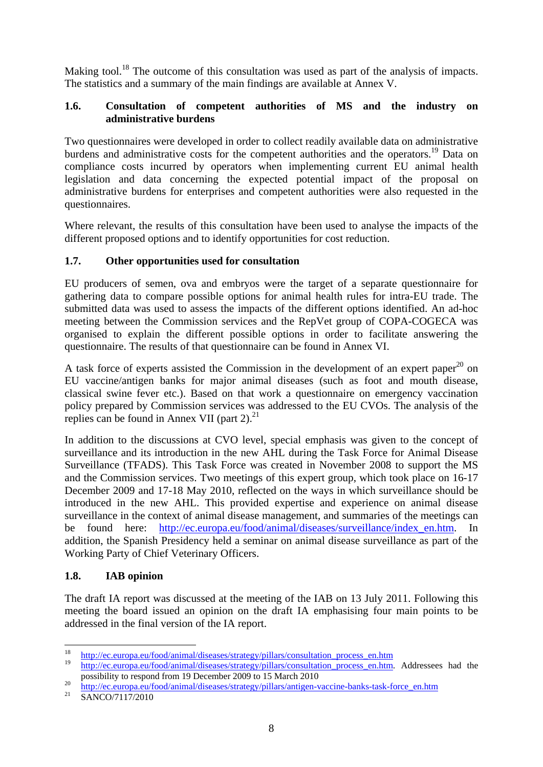Making tool.<sup>18</sup> The outcome of this consultation was used as part of the analysis of impacts. The statistics and a summary of the main findings are available at Annex V.

#### <span id="page-7-0"></span>**1.6. Consultation of competent authorities of MS and the industry on administrative burdens**

Two questionnaires were developed in order to collect readily available data on administrative burdens and administrative costs for the competent authorities and the operators.<sup>19</sup> Data on compliance costs incurred by operators when implementing current EU animal health legislation and data concerning the expected potential impact of the proposal on administrative burdens for enterprises and competent authorities were also requested in the questionnaires.

Where relevant, the results of this consultation have been used to analyse the impacts of the different proposed options and to identify opportunities for cost reduction.

#### <span id="page-7-1"></span>**1.7. Other opportunities used for consultation**

EU producers of semen, ova and embryos were the target of a separate questionnaire for gathering data to compare possible options for animal health rules for intra-EU trade. The submitted data was used to assess the impacts of the different options identified. An ad-hoc meeting between the Commission services and the RepVet group of COPA-COGECA was organised to explain the different possible options in order to facilitate answering the questionnaire. The results of that questionnaire can be found in Annex VI.

A task force of experts assisted the Commission in the development of an expert paper<sup>20</sup> on EU vaccine/antigen banks for major animal diseases (such as foot and mouth disease, classical swine fever etc.). Based on that work a questionnaire on emergency vaccination policy prepared by Commission services was addressed to the EU CVOs. The analysis of the replies can be found in Annex VII (part  $2^{2}$ ).

In addition to the discussions at CVO level, special emphasis was given to the concept of surveillance and its introduction in the new AHL during the Task Force for Animal Disease Surveillance (TFADS). This Task Force was created in November 2008 to support the MS and the Commission services. Two meetings of this expert group, which took place on 16-17 December 2009 and 17-18 May 2010, reflected on the ways in which surveillance should be introduced in the new AHL. This provided expertise and experience on animal disease surveillance in the context of animal disease management, and summaries of the meetings can be found here: [http://ec.europa.eu/food/animal/diseases/surveillance/index\\_en.htm.](http://ec.europa.eu/food/animal/diseases/surveillance/index_en.htm) In addition, the Spanish Presidency held a seminar on animal disease surveillance as part of the Working Party of Chief Veterinary Officers.

# <span id="page-7-2"></span>**1.8. IAB opinion**

The draft IA report was discussed at the meeting of the IAB on 13 July 2011. Following this meeting the board issued an opinion on the draft IA emphasising four main points to be addressed in the final version of the IA report.

<sup>18</sup> <sup>18</sup> [http://ec.europa.eu/food/animal/diseases/strategy/pillars/consultation\\_process\\_en.htm](http://ec.europa.eu/food/animal/diseases/strategy/pillars/consultation_process_en.htm)

[http://ec.europa.eu/food/animal/diseases/strategy/pillars/consultation\\_process\\_en.htm.](http://ec.europa.eu/food/animal/diseases/strategy/pillars/consultation_process_en.htm) Addressees had the

possibility to respond from 19 December 2009 to 15 March 2010<br>
<sup>20</sup> [http://ec.europa.eu/food/animal/diseases/strategy/pillars/antigen-vaccine-banks-task-force\\_en.htm](http://ec.europa.eu/food/animal/diseases/strategy/pillars/antigen-vaccine-banks-task-force_en.htm)<br>
SANCO/7117/2010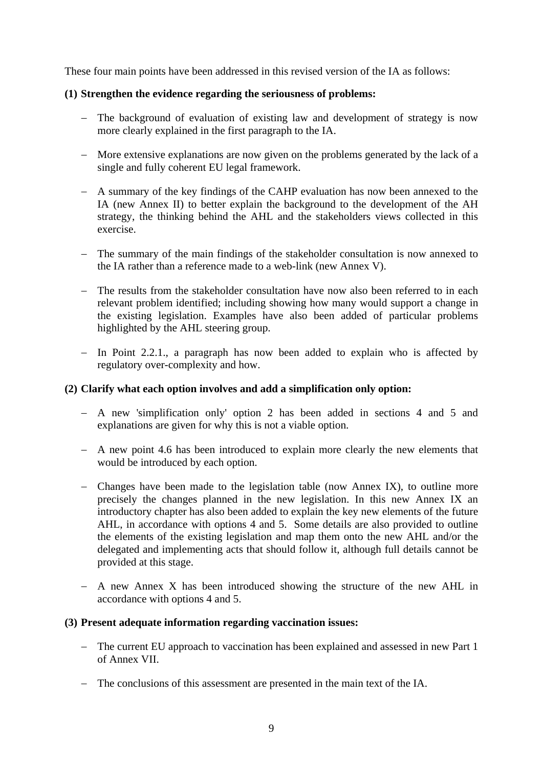These four main points have been addressed in this revised version of the IA as follows:

#### **(1) Strengthen the evidence regarding the seriousness of problems:**

- − The background of evaluation of existing law and development of strategy is now more clearly explained in the first paragraph to the IA.
- − More extensive explanations are now given on the problems generated by the lack of a single and fully coherent EU legal framework.
- − A summary of the key findings of the CAHP evaluation has now been annexed to the IA (new Annex II) to better explain the background to the development of the AH strategy, the thinking behind the AHL and the stakeholders views collected in this exercise.
- − The summary of the main findings of the stakeholder consultation is now annexed to the IA rather than a reference made to a web-link (new Annex V).
- − The results from the stakeholder consultation have now also been referred to in each relevant problem identified; including showing how many would support a change in the existing legislation. Examples have also been added of particular problems highlighted by the AHL steering group.
- − In Point 2.2.1., a paragraph has now been added to explain who is affected by regulatory over-complexity and how.

#### **(2) Clarify what each option involves and add a simplification only option:**

- − A new 'simplification only' option 2 has been added in sections 4 and 5 and explanations are given for why this is not a viable option.
- − A new point 4.6 has been introduced to explain more clearly the new elements that would be introduced by each option.
- − Changes have been made to the legislation table (now Annex IX), to outline more precisely the changes planned in the new legislation. In this new Annex IX an introductory chapter has also been added to explain the key new elements of the future AHL, in accordance with options 4 and 5. Some details are also provided to outline the elements of the existing legislation and map them onto the new AHL and/or the delegated and implementing acts that should follow it, although full details cannot be provided at this stage.
- − A new Annex X has been introduced showing the structure of the new AHL in accordance with options 4 and 5.

#### **(3) Present adequate information regarding vaccination issues:**

- − The current EU approach to vaccination has been explained and assessed in new Part 1 of Annex VII.
- − The conclusions of this assessment are presented in the main text of the IA.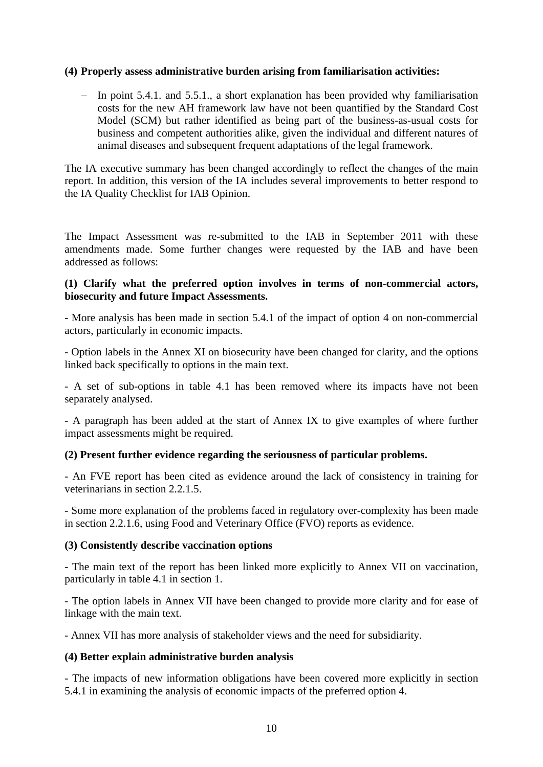#### **(4) Properly assess administrative burden arising from familiarisation activities:**

− In point 5.4.1. and 5.5.1., a short explanation has been provided why familiarisation costs for the new AH framework law have not been quantified by the Standard Cost Model (SCM) but rather identified as being part of the business-as-usual costs for business and competent authorities alike, given the individual and different natures of animal diseases and subsequent frequent adaptations of the legal framework.

The IA executive summary has been changed accordingly to reflect the changes of the main report. In addition, this version of the IA includes several improvements to better respond to the IA Quality Checklist for IAB Opinion.

The Impact Assessment was re-submitted to the IAB in September 2011 with these amendments made. Some further changes were requested by the IAB and have been addressed as follows:

#### **(1) Clarify what the preferred option involves in terms of non-commercial actors, biosecurity and future Impact Assessments.**

- More analysis has been made in section 5.4.1 of the impact of option 4 on non-commercial actors, particularly in economic impacts.

- Option labels in the Annex XI on biosecurity have been changed for clarity, and the options linked back specifically to options in the main text.

- A set of sub-options in table 4.1 has been removed where its impacts have not been separately analysed.

- A paragraph has been added at the start of Annex IX to give examples of where further impact assessments might be required.

#### **(2) Present further evidence regarding the seriousness of particular problems.**

- An FVE report has been cited as evidence around the lack of consistency in training for veterinarians in section 2.2.1.5

- Some more explanation of the problems faced in regulatory over-complexity has been made in section 2.2.1.6, using Food and Veterinary Office (FVO) reports as evidence.

#### **(3) Consistently describe vaccination options**

- The main text of the report has been linked more explicitly to Annex VII on vaccination, particularly in table 4.1 in section 1.

- The option labels in Annex VII have been changed to provide more clarity and for ease of linkage with the main text.

- Annex VII has more analysis of stakeholder views and the need for subsidiarity.

#### **(4) Better explain administrative burden analysis**

- The impacts of new information obligations have been covered more explicitly in section 5.4.1 in examining the analysis of economic impacts of the preferred option 4.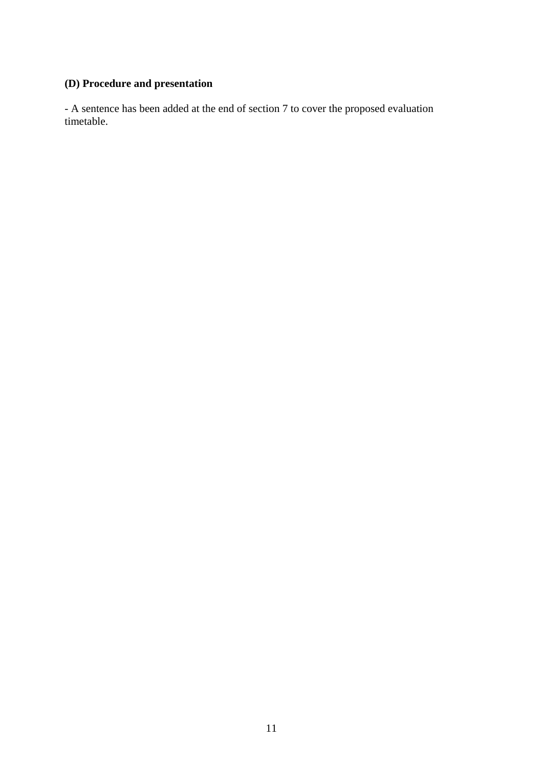# **(D) Procedure and presentation**

- A sentence has been added at the end of section 7 to cover the proposed evaluation timetable.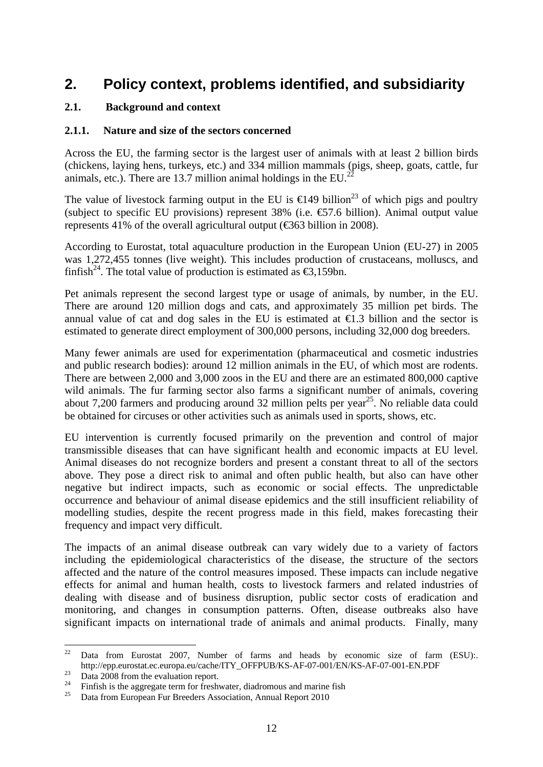# <span id="page-11-1"></span><span id="page-11-0"></span>**2. Policy context, problems identified, and subsidiarity**

#### **2.1. Background and context**

#### <span id="page-11-2"></span>**2.1.1. Nature and size of the sectors concerned**

Across the EU, the farming sector is the largest user of animals with at least 2 billion birds (chickens, laying hens, turkeys, etc.) and 334 million mammals (pigs, sheep, goats, cattle, fur animals, etc.). There are 13.7 million animal holdings in the  $EU^{22}$ .

The value of livestock farming output in the EU is  $\infty$  449 billion<sup>23</sup> of which pigs and poultry (subject to specific EU provisions) represent 38% (i.e.  $\text{\textsterling}7.6$  billion). Animal output value represents 41% of the overall agricultural output ( $\text{\textsterling}363$  billion in 2008).

According to Eurostat, total aquaculture production in the European Union (EU-27) in 2005 was 1,272,455 tonnes (live weight). This includes production of crustaceans, molluscs, and finfish<sup>24</sup>. The total value of production is estimated as  $\epsilon$ 3.159bn.

Pet animals represent the second largest type or usage of animals, by number, in the EU. There are around 120 million dogs and cats, and approximately 35 million pet birds. The annual value of cat and dog sales in the EU is estimated at  $\bigoplus$ . 3 billion and the sector is estimated to generate direct employment of 300,000 persons, including 32,000 dog breeders.

Many fewer animals are used for experimentation (pharmaceutical and cosmetic industries and public research bodies): around 12 million animals in the EU, of which most are rodents. There are between 2,000 and 3,000 zoos in the EU and there are an estimated 800,000 captive wild animals. The fur farming sector also farms a significant number of animals, covering about 7,200 farmers and producing around 32 million pelts per year<sup>25</sup>. No reliable data could be obtained for circuses or other activities such as animals used in sports, shows, etc.

EU intervention is currently focused primarily on the prevention and control of major transmissible diseases that can have significant health and economic impacts at EU level. Animal diseases do not recognize borders and present a constant threat to all of the sectors above. They pose a direct risk to animal and often public health, but also can have other negative but indirect impacts, such as economic or social effects. The unpredictable occurrence and behaviour of animal disease epidemics and the still insufficient reliability of modelling studies, despite the recent progress made in this field, makes forecasting their frequency and impact very difficult.

The impacts of an animal disease outbreak can vary widely due to a variety of factors including the epidemiological characteristics of the disease, the structure of the sectors affected and the nature of the control measures imposed. These impacts can include negative effects for animal and human health, costs to livestock farmers and related industries of dealing with disease and of business disruption, public sector costs of eradication and monitoring, and changes in consumption patterns. Often, disease outbreaks also have significant impacts on international trade of animals and animal products. Finally, many

<sup>22</sup> Data from Eurostat 2007, Number of farms and heads by economic size of farm (ESU):. http://epp.eurostat.ec.europa.eu/cache/ITY\_OFFPUB/KS-AF-07-001/EN/KS-AF-07-001-EN.PDF<br>Data 2008 from the evaluation report.

<sup>&</sup>lt;sup>24</sup> Finfish is the aggregate term for freshwater, diadromous and marine fish<br><sup>25</sup> Data from European Fur Breeders Association, Annual Report 2010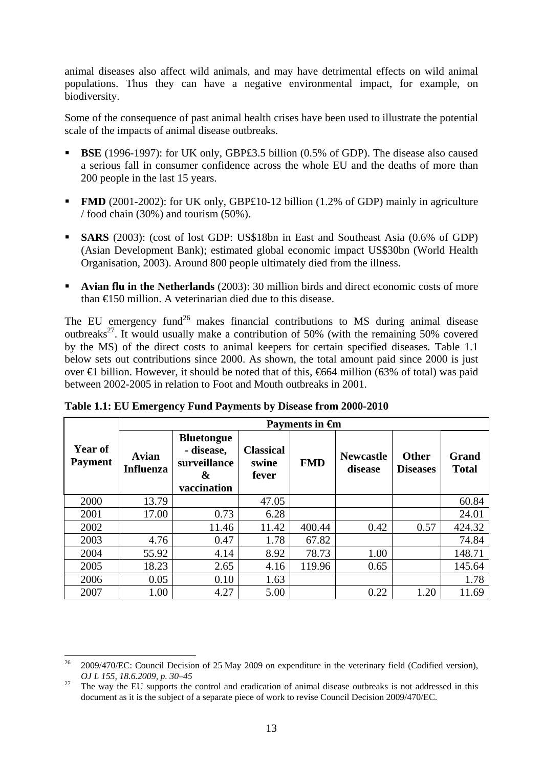animal diseases also affect wild animals, and may have detrimental effects on wild animal populations. Thus they can have a negative environmental impact, for example, on biodiversity.

Some of the consequence of past animal health crises have been used to illustrate the potential scale of the impacts of animal disease outbreaks.

- **BSE** (1996-1997): for UK only, GBP£3.5 billion (0.5% of GDP). The disease also caused a serious fall in consumer confidence across the whole EU and the deaths of more than 200 people in the last 15 years.
- **FMD** (2001-2002): for UK only, GBP£10-12 billion (1.2% of GDP) mainly in agriculture / food chain (30%) and tourism (50%).
- **SARS** (2003): (cost of lost GDP: US\$18bn in East and Southeast Asia (0.6% of GDP) (Asian Development Bank); estimated global economic impact US\$30bn (World Health Organisation, 2003). Around 800 people ultimately died from the illness.
- **Avian flu in the Netherlands** (2003): 30 million birds and direct economic costs of more than €150 million. A veterinarian died due to this disease.

The EU emergency fund<sup>26</sup> makes financial contributions to MS during animal disease outbreaks<sup>27</sup>. It would usually make a contribution of 50% (with the remaining 50% covered by the MS) of the direct costs to animal keepers for certain specified diseases. Table 1.1 below sets out contributions since 2000. As shown, the total amount paid since 2000 is just over €1 billion. However, it should be noted that of this, €664 million (63% of total) was paid between 2002-2005 in relation to Foot and Mouth outbreaks in 2001.

|                           | Payments in <del>G</del> n |                                                                     |                                    |            |                             |                                 |                              |  |  |
|---------------------------|----------------------------|---------------------------------------------------------------------|------------------------------------|------------|-----------------------------|---------------------------------|------------------------------|--|--|
| Year of<br><b>Payment</b> | Avian<br><b>Influenza</b>  | <b>Bluetongue</b><br>- disease,<br>surveillance<br>&<br>vaccination | <b>Classical</b><br>swine<br>fever | <b>FMD</b> | <b>Newcastle</b><br>disease | <b>Other</b><br><b>Diseases</b> | <b>Grand</b><br><b>Total</b> |  |  |
| 2000                      | 13.79                      |                                                                     | 47.05                              |            |                             |                                 | 60.84                        |  |  |
| 2001                      | 17.00                      | 0.73                                                                | 6.28                               |            |                             |                                 | 24.01                        |  |  |
| 2002                      |                            | 11.46                                                               | 11.42                              | 400.44     | 0.42                        | 0.57                            | 424.32                       |  |  |
| 2003                      | 4.76                       | 0.47                                                                | 1.78                               | 67.82      |                             |                                 | 74.84                        |  |  |
| 2004                      | 55.92                      | 4.14                                                                | 8.92                               | 78.73      | 1.00                        |                                 | 148.71                       |  |  |
| 2005                      | 18.23                      | 2.65                                                                | 4.16                               | 119.96     | 0.65                        |                                 | 145.64                       |  |  |
| 2006                      | 0.05                       | 0.10                                                                | 1.63                               |            |                             |                                 | 1.78                         |  |  |
| 2007                      | 1.00                       | 4.27                                                                | 5.00                               |            | 0.22                        | 1.20                            | 11.69                        |  |  |

**Table 1.1: EU Emergency Fund Payments by Disease from 2000-2010** 

 $26$ 26 2009/470/EC: Council Decision of 25 May 2009 on expenditure in the veterinary field (Codified version), *OJ L 155, 18.6.2009, p. 30–45*<br><sup>27</sup> The way the EU supports the control and eradication of animal disease outbreaks is not addressed in this

document as it is the subject of a separate piece of work to revise Council Decision 2009/470/EC.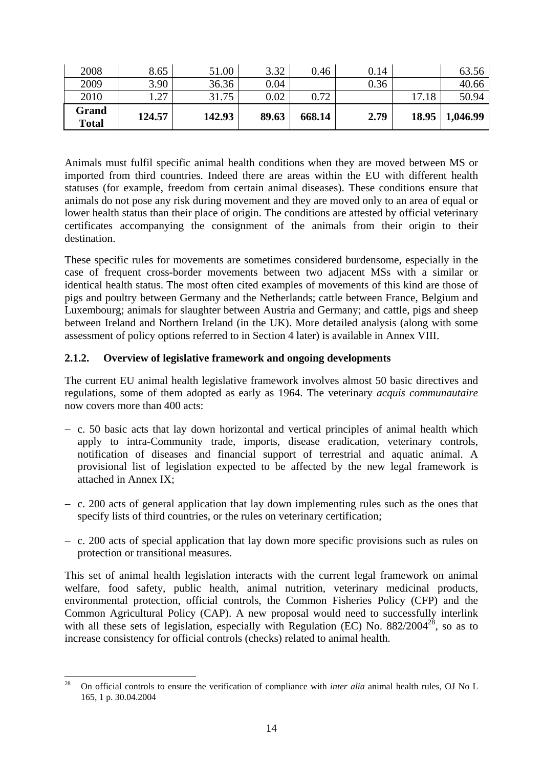| 2010<br>Grand<br><b>Total</b> | 27<br>124.57 | 31.75<br>142.93 | 0.02<br>89.63 | 0.72<br>668.14 | 2.79         | 17.18<br>18.95 | 50.94<br>1,046.99 |
|-------------------------------|--------------|-----------------|---------------|----------------|--------------|----------------|-------------------|
| 2008<br>2009                  | 8.65<br>3.90 | 51.00<br>36.36  | 3.32<br>0.04  | 0.46           | 0.14<br>0.36 |                | 63.56<br>40.66    |

Animals must fulfil specific animal health conditions when they are moved between MS or imported from third countries. Indeed there are areas within the EU with different health statuses (for example, freedom from certain animal diseases). These conditions ensure that animals do not pose any risk during movement and they are moved only to an area of equal or lower health status than their place of origin. The conditions are attested by official veterinary certificates accompanying the consignment of the animals from their origin to their destination.

These specific rules for movements are sometimes considered burdensome, especially in the case of frequent cross-border movements between two adjacent MSs with a similar or identical health status. The most often cited examples of movements of this kind are those of pigs and poultry between Germany and the Netherlands; cattle between France, Belgium and Luxembourg; animals for slaughter between Austria and Germany; and cattle, pigs and sheep between Ireland and Northern Ireland (in the UK). More detailed analysis (along with some assessment of policy options referred to in Section 4 later) is available in Annex VIII.

#### <span id="page-13-0"></span>**2.1.2. Overview of legislative framework and ongoing developments**

The current EU animal health legislative framework involves almost 50 basic directives and regulations, some of them adopted as early as 1964. The veterinary *acquis communautaire* now covers more than 400 acts.

- − c. 50 basic acts that lay down horizontal and vertical principles of animal health which apply to intra-Community trade, imports, disease eradication, veterinary controls, notification of diseases and financial support of terrestrial and aquatic animal. A provisional list of legislation expected to be affected by the new legal framework is attached in Annex IX;
- − c. 200 acts of general application that lay down implementing rules such as the ones that specify lists of third countries, or the rules on veterinary certification;
- − c. 200 acts of special application that lay down more specific provisions such as rules on protection or transitional measures.

This set of animal health legislation interacts with the current legal framework on animal welfare, food safety, public health, animal nutrition, veterinary medicinal products, environmental protection, official controls, the Common Fisheries Policy (CFP) and the Common Agricultural Policy (CAP). A new proposal would need to successfully interlink with all these sets of legislation, especially with Regulation (EC) No.  $882/2004^{28}$ , so as to increase consistency for official controls (checks) related to animal health.

<sup>28</sup> 28 On official controls to ensure the verification of compliance with *inter alia* animal health rules, OJ No L 165, 1 p. 30.04.2004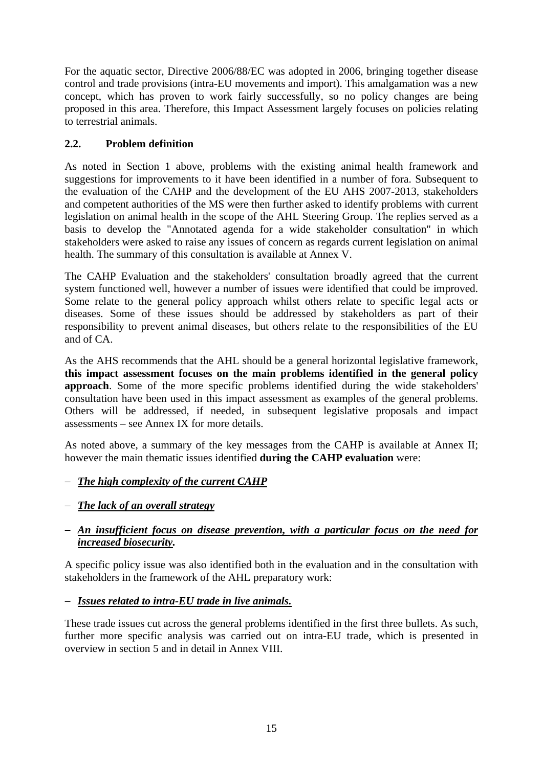For the aquatic sector, Directive 2006/88/EC was adopted in 2006, bringing together disease control and trade provisions (intra-EU movements and import). This amalgamation was a new concept, which has proven to work fairly successfully, so no policy changes are being proposed in this area. Therefore, this Impact Assessment largely focuses on policies relating to terrestrial animals.

# <span id="page-14-0"></span>**2.2. Problem definition**

As noted in Section 1 above, problems with the existing animal health framework and suggestions for improvements to it have been identified in a number of fora. Subsequent to the evaluation of the CAHP and the development of the EU AHS 2007-2013, stakeholders and competent authorities of the MS were then further asked to identify problems with current legislation on animal health in the scope of the AHL Steering Group. The replies served as a basis to develop the "Annotated agenda for a wide stakeholder consultation" in which stakeholders were asked to raise any issues of concern as regards current legislation on animal health. The summary of this consultation is available at Annex V.

The CAHP Evaluation and the stakeholders' consultation broadly agreed that the current system functioned well, however a number of issues were identified that could be improved. Some relate to the general policy approach whilst others relate to specific legal acts or diseases. Some of these issues should be addressed by stakeholders as part of their responsibility to prevent animal diseases, but others relate to the responsibilities of the EU and of CA.

As the AHS recommends that the AHL should be a general horizontal legislative framework, **this impact assessment focuses on the main problems identified in the general policy approach**. Some of the more specific problems identified during the wide stakeholders' consultation have been used in this impact assessment as examples of the general problems. Others will be addressed, if needed, in subsequent legislative proposals and impact assessments – see Annex IX for more details.

As noted above, a summary of the key messages from the CAHP is available at Annex II; however the main thematic issues identified **during the CAHP evaluation** were:

# − *The high complexity of the current CAHP*

− *The lack of an overall strategy*

## − *An insufficient focus on disease prevention, with a particular focus on the need for increased biosecurity.*

A specific policy issue was also identified both in the evaluation and in the consultation with stakeholders in the framework of the AHL preparatory work:

# − *Issues related to intra-EU trade in live animals.*

These trade issues cut across the general problems identified in the first three bullets. As such, further more specific analysis was carried out on intra-EU trade, which is presented in overview in section 5 and in detail in Annex VIII.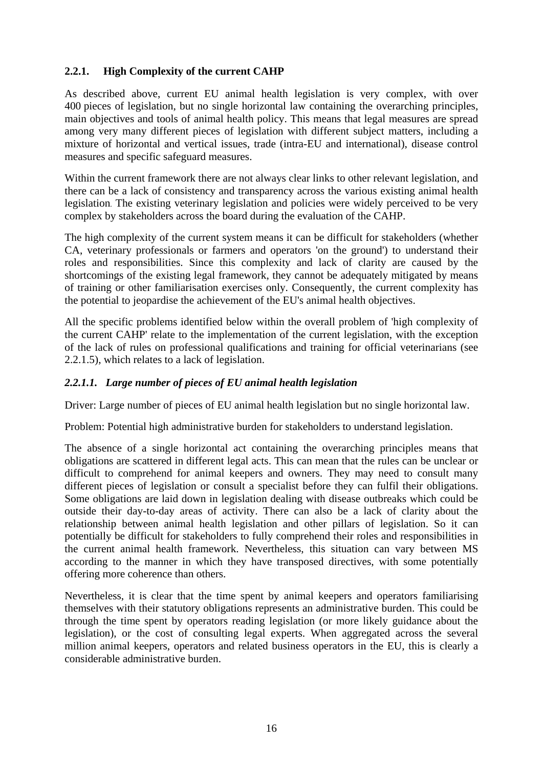## <span id="page-15-0"></span>**2.2.1. High Complexity of the current CAHP**

As described above, current EU animal health legislation is very complex, with over 400 pieces of legislation, but no single horizontal law containing the overarching principles, main objectives and tools of animal health policy. This means that legal measures are spread among very many different pieces of legislation with different subject matters, including a mixture of horizontal and vertical issues, trade (intra-EU and international), disease control measures and specific safeguard measures.

Within the current framework there are not always clear links to other relevant legislation, and there can be a lack of consistency and transparency across the various existing animal health legislation. The existing veterinary legislation and policies were widely perceived to be very complex by stakeholders across the board during the evaluation of the CAHP.

The high complexity of the current system means it can be difficult for stakeholders (whether CA, veterinary professionals or farmers and operators 'on the ground') to understand their roles and responsibilities. Since this complexity and lack of clarity are caused by the shortcomings of the existing legal framework, they cannot be adequately mitigated by means of training or other familiarisation exercises only. Consequently, the current complexity has the potential to jeopardise the achievement of the EU's animal health objectives.

All the specific problems identified below within the overall problem of 'high complexity of the current CAHP' relate to the implementation of the current legislation, with the exception of the lack of rules on professional qualifications and training for official veterinarians (see 2.2.1.5), which relates to a lack of legislation.

#### *2.2.1.1. Large number of pieces of EU animal health legislation*

Driver: Large number of pieces of EU animal health legislation but no single horizontal law.

Problem: Potential high administrative burden for stakeholders to understand legislation.

The absence of a single horizontal act containing the overarching principles means that obligations are scattered in different legal acts. This can mean that the rules can be unclear or difficult to comprehend for animal keepers and owners. They may need to consult many different pieces of legislation or consult a specialist before they can fulfil their obligations. Some obligations are laid down in legislation dealing with disease outbreaks which could be outside their day-to-day areas of activity. There can also be a lack of clarity about the relationship between animal health legislation and other pillars of legislation. So it can potentially be difficult for stakeholders to fully comprehend their roles and responsibilities in the current animal health framework. Nevertheless, this situation can vary between MS according to the manner in which they have transposed directives, with some potentially offering more coherence than others.

Nevertheless, it is clear that the time spent by animal keepers and operators familiarising themselves with their statutory obligations represents an administrative burden. This could be through the time spent by operators reading legislation (or more likely guidance about the legislation), or the cost of consulting legal experts. When aggregated across the several million animal keepers, operators and related business operators in the EU, this is clearly a considerable administrative burden.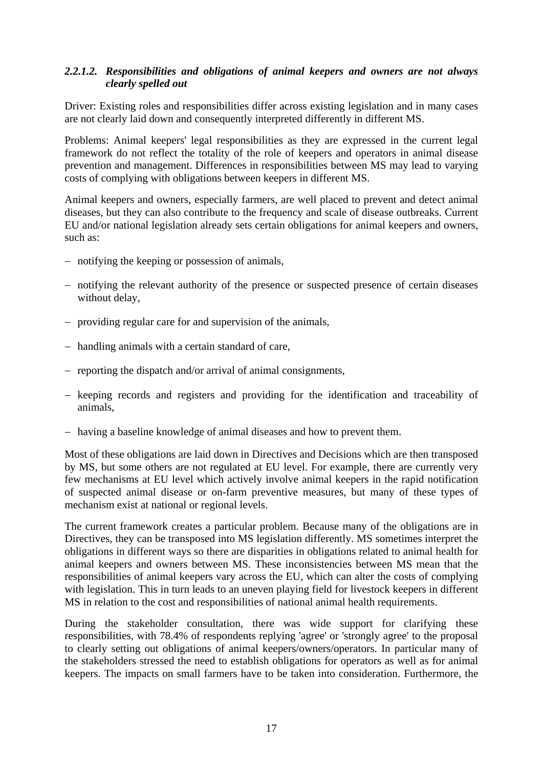#### *2.2.1.2. Responsibilities and obligations of animal keepers and owners are not always clearly spelled out*

Driver: Existing roles and responsibilities differ across existing legislation and in many cases are not clearly laid down and consequently interpreted differently in different MS.

Problems: Animal keepers' legal responsibilities as they are expressed in the current legal framework do not reflect the totality of the role of keepers and operators in animal disease prevention and management. Differences in responsibilities between MS may lead to varying costs of complying with obligations between keepers in different MS.

Animal keepers and owners, especially farmers, are well placed to prevent and detect animal diseases, but they can also contribute to the frequency and scale of disease outbreaks. Current EU and/or national legislation already sets certain obligations for animal keepers and owners, such as:

- − notifying the keeping or possession of animals,
- − notifying the relevant authority of the presence or suspected presence of certain diseases without delay,
- − providing regular care for and supervision of the animals,
- − handling animals with a certain standard of care,
- − reporting the dispatch and/or arrival of animal consignments,
- − keeping records and registers and providing for the identification and traceability of animals,
- − having a baseline knowledge of animal diseases and how to prevent them.

Most of these obligations are laid down in Directives and Decisions which are then transposed by MS, but some others are not regulated at EU level. For example, there are currently very few mechanisms at EU level which actively involve animal keepers in the rapid notification of suspected animal disease or on-farm preventive measures, but many of these types of mechanism exist at national or regional levels.

The current framework creates a particular problem. Because many of the obligations are in Directives, they can be transposed into MS legislation differently. MS sometimes interpret the obligations in different ways so there are disparities in obligations related to animal health for animal keepers and owners between MS. These inconsistencies between MS mean that the responsibilities of animal keepers vary across the EU, which can alter the costs of complying with legislation. This in turn leads to an uneven playing field for livestock keepers in different MS in relation to the cost and responsibilities of national animal health requirements.

During the stakeholder consultation, there was wide support for clarifying these responsibilities, with 78.4% of respondents replying 'agree' or 'strongly agree' to the proposal to clearly setting out obligations of animal keepers/owners/operators. In particular many of the stakeholders stressed the need to establish obligations for operators as well as for animal keepers. The impacts on small farmers have to be taken into consideration. Furthermore, the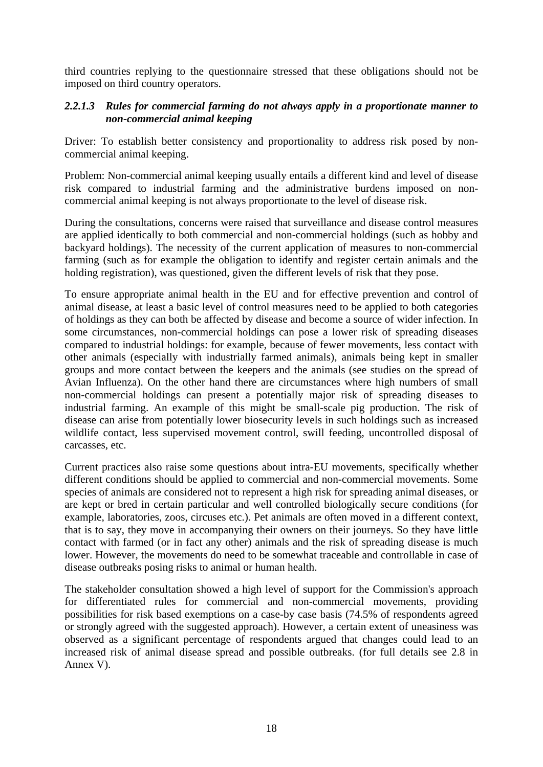third countries replying to the questionnaire stressed that these obligations should not be imposed on third country operators.

#### *2.2.1.3 Rules for commercial farming do not always apply in a proportionate manner to non-commercial animal keeping*

Driver: To establish better consistency and proportionality to address risk posed by noncommercial animal keeping.

Problem: Non-commercial animal keeping usually entails a different kind and level of disease risk compared to industrial farming and the administrative burdens imposed on noncommercial animal keeping is not always proportionate to the level of disease risk.

During the consultations, concerns were raised that surveillance and disease control measures are applied identically to both commercial and non-commercial holdings (such as hobby and backyard holdings). The necessity of the current application of measures to non-commercial farming (such as for example the obligation to identify and register certain animals and the holding registration), was questioned, given the different levels of risk that they pose.

To ensure appropriate animal health in the EU and for effective prevention and control of animal disease, at least a basic level of control measures need to be applied to both categories of holdings as they can both be affected by disease and become a source of wider infection. In some circumstances, non-commercial holdings can pose a lower risk of spreading diseases compared to industrial holdings: for example, because of fewer movements, less contact with other animals (especially with industrially farmed animals), animals being kept in smaller groups and more contact between the keepers and the animals (see studies on the spread of Avian Influenza). On the other hand there are circumstances where high numbers of small non-commercial holdings can present a potentially major risk of spreading diseases to industrial farming. An example of this might be small-scale pig production. The risk of disease can arise from potentially lower biosecurity levels in such holdings such as increased wildlife contact, less supervised movement control, swill feeding, uncontrolled disposal of carcasses, etc.

Current practices also raise some questions about intra-EU movements, specifically whether different conditions should be applied to commercial and non-commercial movements. Some species of animals are considered not to represent a high risk for spreading animal diseases, or are kept or bred in certain particular and well controlled biologically secure conditions (for example, laboratories, zoos, circuses etc.). Pet animals are often moved in a different context, that is to say, they move in accompanying their owners on their journeys. So they have little contact with farmed (or in fact any other) animals and the risk of spreading disease is much lower. However, the movements do need to be somewhat traceable and controllable in case of disease outbreaks posing risks to animal or human health.

The stakeholder consultation showed a high level of support for the Commission's approach for differentiated rules for commercial and non-commercial movements, providing possibilities for risk based exemptions on a case-by case basis (74.5% of respondents agreed or strongly agreed with the suggested approach). However, a certain extent of uneasiness was observed as a significant percentage of respondents argued that changes could lead to an increased risk of animal disease spread and possible outbreaks. (for full details see 2.8 in Annex V).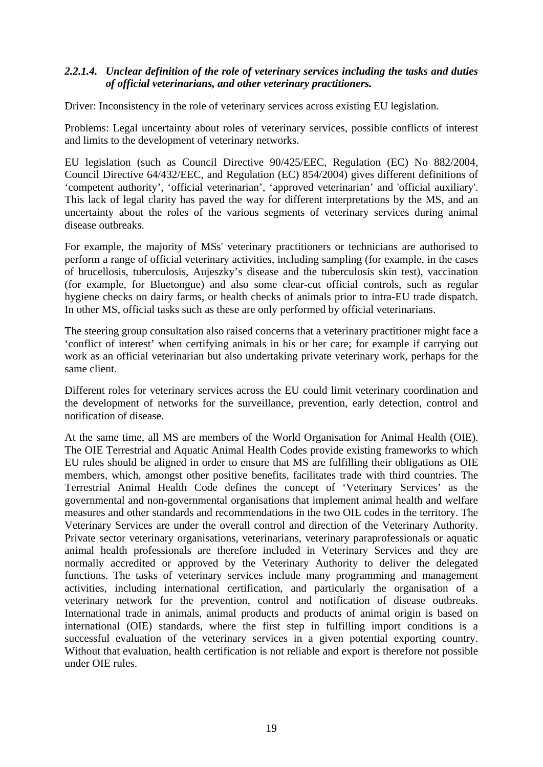#### *2.2.1.4. Unclear definition of the role of veterinary services including the tasks and duties of official veterinarians, and other veterinary practitioners.*

Driver: Inconsistency in the role of veterinary services across existing EU legislation.

Problems: Legal uncertainty about roles of veterinary services, possible conflicts of interest and limits to the development of veterinary networks.

EU legislation (such as Council Directive 90/425/EEC, Regulation (EC) No 882/2004, Council Directive 64/432/EEC, and Regulation (EC) 854/2004) gives different definitions of 'competent authority', 'official veterinarian', 'approved veterinarian' and 'official auxiliary'. This lack of legal clarity has paved the way for different interpretations by the MS, and an uncertainty about the roles of the various segments of veterinary services during animal disease outbreaks.

For example, the majority of MSs' veterinary practitioners or technicians are authorised to perform a range of official veterinary activities, including sampling (for example, in the cases of brucellosis, tuberculosis, Aujeszky's disease and the tuberculosis skin test), vaccination (for example, for Bluetongue) and also some clear-cut official controls, such as regular hygiene checks on dairy farms, or health checks of animals prior to intra-EU trade dispatch. In other MS, official tasks such as these are only performed by official veterinarians.

The steering group consultation also raised concerns that a veterinary practitioner might face a 'conflict of interest' when certifying animals in his or her care; for example if carrying out work as an official veterinarian but also undertaking private veterinary work, perhaps for the same client.

Different roles for veterinary services across the EU could limit veterinary coordination and the development of networks for the surveillance, prevention, early detection, control and notification of disease.

At the same time, all MS are members of the World Organisation for Animal Health (OIE). The OIE Terrestrial and Aquatic Animal Health Codes provide existing frameworks to which EU rules should be aligned in order to ensure that MS are fulfilling their obligations as OIE members, which, amongst other positive benefits, facilitates trade with third countries. The Terrestrial Animal Health Code defines the concept of 'Veterinary Services' as the governmental and non-governmental organisations that implement animal health and [welfare](http://www.oie.int/eng/normes/mcode/en_glossaire.htm#terme_bien_etre_animal)  measures and other standards and recommendations in the two OIE codes in the territory. The Veterinary Services are under the overall control and direction of the [Veterinary Authority.](http://www.oie.int/eng/normes/mcode/en_glossaire.htm#terme_autorite_veterinaire)  Private sector veterinary organisations, [veterinarians,](http://www.oie.int/eng/normes/mcode/en_glossaire.htm#terme_veterinaire) [veterinary paraprofessionals](http://www.oie.int/eng/normes/mcode/en_glossaire.htm#terme_paraprofessionnel_veterinaire) or aquatic animal health professionals are therefore included in Veterinary Services and they are normally accredited or approved by the [Veterinary Authority](http://www.oie.int/eng/normes/mcode/en_glossaire.htm#terme_autorite_veterinaire) to deliver the delegated functions. The tasks of veterinary services include many programming and management activities, including international certification, and particularly the organisation of a veterinary network for the prevention, control and notification of disease outbreaks. International trade in animals, animal products and products of animal origin is based on international (OIE) standards, where the first step in fulfilling import conditions is a successful evaluation of the veterinary services in a given potential exporting country. Without that evaluation, health certification is not reliable and export is therefore not possible under OIE rules.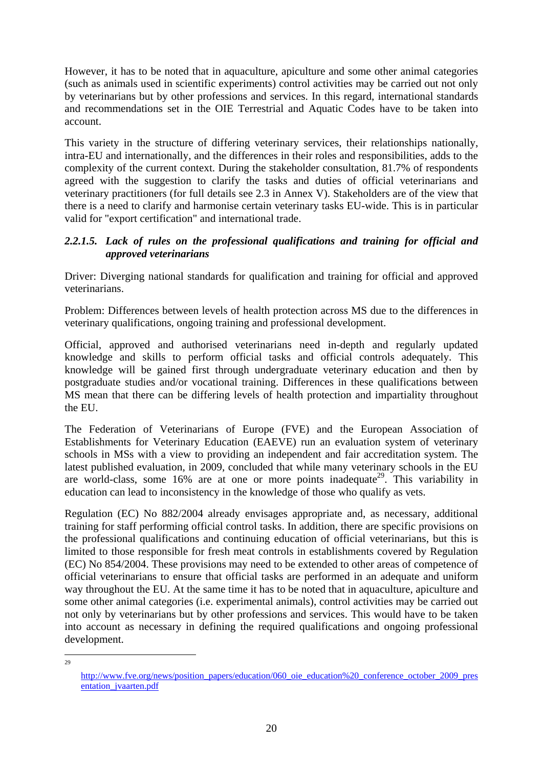However, it has to be noted that in aquaculture, apiculture and some other animal categories (such as animals used in scientific experiments) control activities may be carried out not only by veterinarians but by other professions and services. In this regard, international standards and recommendations set in the OIE Terrestrial and Aquatic Codes have to be taken into account.

This variety in the structure of differing veterinary services, their relationships nationally, intra-EU and internationally, and the differences in their roles and responsibilities, adds to the complexity of the current context. During the stakeholder consultation, 81.7% of respondents agreed with the suggestion to clarify the tasks and duties of official veterinarians and veterinary practitioners (for full details see 2.3 in Annex V). Stakeholders are of the view that there is a need to clarify and harmonise certain veterinary tasks EU-wide. This is in particular valid for "export certification" and international trade.

## *2.2.1.5. Lack of rules on the professional qualifications and training for official and approved veterinarians*

Driver: Diverging national standards for qualification and training for official and approved veterinarians.

Problem: Differences between levels of health protection across MS due to the differences in veterinary qualifications, ongoing training and professional development.

Official, approved and authorised veterinarians need in-depth and regularly updated knowledge and skills to perform official tasks and official controls adequately. This knowledge will be gained first through undergraduate veterinary education and then by postgraduate studies and/or vocational training. Differences in these qualifications between MS mean that there can be differing levels of health protection and impartiality throughout the EU.

The Federation of Veterinarians of Europe (FVE) and the European Association of Establishments for Veterinary Education (EAEVE) run an evaluation system of veterinary schools in MSs with a view to providing an independent and fair accreditation system. The latest published evaluation, in 2009, concluded that while many veterinary schools in the EU are world-class, some  $16\%$  are at one or more points inadequate<sup>29</sup>. This variability in education can lead to inconsistency in the knowledge of those who qualify as vets.

Regulation (EC) No 882/2004 already envisages appropriate and, as necessary, additional training for staff performing official control tasks. In addition, there are specific provisions on the professional qualifications and continuing education of official veterinarians, but this is limited to those responsible for fresh meat controls in establishments covered by Regulation (EC) No 854/2004. These provisions may need to be extended to other areas of competence of official veterinarians to ensure that official tasks are performed in an adequate and uniform way throughout the EU. At the same time it has to be noted that in aquaculture, apiculture and some other animal categories (i.e. experimental animals), control activities may be carried out not only by veterinarians but by other professions and services. This would have to be taken into account as necessary in defining the required qualifications and ongoing professional development.

 $\frac{1}{29}$ 

[http://www.fve.org/news/position\\_papers/education/060\\_oie\\_education%20\\_conference\\_october\\_2009\\_pres](http://www.fve.org/news/position_papers/education/060_oie_education _conference_october_2009_presentation_jvaarten.pdf) [entation\\_jvaarten.pdf](http://www.fve.org/news/position_papers/education/060_oie_education _conference_october_2009_presentation_jvaarten.pdf)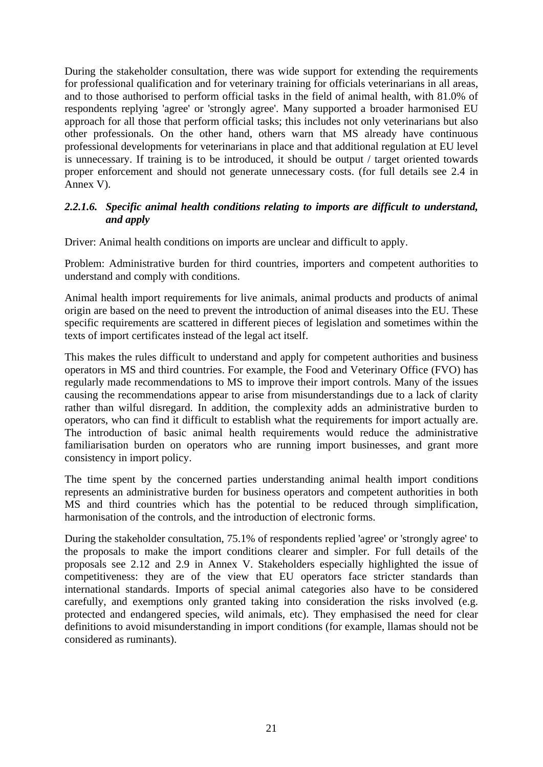During the stakeholder consultation, there was wide support for extending the requirements for professional qualification and for veterinary training for officials veterinarians in all areas, and to those authorised to perform official tasks in the field of animal health, with 81.0% of respondents replying 'agree' or 'strongly agree'. Many supported a broader harmonised EU approach for all those that perform official tasks; this includes not only veterinarians but also other professionals. On the other hand, others warn that MS already have continuous professional developments for veterinarians in place and that additional regulation at EU level is unnecessary. If training is to be introduced, it should be output / target oriented towards proper enforcement and should not generate unnecessary costs. (for full details see 2.4 in Annex V).

#### *2.2.1.6. Specific animal health conditions relating to imports are difficult to understand, and apply*

Driver: Animal health conditions on imports are unclear and difficult to apply.

Problem: Administrative burden for third countries, importers and competent authorities to understand and comply with conditions.

Animal health import requirements for live animals, animal products and products of animal origin are based on the need to prevent the introduction of animal diseases into the EU. These specific requirements are scattered in different pieces of legislation and sometimes within the texts of import certificates instead of the legal act itself.

This makes the rules difficult to understand and apply for competent authorities and business operators in MS and third countries. For example, the Food and Veterinary Office (FVO) has regularly made recommendations to MS to improve their import controls. Many of the issues causing the recommendations appear to arise from misunderstandings due to a lack of clarity rather than wilful disregard. In addition, the complexity adds an administrative burden to operators, who can find it difficult to establish what the requirements for import actually are. The introduction of basic animal health requirements would reduce the administrative familiarisation burden on operators who are running import businesses, and grant more consistency in import policy.

The time spent by the concerned parties understanding animal health import conditions represents an administrative burden for business operators and competent authorities in both MS and third countries which has the potential to be reduced through simplification, harmonisation of the controls, and the introduction of electronic forms.

During the stakeholder consultation, 75.1% of respondents replied 'agree' or 'strongly agree' to the proposals to make the import conditions clearer and simpler. For full details of the proposals see 2.12 and 2.9 in Annex V. Stakeholders especially highlighted the issue of competitiveness: they are of the view that EU operators face stricter standards than international standards. Imports of special animal categories also have to be considered carefully, and exemptions only granted taking into consideration the risks involved (e.g. protected and endangered species, wild animals, etc). They emphasised the need for clear definitions to avoid misunderstanding in import conditions (for example, llamas should not be considered as ruminants).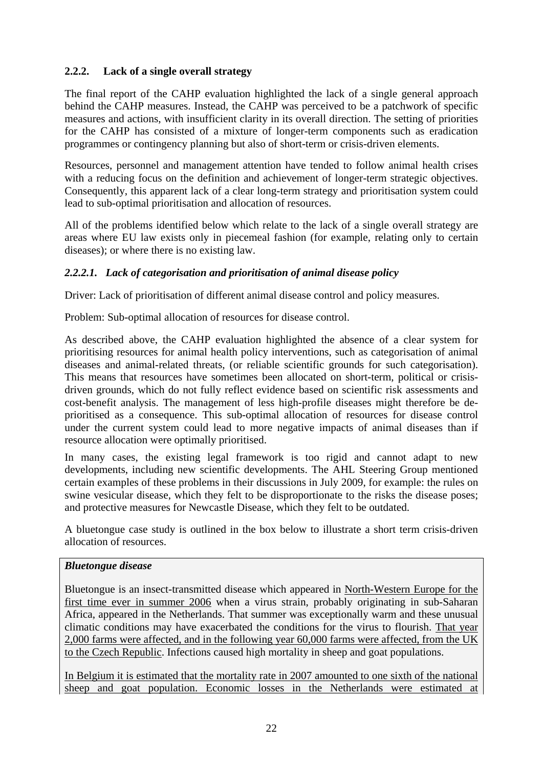# <span id="page-21-0"></span>**2.2.2. Lack of a single overall strategy**

The final report of the CAHP evaluation highlighted the lack of a single general approach behind the CAHP measures. Instead, the CAHP was perceived to be a patchwork of specific measures and actions, with insufficient clarity in its overall direction. The setting of priorities for the CAHP has consisted of a mixture of longer-term components such as eradication programmes or contingency planning but also of short-term or crisis-driven elements.

Resources, personnel and management attention have tended to follow animal health crises with a reducing focus on the definition and achievement of longer-term strategic objectives. Consequently, this apparent lack of a clear long-term strategy and prioritisation system could lead to sub-optimal prioritisation and allocation of resources.

All of the problems identified below which relate to the lack of a single overall strategy are areas where EU law exists only in piecemeal fashion (for example, relating only to certain diseases); or where there is no existing law.

## *2.2.2.1. Lack of categorisation and prioritisation of animal disease policy*

Driver: Lack of prioritisation of different animal disease control and policy measures.

Problem: Sub-optimal allocation of resources for disease control.

As described above, the CAHP evaluation highlighted the absence of a clear system for prioritising resources for animal health policy interventions, such as categorisation of animal diseases and animal-related threats, (or reliable scientific grounds for such categorisation). This means that resources have sometimes been allocated on short-term, political or crisisdriven grounds, which do not fully reflect evidence based on scientific risk assessments and cost-benefit analysis. The management of less high-profile diseases might therefore be deprioritised as a consequence. This sub-optimal allocation of resources for disease control under the current system could lead to more negative impacts of animal diseases than if resource allocation were optimally prioritised.

In many cases, the existing legal framework is too rigid and cannot adapt to new developments, including new scientific developments. The AHL Steering Group mentioned certain examples of these problems in their discussions in July 2009, for example: the rules on swine vesicular disease, which they felt to be disproportionate to the risks the disease poses; and protective measures for Newcastle Disease, which they felt to be outdated.

A bluetongue case study is outlined in the box below to illustrate a short term crisis-driven allocation of resources.

#### *Bluetongue disease*

Bluetongue is an insect-transmitted disease which appeared in North-Western Europe for the first time ever in summer 2006 when a virus strain, probably originating in sub-Saharan Africa, appeared in the Netherlands. That summer was exceptionally warm and these unusual climatic conditions may have exacerbated the conditions for the virus to flourish. That year 2,000 farms were affected, and in the following year 60,000 farms were affected, from the UK to the Czech Republic. Infections caused high mortality in sheep and goat populations.

In Belgium it is estimated that the mortality rate in 2007 amounted to one sixth of the national sheep and goat population. Economic losses in the Netherlands were estimated at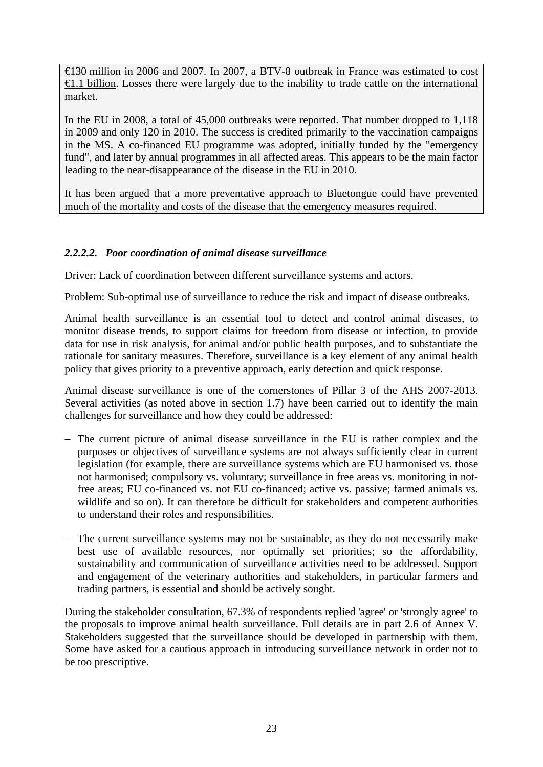€130 million in 2006 and 2007. In 2007, a BTV-8 outbreak in France was estimated to cost €1.1 billion. Losses there were largely due to the inability to trade cattle on the international market.

In the EU in 2008, a total of 45,000 outbreaks were reported. That number dropped to 1,118 in 2009 and only 120 in 2010. The success is credited primarily to the vaccination campaigns in the MS. A co-financed EU programme was adopted, initially funded by the "emergency fund", and later by annual programmes in all affected areas. This appears to be the main factor leading to the near-disappearance of the disease in the EU in 2010.

It has been argued that a more preventative approach to Bluetongue could have prevented much of the mortality and costs of the disease that the emergency measures required.

#### *2.2.2.2. Poor coordination of animal disease surveillance*

Driver: Lack of coordination between different surveillance systems and actors.

Problem: Sub-optimal use of surveillance to reduce the risk and impact of disease outbreaks.

Animal health surveillance is an essential tool to detect and control animal diseases, to monitor disease trends, to support claims for freedom from disease or [infection,](http://www.oie.int/eng/normes/mcode/en_glossaire.htm#terme_infection) to provide data for use in [risk analysis,](http://www.oie.int/eng/normes/mcode/en_glossaire.htm#terme_analyse_du_risque) for animal and/or public health purposes, and to substantiate the rationale for sanitary measures. Therefore, surveillance is a key element of any animal health policy that gives priority to a preventive approach, early detection and quick response.

Animal disease surveillance is one of the cornerstones of Pillar 3 of the AHS 2007-2013. Several activities (as noted above in section 1.7) have been carried out to identify the main challenges for surveillance and how they could be addressed:

- − The current picture of animal disease surveillance in the EU is rather complex and the purposes or objectives of surveillance systems are not always sufficiently clear in current legislation (for example, there are surveillance systems which are EU harmonised vs. those not harmonised; compulsory vs. voluntary; surveillance in free areas vs. monitoring in notfree areas; EU co-financed vs. not EU co-financed; active vs. passive; farmed animals vs. wildlife and so on). It can therefore be difficult for stakeholders and competent authorities to understand their roles and responsibilities.
- − The current surveillance systems may not be sustainable, as they do not necessarily make best use of available resources, nor optimally set priorities; so the affordability, sustainability and communication of surveillance activities need to be addressed. Support and engagement of the veterinary authorities and stakeholders, in particular farmers and trading partners, is essential and should be actively sought.

During the stakeholder consultation, 67.3% of respondents replied 'agree' or 'strongly agree' to the proposals to improve animal health surveillance. Full details are in part 2.6 of Annex V. Stakeholders suggested that the surveillance should be developed in partnership with them. Some have asked for a cautious approach in introducing surveillance network in order not to be too prescriptive.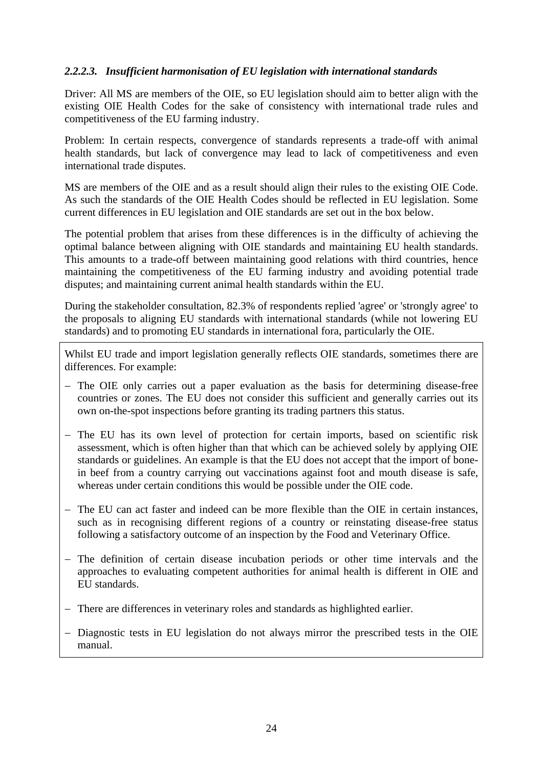#### *2.2.2.3. Insufficient harmonisation of EU legislation with international standards*

Driver: All MS are members of the OIE, so EU legislation should aim to better align with the existing OIE Health Codes for the sake of consistency with international trade rules and competitiveness of the EU farming industry.

Problem: In certain respects, convergence of standards represents a trade-off with animal health standards, but lack of convergence may lead to lack of competitiveness and even international trade disputes.

MS are members of the OIE and as a result should align their rules to the existing OIE Code. As such the standards of the OIE Health Codes should be reflected in EU legislation. Some current differences in EU legislation and OIE standards are set out in the box below.

The potential problem that arises from these differences is in the difficulty of achieving the optimal balance between aligning with OIE standards and maintaining EU health standards. This amounts to a trade-off between maintaining good relations with third countries, hence maintaining the competitiveness of the EU farming industry and avoiding potential trade disputes; and maintaining current animal health standards within the EU.

During the stakeholder consultation, 82.3% of respondents replied 'agree' or 'strongly agree' to the proposals to aligning EU standards with international standards (while not lowering EU standards) and to promoting EU standards in international fora, particularly the OIE.

Whilst EU trade and import legislation generally reflects OIE standards, sometimes there are differences. For example:

- − The OIE only carries out a paper evaluation as the basis for determining disease-free countries or zones. The EU does not consider this sufficient and generally carries out its own on-the-spot inspections before granting its trading partners this status.
- − The EU has its own level of protection for certain imports, based on scientific risk assessment, which is often higher than that which can be achieved solely by applying OIE standards or guidelines. An example is that the EU does not accept that the import of bonein beef from a country carrying out vaccinations against foot and mouth disease is safe, whereas under certain conditions this would be possible under the OIE code.
- − The EU can act faster and indeed can be more flexible than the OIE in certain instances, such as in recognising different regions of a country or reinstating disease-free status following a satisfactory outcome of an inspection by the Food and Veterinary Office.
- − The definition of certain disease incubation periods or other time intervals and the approaches to evaluating competent authorities for animal health is different in OIE and EU standards.
- − There are differences in veterinary roles and standards as highlighted earlier.
- − Diagnostic tests in EU legislation do not always mirror the prescribed tests in the OIE manual.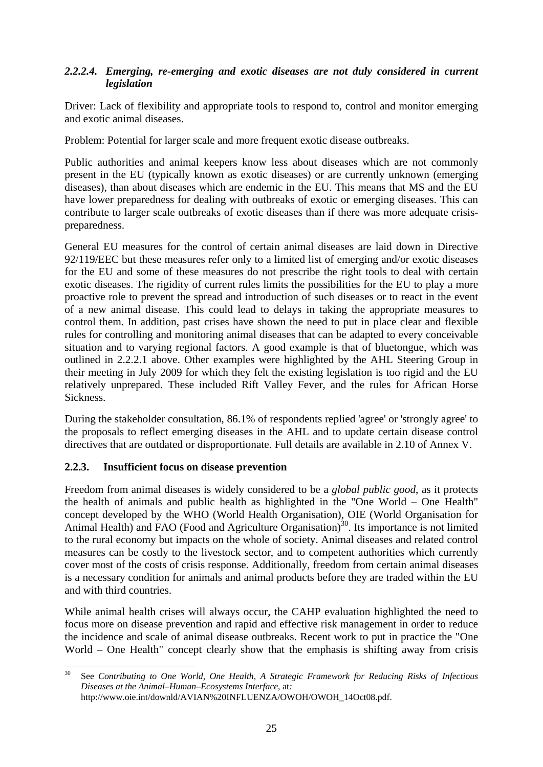#### *2.2.2.4. Emerging, re-emerging and exotic diseases are not duly considered in current legislation*

Driver: Lack of flexibility and appropriate tools to respond to, control and monitor emerging and exotic animal diseases.

Problem: Potential for larger scale and more frequent exotic disease outbreaks.

Public authorities and animal keepers know less about diseases which are not commonly present in the EU (typically known as exotic diseases) or are currently unknown (emerging diseases), than about diseases which are endemic in the EU. This means that MS and the EU have lower preparedness for dealing with outbreaks of exotic or emerging diseases. This can contribute to larger scale outbreaks of exotic diseases than if there was more adequate crisispreparedness.

General EU measures for the control of certain animal diseases are laid down in Directive 92/119/EEC but these measures refer only to a limited list of emerging and/or exotic diseases for the EU and some of these measures do not prescribe the right tools to deal with certain exotic diseases. The rigidity of current rules limits the possibilities for the EU to play a more proactive role to prevent the spread and introduction of such diseases or to react in the event of a new animal disease. This could lead to delays in taking the appropriate measures to control them. In addition, past crises have shown the need to put in place clear and flexible rules for controlling and monitoring animal diseases that can be adapted to every conceivable situation and to varying regional factors. A good example is that of bluetongue, which was outlined in 2.2.2.1 above. Other examples were highlighted by the AHL Steering Group in their meeting in July 2009 for which they felt the existing legislation is too rigid and the EU relatively unprepared. These included Rift Valley Fever, and the rules for African Horse Sickness.

During the stakeholder consultation, 86.1% of respondents replied 'agree' or 'strongly agree' to the proposals to reflect emerging diseases in the AHL and to update certain disease control directives that are outdated or disproportionate. Full details are available in 2.10 of Annex V.

#### <span id="page-24-0"></span>**2.2.3. Insufficient focus on disease prevention**

Freedom from animal diseases is widely considered to be a *global public good*, as it protects the health of animals and public health as highlighted in the "One World – One Health" concept developed by the WHO (World Health Organisation), OIE (World Organisation for Animal Health) and FAO (Food and Agriculture Organisation)<sup>30</sup>. Its importance is not limited to the rural economy but impacts on the whole of society. Animal diseases and related control measures can be costly to the livestock sector, and to competent authorities which currently cover most of the costs of crisis response. Additionally, freedom from certain animal diseases is a necessary condition for animals and animal products before they are traded within the EU and with third countries.

While animal health crises will always occur, the CAHP evaluation highlighted the need to focus more on disease prevention and rapid and effective risk management in order to reduce the incidence and scale of animal disease outbreaks. Recent work to put in practice the "One World – One Health" concept clearly show that the emphasis is shifting away from crisis

 $30$ 30 See *Contributing to One World, One Health*, *A Strategic Framework for Reducing Risks of Infectious Diseases at the Animal–Human–Ecosystems Interface*, at*:*  http://www.oie.int/downld/AVIAN%20INFLUENZA/OWOH/OWOH\_14Oct08.pdf.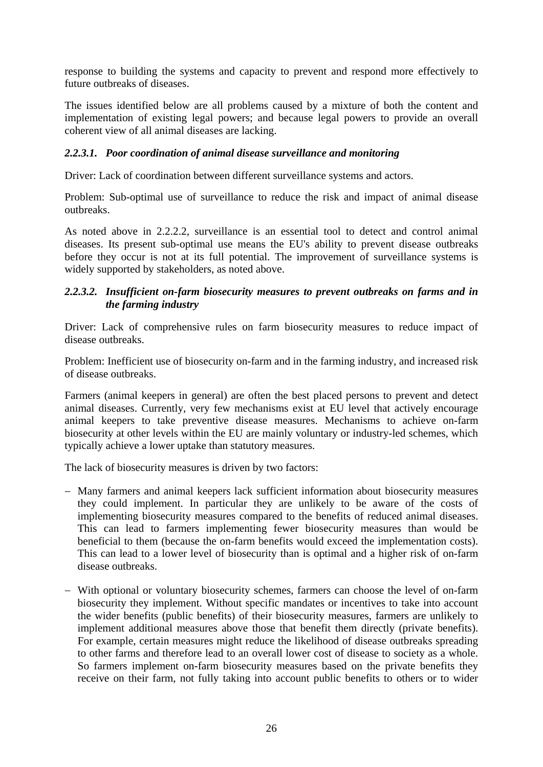response to building the systems and capacity to prevent and respond more effectively to future outbreaks of diseases.

The issues identified below are all problems caused by a mixture of both the content and implementation of existing legal powers; and because legal powers to provide an overall coherent view of all animal diseases are lacking.

#### *2.2.3.1. Poor coordination of animal disease surveillance and monitoring*

Driver: Lack of coordination between different surveillance systems and actors.

Problem: Sub-optimal use of surveillance to reduce the risk and impact of animal disease outbreaks.

As noted above in 2.2.2.2, surveillance is an essential tool to detect and control animal diseases. Its present sub-optimal use means the EU's ability to prevent disease outbreaks before they occur is not at its full potential. The improvement of surveillance systems is widely supported by stakeholders, as noted above.

#### *2.2.3.2. Insufficient on-farm biosecurity measures to prevent outbreaks on farms and in the farming industry*

Driver: Lack of comprehensive rules on farm biosecurity measures to reduce impact of disease outbreaks.

Problem: Inefficient use of biosecurity on-farm and in the farming industry, and increased risk of disease outbreaks.

Farmers (animal keepers in general) are often the best placed persons to prevent and detect animal diseases. Currently, very few mechanisms exist at EU level that actively encourage animal keepers to take preventive disease measures. Mechanisms to achieve on-farm biosecurity at other levels within the EU are mainly voluntary or industry-led schemes, which typically achieve a lower uptake than statutory measures.

The lack of biosecurity measures is driven by two factors:

- − Many farmers and animal keepers lack sufficient information about biosecurity measures they could implement. In particular they are unlikely to be aware of the costs of implementing biosecurity measures compared to the benefits of reduced animal diseases. This can lead to farmers implementing fewer biosecurity measures than would be beneficial to them (because the on-farm benefits would exceed the implementation costs). This can lead to a lower level of biosecurity than is optimal and a higher risk of on-farm disease outbreaks.
- − With optional or voluntary biosecurity schemes, farmers can choose the level of on-farm biosecurity they implement. Without specific mandates or incentives to take into account the wider benefits (public benefits) of their biosecurity measures, farmers are unlikely to implement additional measures above those that benefit them directly (private benefits). For example, certain measures might reduce the likelihood of disease outbreaks spreading to other farms and therefore lead to an overall lower cost of disease to society as a whole. So farmers implement on-farm biosecurity measures based on the private benefits they receive on their farm, not fully taking into account public benefits to others or to wider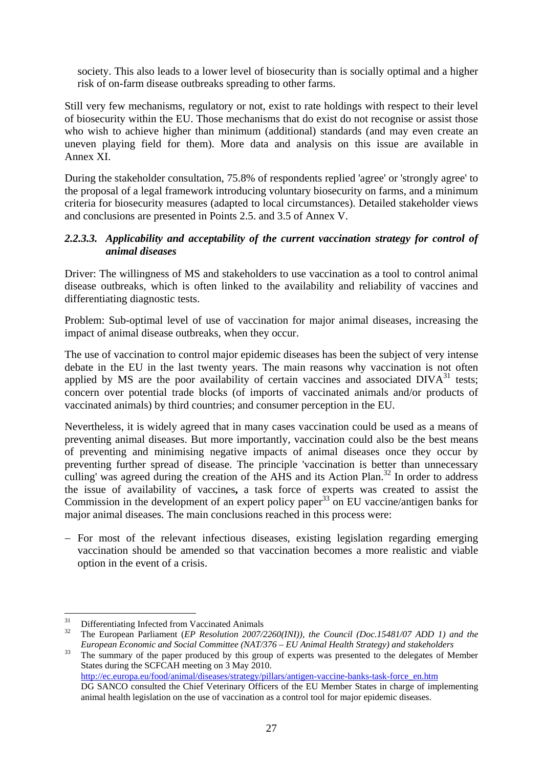society. This also leads to a lower level of biosecurity than is socially optimal and a higher risk of on-farm disease outbreaks spreading to other farms.

Still very few mechanisms, regulatory or not, exist to rate holdings with respect to their level of biosecurity within the EU. Those mechanisms that do exist do not recognise or assist those who wish to achieve higher than minimum (additional) standards (and may even create an uneven playing field for them). More data and analysis on this issue are available in Annex XI.

During the stakeholder consultation, 75.8% of respondents replied 'agree' or 'strongly agree' to the proposal of a legal framework introducing voluntary biosecurity on farms, and a minimum criteria for biosecurity measures (adapted to local circumstances). Detailed stakeholder views and conclusions are presented in Points 2.5. and 3.5 of Annex V.

#### *2.2.3.3. Applicability and acceptability of the current vaccination strategy for control of animal diseases*

Driver: The willingness of MS and stakeholders to use vaccination as a tool to control animal disease outbreaks, which is often linked to the availability and reliability of vaccines and differentiating diagnostic tests.

Problem: Sub-optimal level of use of vaccination for major animal diseases, increasing the impact of animal disease outbreaks, when they occur.

The use of vaccination to control major epidemic diseases has been the subject of very intense debate in the EU in the last twenty years. The main reasons why vaccination is not often applied by MS are the poor availability of certain vaccines and associated  $DIVA<sup>31</sup>$  tests; concern over potential trade blocks (of imports of vaccinated animals and/or products of vaccinated animals) by third countries; and consumer perception in the EU.

Nevertheless, it is widely agreed that in many cases vaccination could be used as a means of preventing animal diseases. But more importantly, vaccination could also be the best means of preventing and minimising negative impacts of animal diseases once they occur by preventing further spread of disease. The principle 'vaccination is better than unnecessary culling' was agreed during the creation of the AHS and its Action Plan.<sup>32</sup> In order to address the issue of availability of vaccines**,** a task force of experts was created to assist the Commission in the development of an expert policy paper<sup>33</sup> on EU vaccine/antigen banks for major animal diseases. The main conclusions reached in this process were:

− For most of the relevant infectious diseases, existing legislation regarding emerging vaccination should be amended so that vaccination becomes a more realistic and viable option in the event of a crisis.

<sup>31</sup> Differentiating Infected from Vaccinated Animals

<sup>&</sup>lt;sup>32</sup> The European Parliament (*EP Resolution 2007/2260(INI)*), the Council (*Doc.15481/07 ADD 1*) and the *European Economic and Social Committee (NAT/376 – EU Animal Health Strategy) and stakeholders*<br><sup>33</sup> The summary of the paper produced by this group of experts was presented to the delegates of Member

States during the SCFCAH meeting on 3 May 2010.

[http://ec.europa.eu/food/animal/diseases/strategy/pillars/antigen-va](http://ec.europa.eu/food/animal/diseases/strategy/pillars/antigen-vaccine-banks-task-force_en.htm)ccine-banks-task-force\_en.htm DG SANCO consulted the Chief Veterinary Officers of the EU Member States in charge of implementing animal health legislation on the use of vaccination as a control tool for major epidemic diseases.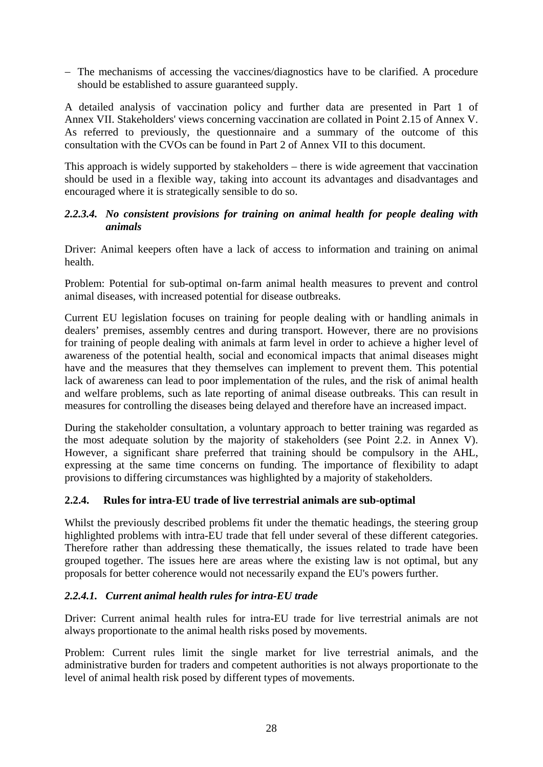− The mechanisms of accessing the vaccines/diagnostics have to be clarified. A procedure should be established to assure guaranteed supply.

A detailed analysis of vaccination policy and further data are presented in Part 1 of Annex VII. Stakeholders' views concerning vaccination are collated in Point 2.15 of Annex V. As referred to previously, the questionnaire and a summary of the outcome of this consultation with the CVOs can be found in Part 2 of Annex VII to this document.

This approach is widely supported by stakeholders – there is wide agreement that vaccination should be used in a flexible way, taking into account its advantages and disadvantages and encouraged where it is strategically sensible to do so.

#### *2.2.3.4. No consistent provisions for training on animal health for people dealing with animals*

Driver: Animal keepers often have a lack of access to information and training on animal health.

Problem: Potential for sub-optimal on-farm animal health measures to prevent and control animal diseases, with increased potential for disease outbreaks.

Current EU legislation focuses on training for people dealing with or handling animals in dealers' premises, assembly centres and during transport. However, there are no provisions for training of people dealing with animals at farm level in order to achieve a higher level of awareness of the potential health, social and economical impacts that animal diseases might have and the measures that they themselves can implement to prevent them. This potential lack of awareness can lead to poor implementation of the rules, and the risk of animal health and welfare problems, such as late reporting of animal disease outbreaks. This can result in measures for controlling the diseases being delayed and therefore have an increased impact.

During the stakeholder consultation, a voluntary approach to better training was regarded as the most adequate solution by the majority of stakeholders (see Point 2.2. in Annex V). However, a significant share preferred that training should be compulsory in the AHL, expressing at the same time concerns on funding. The importance of flexibility to adapt provisions to differing circumstances was highlighted by a majority of stakeholders.

#### <span id="page-27-0"></span>**2.2.4. Rules for intra-EU trade of live terrestrial animals are sub-optimal**

Whilst the previously described problems fit under the thematic headings, the steering group highlighted problems with intra-EU trade that fell under several of these different categories. Therefore rather than addressing these thematically, the issues related to trade have been grouped together. The issues here are areas where the existing law is not optimal, but any proposals for better coherence would not necessarily expand the EU's powers further.

#### *2.2.4.1. Current animal health rules for intra-EU trade*

Driver: Current animal health rules for intra-EU trade for live terrestrial animals are not always proportionate to the animal health risks posed by movements.

Problem: Current rules limit the single market for live terrestrial animals, and the administrative burden for traders and competent authorities is not always proportionate to the level of animal health risk posed by different types of movements.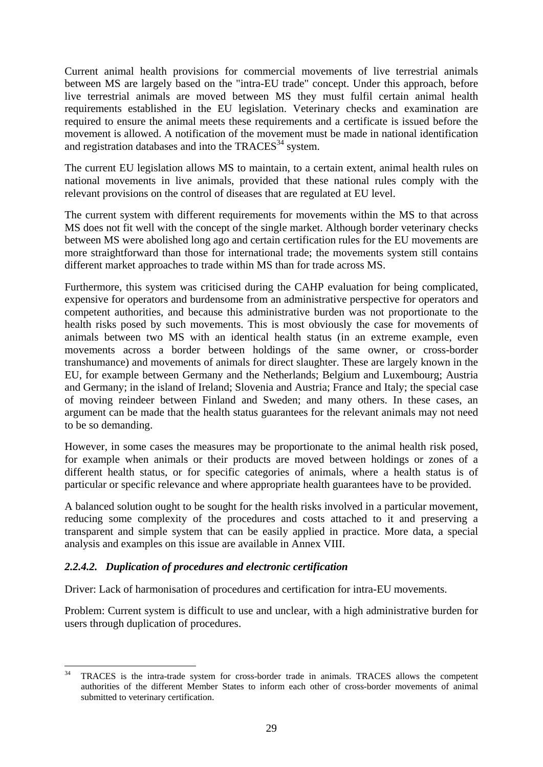Current animal health provisions for commercial movements of live terrestrial animals between MS are largely based on the "intra-EU trade" concept. Under this approach, before live terrestrial animals are moved between MS they must fulfil certain animal health requirements established in the EU legislation. Veterinary checks and examination are required to ensure the animal meets these requirements and a certificate is issued before the movement is allowed. A notification of the movement must be made in national identification and registration databases and into the  $TRACES^{34}$  system.

The current EU legislation allows MS to maintain, to a certain extent, animal health rules on national movements in live animals, provided that these national rules comply with the relevant provisions on the control of diseases that are regulated at EU level.

The current system with different requirements for movements within the MS to that across MS does not fit well with the concept of the single market. Although border veterinary checks between MS were abolished long ago and certain certification rules for the EU movements are more straightforward than those for international trade; the movements system still contains different market approaches to trade within MS than for trade across MS.

Furthermore, this system was criticised during the CAHP evaluation for being complicated, expensive for operators and burdensome from an administrative perspective for operators and competent authorities, and because this administrative burden was not proportionate to the health risks posed by such movements. This is most obviously the case for movements of animals between two MS with an identical health status (in an extreme example, even movements across a border between holdings of the same owner, or cross-border transhumance) and movements of animals for direct slaughter. These are largely known in the EU, for example between Germany and the Netherlands; Belgium and Luxembourg; Austria and Germany; in the island of Ireland; Slovenia and Austria; France and Italy; the special case of moving reindeer between Finland and Sweden; and many others. In these cases, an argument can be made that the health status guarantees for the relevant animals may not need to be so demanding.

However, in some cases the measures may be proportionate to the animal health risk posed, for example when animals or their products are moved between holdings or zones of a different health status, or for specific categories of animals, where a health status is of particular or specific relevance and where appropriate health guarantees have to be provided.

A balanced solution ought to be sought for the health risks involved in a particular movement, reducing some complexity of the procedures and costs attached to it and preserving a transparent and simple system that can be easily applied in practice. More data, a special analysis and examples on this issue are available in Annex VIII.

#### *2.2.4.2. Duplication of procedures and electronic certification*

Driver: Lack of harmonisation of procedures and certification for intra-EU movements.

Problem: Current system is difficult to use and unclear, with a high administrative burden for users through duplication of procedures.

 $34$ 34 TRACES is the intra-trade system for cross-border trade in animals. TRACES allows the competent authorities of the different Member States to inform each other of cross-border movements of animal submitted to veterinary certification.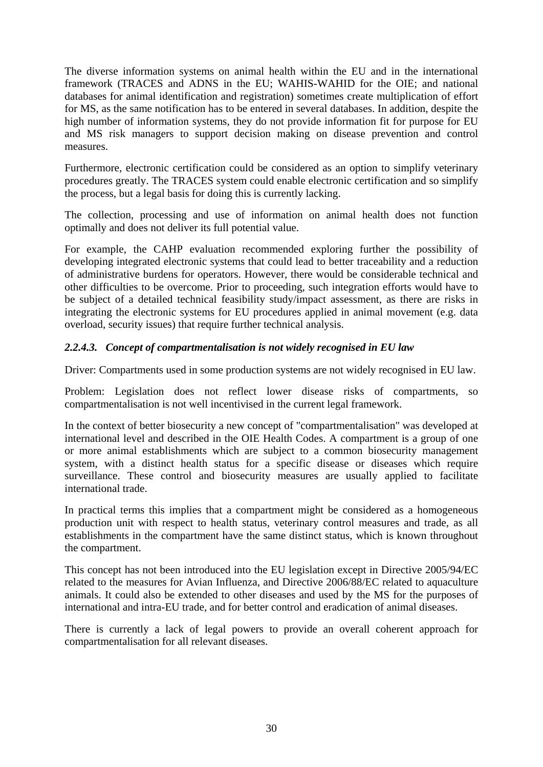The diverse information systems on animal health within the EU and in the international framework (TRACES and ADNS in the EU; WAHIS-WAHID for the OIE; and national databases for animal identification and registration) sometimes create multiplication of effort for MS, as the same notification has to be entered in several databases. In addition, despite the high number of information systems, they do not provide information fit for purpose for EU and MS risk managers to support decision making on disease prevention and control measures.

Furthermore, electronic certification could be considered as an option to simplify veterinary procedures greatly. The TRACES system could enable electronic certification and so simplify the process, but a legal basis for doing this is currently lacking.

The collection, processing and use of information on animal health does not function optimally and does not deliver its full potential value.

For example, the CAHP evaluation recommended exploring further the possibility of developing integrated electronic systems that could lead to better traceability and a reduction of administrative burdens for operators. However, there would be considerable technical and other difficulties to be overcome. Prior to proceeding, such integration efforts would have to be subject of a detailed technical feasibility study/impact assessment, as there are risks in integrating the electronic systems for EU procedures applied in animal movement (e.g. data overload, security issues) that require further technical analysis.

#### *2.2.4.3. Concept of compartmentalisation is not widely recognised in EU law*

Driver: Compartments used in some production systems are not widely recognised in EU law.

Problem: Legislation does not reflect lower disease risks of compartments, so compartmentalisation is not well incentivised in the current legal framework.

In the context of better biosecurity a new concept of "compartmentalisation" was developed at international level and described in the OIE Health Codes. A compartment is a group of one or more animal establishments which are subject to a common biosecurity management system, with a distinct health status for a specific disease or diseases which require surveillance. These control and biosecurity measures are usually applied to facilitate international trade.

In practical terms this implies that a compartment might be considered as a homogeneous production unit with respect to health status, veterinary control measures and trade, as all establishments in the compartment have the same distinct status, which is known throughout the compartment.

This concept has not been introduced into the EU legislation except in Directive 2005/94/EC related to the measures for Avian Influenza, and Directive 2006/88/EC related to aquaculture animals. It could also be extended to other diseases and used by the MS for the purposes of international and intra-EU trade, and for better control and eradication of animal diseases.

There is currently a lack of legal powers to provide an overall coherent approach for compartmentalisation for all relevant diseases.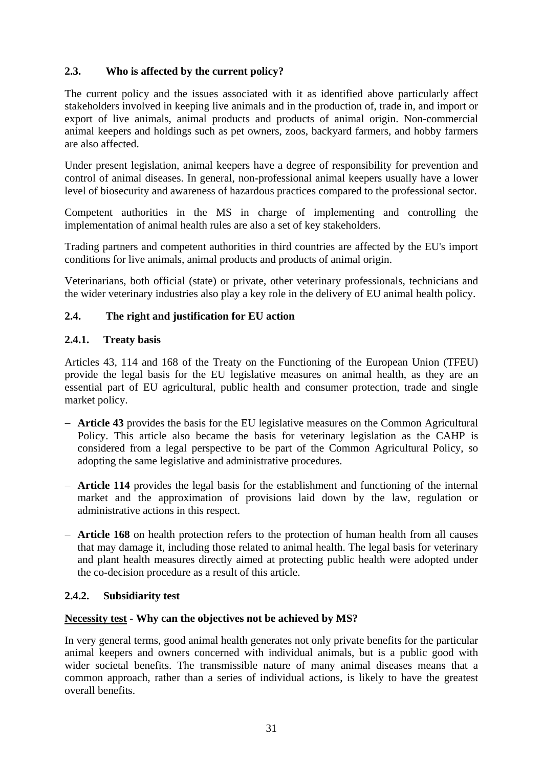## <span id="page-30-0"></span>**2.3. Who is affected by the current policy?**

The current policy and the issues associated with it as identified above particularly affect stakeholders involved in keeping live animals and in the production of, trade in, and import or export of live animals, animal products and products of animal origin. Non-commercial animal keepers and holdings such as pet owners, zoos, backyard farmers, and hobby farmers are also affected.

Under present legislation, animal keepers have a degree of responsibility for prevention and control of animal diseases. In general, non-professional animal keepers usually have a lower level of biosecurity and awareness of hazardous practices compared to the professional sector.

Competent authorities in the MS in charge of implementing and controlling the implementation of animal health rules are also a set of key stakeholders.

Trading partners and competent authorities in third countries are affected by the EU's import conditions for live animals, animal products and products of animal origin.

Veterinarians, both official (state) or private, other veterinary professionals, technicians and the wider veterinary industries also play a key role in the delivery of EU animal health policy.

#### <span id="page-30-2"></span><span id="page-30-1"></span>**2.4. The right and justification for EU action**

#### **2.4.1. Treaty basis**

Articles 43, 114 and 168 of the Treaty on the Functioning of the European Union (TFEU) provide the legal basis for the EU legislative measures on animal health, as they are an essential part of EU agricultural, public health and consumer protection, trade and single market policy.

- − **Article 43** provides the basis for the EU legislative measures on the Common Agricultural Policy. This article also became the basis for veterinary legislation as the CAHP is considered from a legal perspective to be part of the Common Agricultural Policy, so adopting the same legislative and administrative procedures.
- − **Article 114** provides the legal basis for the establishment and functioning of the internal market and the approximation of provisions laid down by the law, regulation or administrative actions in this respect.
- − **Article 168** on health protection refers to the protection of human health from all causes that may damage it, including those related to animal health. The legal basis for veterinary and plant health measures directly aimed at protecting public health were adopted under the co-decision procedure as a result of this article.

#### <span id="page-30-3"></span>**2.4.2. Subsidiarity test**

#### **Necessity test - Why can the objectives not be achieved by MS?**

In very general terms, good animal health generates not only private benefits for the particular animal keepers and owners concerned with individual animals, but is a public good with wider societal benefits. The transmissible nature of many animal diseases means that a common approach, rather than a series of individual actions, is likely to have the greatest overall benefits.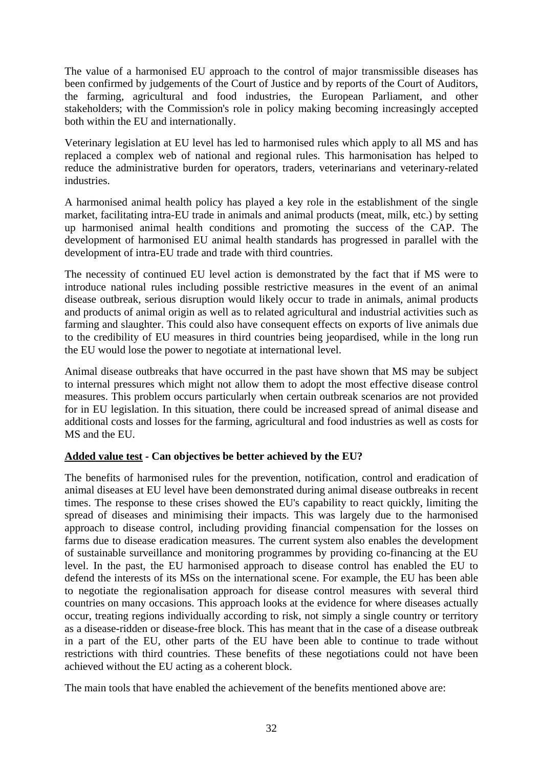The value of a harmonised EU approach to the control of major transmissible diseases has been confirmed by judgements of the Court of Justice and by reports of the Court of Auditors, the farming, agricultural and food industries, the European Parliament, and other stakeholders; with the Commission's role in policy making becoming increasingly accepted both within the EU and internationally.

Veterinary legislation at EU level has led to harmonised rules which apply to all MS and has replaced a complex web of national and regional rules. This harmonisation has helped to reduce the administrative burden for operators, traders, veterinarians and veterinary-related industries.

A harmonised animal health policy has played a key role in the establishment of the single market, facilitating intra-EU trade in animals and animal products (meat, milk, etc.) by setting up harmonised animal health conditions and promoting the success of the CAP. The development of harmonised EU animal health standards has progressed in parallel with the development of intra-EU trade and trade with third countries.

The necessity of continued EU level action is demonstrated by the fact that if MS were to introduce national rules including possible restrictive measures in the event of an animal disease outbreak, serious disruption would likely occur to trade in animals, animal products and products of animal origin as well as to related agricultural and industrial activities such as farming and slaughter. This could also have consequent effects on exports of live animals due to the credibility of EU measures in third countries being jeopardised, while in the long run the EU would lose the power to negotiate at international level.

Animal disease outbreaks that have occurred in the past have shown that MS may be subject to internal pressures which might not allow them to adopt the most effective disease control measures. This problem occurs particularly when certain outbreak scenarios are not provided for in EU legislation. In this situation, there could be increased spread of animal disease and additional costs and losses for the farming, agricultural and food industries as well as costs for MS and the EU.

#### **Added value test - Can objectives be better achieved by the EU?**

The benefits of harmonised rules for the prevention, notification, control and eradication of animal diseases at EU level have been demonstrated during animal disease outbreaks in recent times. The response to these crises showed the EU's capability to react quickly, limiting the spread of diseases and minimising their impacts. This was largely due to the harmonised approach to disease control, including providing financial compensation for the losses on farms due to disease eradication measures. The current system also enables the development of sustainable surveillance and monitoring programmes by providing co-financing at the EU level. In the past, the EU harmonised approach to disease control has enabled the EU to defend the interests of its MSs on the international scene. For example, the EU has been able to negotiate the regionalisation approach for disease control measures with several third countries on many occasions. This approach looks at the evidence for where diseases actually occur, treating regions individually according to risk, not simply a single country or territory as a disease-ridden or disease-free block. This has meant that in the case of a disease outbreak in a part of the EU, other parts of the EU have been able to continue to trade without restrictions with third countries. These benefits of these negotiations could not have been achieved without the EU acting as a coherent block.

The main tools that have enabled the achievement of the benefits mentioned above are: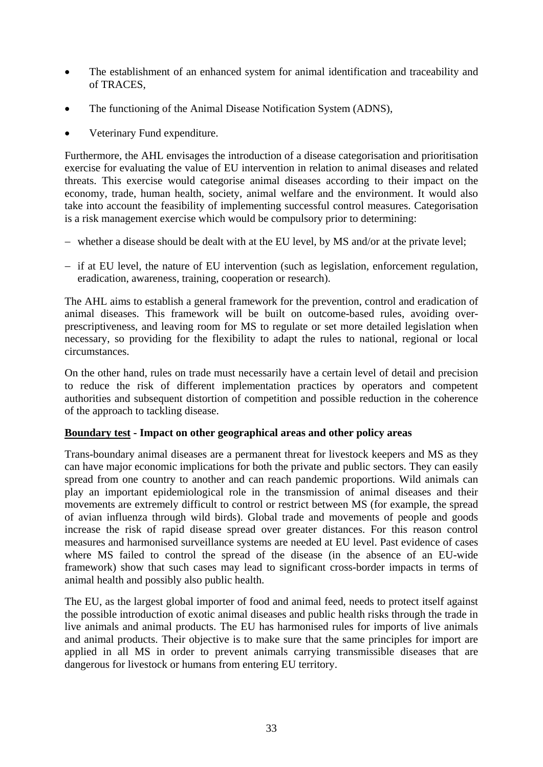- The establishment of an enhanced system for animal identification and traceability and of TRACES,
- The functioning of the Animal Disease Notification System (ADNS),
- Veterinary Fund expenditure.

Furthermore, the AHL envisages the introduction of a disease categorisation and prioritisation exercise for evaluating the value of EU intervention in relation to animal diseases and related threats. This exercise would categorise animal diseases according to their impact on the economy, trade, human health, society, animal welfare and the environment. It would also take into account the feasibility of implementing successful control measures. Categorisation is a risk management exercise which would be compulsory prior to determining:

- − whether a disease should be dealt with at the EU level, by MS and/or at the private level;
- − if at EU level, the nature of EU intervention (such as legislation, enforcement regulation, eradication, awareness, training, cooperation or research).

The AHL aims to establish a general framework for the prevention, control and eradication of animal diseases. This framework will be built on outcome-based rules, avoiding overprescriptiveness, and leaving room for MS to regulate or set more detailed legislation when necessary, so providing for the flexibility to adapt the rules to national, regional or local circumstances.

On the other hand, rules on trade must necessarily have a certain level of detail and precision to reduce the risk of different implementation practices by operators and competent authorities and subsequent distortion of competition and possible reduction in the coherence of the approach to tackling disease.

#### **Boundary test - Impact on other geographical areas and other policy areas**

Trans-boundary animal diseases are a permanent threat for livestock keepers and MS as they can have major economic implications for both the private and public sectors. They can easily spread from one country to another and can reach pandemic proportions. Wild animals can play an important epidemiological role in the transmission of animal diseases and their movements are extremely difficult to control or restrict between MS (for example, the spread of avian influenza through wild birds). Global trade and movements of people and goods increase the risk of rapid disease spread over greater distances. For this reason control measures and harmonised surveillance systems are needed at EU level. Past evidence of cases where MS failed to control the spread of the disease (in the absence of an EU-wide framework) show that such cases may lead to significant cross-border impacts in terms of animal health and possibly also public health.

The EU, as the largest global importer of food and animal feed, needs to protect itself against the possible introduction of exotic animal diseases and public health risks through the trade in live animals and animal products. The EU has harmonised rules for imports of live animals and animal products. Their objective is to make sure that the same principles for import are applied in all MS in order to prevent animals carrying transmissible diseases that are dangerous for livestock or humans from entering EU territory.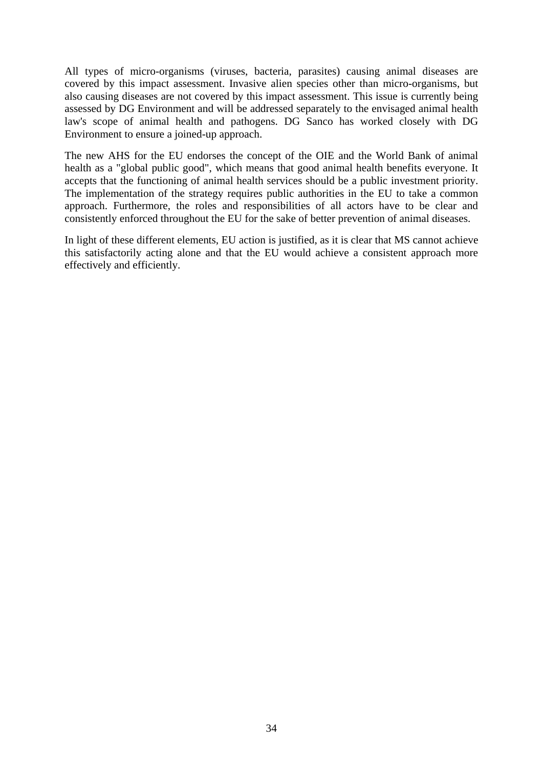All types of micro-organisms (viruses, bacteria, parasites) causing animal diseases are covered by this impact assessment. Invasive alien species other than micro-organisms, but also causing diseases are not covered by this impact assessment. This issue is currently being assessed by DG Environment and will be addressed separately to the envisaged animal health law's scope of animal health and pathogens. DG Sanco has worked closely with DG Environment to ensure a joined-up approach.

The new AHS for the EU endorses the concept of the OIE and the World Bank of animal health as a "global public good", which means that good animal health benefits everyone. It accepts that the functioning of animal health services should be a public investment priority. The implementation of the strategy requires public authorities in the EU to take a common approach. Furthermore, the roles and responsibilities of all actors have to be clear and consistently enforced throughout the EU for the sake of better prevention of animal diseases.

In light of these different elements, EU action is justified, as it is clear that MS cannot achieve this satisfactorily acting alone and that the EU would achieve a consistent approach more effectively and efficiently.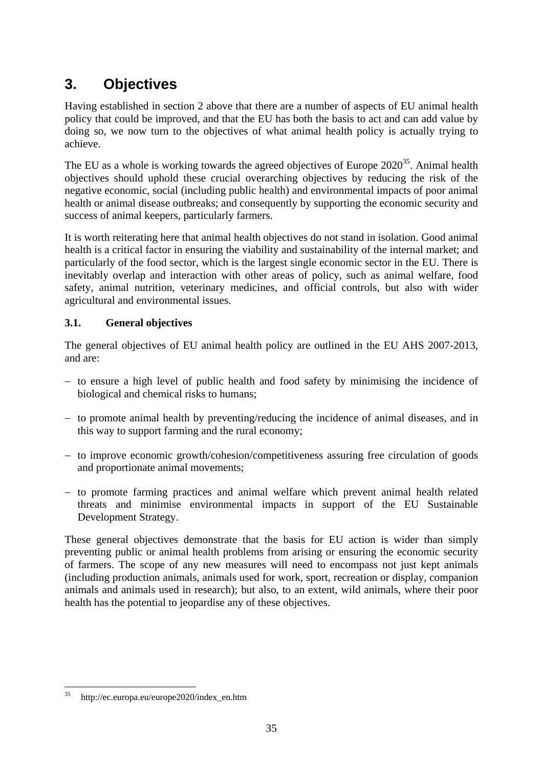# <span id="page-34-0"></span>**3. Objectives**

Having established in section 2 above that there are a number of aspects of EU animal health policy that could be improved, and that the EU has both the basis to act and can add value by doing so, we now turn to the objectives of what animal health policy is actually trying to achieve.

The EU as a whole is working towards the agreed objectives of Europe  $2020^{35}$ . Animal health objectives should uphold these crucial overarching objectives by reducing the risk of the negative economic, social (including public health) and environmental impacts of poor animal health or animal disease outbreaks; and consequently by supporting the economic security and success of animal keepers, particularly farmers.

It is worth reiterating here that animal health objectives do not stand in isolation. Good animal health is a critical factor in ensuring the viability and sustainability of the internal market; and particularly of the food sector, which is the largest single economic sector in the EU. There is inevitably overlap and interaction with other areas of policy, such as animal welfare, food safety, animal nutrition, veterinary medicines, and official controls, but also with wider agricultural and environmental issues.

# <span id="page-34-1"></span>**3.1. General objectives**

The general objectives of EU animal health policy are outlined in the EU AHS 2007-2013, and are:

- − to ensure a high level of public health and food safety by minimising the incidence of biological and chemical risks to humans;
- − to promote animal health by preventing/reducing the incidence of animal diseases, and in this way to support farming and the rural economy;
- − to improve economic growth/cohesion/competitiveness assuring free circulation of goods and proportionate animal movements;
- − to promote farming practices and animal welfare which prevent animal health related threats and minimise environmental impacts in support of the EU Sustainable Development Strategy.

These general objectives demonstrate that the basis for EU action is wider than simply preventing public or animal health problems from arising or ensuring the economic security of farmers. The scope of any new measures will need to encompass not just kept animals (including production animals, animals used for work, sport, recreation or display, companion animals and animals used in research); but also, to an extent, wild animals, where their poor health has the potential to jeopardise any of these objectives.

 $35$ 35 http://ec.europa.eu/europe2020/index\_en.htm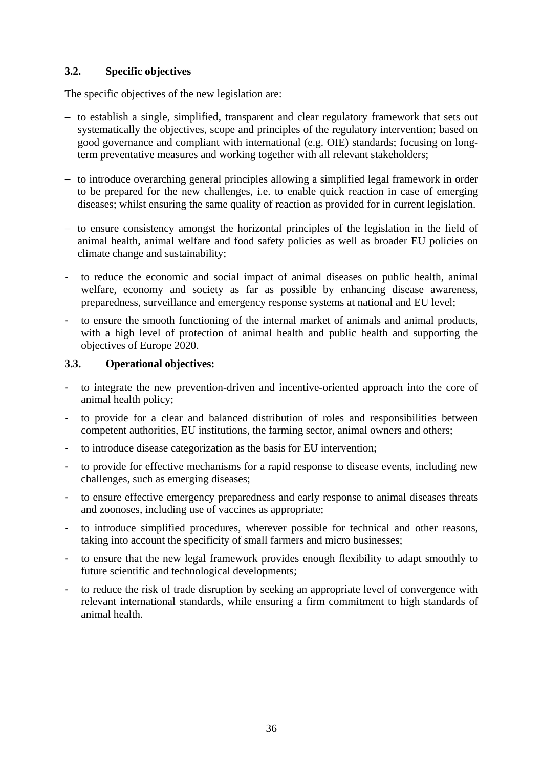## <span id="page-35-0"></span>**3.2. Specific objectives**

The specific objectives of the new legislation are:

- − to establish a single, simplified, transparent and clear regulatory framework that sets out systematically the objectives, scope and principles of the regulatory intervention; based on good governance and compliant with international (e.g. OIE) standards; focusing on longterm preventative measures and working together with all relevant stakeholders;
- − to introduce overarching general principles allowing a simplified legal framework in order to be prepared for the new challenges, i.e. to enable quick reaction in case of emerging diseases; whilst ensuring the same quality of reaction as provided for in current legislation.
- − to ensure consistency amongst the horizontal principles of the legislation in the field of animal health, animal welfare and food safety policies as well as broader EU policies on climate change and sustainability;
- to reduce the economic and social impact of animal diseases on public health, animal welfare, economy and society as far as possible by enhancing disease awareness, preparedness, surveillance and emergency response systems at national and EU level;
- to ensure the smooth functioning of the internal market of animals and animal products, with a high level of protection of animal health and public health and supporting the objectives of Europe 2020.

#### <span id="page-35-1"></span>**3.3. Operational objectives:**

- to integrate the new prevention-driven and incentive-oriented approach into the core of animal health policy;
- to provide for a clear and balanced distribution of roles and responsibilities between competent authorities, EU institutions, the farming sector, animal owners and others;
- to introduce disease categorization as the basis for EU intervention;
- to provide for effective mechanisms for a rapid response to disease events, including new challenges, such as emerging diseases;
- to ensure effective emergency preparedness and early response to animal diseases threats and zoonoses, including use of vaccines as appropriate;
- to introduce simplified procedures, wherever possible for technical and other reasons, taking into account the specificity of small farmers and micro businesses;
- to ensure that the new legal framework provides enough flexibility to adapt smoothly to future scientific and technological developments;
- to reduce the risk of trade disruption by seeking an appropriate level of convergence with relevant international standards, while ensuring a firm commitment to high standards of animal health.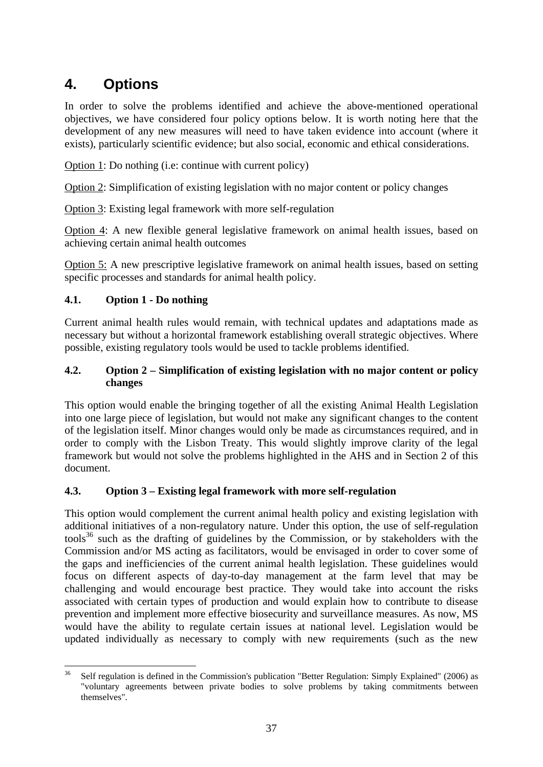# **4. Options**

In order to solve the problems identified and achieve the above-mentioned operational objectives, we have considered four policy options below. It is worth noting here that the development of any new measures will need to have taken evidence into account (where it exists), particularly scientific evidence; but also social, economic and ethical considerations.

Option 1: Do nothing (i.e: continue with current policy)

Option 2: Simplification of existing legislation with no major content or policy changes

Option 3: Existing legal framework with more self-regulation

Option 4: A new flexible general legislative framework on animal health issues, based on achieving certain animal health outcomes

Option 5: A new prescriptive legislative framework on animal health issues, based on setting specific processes and standards for animal health policy.

#### **4.1. Option 1 - Do nothing**

Current animal health rules would remain, with technical updates and adaptations made as necessary but without a horizontal framework establishing overall strategic objectives. Where possible, existing regulatory tools would be used to tackle problems identified.

#### **4.2. Option 2 – Simplification of existing legislation with no major content or policy changes**

This option would enable the bringing together of all the existing Animal Health Legislation into one large piece of legislation, but would not make any significant changes to the content of the legislation itself. Minor changes would only be made as circumstances required, and in order to comply with the Lisbon Treaty. This would slightly improve clarity of the legal framework but would not solve the problems highlighted in the AHS and in Section 2 of this document.

#### **4.3. Option 3 – Existing legal framework with more self-regulation**

This option would complement the current animal health policy and existing legislation with additional initiatives of a non-regulatory nature. Under this option, the use of self-regulation  $tools^{36}$  such as the drafting of guidelines by the Commission, or by stakeholders with the Commission and/or MS acting as facilitators, would be envisaged in order to cover some of the gaps and inefficiencies of the current animal health legislation. These guidelines would focus on different aspects of day-to-day management at the farm level that may be challenging and would encourage best practice. They would take into account the risks associated with certain types of production and would explain how to contribute to disease prevention and implement more effective biosecurity and surveillance measures. As now, MS would have the ability to regulate certain issues at national level. Legislation would be updated individually as necessary to comply with new requirements (such as the new

<sup>36</sup> 36 Self regulation is defined in the Commission's publication "Better Regulation: Simply Explained" (2006) as "voluntary agreements between private bodies to solve problems by taking commitments between themselves".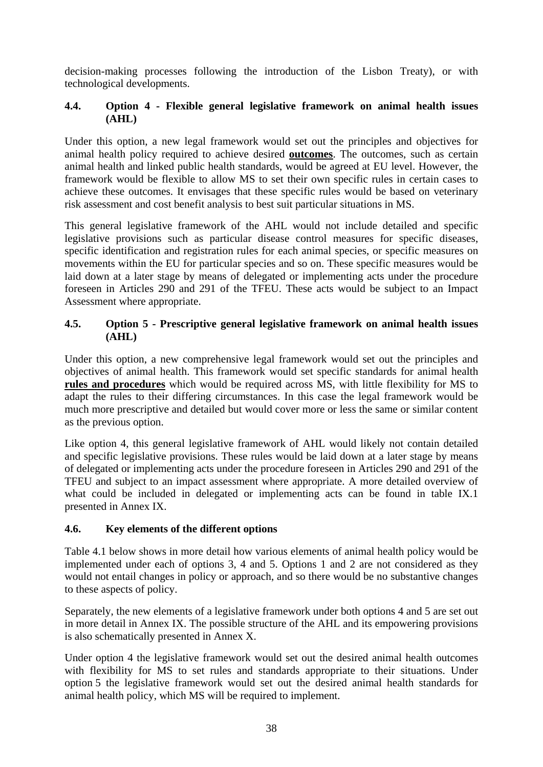decision-making processes following the introduction of the Lisbon Treaty), or with technological developments.

#### **4.4. Option 4 - Flexible general legislative framework on animal health issues (AHL)**

Under this option, a new legal framework would set out the principles and objectives for animal health policy required to achieve desired **outcomes**. The outcomes, such as certain animal health and linked public health standards, would be agreed at EU level. However, the framework would be flexible to allow MS to set their own specific rules in certain cases to achieve these outcomes. It envisages that these specific rules would be based on veterinary risk assessment and cost benefit analysis to best suit particular situations in MS.

This general legislative framework of the AHL would not include detailed and specific legislative provisions such as particular disease control measures for specific diseases, specific identification and registration rules for each animal species, or specific measures on movements within the EU for particular species and so on. These specific measures would be laid down at a later stage by means of delegated or implementing acts under the procedure foreseen in Articles 290 and 291 of the TFEU. These acts would be subject to an Impact Assessment where appropriate.

#### **4.5. Option 5 - Prescriptive general legislative framework on animal health issues (AHL)**

Under this option, a new comprehensive legal framework would set out the principles and objectives of animal health. This framework would set specific standards for animal health **rules and procedures** which would be required across MS, with little flexibility for MS to adapt the rules to their differing circumstances. In this case the legal framework would be much more prescriptive and detailed but would cover more or less the same or similar content as the previous option.

Like option 4, this general legislative framework of AHL would likely not contain detailed and specific legislative provisions. These rules would be laid down at a later stage by means of delegated or implementing acts under the procedure foreseen in Articles 290 and 291 of the TFEU and subject to an impact assessment where appropriate. A more detailed overview of what could be included in delegated or implementing acts can be found in table IX.1 presented in Annex IX.

#### **4.6. Key elements of the different options**

Table 4.1 below shows in more detail how various elements of animal health policy would be implemented under each of options 3, 4 and 5. Options 1 and 2 are not considered as they would not entail changes in policy or approach, and so there would be no substantive changes to these aspects of policy.

Separately, the new elements of a legislative framework under both options 4 and 5 are set out in more detail in Annex IX. The possible structure of the AHL and its empowering provisions is also schematically presented in Annex X.

Under option 4 the legislative framework would set out the desired animal health outcomes with flexibility for MS to set rules and standards appropriate to their situations. Under option 5 the legislative framework would set out the desired animal health standards for animal health policy, which MS will be required to implement.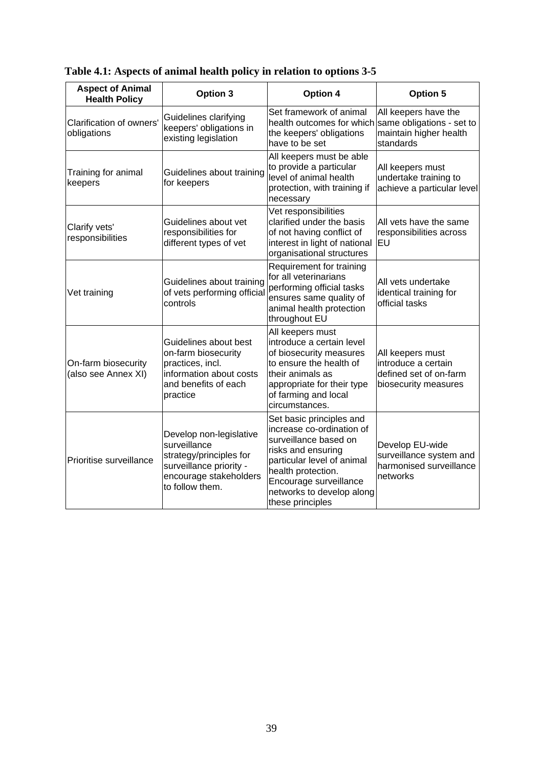| <b>Aspect of Animal</b><br><b>Health Policy</b> | <b>Option 3</b>                                                                                                                            | Option 4                                                                                                                                                                                                                            | <b>Option 5</b>                                                                           |
|-------------------------------------------------|--------------------------------------------------------------------------------------------------------------------------------------------|-------------------------------------------------------------------------------------------------------------------------------------------------------------------------------------------------------------------------------------|-------------------------------------------------------------------------------------------|
| Clarification of owners'<br>obligations         | Guidelines clarifying<br>keepers' obligations in<br>existing legislation                                                                   | Set framework of animal<br>health outcomes for which<br>the keepers' obligations<br>have to be set                                                                                                                                  | All keepers have the<br>same obligations - set to<br>maintain higher health<br>standards  |
| Training for animal<br>keepers                  | Guidelines about training<br>for keepers                                                                                                   | All keepers must be able<br>to provide a particular<br>level of animal health<br>protection, with training if<br>necessary                                                                                                          | All keepers must<br>undertake training to<br>achieve a particular level                   |
| Clarify vets'<br>responsibilities               | Guidelines about vet<br>responsibilities for<br>different types of vet                                                                     | Vet responsibilities<br>clarified under the basis<br>of not having conflict of<br>interest in light of national<br>organisational structures                                                                                        | All vets have the same<br>responsibilities across<br>EU                                   |
| Vet training                                    | Guidelines about training<br>of vets performing official<br>controls                                                                       | Requirement for training<br>for all veterinarians<br>performing official tasks<br>ensures same quality of<br>animal health protection<br>throughout EU                                                                              | All vets undertake<br>identical training for<br>official tasks                            |
| On-farm biosecurity<br>(also see Annex XI)      | Guidelines about best<br>on-farm biosecurity<br>practices, incl.<br>information about costs<br>and benefits of each<br>practice            | All keepers must<br>introduce a certain level<br>of biosecurity measures<br>to ensure the health of<br>their animals as<br>appropriate for their type<br>of farming and local<br>circumstances.                                     | All keepers must<br>introduce a certain<br>defined set of on-farm<br>biosecurity measures |
| Prioritise surveillance                         | Develop non-legislative<br>surveillance<br>strategy/principles for<br>surveillance priority -<br>encourage stakeholders<br>to follow them. | Set basic principles and<br>increase co-ordination of<br>surveillance based on<br>risks and ensuring<br>particular level of animal<br>health protection.<br>Encourage surveillance<br>networks to develop along<br>these principles | Develop EU-wide<br>surveillance system and<br>harmonised surveillance<br>networks         |

**Table 4.1: Aspects of animal health policy in relation to options 3-5**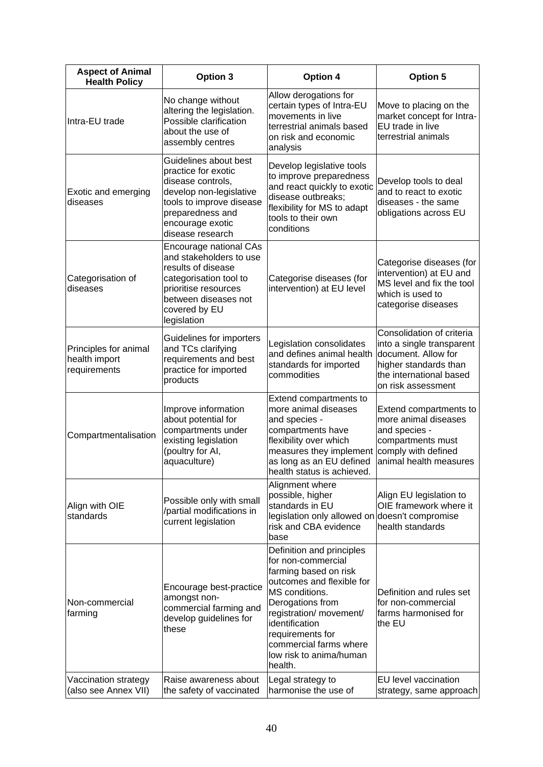| <b>Aspect of Animal</b><br><b>Health Policy</b>        | Option 3                                                                                                                                                                             | <b>Option 4</b>                                                                                                                                                                                                                                                              | <b>Option 5</b>                                                                                                                                         |
|--------------------------------------------------------|--------------------------------------------------------------------------------------------------------------------------------------------------------------------------------------|------------------------------------------------------------------------------------------------------------------------------------------------------------------------------------------------------------------------------------------------------------------------------|---------------------------------------------------------------------------------------------------------------------------------------------------------|
| Intra-EU trade                                         | No change without<br>altering the legislation.<br>Possible clarification<br>about the use of<br>assembly centres                                                                     | Allow derogations for<br>certain types of Intra-EU<br>movements in live<br>terrestrial animals based<br>on risk and economic<br>analysis                                                                                                                                     | Move to placing on the<br>market concept for Intra-<br>EU trade in live<br>terrestrial animals                                                          |
| Exotic and emerging<br>diseases                        | Guidelines about best<br>practice for exotic<br>disease controls,<br>develop non-legislative<br>tools to improve disease<br>preparedness and<br>encourage exotic<br>disease research | Develop legislative tools<br>to improve preparedness<br>and react quickly to exotic<br>disease outbreaks;<br>flexibility for MS to adapt<br>tools to their own<br>conditions                                                                                                 | Develop tools to deal<br>and to react to exotic<br>diseases - the same<br>obligations across EU                                                         |
| Categorisation of<br>diseases                          | Encourage national CAs<br>and stakeholders to use<br>results of disease<br>categorisation tool to<br>prioritise resources<br>between diseases not<br>covered by EU<br>legislation    | Categorise diseases (for<br>intervention) at EU level                                                                                                                                                                                                                        | Categorise diseases (for<br>intervention) at EU and<br>MS level and fix the tool<br>which is used to<br>categorise diseases                             |
| Principles for animal<br>health import<br>requirements | Guidelines for importers<br>and TCs clarifying<br>requirements and best<br>practice for imported<br>products                                                                         | Legislation consolidates<br>and defines animal health<br>standards for imported<br>commodities                                                                                                                                                                               | Consolidation of criteria<br>into a single transparent<br>document. Allow for<br>higher standards than<br>the international based<br>on risk assessment |
| Compartmentalisation                                   | Improve information<br>about potential for<br>compartments under<br>existing legislation<br>(poultry for AI,<br>aquaculture)                                                         | Extend compartments to<br>more animal diseases<br>and species -<br>compartments have<br>flexibility over which<br>measures they implement<br>as long as an EU defined<br>health status is achieved.                                                                          | Extend compartments to<br>more animal diseases<br>and species -<br>compartments must<br>comply with defined<br>animal health measures                   |
| Align with OIE<br>standards                            | Possible only with small<br>/partial modifications in<br>current legislation                                                                                                         | Alignment where<br>possible, higher<br>standards in EU<br>legislation only allowed on doesn't compromise<br>risk and CBA evidence<br>base                                                                                                                                    | Align EU legislation to<br>OIE framework where it<br>health standards                                                                                   |
| Non-commercial<br>farming                              | Encourage best-practice<br>amongst non-<br>commercial farming and<br>develop guidelines for<br>these                                                                                 | Definition and principles<br>for non-commercial<br>farming based on risk<br>outcomes and flexible for<br>MS conditions.<br>Derogations from<br>registration/ movement/<br>identification<br>requirements for<br>commercial farms where<br>low risk to anima/human<br>health. | Definition and rules set<br>for non-commercial<br>farms harmonised for<br>the EU                                                                        |
| Vaccination strategy<br>(also see Annex VII)           | Raise awareness about<br>the safety of vaccinated                                                                                                                                    | Legal strategy to<br>harmonise the use of                                                                                                                                                                                                                                    | EU level vaccination<br>strategy, same approach                                                                                                         |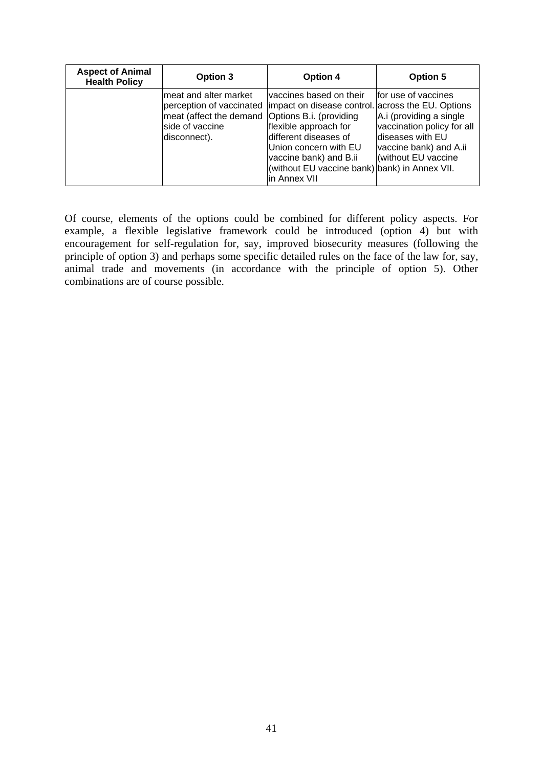| <b>Aspect of Animal</b><br><b>Health Policy</b> | Option 3                                                                                                     | Option 4                                                                                                                                                                                                                                                                     | <b>Option 5</b>                                                                                                                                     |
|-------------------------------------------------|--------------------------------------------------------------------------------------------------------------|------------------------------------------------------------------------------------------------------------------------------------------------------------------------------------------------------------------------------------------------------------------------------|-----------------------------------------------------------------------------------------------------------------------------------------------------|
|                                                 | meat and alter market<br>meat (affect the demand Options B.i. (providing<br>side of vaccine<br> disconnect). | vaccines based on their<br>perception of vaccinated limpact on disease control. across the EU. Options<br>flexible approach for<br>different diseases of<br>Union concern with EU<br>vaccine bank) and B.ii<br>(without EU vaccine bank) bank) in Annex VII.<br>in Annex VII | Ifor use of vaccines<br>A.i (providing a single<br>vaccination policy for all<br>ldiseases with EU<br>vaccine bank) and A.ii<br>(without EU vaccine |

Of course, elements of the options could be combined for different policy aspects. For example, a flexible legislative framework could be introduced (option 4) but with encouragement for self-regulation for, say, improved biosecurity measures (following the principle of option 3) and perhaps some specific detailed rules on the face of the law for, say, animal trade and movements (in accordance with the principle of option 5). Other combinations are of course possible.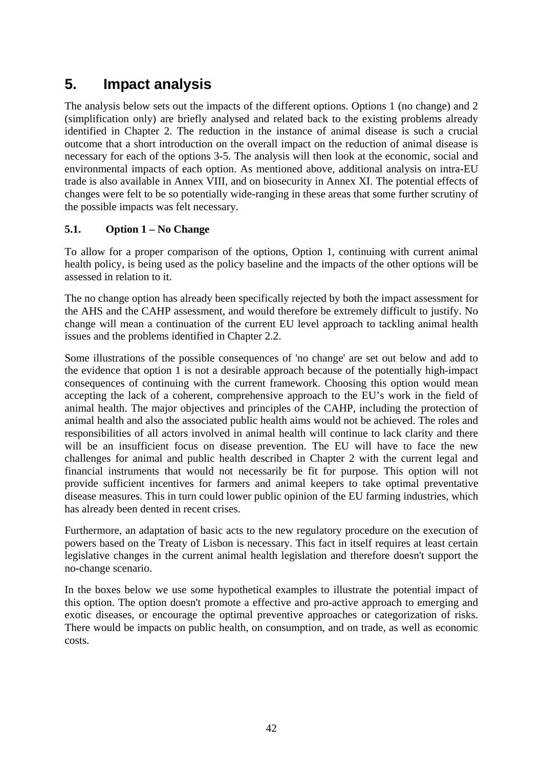# **5. Impact analysis**

The analysis below sets out the impacts of the different options. Options 1 (no change) and 2 (simplification only) are briefly analysed and related back to the existing problems already identified in Chapter 2. The reduction in the instance of animal disease is such a crucial outcome that a short introduction on the overall impact on the reduction of animal disease is necessary for each of the options 3-5. The analysis will then look at the economic, social and environmental impacts of each option. As mentioned above, additional analysis on intra-EU trade is also available in Annex VIII, and on biosecurity in Annex XI. The potential effects of changes were felt to be so potentially wide-ranging in these areas that some further scrutiny of the possible impacts was felt necessary.

#### **5.1. Option 1 – No Change**

To allow for a proper comparison of the options, Option 1, continuing with current animal health policy, is being used as the policy baseline and the impacts of the other options will be assessed in relation to it.

The no change option has already been specifically rejected by both the impact assessment for the AHS and the CAHP assessment, and would therefore be extremely difficult to justify. No change will mean a continuation of the current EU level approach to tackling animal health issues and the problems identified in Chapter 2.2.

Some illustrations of the possible consequences of 'no change' are set out below and add to the evidence that option 1 is not a desirable approach because of the potentially high-impact consequences of continuing with the current framework. Choosing this option would mean accepting the lack of a coherent, comprehensive approach to the EU's work in the field of animal health. The major objectives and principles of the CAHP, including the protection of animal health and also the associated public health aims would not be achieved. The roles and responsibilities of all actors involved in animal health will continue to lack clarity and there will be an insufficient focus on disease prevention. The EU will have to face the new challenges for animal and public health described in Chapter 2 with the current legal and financial instruments that would not necessarily be fit for purpose. This option will not provide sufficient incentives for farmers and animal keepers to take optimal preventative disease measures. This in turn could lower public opinion of the EU farming industries, which has already been dented in recent crises.

Furthermore, an adaptation of basic acts to the new regulatory procedure on the execution of powers based on the Treaty of Lisbon is necessary. This fact in itself requires at least certain legislative changes in the current animal health legislation and therefore doesn't support the no-change scenario.

In the boxes below we use some hypothetical examples to illustrate the potential impact of this option. The option doesn't promote a effective and pro-active approach to emerging and exotic diseases, or encourage the optimal preventive approaches or categorization of risks. There would be impacts on public health, on consumption, and on trade, as well as economic costs.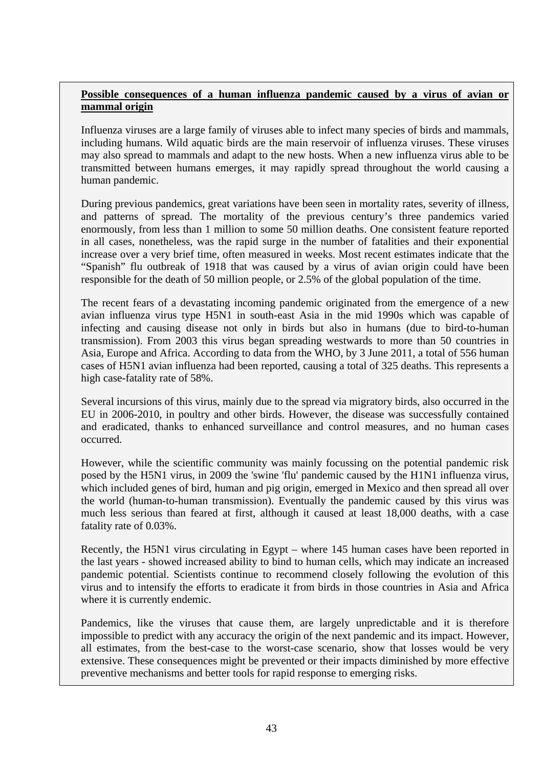#### **Possible consequences of a human influenza pandemic caused by a virus of avian or mammal origin**

Influenza viruses are a large family of viruses able to infect many species of birds and mammals, including humans. Wild aquatic birds are the main reservoir of influenza viruses. These viruses may also spread to mammals and adapt to the new hosts. When a new influenza virus able to be transmitted between humans emerges, it may rapidly spread throughout the world causing a human pandemic.

During previous pandemics, great variations have been seen in mortality rates, severity of illness, and patterns of spread. The mortality of the previous century's three pandemics varied enormously, from less than 1 million to some 50 million deaths. One consistent feature reported in all cases, nonetheless, was the rapid surge in the number of fatalities and their exponential increase over a very brief time, often measured in weeks. Most recent estimates indicate that the "Spanish" flu outbreak of 1918 that was caused by a virus of avian origin could have been responsible for the death of 50 million people, or 2.5% of the global population of the time.

The recent fears of a devastating incoming pandemic originated from the emergence of a new avian influenza virus type H5N1 in south-east Asia in the mid 1990s which was capable of infecting and causing disease not only in birds but also in humans (due to bird-to-human transmission). From 2003 this virus began spreading westwards to more than 50 countries in Asia, Europe and Africa. According to data from the WHO, by 3 June 2011, a total of 556 human cases of H5N1 avian influenza had been reported, causing a total of 325 deaths. This represents a high case-fatality rate of 58%.

Several incursions of this virus, mainly due to the spread via migratory birds, also occurred in the EU in 2006-2010, in poultry and other birds. However, the disease was successfully contained and eradicated, thanks to enhanced surveillance and control measures, and no human cases occurred.

However, while the scientific community was mainly focussing on the potential pandemic risk posed by the H5N1 virus, in 2009 the 'swine 'flu' pandemic caused by the H1N1 influenza virus, which included genes of bird, human and pig origin, emerged in Mexico and then spread all over the world (human-to-human transmission). Eventually the pandemic caused by this virus was much less serious than feared at first, although it caused at least 18,000 deaths, with a case fatality rate of 0.03%.

Recently, the H5N1 virus circulating in Egypt – where 145 human cases have been reported in the last years - showed increased ability to bind to human cells, which may indicate an increased pandemic potential. Scientists continue to recommend closely following the evolution of this virus and to intensify the efforts to eradicate it from birds in those countries in Asia and Africa where it is currently endemic.

Pandemics, like the viruses that cause them, are largely unpredictable and it is therefore impossible to predict with any accuracy the origin of the next pandemic and its impact. However, all estimates, from the best-case to the worst-case scenario, show that losses would be very extensive. These consequences might be prevented or their impacts diminished by more effective preventive mechanisms and better tools for rapid response to emerging risks.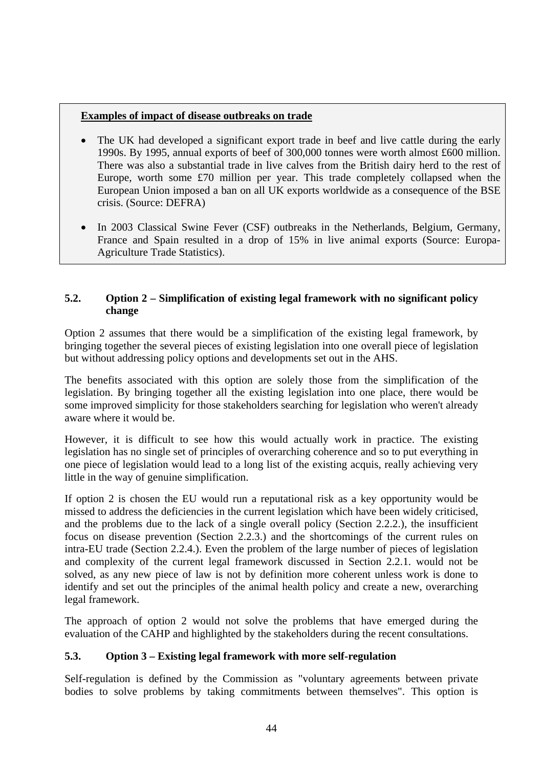#### **Examples of impact of disease outbreaks on trade**

- The UK had developed a significant export trade in beef and live cattle during the early 1990s. By 1995, annual exports of beef of 300,000 tonnes were worth almost £600 million. There was also a substantial trade in live calves from the British dairy herd to the rest of Europe, worth some £70 million per year. This trade completely collapsed when the European Union imposed a ban on all UK exports worldwide as a consequence of the BSE crisis. (Source: DEFRA)
- In 2003 Classical Swine Fever (CSF) outbreaks in the Netherlands, Belgium, Germany, France and Spain resulted in a drop of 15% in live animal exports (Source: Europa-Agriculture Trade Statistics).

#### **5.2. Option 2 – Simplification of existing legal framework with no significant policy change**

Option 2 assumes that there would be a simplification of the existing legal framework, by bringing together the several pieces of existing legislation into one overall piece of legislation but without addressing policy options and developments set out in the AHS.

The benefits associated with this option are solely those from the simplification of the legislation. By bringing together all the existing legislation into one place, there would be some improved simplicity for those stakeholders searching for legislation who weren't already aware where it would be.

However, it is difficult to see how this would actually work in practice. The existing legislation has no single set of principles of overarching coherence and so to put everything in one piece of legislation would lead to a long list of the existing acquis, really achieving very little in the way of genuine simplification.

If option 2 is chosen the EU would run a reputational risk as a key opportunity would be missed to address the deficiencies in the current legislation which have been widely criticised, and the problems due to the lack of a single overall policy (Section 2.2.2.), the insufficient focus on disease prevention (Section 2.2.3.) and the shortcomings of the current rules on intra-EU trade (Section 2.2.4.). Even the problem of the large number of pieces of legislation and complexity of the current legal framework discussed in Section 2.2.1. would not be solved, as any new piece of law is not by definition more coherent unless work is done to identify and set out the principles of the animal health policy and create a new, overarching legal framework.

The approach of option 2 would not solve the problems that have emerged during the evaluation of the CAHP and highlighted by the stakeholders during the recent consultations.

### **5.3. Option 3 – Existing legal framework with more self-regulation**

Self-regulation is defined by the Commission as "voluntary agreements between private bodies to solve problems by taking commitments between themselves". This option is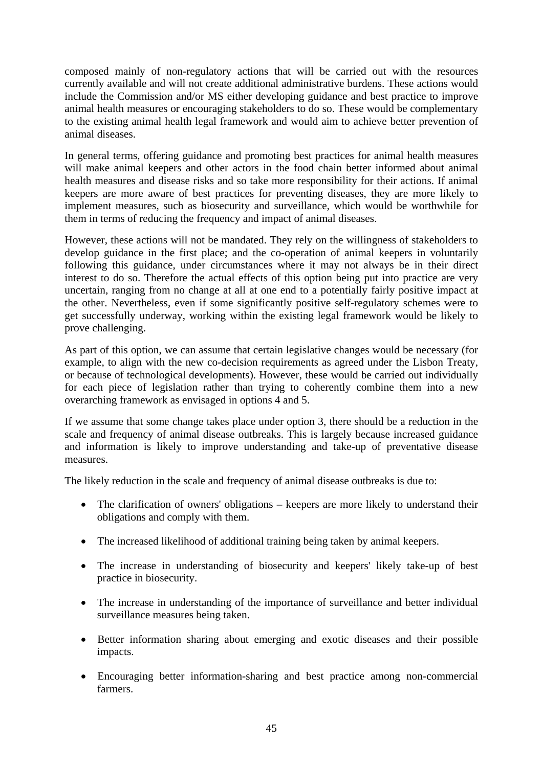composed mainly of non-regulatory actions that will be carried out with the resources currently available and will not create additional administrative burdens. These actions would include the Commission and/or MS either developing guidance and best practice to improve animal health measures or encouraging stakeholders to do so. These would be complementary to the existing animal health legal framework and would aim to achieve better prevention of animal diseases.

In general terms, offering guidance and promoting best practices for animal health measures will make animal keepers and other actors in the food chain better informed about animal health measures and disease risks and so take more responsibility for their actions. If animal keepers are more aware of best practices for preventing diseases, they are more likely to implement measures, such as biosecurity and surveillance, which would be worthwhile for them in terms of reducing the frequency and impact of animal diseases.

However, these actions will not be mandated. They rely on the willingness of stakeholders to develop guidance in the first place; and the co-operation of animal keepers in voluntarily following this guidance, under circumstances where it may not always be in their direct interest to do so. Therefore the actual effects of this option being put into practice are very uncertain, ranging from no change at all at one end to a potentially fairly positive impact at the other. Nevertheless, even if some significantly positive self-regulatory schemes were to get successfully underway, working within the existing legal framework would be likely to prove challenging.

As part of this option, we can assume that certain legislative changes would be necessary (for example, to align with the new co-decision requirements as agreed under the Lisbon Treaty, or because of technological developments). However, these would be carried out individually for each piece of legislation rather than trying to coherently combine them into a new overarching framework as envisaged in options 4 and 5.

If we assume that some change takes place under option 3, there should be a reduction in the scale and frequency of animal disease outbreaks. This is largely because increased guidance and information is likely to improve understanding and take-up of preventative disease measures.

The likely reduction in the scale and frequency of animal disease outbreaks is due to:

- The clarification of owners' obligations keepers are more likely to understand their obligations and comply with them.
- The increased likelihood of additional training being taken by animal keepers.
- The increase in understanding of biosecurity and keepers' likely take-up of best practice in biosecurity.
- The increase in understanding of the importance of surveillance and better individual surveillance measures being taken.
- Better information sharing about emerging and exotic diseases and their possible impacts.
- Encouraging better information-sharing and best practice among non-commercial farmers.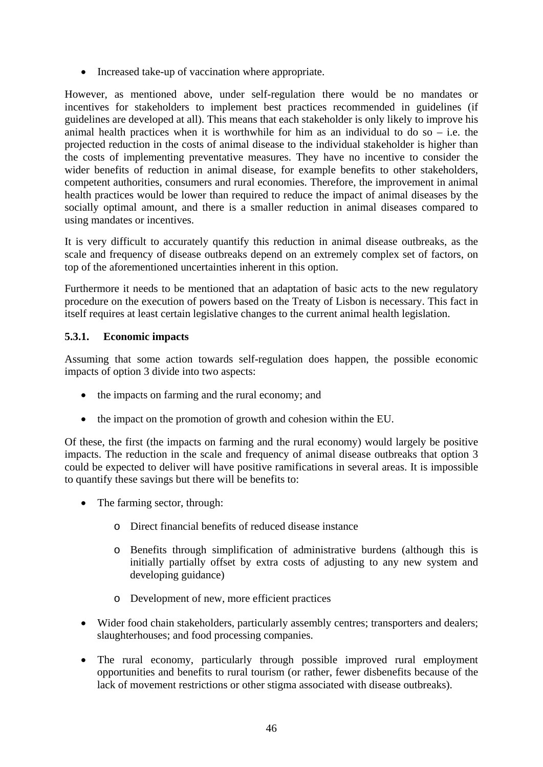• Increased take-up of vaccination where appropriate.

However, as mentioned above, under self-regulation there would be no mandates or incentives for stakeholders to implement best practices recommended in guidelines (if guidelines are developed at all). This means that each stakeholder is only likely to improve his animal health practices when it is worthwhile for him as an individual to do so  $-$  i.e. the projected reduction in the costs of animal disease to the individual stakeholder is higher than the costs of implementing preventative measures. They have no incentive to consider the wider benefits of reduction in animal disease, for example benefits to other stakeholders, competent authorities, consumers and rural economies. Therefore, the improvement in animal health practices would be lower than required to reduce the impact of animal diseases by the socially optimal amount, and there is a smaller reduction in animal diseases compared to using mandates or incentives.

It is very difficult to accurately quantify this reduction in animal disease outbreaks, as the scale and frequency of disease outbreaks depend on an extremely complex set of factors, on top of the aforementioned uncertainties inherent in this option.

Furthermore it needs to be mentioned that an adaptation of basic acts to the new regulatory procedure on the execution of powers based on the Treaty of Lisbon is necessary. This fact in itself requires at least certain legislative changes to the current animal health legislation.

#### **5.3.1. Economic impacts**

Assuming that some action towards self-regulation does happen, the possible economic impacts of option 3 divide into two aspects:

- the impacts on farming and the rural economy; and
- the impact on the promotion of growth and cohesion within the EU.

Of these, the first (the impacts on farming and the rural economy) would largely be positive impacts. The reduction in the scale and frequency of animal disease outbreaks that option 3 could be expected to deliver will have positive ramifications in several areas. It is impossible to quantify these savings but there will be benefits to:

- The farming sector, through:
	- o Direct financial benefits of reduced disease instance
	- o Benefits through simplification of administrative burdens (although this is initially partially offset by extra costs of adjusting to any new system and developing guidance)
	- o Development of new, more efficient practices
- Wider food chain stakeholders, particularly assembly centres; transporters and dealers; slaughterhouses; and food processing companies.
- The rural economy, particularly through possible improved rural employment opportunities and benefits to rural tourism (or rather, fewer disbenefits because of the lack of movement restrictions or other stigma associated with disease outbreaks).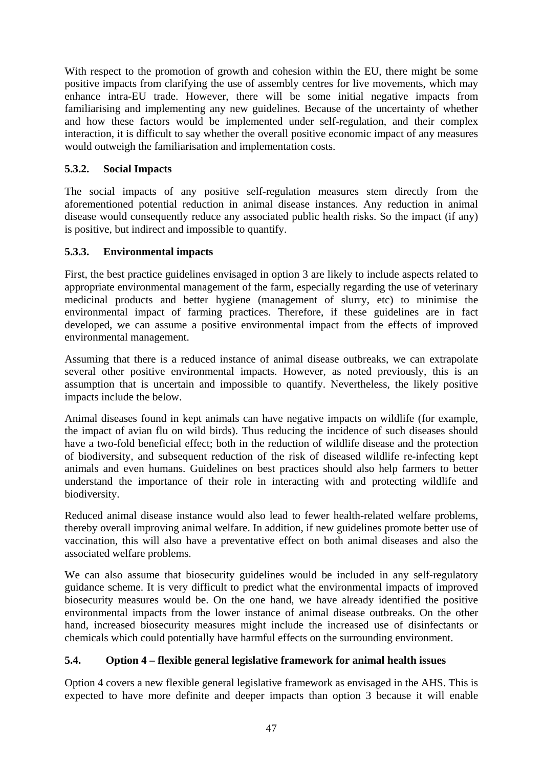With respect to the promotion of growth and cohesion within the EU, there might be some positive impacts from clarifying the use of assembly centres for live movements, which may enhance intra-EU trade. However, there will be some initial negative impacts from familiarising and implementing any new guidelines. Because of the uncertainty of whether and how these factors would be implemented under self-regulation, and their complex interaction, it is difficult to say whether the overall positive economic impact of any measures would outweigh the familiarisation and implementation costs.

### **5.3.2. Social Impacts**

The social impacts of any positive self-regulation measures stem directly from the aforementioned potential reduction in animal disease instances. Any reduction in animal disease would consequently reduce any associated public health risks. So the impact (if any) is positive, but indirect and impossible to quantify.

### **5.3.3. Environmental impacts**

First, the best practice guidelines envisaged in option 3 are likely to include aspects related to appropriate environmental management of the farm, especially regarding the use of veterinary medicinal products and better hygiene (management of slurry, etc) to minimise the environmental impact of farming practices. Therefore, if these guidelines are in fact developed, we can assume a positive environmental impact from the effects of improved environmental management.

Assuming that there is a reduced instance of animal disease outbreaks, we can extrapolate several other positive environmental impacts. However, as noted previously, this is an assumption that is uncertain and impossible to quantify. Nevertheless, the likely positive impacts include the below.

Animal diseases found in kept animals can have negative impacts on wildlife (for example, the impact of avian flu on wild birds). Thus reducing the incidence of such diseases should have a two-fold beneficial effect; both in the reduction of wildlife disease and the protection of biodiversity, and subsequent reduction of the risk of diseased wildlife re-infecting kept animals and even humans. Guidelines on best practices should also help farmers to better understand the importance of their role in interacting with and protecting wildlife and biodiversity.

Reduced animal disease instance would also lead to fewer health-related welfare problems, thereby overall improving animal welfare. In addition, if new guidelines promote better use of vaccination, this will also have a preventative effect on both animal diseases and also the associated welfare problems.

We can also assume that biosecurity guidelines would be included in any self-regulatory guidance scheme. It is very difficult to predict what the environmental impacts of improved biosecurity measures would be. On the one hand, we have already identified the positive environmental impacts from the lower instance of animal disease outbreaks. On the other hand, increased biosecurity measures might include the increased use of disinfectants or chemicals which could potentially have harmful effects on the surrounding environment.

### **5.4. Option 4 – flexible general legislative framework for animal health issues**

Option 4 covers a new flexible general legislative framework as envisaged in the AHS. This is expected to have more definite and deeper impacts than option 3 because it will enable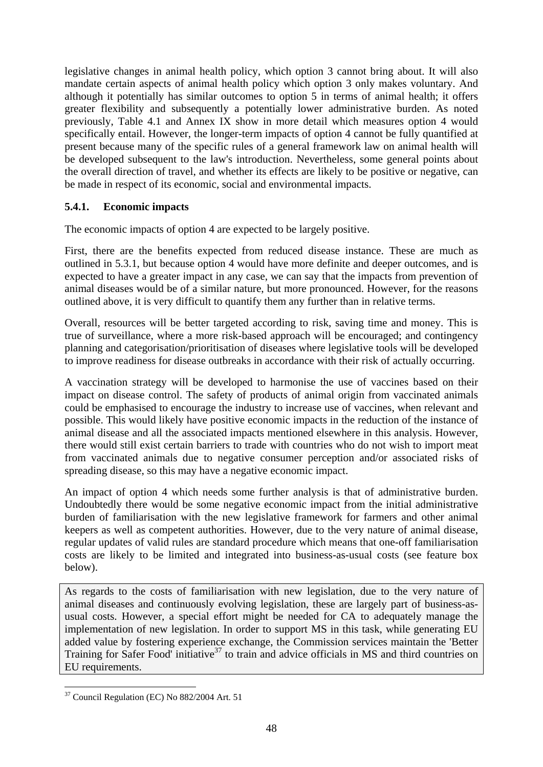legislative changes in animal health policy, which option 3 cannot bring about. It will also mandate certain aspects of animal health policy which option 3 only makes voluntary. And although it potentially has similar outcomes to option 5 in terms of animal health; it offers greater flexibility and subsequently a potentially lower administrative burden. As noted previously, Table 4.1 and Annex IX show in more detail which measures option 4 would specifically entail. However, the longer-term impacts of option 4 cannot be fully quantified at present because many of the specific rules of a general framework law on animal health will be developed subsequent to the law's introduction. Nevertheless, some general points about the overall direction of travel, and whether its effects are likely to be positive or negative, can be made in respect of its economic, social and environmental impacts.

#### **5.4.1. Economic impacts**

The economic impacts of option 4 are expected to be largely positive.

First, there are the benefits expected from reduced disease instance. These are much as outlined in 5.3.1, but because option 4 would have more definite and deeper outcomes, and is expected to have a greater impact in any case, we can say that the impacts from prevention of animal diseases would be of a similar nature, but more pronounced. However, for the reasons outlined above, it is very difficult to quantify them any further than in relative terms.

Overall, resources will be better targeted according to risk, saving time and money. This is true of surveillance, where a more risk-based approach will be encouraged; and contingency planning and categorisation/prioritisation of diseases where legislative tools will be developed to improve readiness for disease outbreaks in accordance with their risk of actually occurring.

A vaccination strategy will be developed to harmonise the use of vaccines based on their impact on disease control. The safety of products of animal origin from vaccinated animals could be emphasised to encourage the industry to increase use of vaccines, when relevant and possible. This would likely have positive economic impacts in the reduction of the instance of animal disease and all the associated impacts mentioned elsewhere in this analysis. However, there would still exist certain barriers to trade with countries who do not wish to import meat from vaccinated animals due to negative consumer perception and/or associated risks of spreading disease, so this may have a negative economic impact.

An impact of option 4 which needs some further analysis is that of administrative burden. Undoubtedly there would be some negative economic impact from the initial administrative burden of familiarisation with the new legislative framework for farmers and other animal keepers as well as competent authorities. However, due to the very nature of animal disease, regular updates of valid rules are standard procedure which means that one-off familiarisation costs are likely to be limited and integrated into business-as-usual costs (see feature box below).

As regards to the costs of familiarisation with new legislation, due to the very nature of animal diseases and continuously evolving legislation, these are largely part of business-asusual costs. However, a special effort might be needed for CA to adequately manage the implementation of new legislation. In order to support MS in this task, while generating EU added value by fostering experience exchange, the Commission services maintain the 'Better Training for Safer Food' initiative<sup>37</sup> to train and advice officials in MS and third countries on EU requirements.

<sup>1</sup> <sup>37</sup> Council Regulation (EC) No 882/2004 Art. 51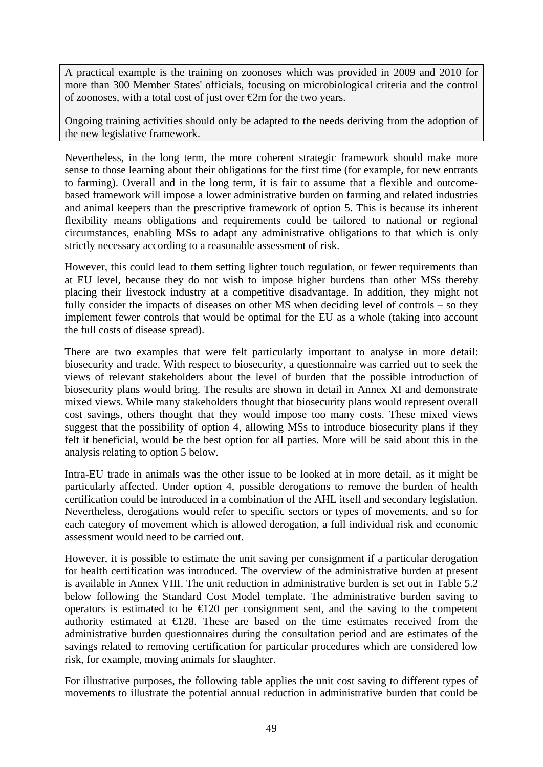A practical example is the training on zoonoses which was provided in 2009 and 2010 for more than 300 Member States' officials, focusing on microbiological criteria and the control of zoonoses, with a total cost of just over  $\bigoplus$ m for the two years.

Ongoing training activities should only be adapted to the needs deriving from the adoption of the new legislative framework.

Nevertheless, in the long term, the more coherent strategic framework should make more sense to those learning about their obligations for the first time (for example, for new entrants to farming). Overall and in the long term, it is fair to assume that a flexible and outcomebased framework will impose a lower administrative burden on farming and related industries and animal keepers than the prescriptive framework of option 5. This is because its inherent flexibility means obligations and requirements could be tailored to national or regional circumstances, enabling MSs to adapt any administrative obligations to that which is only strictly necessary according to a reasonable assessment of risk.

However, this could lead to them setting lighter touch regulation, or fewer requirements than at EU level, because they do not wish to impose higher burdens than other MSs thereby placing their livestock industry at a competitive disadvantage. In addition, they might not fully consider the impacts of diseases on other MS when deciding level of controls – so they implement fewer controls that would be optimal for the EU as a whole (taking into account the full costs of disease spread).

There are two examples that were felt particularly important to analyse in more detail: biosecurity and trade. With respect to biosecurity, a questionnaire was carried out to seek the views of relevant stakeholders about the level of burden that the possible introduction of biosecurity plans would bring. The results are shown in detail in Annex XI and demonstrate mixed views. While many stakeholders thought that biosecurity plans would represent overall cost savings, others thought that they would impose too many costs. These mixed views suggest that the possibility of option 4, allowing MSs to introduce biosecurity plans if they felt it beneficial, would be the best option for all parties. More will be said about this in the analysis relating to option 5 below.

Intra-EU trade in animals was the other issue to be looked at in more detail, as it might be particularly affected. Under option 4, possible derogations to remove the burden of health certification could be introduced in a combination of the AHL itself and secondary legislation. Nevertheless, derogations would refer to specific sectors or types of movements, and so for each category of movement which is allowed derogation, a full individual risk and economic assessment would need to be carried out.

However, it is possible to estimate the unit saving per consignment if a particular derogation for health certification was introduced. The overview of the administrative burden at present is available in Annex VIII. The unit reduction in administrative burden is set out in Table 5.2 below following the Standard Cost Model template. The administrative burden saving to operators is estimated to be  $\epsilon$ 120 per consignment sent, and the saving to the competent authority estimated at  $\bigoplus$  28. These are based on the time estimates received from the administrative burden questionnaires during the consultation period and are estimates of the savings related to removing certification for particular procedures which are considered low risk, for example, moving animals for slaughter.

For illustrative purposes, the following table applies the unit cost saving to different types of movements to illustrate the potential annual reduction in administrative burden that could be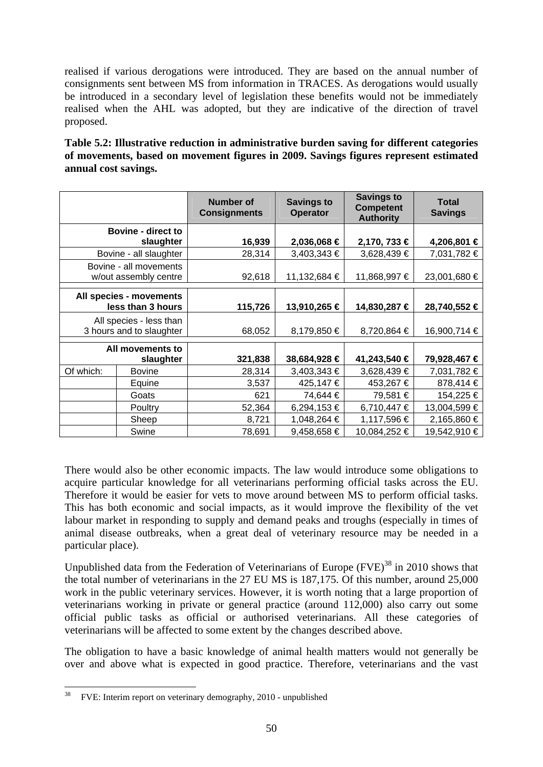realised if various derogations were introduced. They are based on the annual number of consignments sent between MS from information in TRACES. As derogations would usually be introduced in a secondary level of legislation these benefits would not be immediately realised when the AHL was adopted, but they are indicative of the direction of travel proposed.

**Table 5.2: Illustrative reduction in administrative burden saving for different categories of movements, based on movement figures in 2009. Savings figures represent estimated annual cost savings.** 

|           |                                                     | <b>Number of</b><br><b>Consignments</b> | <b>Savings to</b><br><b>Operator</b> | <b>Savings to</b><br><b>Competent</b><br><b>Authority</b> | <b>Total</b><br><b>Savings</b> |
|-----------|-----------------------------------------------------|-----------------------------------------|--------------------------------------|-----------------------------------------------------------|--------------------------------|
|           | <b>Bovine - direct to</b><br>slaughter              | 16,939                                  | 2,036,068 €                          | 2,170, 733 €                                              | 4,206,801 €                    |
|           | Bovine - all slaughter                              | 28,314                                  | 3,403,343 €                          | 3,628,439 €                                               | 7,031,782 €                    |
|           | Bovine - all movements<br>w/out assembly centre     | 92,618                                  | 11,132,684 €                         | 11,868,997 €                                              | 23,001,680 €                   |
|           | All species - movements<br>less than 3 hours        | 115,726                                 | 13,910,265 €                         | 14,830,287 €                                              | 28,740,552 €                   |
|           | All species - less than<br>3 hours and to slaughter | 68,052                                  | 8,179,850 €                          | 8,720,864 €                                               | 16,900,714 €                   |
|           | All movements to<br>slaughter                       | 321,838                                 | 38,684,928 €                         | 41,243,540 €                                              | 79,928,467 €                   |
| Of which: | <b>Bovine</b>                                       | 28,314                                  | 3,403,343 €                          | 3,628,439 €                                               | 7,031,782 €                    |
|           | Equine                                              | 3,537                                   | 425,147€                             | 453,267 €                                                 | 878,414 €                      |
|           | Goats                                               | 621                                     | 74,644 €                             | 79,581 €                                                  | 154,225 €                      |
|           | Poultry                                             | 52,364                                  | 6,294,153 €                          | 6,710,447 €                                               | 13,004,599 €                   |
|           | Sheep                                               | 8,721                                   | 1,048,264 €                          | 1,117,596 €                                               | 2,165,860 €                    |
|           | Swine                                               | 78,691                                  | 9,458,658 €                          | 10,084,252 €                                              | 19,542,910 €                   |

There would also be other economic impacts. The law would introduce some obligations to acquire particular knowledge for all veterinarians performing official tasks across the EU. Therefore it would be easier for vets to move around between MS to perform official tasks. This has both economic and social impacts, as it would improve the flexibility of the vet labour market in responding to supply and demand peaks and troughs (especially in times of animal disease outbreaks, when a great deal of veterinary resource may be needed in a particular place).

Unpublished data from the Federation of Veterinarians of Europe  $(FVE)^{38}$  in 2010 shows that the total number of veterinarians in the 27 EU MS is 187,175. Of this number, around 25,000 work in the public veterinary services. However, it is worth noting that a large proportion of veterinarians working in private or general practice (around 112,000) also carry out some official public tasks as official or authorised veterinarians. All these categories of veterinarians will be affected to some extent by the changes described above.

The obligation to have a basic knowledge of animal health matters would not generally be over and above what is expected in good practice. Therefore, veterinarians and the vast

 $38\,$ 38 FVE: Interim report on veterinary demography, 2010 - unpublished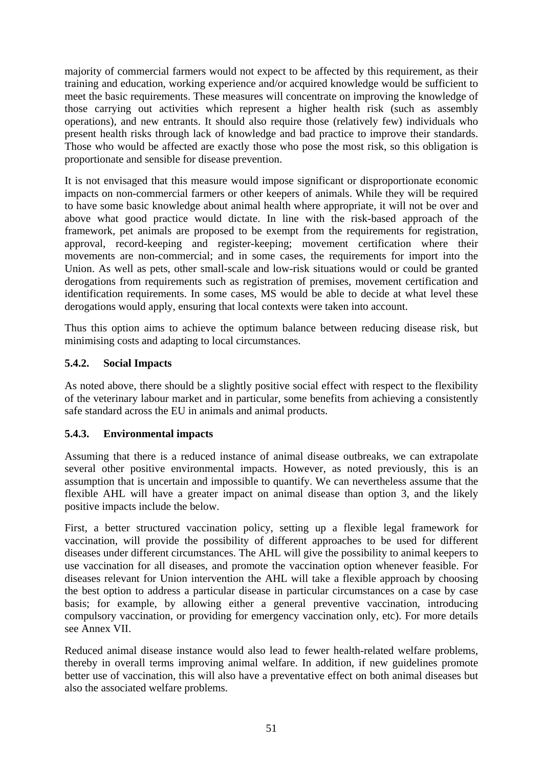majority of commercial farmers would not expect to be affected by this requirement, as their training and education, working experience and/or acquired knowledge would be sufficient to meet the basic requirements. These measures will concentrate on improving the knowledge of those carrying out activities which represent a higher health risk (such as assembly operations), and new entrants. It should also require those (relatively few) individuals who present health risks through lack of knowledge and bad practice to improve their standards. Those who would be affected are exactly those who pose the most risk, so this obligation is proportionate and sensible for disease prevention.

It is not envisaged that this measure would impose significant or disproportionate economic impacts on non-commercial farmers or other keepers of animals. While they will be required to have some basic knowledge about animal health where appropriate, it will not be over and above what good practice would dictate. In line with the risk-based approach of the framework, pet animals are proposed to be exempt from the requirements for registration, approval, record-keeping and register-keeping; movement certification where their movements are non-commercial; and in some cases, the requirements for import into the Union. As well as pets, other small-scale and low-risk situations would or could be granted derogations from requirements such as registration of premises, movement certification and identification requirements. In some cases, MS would be able to decide at what level these derogations would apply, ensuring that local contexts were taken into account.

Thus this option aims to achieve the optimum balance between reducing disease risk, but minimising costs and adapting to local circumstances.

#### **5.4.2. Social Impacts**

As noted above, there should be a slightly positive social effect with respect to the flexibility of the veterinary labour market and in particular, some benefits from achieving a consistently safe standard across the EU in animals and animal products.

#### **5.4.3. Environmental impacts**

Assuming that there is a reduced instance of animal disease outbreaks, we can extrapolate several other positive environmental impacts. However, as noted previously, this is an assumption that is uncertain and impossible to quantify. We can nevertheless assume that the flexible AHL will have a greater impact on animal disease than option 3, and the likely positive impacts include the below.

First, a better structured vaccination policy, setting up a flexible legal framework for vaccination, will provide the possibility of different approaches to be used for different diseases under different circumstances. The AHL will give the possibility to animal keepers to use vaccination for all diseases, and promote the vaccination option whenever feasible. For diseases relevant for Union intervention the AHL will take a flexible approach by choosing the best option to address a particular disease in particular circumstances on a case by case basis; for example, by allowing either a general preventive vaccination, introducing compulsory vaccination, or providing for emergency vaccination only, etc). For more details see Annex VII.

Reduced animal disease instance would also lead to fewer health-related welfare problems, thereby in overall terms improving animal welfare. In addition, if new guidelines promote better use of vaccination, this will also have a preventative effect on both animal diseases but also the associated welfare problems.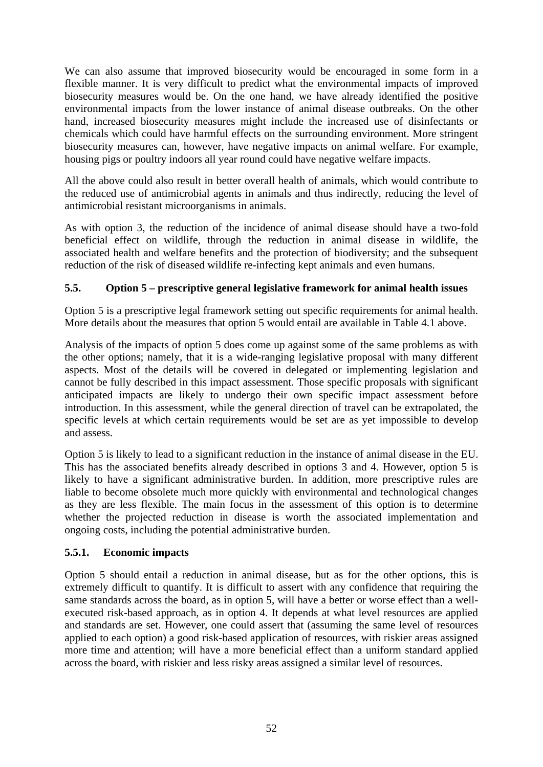We can also assume that improved biosecurity would be encouraged in some form in a flexible manner. It is very difficult to predict what the environmental impacts of improved biosecurity measures would be. On the one hand, we have already identified the positive environmental impacts from the lower instance of animal disease outbreaks. On the other hand, increased biosecurity measures might include the increased use of disinfectants or chemicals which could have harmful effects on the surrounding environment. More stringent biosecurity measures can, however, have negative impacts on animal welfare. For example, housing pigs or poultry indoors all year round could have negative welfare impacts.

All the above could also result in better overall health of animals, which would contribute to the reduced use of antimicrobial agents in animals and thus indirectly, reducing the level of antimicrobial resistant microorganisms in animals.

As with option 3, the reduction of the incidence of animal disease should have a two-fold beneficial effect on wildlife, through the reduction in animal disease in wildlife, the associated health and welfare benefits and the protection of biodiversity; and the subsequent reduction of the risk of diseased wildlife re-infecting kept animals and even humans.

#### **5.5. Option 5 – prescriptive general legislative framework for animal health issues**

Option 5 is a prescriptive legal framework setting out specific requirements for animal health. More details about the measures that option 5 would entail are available in Table 4.1 above.

Analysis of the impacts of option 5 does come up against some of the same problems as with the other options; namely, that it is a wide-ranging legislative proposal with many different aspects. Most of the details will be covered in delegated or implementing legislation and cannot be fully described in this impact assessment. Those specific proposals with significant anticipated impacts are likely to undergo their own specific impact assessment before introduction. In this assessment, while the general direction of travel can be extrapolated, the specific levels at which certain requirements would be set are as yet impossible to develop and assess.

Option 5 is likely to lead to a significant reduction in the instance of animal disease in the EU. This has the associated benefits already described in options 3 and 4. However, option 5 is likely to have a significant administrative burden. In addition, more prescriptive rules are liable to become obsolete much more quickly with environmental and technological changes as they are less flexible. The main focus in the assessment of this option is to determine whether the projected reduction in disease is worth the associated implementation and ongoing costs, including the potential administrative burden.

#### **5.5.1. Economic impacts**

Option 5 should entail a reduction in animal disease, but as for the other options, this is extremely difficult to quantify. It is difficult to assert with any confidence that requiring the same standards across the board, as in option 5, will have a better or worse effect than a wellexecuted risk-based approach, as in option 4. It depends at what level resources are applied and standards are set. However, one could assert that (assuming the same level of resources applied to each option) a good risk-based application of resources, with riskier areas assigned more time and attention; will have a more beneficial effect than a uniform standard applied across the board, with riskier and less risky areas assigned a similar level of resources.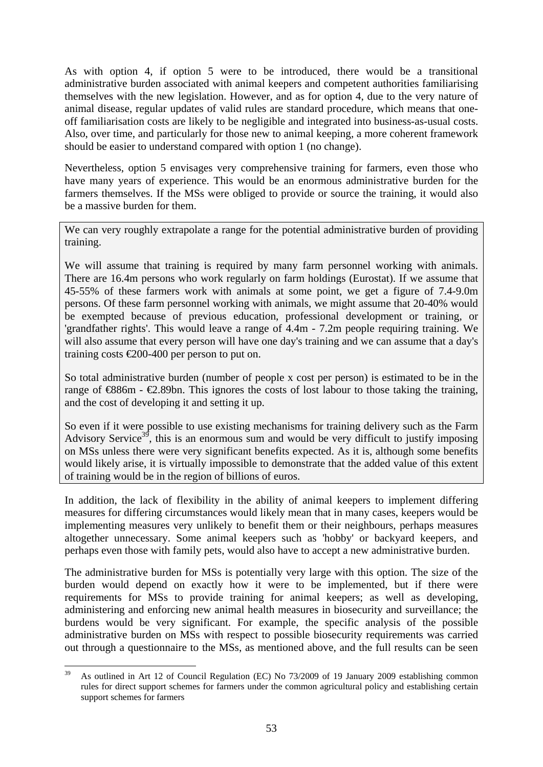As with option 4, if option 5 were to be introduced, there would be a transitional administrative burden associated with animal keepers and competent authorities familiarising themselves with the new legislation. However, and as for option 4, due to the very nature of animal disease, regular updates of valid rules are standard procedure, which means that oneoff familiarisation costs are likely to be negligible and integrated into business-as-usual costs. Also, over time, and particularly for those new to animal keeping, a more coherent framework should be easier to understand compared with option 1 (no change).

Nevertheless, option 5 envisages very comprehensive training for farmers, even those who have many years of experience. This would be an enormous administrative burden for the farmers themselves. If the MSs were obliged to provide or source the training, it would also be a massive burden for them.

We can very roughly extrapolate a range for the potential administrative burden of providing training.

We will assume that training is required by many farm personnel working with animals. There are 16.4m persons who work regularly on farm holdings (Eurostat). If we assume that 45-55% of these farmers work with animals at some point, we get a figure of 7.4-9.0m persons. Of these farm personnel working with animals, we might assume that 20-40% would be exempted because of previous education, professional development or training, or 'grandfather rights'. This would leave a range of 4.4m - 7.2m people requiring training. We will also assume that every person will have one day's training and we can assume that a day's training costs €200-400 per person to put on.

So total administrative burden (number of people x cost per person) is estimated to be in the range of  $\otimes$ 86m -  $\otimes$ .89bn. This ignores the costs of lost labour to those taking the training, and the cost of developing it and setting it up.

So even if it were possible to use existing mechanisms for training delivery such as the Farm Advisory Service<sup>39</sup>, this is an enormous sum and would be very difficult to justify imposing on MSs unless there were very significant benefits expected. As it is, although some benefits would likely arise, it is virtually impossible to demonstrate that the added value of this extent of training would be in the region of billions of euros.

In addition, the lack of flexibility in the ability of animal keepers to implement differing measures for differing circumstances would likely mean that in many cases, keepers would be implementing measures very unlikely to benefit them or their neighbours, perhaps measures altogether unnecessary. Some animal keepers such as 'hobby' or backyard keepers, and perhaps even those with family pets, would also have to accept a new administrative burden.

The administrative burden for MSs is potentially very large with this option. The size of the burden would depend on exactly how it were to be implemented, but if there were requirements for MSs to provide training for animal keepers; as well as developing, administering and enforcing new animal health measures in biosecurity and surveillance; the burdens would be very significant. For example, the specific analysis of the possible administrative burden on MSs with respect to possible biosecurity requirements was carried out through a questionnaire to the MSs, as mentioned above, and the full results can be seen

<sup>39</sup> 39 As outlined in Art 12 of Council Regulation (EC) No 73/2009 of 19 January 2009 establishing common rules for direct support schemes for farmers under the common agricultural policy and establishing certain support schemes for farmers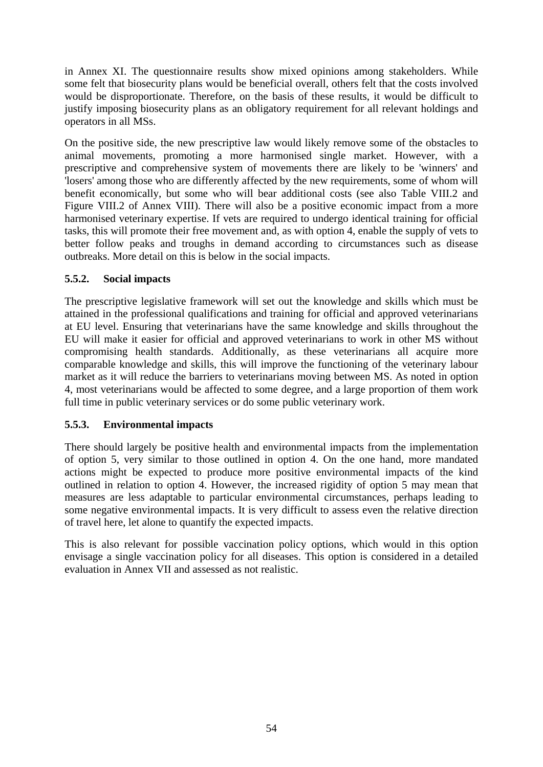in Annex XI. The questionnaire results show mixed opinions among stakeholders. While some felt that biosecurity plans would be beneficial overall, others felt that the costs involved would be disproportionate. Therefore, on the basis of these results, it would be difficult to justify imposing biosecurity plans as an obligatory requirement for all relevant holdings and operators in all MSs.

On the positive side, the new prescriptive law would likely remove some of the obstacles to animal movements, promoting a more harmonised single market. However, with a prescriptive and comprehensive system of movements there are likely to be 'winners' and 'losers' among those who are differently affected by the new requirements, some of whom will benefit economically, but some who will bear additional costs (see also Table VIII.2 and Figure VIII.2 of Annex VIII). There will also be a positive economic impact from a more harmonised veterinary expertise. If vets are required to undergo identical training for official tasks, this will promote their free movement and, as with option 4, enable the supply of vets to better follow peaks and troughs in demand according to circumstances such as disease outbreaks. More detail on this is below in the social impacts.

#### **5.5.2. Social impacts**

The prescriptive legislative framework will set out the knowledge and skills which must be attained in the professional qualifications and training for official and approved veterinarians at EU level. Ensuring that veterinarians have the same knowledge and skills throughout the EU will make it easier for official and approved veterinarians to work in other MS without compromising health standards. Additionally, as these veterinarians all acquire more comparable knowledge and skills, this will improve the functioning of the veterinary labour market as it will reduce the barriers to veterinarians moving between MS. As noted in option 4, most veterinarians would be affected to some degree, and a large proportion of them work full time in public veterinary services or do some public veterinary work.

#### **5.5.3. Environmental impacts**

There should largely be positive health and environmental impacts from the implementation of option 5, very similar to those outlined in option 4. On the one hand, more mandated actions might be expected to produce more positive environmental impacts of the kind outlined in relation to option 4. However, the increased rigidity of option 5 may mean that measures are less adaptable to particular environmental circumstances, perhaps leading to some negative environmental impacts. It is very difficult to assess even the relative direction of travel here, let alone to quantify the expected impacts.

This is also relevant for possible vaccination policy options, which would in this option envisage a single vaccination policy for all diseases. This option is considered in a detailed evaluation in Annex VII and assessed as not realistic.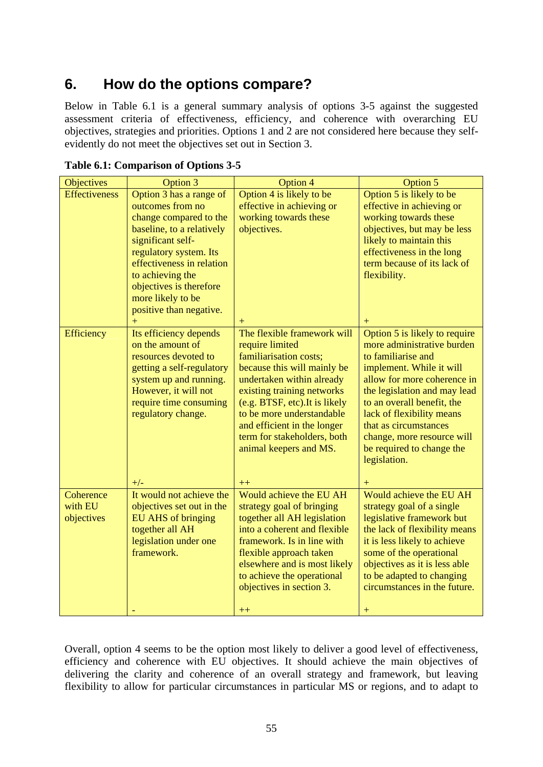# **6. How do the options compare?**

Below in Table 6.1 is a general summary analysis of options 3-5 against the suggested assessment criteria of effectiveness, efficiency, and coherence with overarching EU objectives, strategies and priorities. Options 1 and 2 are not considered here because they selfevidently do not meet the objectives set out in Section 3.

| <b>Objectives</b>    | Option 3                  | Option 4                        | Option 5                        |
|----------------------|---------------------------|---------------------------------|---------------------------------|
| <b>Effectiveness</b> | Option 3 has a range of   | Option 4 is likely to be        | Option 5 is likely to be        |
|                      | outcomes from no          | effective in achieving or       | effective in achieving or       |
|                      | change compared to the    | working towards these           | working towards these           |
|                      | baseline, to a relatively | objectives.                     | objectives, but may be less     |
|                      | significant self-         |                                 | likely to maintain this         |
|                      | regulatory system. Its    |                                 | effectiveness in the long       |
|                      | effectiveness in relation |                                 | term because of its lack of     |
|                      | to achieving the          |                                 | flexibility.                    |
|                      | objectives is therefore   |                                 |                                 |
|                      | more likely to be         |                                 |                                 |
|                      | positive than negative.   |                                 |                                 |
|                      | $+$                       | $+$                             | $+$                             |
| Efficiency           | Its efficiency depends    | The flexible framework will     | Option 5 is likely to require   |
|                      | on the amount of          | require limited                 | more administrative burden      |
|                      | resources devoted to      | familiarisation costs;          | to familiarise and              |
|                      | getting a self-regulatory | because this will mainly be     | implement. While it will        |
|                      | system up and running.    | undertaken within already       | allow for more coherence in     |
|                      | However, it will not      | existing training networks      | the legislation and may lead    |
|                      | require time consuming    | (e.g. BTSF, etc). It is likely  | to an overall benefit, the      |
|                      | regulatory change.        | to be more understandable       | lack of flexibility means       |
|                      |                           | and efficient in the longer     | that as circumstances           |
|                      |                           | term for stakeholders, both     | change, more resource will      |
|                      |                           | animal keepers and MS.          | be required to change the       |
|                      |                           |                                 | legislation.                    |
|                      | $+/-$                     |                                 |                                 |
| Coherence            | It would not achieve the  | $++$<br>Would achieve the EU AH | $^+$<br>Would achieve the EU AH |
| with EU              | objectives set out in the | strategy goal of bringing       | strategy goal of a single       |
| objectives           | <b>EU AHS of bringing</b> | together all AH legislation     | legislative framework but       |
|                      | together all AH           | into a coherent and flexible    | the lack of flexibility means   |
|                      | legislation under one     | framework. Is in line with      | it is less likely to achieve    |
|                      | framework.                | flexible approach taken         | some of the operational         |
|                      |                           | elsewhere and is most likely    | objectives as it is less able   |
|                      |                           | to achieve the operational      | to be adapted to changing       |
|                      |                           | objectives in section 3.        | circumstances in the future.    |
|                      |                           |                                 |                                 |
|                      |                           | $++$                            |                                 |

**Table 6.1: Comparison of Options 3-5**

Overall, option 4 seems to be the option most likely to deliver a good level of effectiveness, efficiency and coherence with EU objectives. It should achieve the main objectives of delivering the clarity and coherence of an overall strategy and framework, but leaving flexibility to allow for particular circumstances in particular MS or regions, and to adapt to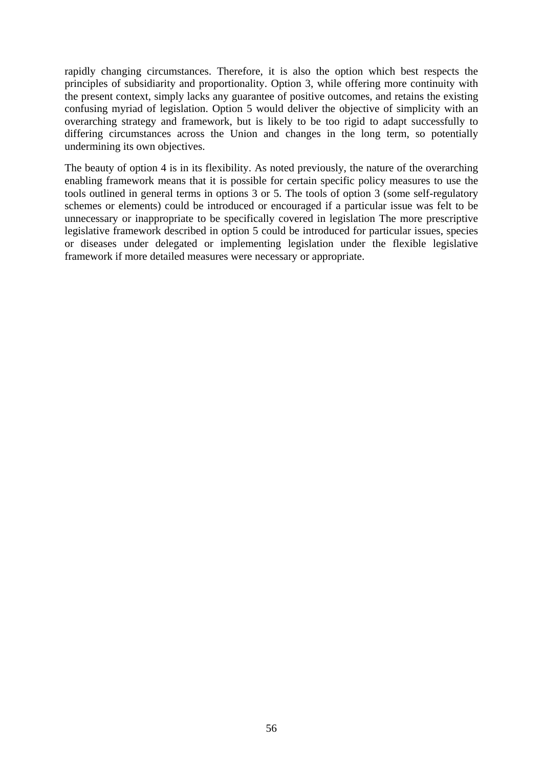rapidly changing circumstances. Therefore, it is also the option which best respects the principles of subsidiarity and proportionality. Option 3, while offering more continuity with the present context, simply lacks any guarantee of positive outcomes, and retains the existing confusing myriad of legislation. Option 5 would deliver the objective of simplicity with an overarching strategy and framework, but is likely to be too rigid to adapt successfully to differing circumstances across the Union and changes in the long term, so potentially undermining its own objectives.

The beauty of option 4 is in its flexibility. As noted previously, the nature of the overarching enabling framework means that it is possible for certain specific policy measures to use the tools outlined in general terms in options 3 or 5. The tools of option 3 (some self-regulatory schemes or elements) could be introduced or encouraged if a particular issue was felt to be unnecessary or inappropriate to be specifically covered in legislation The more prescriptive legislative framework described in option 5 could be introduced for particular issues, species or diseases under delegated or implementing legislation under the flexible legislative framework if more detailed measures were necessary or appropriate.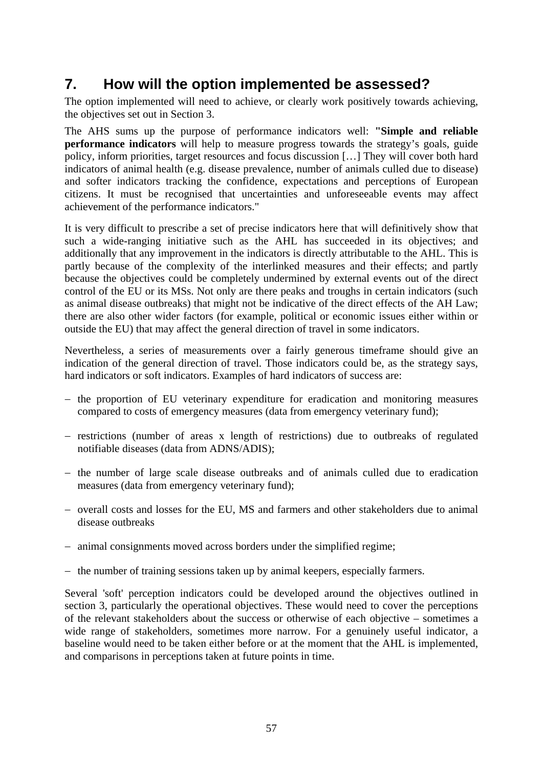# **7. How will the option implemented be assessed?**

The option implemented will need to achieve, or clearly work positively towards achieving, the objectives set out in Section 3.

The AHS sums up the purpose of performance indicators well: **"Simple and reliable performance indicators** will help to measure progress towards the strategy's goals, guide policy, inform priorities, target resources and focus discussion […] They will cover both hard indicators of animal health (e.g. disease prevalence, number of animals culled due to disease) and softer indicators tracking the confidence, expectations and perceptions of European citizens. It must be recognised that uncertainties and unforeseeable events may affect achievement of the performance indicators."

It is very difficult to prescribe a set of precise indicators here that will definitively show that such a wide-ranging initiative such as the AHL has succeeded in its objectives; and additionally that any improvement in the indicators is directly attributable to the AHL. This is partly because of the complexity of the interlinked measures and their effects; and partly because the objectives could be completely undermined by external events out of the direct control of the EU or its MSs. Not only are there peaks and troughs in certain indicators (such as animal disease outbreaks) that might not be indicative of the direct effects of the AH Law; there are also other wider factors (for example, political or economic issues either within or outside the EU) that may affect the general direction of travel in some indicators.

Nevertheless, a series of measurements over a fairly generous timeframe should give an indication of the general direction of travel. Those indicators could be, as the strategy says, hard indicators or soft indicators. Examples of hard indicators of success are:

- − the proportion of EU veterinary expenditure for eradication and monitoring measures compared to costs of emergency measures (data from emergency veterinary fund);
- − restrictions (number of areas x length of restrictions) due to outbreaks of regulated notifiable diseases (data from ADNS/ADIS);
- − the number of large scale disease outbreaks and of animals culled due to eradication measures (data from emergency veterinary fund);
- − overall costs and losses for the EU, MS and farmers and other stakeholders due to animal disease outbreaks
- − animal consignments moved across borders under the simplified regime;
- − the number of training sessions taken up by animal keepers, especially farmers.

Several 'soft' perception indicators could be developed around the objectives outlined in section 3, particularly the operational objectives. These would need to cover the perceptions of the relevant stakeholders about the success or otherwise of each objective – sometimes a wide range of stakeholders, sometimes more narrow. For a genuinely useful indicator, a baseline would need to be taken either before or at the moment that the AHL is implemented, and comparisons in perceptions taken at future points in time.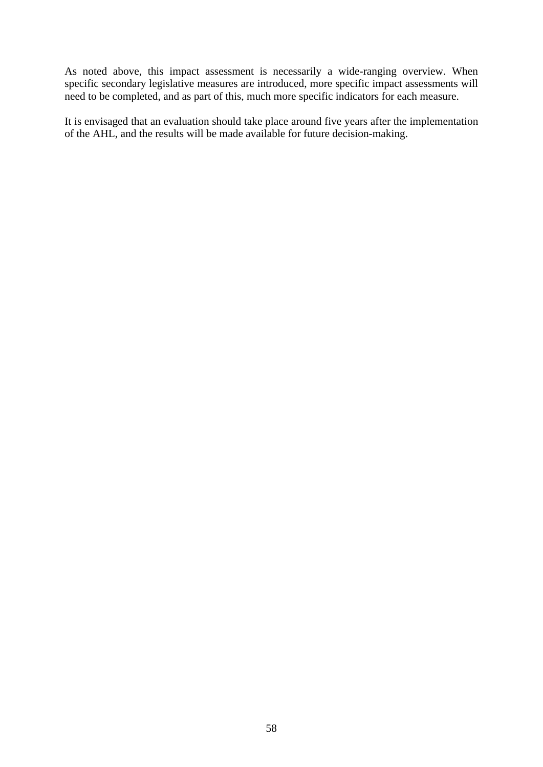As noted above, this impact assessment is necessarily a wide-ranging overview. When specific secondary legislative measures are introduced, more specific impact assessments will need to be completed, and as part of this, much more specific indicators for each measure.

It is envisaged that an evaluation should take place around five years after the implementation of the AHL, and the results will be made available for future decision-making.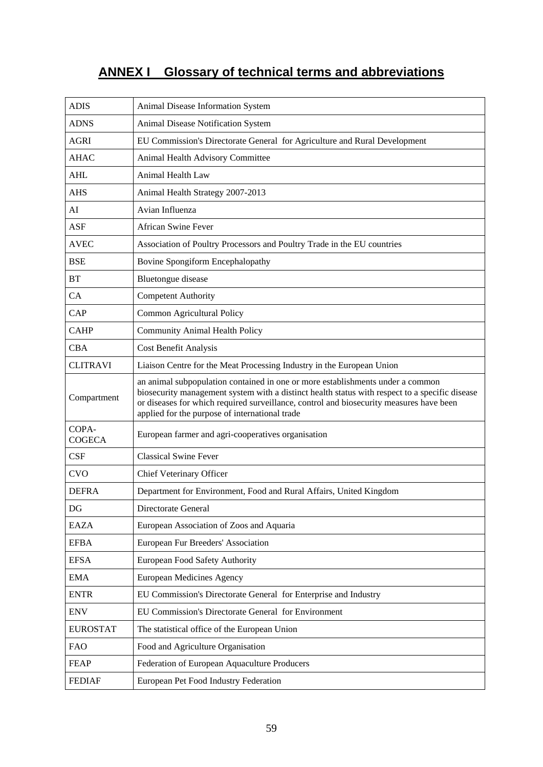# **ANNEX I Glossary of technical terms and abbreviations**

| <b>ADIS</b>            | Animal Disease Information System                                                                                                                                                                                                                                                                                             |
|------------------------|-------------------------------------------------------------------------------------------------------------------------------------------------------------------------------------------------------------------------------------------------------------------------------------------------------------------------------|
| <b>ADNS</b>            | Animal Disease Notification System                                                                                                                                                                                                                                                                                            |
| <b>AGRI</b>            | EU Commission's Directorate General for Agriculture and Rural Development                                                                                                                                                                                                                                                     |
| <b>AHAC</b>            | Animal Health Advisory Committee                                                                                                                                                                                                                                                                                              |
| <b>AHL</b>             | Animal Health Law                                                                                                                                                                                                                                                                                                             |
| <b>AHS</b>             | Animal Health Strategy 2007-2013                                                                                                                                                                                                                                                                                              |
| AI                     | Avian Influenza                                                                                                                                                                                                                                                                                                               |
| <b>ASF</b>             | <b>African Swine Fever</b>                                                                                                                                                                                                                                                                                                    |
| <b>AVEC</b>            | Association of Poultry Processors and Poultry Trade in the EU countries                                                                                                                                                                                                                                                       |
| <b>BSE</b>             | Bovine Spongiform Encephalopathy                                                                                                                                                                                                                                                                                              |
| <b>BT</b>              | <b>Bluetongue disease</b>                                                                                                                                                                                                                                                                                                     |
| CA                     | <b>Competent Authority</b>                                                                                                                                                                                                                                                                                                    |
| CAP                    | Common Agricultural Policy                                                                                                                                                                                                                                                                                                    |
| <b>CAHP</b>            | <b>Community Animal Health Policy</b>                                                                                                                                                                                                                                                                                         |
| <b>CBA</b>             | Cost Benefit Analysis                                                                                                                                                                                                                                                                                                         |
| <b>CLITRAVI</b>        | Liaison Centre for the Meat Processing Industry in the European Union                                                                                                                                                                                                                                                         |
| Compartment            | an animal subpopulation contained in one or more establishments under a common<br>biosecurity management system with a distinct health status with respect to a specific disease<br>or diseases for which required surveillance, control and biosecurity measures have been<br>applied for the purpose of international trade |
| COPA-<br><b>COGECA</b> | European farmer and agri-cooperatives organisation                                                                                                                                                                                                                                                                            |
| CSF                    | <b>Classical Swine Fever</b>                                                                                                                                                                                                                                                                                                  |
| <b>CVO</b>             | Chief Veterinary Officer                                                                                                                                                                                                                                                                                                      |
| <b>DEFRA</b>           | Department for Environment, Food and Rural Affairs, United Kingdom                                                                                                                                                                                                                                                            |
| DG                     | Directorate General                                                                                                                                                                                                                                                                                                           |
| <b>EAZA</b>            | European Association of Zoos and Aquaria                                                                                                                                                                                                                                                                                      |
| <b>EFBA</b>            | European Fur Breeders' Association                                                                                                                                                                                                                                                                                            |
| <b>EFSA</b>            | European Food Safety Authority                                                                                                                                                                                                                                                                                                |
| <b>EMA</b>             | <b>European Medicines Agency</b>                                                                                                                                                                                                                                                                                              |
| <b>ENTR</b>            | EU Commission's Directorate General for Enterprise and Industry                                                                                                                                                                                                                                                               |
| <b>ENV</b>             | EU Commission's Directorate General for Environment                                                                                                                                                                                                                                                                           |
| <b>EUROSTAT</b>        | The statistical office of the European Union                                                                                                                                                                                                                                                                                  |
| <b>FAO</b>             | Food and Agriculture Organisation                                                                                                                                                                                                                                                                                             |
| <b>FEAP</b>            | Federation of European Aquaculture Producers                                                                                                                                                                                                                                                                                  |
| <b>FEDIAF</b>          | European Pet Food Industry Federation                                                                                                                                                                                                                                                                                         |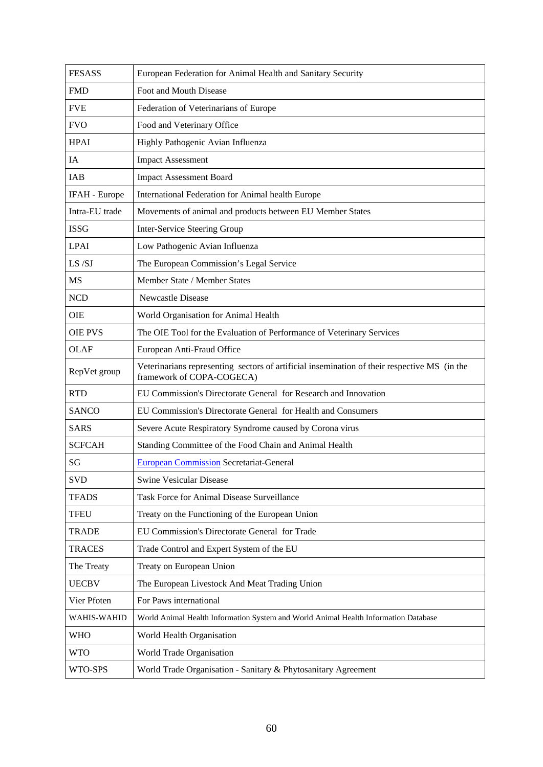| <b>FESASS</b>      | European Federation for Animal Health and Sanitary Security                                                               |
|--------------------|---------------------------------------------------------------------------------------------------------------------------|
| <b>FMD</b>         | Foot and Mouth Disease                                                                                                    |
| <b>FVE</b>         | Federation of Veterinarians of Europe                                                                                     |
| <b>FVO</b>         | Food and Veterinary Office                                                                                                |
| <b>HPAI</b>        | Highly Pathogenic Avian Influenza                                                                                         |
| IA                 | <b>Impact Assessment</b>                                                                                                  |
| IAB                | <b>Impact Assessment Board</b>                                                                                            |
| IFAH - Europe      | International Federation for Animal health Europe                                                                         |
| Intra-EU trade     | Movements of animal and products between EU Member States                                                                 |
| <b>ISSG</b>        | <b>Inter-Service Steering Group</b>                                                                                       |
| <b>LPAI</b>        | Low Pathogenic Avian Influenza                                                                                            |
| LS /SJ             | The European Commission's Legal Service                                                                                   |
| <b>MS</b>          | Member State / Member States                                                                                              |
| <b>NCD</b>         | <b>Newcastle Disease</b>                                                                                                  |
| <b>OIE</b>         | World Organisation for Animal Health                                                                                      |
| <b>OIE PVS</b>     | The OIE Tool for the Evaluation of Performance of Veterinary Services                                                     |
| <b>OLAF</b>        | European Anti-Fraud Office                                                                                                |
| RepVet group       | Veterinarians representing sectors of artificial insemination of their respective MS (in the<br>framework of COPA-COGECA) |
| <b>RTD</b>         | EU Commission's Directorate General for Research and Innovation                                                           |
| <b>SANCO</b>       | EU Commission's Directorate General for Health and Consumers                                                              |
| <b>SARS</b>        | Severe Acute Respiratory Syndrome caused by Corona virus                                                                  |
| <b>SCFCAH</b>      | Standing Committee of the Food Chain and Animal Health                                                                    |
| SG                 | <b>European Commission Secretariat-General</b>                                                                            |
| <b>SVD</b>         | <b>Swine Vesicular Disease</b>                                                                                            |
| <b>TFADS</b>       | Task Force for Animal Disease Surveillance                                                                                |
| <b>TFEU</b>        | Treaty on the Functioning of the European Union                                                                           |
| <b>TRADE</b>       | EU Commission's Directorate General for Trade                                                                             |
| <b>TRACES</b>      | Trade Control and Expert System of the EU                                                                                 |
| The Treaty         | Treaty on European Union                                                                                                  |
| <b>UECBV</b>       | The European Livestock And Meat Trading Union                                                                             |
| Vier Pfoten        | For Paws international                                                                                                    |
| <b>WAHIS-WAHID</b> | World Animal Health Information System and World Animal Health Information Database                                       |
| <b>WHO</b>         | World Health Organisation                                                                                                 |
| <b>WTO</b>         | World Trade Organisation                                                                                                  |
| WTO-SPS            | World Trade Organisation - Sanitary & Phytosanitary Agreement                                                             |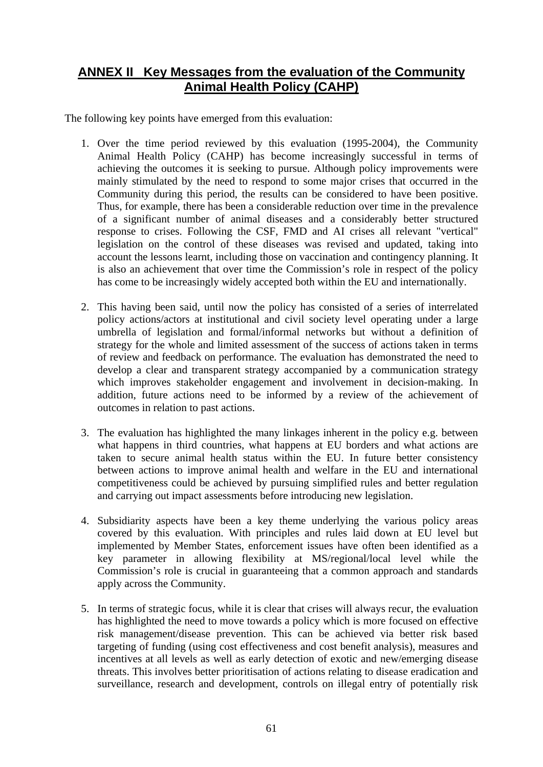## **ANNEX II Key Messages from the evaluation of the Community Animal Health Policy (CAHP)**

The following key points have emerged from this evaluation:

- 1. Over the time period reviewed by this evaluation (1995-2004), the Community Animal Health Policy (CAHP) has become increasingly successful in terms of achieving the outcomes it is seeking to pursue. Although policy improvements were mainly stimulated by the need to respond to some major crises that occurred in the Community during this period, the results can be considered to have been positive. Thus, for example, there has been a considerable reduction over time in the prevalence of a significant number of animal diseases and a considerably better structured response to crises. Following the CSF, FMD and AI crises all relevant "vertical" legislation on the control of these diseases was revised and updated, taking into account the lessons learnt, including those on vaccination and contingency planning. It is also an achievement that over time the Commission's role in respect of the policy has come to be increasingly widely accepted both within the EU and internationally.
- 2. This having been said, until now the policy has consisted of a series of interrelated policy actions/actors at institutional and civil society level operating under a large umbrella of legislation and formal/informal networks but without a definition of strategy for the whole and limited assessment of the success of actions taken in terms of review and feedback on performance. The evaluation has demonstrated the need to develop a clear and transparent strategy accompanied by a communication strategy which improves stakeholder engagement and involvement in decision-making. In addition, future actions need to be informed by a review of the achievement of outcomes in relation to past actions.
- 3. The evaluation has highlighted the many linkages inherent in the policy e.g. between what happens in third countries, what happens at EU borders and what actions are taken to secure animal health status within the EU. In future better consistency between actions to improve animal health and welfare in the EU and international competitiveness could be achieved by pursuing simplified rules and better regulation and carrying out impact assessments before introducing new legislation.
- 4. Subsidiarity aspects have been a key theme underlying the various policy areas covered by this evaluation. With principles and rules laid down at EU level but implemented by Member States, enforcement issues have often been identified as a key parameter in allowing flexibility at MS/regional/local level while the Commission's role is crucial in guaranteeing that a common approach and standards apply across the Community.
- 5. In terms of strategic focus, while it is clear that crises will always recur, the evaluation has highlighted the need to move towards a policy which is more focused on effective risk management/disease prevention. This can be achieved via better risk based targeting of funding (using cost effectiveness and cost benefit analysis), measures and incentives at all levels as well as early detection of exotic and new/emerging disease threats. This involves better prioritisation of actions relating to disease eradication and surveillance, research and development, controls on illegal entry of potentially risk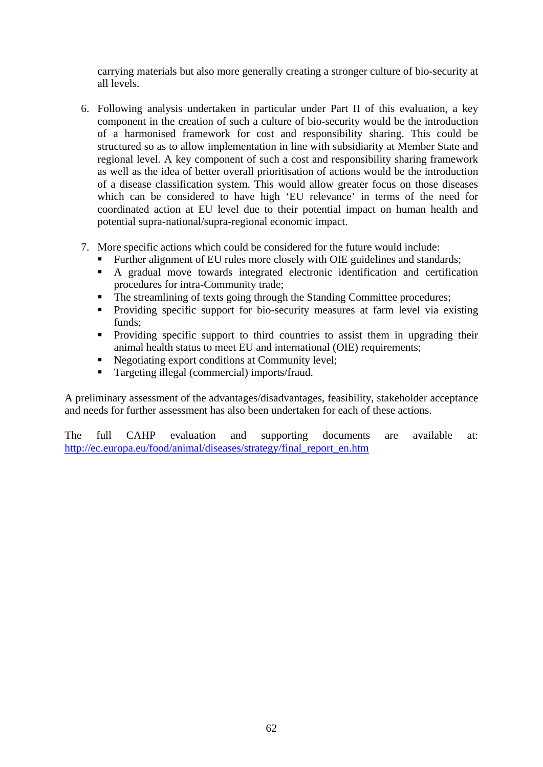carrying materials but also more generally creating a stronger culture of bio-security at all levels.

- 6. Following analysis undertaken in particular under Part II of this evaluation, a key component in the creation of such a culture of bio-security would be the introduction of a harmonised framework for cost and responsibility sharing. This could be structured so as to allow implementation in line with subsidiarity at Member State and regional level. A key component of such a cost and responsibility sharing framework as well as the idea of better overall prioritisation of actions would be the introduction of a disease classification system. This would allow greater focus on those diseases which can be considered to have high 'EU relevance' in terms of the need for coordinated action at EU level due to their potential impact on human health and potential supra-national/supra-regional economic impact.
- 7. More specific actions which could be considered for the future would include:
	- Further alignment of EU rules more closely with OIE guidelines and standards;
	- A gradual move towards integrated electronic identification and certification procedures for intra-Community trade;
	- The streamlining of texts going through the Standing Committee procedures;
	- **Providing specific support for bio-security measures at farm level via existing** funds;
	- Providing specific support to third countries to assist them in upgrading their animal health status to meet EU and international (OIE) requirements;
	- Negotiating export conditions at Community level;
	- **Targeting illegal (commercial) imports/fraud.**

A preliminary assessment of the advantages/disadvantages, feasibility, stakeholder acceptance and needs for further assessment has also been undertaken for each of these actions.

The full CAHP evaluation and supporting documents are available at: [http://ec.europa.eu/food/animal/diseases/strategy/final\\_report\\_en.htm](http://ec.europa.eu/food/animal/diseases/strategy/final_report_en.htm)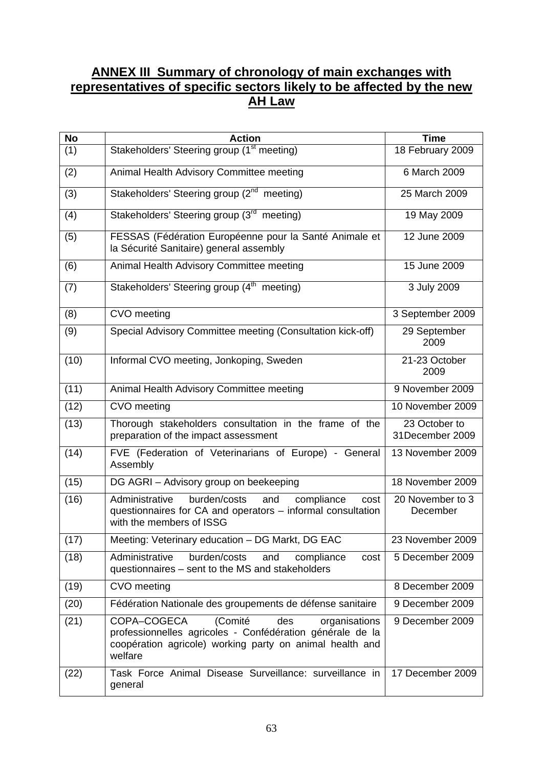## **ANNEX III Summary of chronology of main exchanges with representatives of specific sectors likely to be affected by the new AH Law**

| <b>No</b>         | <b>Action</b>                                                                                                                                                                      | Time                             |
|-------------------|------------------------------------------------------------------------------------------------------------------------------------------------------------------------------------|----------------------------------|
| (1)               | Stakeholders' Steering group (1 <sup>st</sup> meeting)                                                                                                                             | 18 February 2009                 |
| (2)               | Animal Health Advisory Committee meeting                                                                                                                                           | 6 March 2009                     |
| (3)               | Stakeholders' Steering group (2 <sup>nd</sup> meeting)                                                                                                                             | 25 March 2009                    |
| (4)               | Stakeholders' Steering group (3rd meeting)                                                                                                                                         | 19 May 2009                      |
| (5)               | FESSAS (Fédération Européenne pour la Santé Animale et<br>la Sécurité Sanitaire) general assembly                                                                                  | 12 June 2009                     |
| (6)               | Animal Health Advisory Committee meeting                                                                                                                                           | 15 June 2009                     |
| (7)               | Stakeholders' Steering group (4 <sup>th</sup> meeting)                                                                                                                             | 3 July 2009                      |
| (8)               | CVO meeting                                                                                                                                                                        | 3 September 2009                 |
| (9)               | Special Advisory Committee meeting (Consultation kick-off)                                                                                                                         | 29 September<br>2009             |
| (10)              | Informal CVO meeting, Jonkoping, Sweden                                                                                                                                            | 21-23 October<br>2009            |
| $(1\overline{1})$ | Animal Health Advisory Committee meeting                                                                                                                                           | 9 November 2009                  |
| (12)              | CVO meeting                                                                                                                                                                        | 10 November 2009                 |
| (13)              | Thorough stakeholders consultation in the frame of the<br>preparation of the impact assessment                                                                                     | 23 October to<br>31December 2009 |
| (14)              | FVE (Federation of Veterinarians of Europe) - General<br>Assembly                                                                                                                  | 13 November 2009                 |
| (15)              | DG AGRI - Advisory group on beekeeping                                                                                                                                             | 18 November 2009                 |
| (16)              | burden/costs<br>and<br>compliance<br>Administrative<br>cost<br>questionnaires for CA and operators - informal consultation<br>with the members of ISSG                             | 20 November to 3<br>December     |
| (17)              | Meeting: Veterinary education - DG Markt, DG EAC                                                                                                                                   | 23 November 2009                 |
| (18)              | Administrative<br>burden/costs<br>and<br>compliance<br>cost<br>questionnaires - sent to the MS and stakeholders                                                                    | 5 December 2009                  |
| (19)              | CVO meeting                                                                                                                                                                        | 8 December 2009                  |
| (20)              | Fédération Nationale des groupements de défense sanitaire                                                                                                                          | 9 December 2009                  |
| (21)              | (Comité<br>COPA-COGECA<br>des<br>organisations<br>professionnelles agricoles - Confédération générale de la<br>coopération agricole) working party on animal health and<br>welfare | 9 December 2009                  |
| (22)              | Task Force Animal Disease Surveillance: surveillance in<br>general                                                                                                                 | 17 December 2009                 |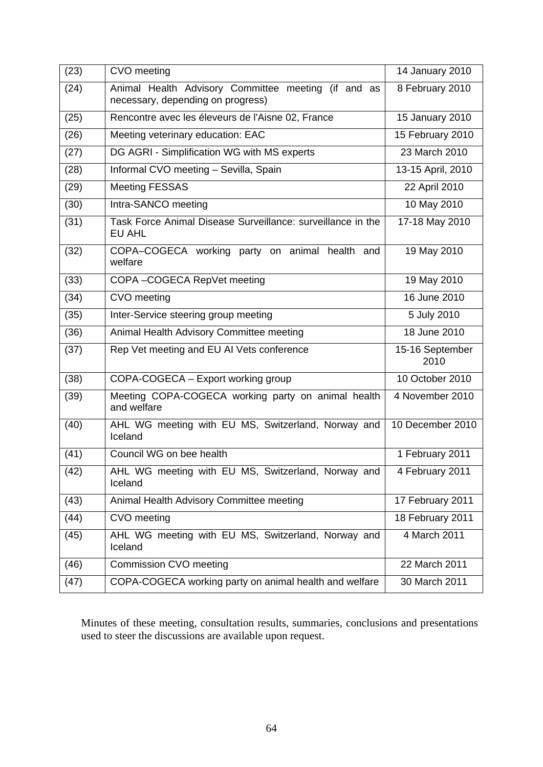| (23) | CVO meeting                                                                              | 14 January 2010         |
|------|------------------------------------------------------------------------------------------|-------------------------|
| (24) | Animal Health Advisory Committee meeting (if and as<br>necessary, depending on progress) | 8 February 2010         |
| (25) | Rencontre avec les éleveurs de l'Aisne 02, France                                        | 15 January 2010         |
| (26) | Meeting veterinary education: EAC                                                        | 15 February 2010        |
| (27) | DG AGRI - Simplification WG with MS experts                                              | 23 March 2010           |
| (28) | Informal CVO meeting - Sevilla, Spain                                                    | 13-15 April, 2010       |
| (29) | <b>Meeting FESSAS</b>                                                                    | 22 April 2010           |
| (30) | Intra-SANCO meeting                                                                      | 10 May 2010             |
| (31) | Task Force Animal Disease Surveillance: surveillance in the<br>EU AHL                    | 17-18 May 2010          |
| (32) | COPA-COGECA working<br>party on animal health and<br>welfare                             | 19 May 2010             |
| (33) | COPA-COGECA RepVet meeting                                                               | 19 May 2010             |
| (34) | CVO meeting                                                                              | 16 June 2010            |
| (35) | Inter-Service steering group meeting                                                     | 5 July 2010             |
| (36) | Animal Health Advisory Committee meeting                                                 | 18 June 2010            |
| (37) | Rep Vet meeting and EU AI Vets conference                                                | 15-16 September<br>2010 |
| (38) | COPA-COGECA - Export working group                                                       | 10 October 2010         |
| (39) | Meeting COPA-COGECA working party on animal health<br>and welfare                        | 4 November 2010         |
| (40) | AHL WG meeting with EU MS, Switzerland, Norway and<br>Iceland                            | 10 December 2010        |
| (41) | Council WG on bee health                                                                 | 1 February 2011         |
| (42) | AHL WG meeting with EU MS, Switzerland, Norway and<br>Iceland                            | 4 February 2011         |
| (43) | Animal Health Advisory Committee meeting                                                 | 17 February 2011        |
| (44) | CVO meeting                                                                              | 18 February 2011        |
| (45) | AHL WG meeting with EU MS, Switzerland, Norway and<br>Iceland                            | 4 March 2011            |
| (46) | <b>Commission CVO meeting</b>                                                            | 22 March 2011           |
| (47) | COPA-COGECA working party on animal health and welfare                                   | 30 March 2011           |

Minutes of these meeting, consultation results, summaries, conclusions and presentations used to steer the discussions are available upon request.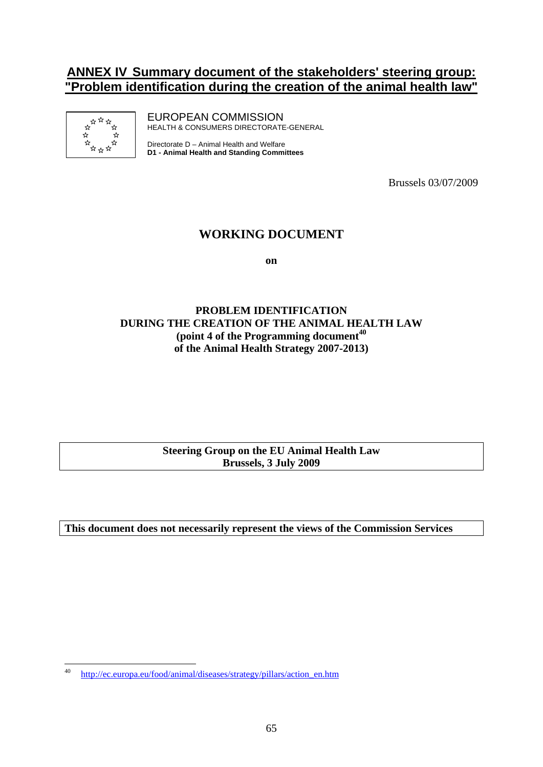## **ANNEX IV Summary document of the stakeholders' steering group: "Problem identification during the creation of the animal health law"**



EUROPEAN COMMISSION HEALTH & CONSUMERS DIRECTORATE-GENERAL

Directorate D – Animal Health and Welfare **D1 - Animal Health and Standing Committees**

Brussels 03/07/2009

### **WORKING DOCUMENT**

**on** 

#### **PROBLEM IDENTIFICATION DURING THE CREATION OF THE ANIMAL HEALTH LAW (point 4 of the Programming document40 of the Animal Health Strategy 2007-2013)**

**Steering Group on the EU Animal Health Law Brussels, 3 July 2009** 

**This document does not necessarily represent the views of the Commission Services** 

 $40$ <sup>40</sup> [http://ec.europa.eu/food/animal/diseases/strategy/pillars/action\\_en.htm](http://ec.europa.eu/food/animal/diseases/strategy/pillars/action_en.htm)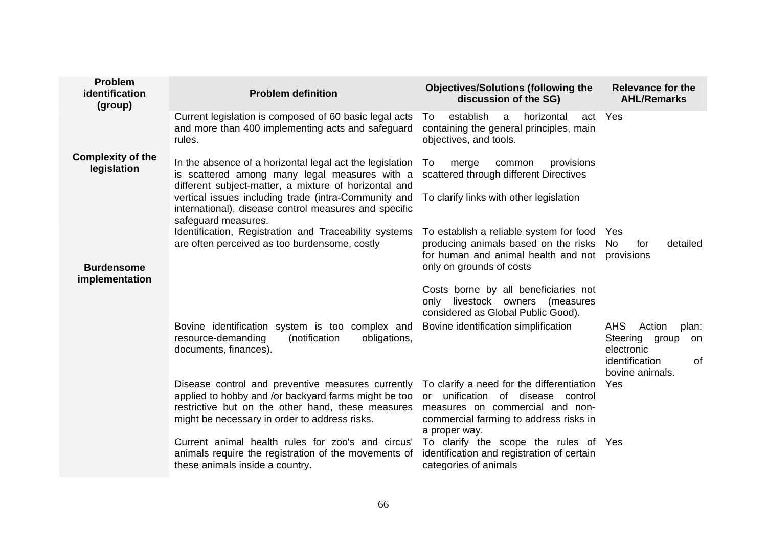| <b>Problem</b><br>identification<br>(group) | <b>Problem definition</b>                                                                                                                                                                                                                                                           | <b>Objectives/Solutions (following the</b><br>discussion of the SG)                                                                                                                   | <b>Relevance for the</b><br><b>AHL/Remarks</b>                                                          |
|---------------------------------------------|-------------------------------------------------------------------------------------------------------------------------------------------------------------------------------------------------------------------------------------------------------------------------------------|---------------------------------------------------------------------------------------------------------------------------------------------------------------------------------------|---------------------------------------------------------------------------------------------------------|
|                                             | Current legislation is composed of 60 basic legal acts<br>and more than 400 implementing acts and safeguard<br>rules.                                                                                                                                                               | establish<br>horizontal<br>a<br>act<br>To<br>containing the general principles, main<br>objectives, and tools.                                                                        | Yes                                                                                                     |
| <b>Complexity of the</b><br>legislation     | In the absence of a horizontal legal act the legislation<br>is scattered among many legal measures with a<br>different subject-matter, a mixture of horizontal and<br>vertical issues including trade (intra-Community and<br>international), disease control measures and specific | merge<br>provisions<br>To<br>common<br>scattered through different Directives<br>To clarify links with other legislation                                                              |                                                                                                         |
|                                             | safeguard measures.                                                                                                                                                                                                                                                                 |                                                                                                                                                                                       |                                                                                                         |
| <b>Burdensome</b><br>implementation         | Identification, Registration and Traceability systems<br>are often perceived as too burdensome, costly                                                                                                                                                                              | To establish a reliable system for food Yes<br>producing animals based on the risks<br>for human and animal health and not<br>only on grounds of costs                                | No<br>detailed<br>for<br>provisions                                                                     |
|                                             |                                                                                                                                                                                                                                                                                     | Costs borne by all beneficiaries not<br>only livestock owners<br>(measures<br>considered as Global Public Good).                                                                      |                                                                                                         |
|                                             | Bovine identification system is too complex and<br>resource-demanding<br>obligations,<br>(notification<br>documents, finances).                                                                                                                                                     | Bovine identification simplification                                                                                                                                                  | AHS<br>Action<br>plan:<br>Steering group<br>on<br>electronic<br>identification<br>0f<br>bovine animals. |
|                                             | Disease control and preventive measures currently<br>applied to hobby and /or backyard farms might be too<br>restrictive but on the other hand, these measures<br>might be necessary in order to address risks.                                                                     | To clarify a need for the differentiation<br>unification<br>of disease<br>control<br>or<br>measures on commercial and non-<br>commercial farming to address risks in<br>a proper way. | <b>Yes</b>                                                                                              |
|                                             | Current animal health rules for zoo's and circus'<br>animals require the registration of the movements of<br>these animals inside a country.                                                                                                                                        | To clarify the scope the rules of Yes<br>identification and registration of certain<br>categories of animals                                                                          |                                                                                                         |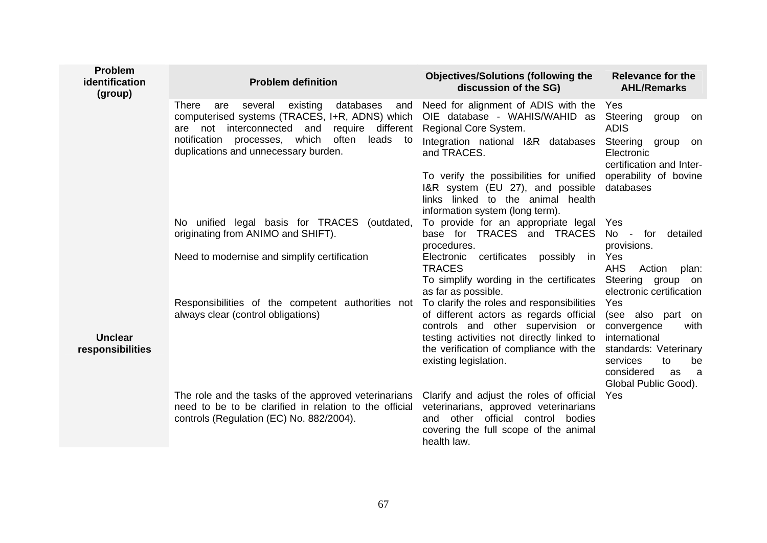| <b>Problem</b><br>identification<br>(group) | <b>Problem definition</b>                                                                                                                                                 | <b>Objectives/Solutions (following the</b><br>discussion of the SG)                                                                                                            | <b>Relevance for the</b><br><b>AHL/Remarks</b>                                                                    |
|---------------------------------------------|---------------------------------------------------------------------------------------------------------------------------------------------------------------------------|--------------------------------------------------------------------------------------------------------------------------------------------------------------------------------|-------------------------------------------------------------------------------------------------------------------|
|                                             | existing<br>databases<br><b>There</b><br>several<br>and<br>are<br>computerised systems (TRACES, I+R, ADNS) which<br>not interconnected<br>and<br>require different<br>are | Need for alignment of ADIS with the<br>OIE database - WAHIS/WAHID as<br>Regional Core System.                                                                                  | Yes<br>Steering<br>group<br>on<br><b>ADIS</b>                                                                     |
|                                             | notification processes, which often<br>leads<br>to<br>duplications and unnecessary burden.                                                                                | Integration national I&R databases<br>and TRACES.                                                                                                                              | Steering<br>group<br>on<br>Electronic<br>certification and Inter-                                                 |
|                                             |                                                                                                                                                                           | To verify the possibilities for unified<br>I&R system (EU 27), and possible<br>links linked to the animal health<br>information system (long term).                            | operability of bovine<br>databases                                                                                |
|                                             | No unified legal basis for TRACES (outdated,<br>originating from ANIMO and SHIFT).                                                                                        | To provide for an appropriate legal<br>base for TRACES and TRACES<br>procedures.                                                                                               | Yes<br>No - for<br>detailed<br>provisions.                                                                        |
|                                             | Need to modernise and simplify certification                                                                                                                              | certificates possibly<br>Electronic<br>in<br><b>TRACES</b><br>To simplify wording in the certificates<br>as far as possible.                                                   | Yes<br><b>AHS</b><br>Action<br>plan:<br>Steering group<br>on<br>electronic certification                          |
|                                             | Responsibilities of the competent authorities not<br>always clear (control obligations)                                                                                   | To clarify the roles and responsibilities<br>of different actors as regards official<br>controls and other supervision or                                                      | Yes<br>(see also part on<br>convergence<br>with                                                                   |
| <b>Unclear</b><br>responsibilities          |                                                                                                                                                                           | testing activities not directly linked to<br>the verification of compliance with the<br>existing legislation.                                                                  | international<br>standards: Veterinary<br>services<br>to<br>be<br>considered<br>as<br>a a<br>Global Public Good). |
|                                             | The role and the tasks of the approved veterinarians<br>need to be to be clarified in relation to the official<br>controls (Regulation (EC) No. 882/2004).                | Clarify and adjust the roles of official<br>veterinarians, approved veterinarians<br>and other official control bodies<br>covering the full scope of the animal<br>health law. | <b>Yes</b>                                                                                                        |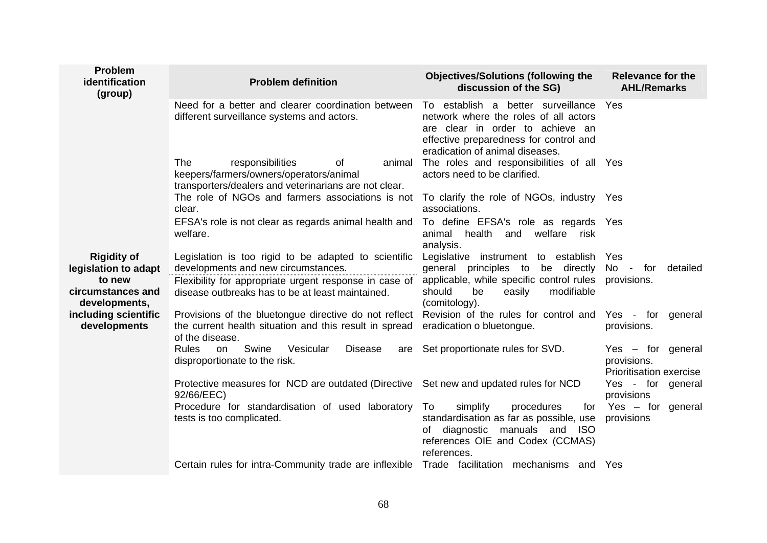| Problem<br>identification<br>(group)         | <b>Problem definition</b>                                                                                                                   | <b>Objectives/Solutions (following the</b><br>discussion of the SG)                                                                                                                          | <b>Relevance for the</b><br><b>AHL/Remarks</b>                |
|----------------------------------------------|---------------------------------------------------------------------------------------------------------------------------------------------|----------------------------------------------------------------------------------------------------------------------------------------------------------------------------------------------|---------------------------------------------------------------|
|                                              | Need for a better and clearer coordination between<br>different surveillance systems and actors.                                            | To establish a better surveillance<br>network where the roles of all actors<br>are clear in order to achieve an<br>effective preparedness for control and<br>eradication of animal diseases. | Yes                                                           |
|                                              | The<br>responsibilities<br>of<br>animal<br>keepers/farmers/owners/operators/animal<br>transporters/dealers and veterinarians are not clear. | The roles and responsibilities of all Yes<br>actors need to be clarified.                                                                                                                    |                                                               |
|                                              | The role of NGOs and farmers associations is not<br>clear.                                                                                  | To clarify the role of NGOs, industry Yes<br>associations.                                                                                                                                   |                                                               |
|                                              | EFSA's role is not clear as regards animal health and<br>welfare.                                                                           | To define EFSA's role as regards Yes<br>and welfare risk<br>animal<br>health<br>analysis.                                                                                                    |                                                               |
| <b>Rigidity of</b><br>legislation to adapt   | Legislation is too rigid to be adapted to scientific<br>developments and new circumstances.                                                 | Legislative instrument to establish<br>general principles to be directly                                                                                                                     | Yes<br>No<br>- for<br>detailed                                |
| to new<br>circumstances and<br>developments, | Flexibility for appropriate urgent response in case of<br>disease outbreaks has to be at least maintained.                                  | applicable, while specific control rules<br>should<br>modifiable<br>be<br>easily<br>(comitology).                                                                                            | provisions.                                                   |
| including scientific<br>developments         | Provisions of the bluetongue directive do not reflect<br>the current health situation and this result in spread<br>of the disease.          | Revision of the rules for control and Yes - for general<br>eradication o bluetongue.                                                                                                         | provisions.                                                   |
|                                              | Swine<br>Vesicular<br><b>Rules</b><br><b>Disease</b><br>on<br>are<br>disproportionate to the risk.                                          | Set proportionate rules for SVD.                                                                                                                                                             | $Yes - for general$<br>provisions.<br>Prioritisation exercise |
|                                              | Protective measures for NCD are outdated (Directive Set new and updated rules for NCD<br>92/66/EEC)                                         |                                                                                                                                                                                              | Yes - for general<br>provisions                               |
|                                              | Procedure for standardisation of used laboratory<br>tests is too complicated.                                                               | To<br>simplify<br>procedures<br>for<br>standardisation as far as possible, use<br>diagnostic manuals and ISO<br>of<br>references OIE and Codex (CCMAS)<br>references.                        | Yes - for general<br>provisions                               |
|                                              | Certain rules for intra-Community trade are inflexible Trade facilitation mechanisms and Yes                                                |                                                                                                                                                                                              |                                                               |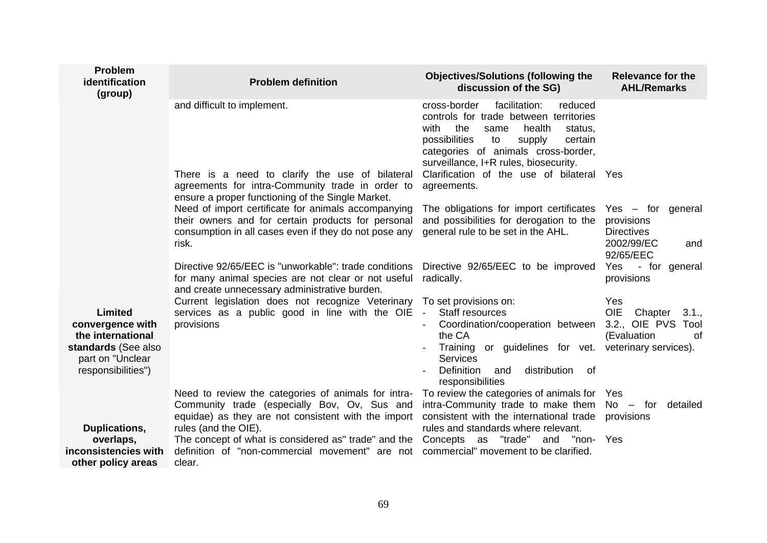| <b>Problem</b><br>identification<br>(group)                                                                       | <b>Problem definition</b>                                                                                                                                                                                                                                                                               | <b>Objectives/Solutions (following the</b><br>discussion of the SG)                                                                                                                                                                                                   | <b>Relevance for the</b><br><b>AHL/Remarks</b>                                                               |
|-------------------------------------------------------------------------------------------------------------------|---------------------------------------------------------------------------------------------------------------------------------------------------------------------------------------------------------------------------------------------------------------------------------------------------------|-----------------------------------------------------------------------------------------------------------------------------------------------------------------------------------------------------------------------------------------------------------------------|--------------------------------------------------------------------------------------------------------------|
|                                                                                                                   | and difficult to implement.                                                                                                                                                                                                                                                                             | facilitation:<br>cross-border<br>reduced<br>controls for trade between territories<br>with<br>the<br>health<br>same<br>status,<br>possibilities<br>to<br>supply<br>certain<br>categories of animals cross-border,<br>surveillance, I+R rules, biosecurity.            |                                                                                                              |
|                                                                                                                   | There is a need to clarify the use of bilateral<br>agreements for intra-Community trade in order to<br>ensure a proper functioning of the Single Market.                                                                                                                                                | Clarification of the use of bilateral Yes<br>agreements.                                                                                                                                                                                                              |                                                                                                              |
|                                                                                                                   | Need of import certificate for animals accompanying<br>their owners and for certain products for personal<br>consumption in all cases even if they do not pose any<br>risk.                                                                                                                             | The obligations for import certificates<br>and possibilities for derogation to the<br>general rule to be set in the AHL.                                                                                                                                              | $Yes - for general$<br>provisions<br><b>Directives</b><br>2002/99/EC<br>and<br>92/65/EEC                     |
|                                                                                                                   | Directive 92/65/EEC is "unworkable": trade conditions<br>for many animal species are not clear or not useful<br>and create unnecessary administrative burden.                                                                                                                                           | Directive 92/65/EEC to be improved<br>radically.                                                                                                                                                                                                                      | Yes - for general<br>provisions                                                                              |
| Limited<br>convergence with<br>the international<br>standards (See also<br>part on "Unclear<br>responsibilities") | Current legislation does not recognize Veterinary<br>services as a public good in line with the OIE<br>provisions                                                                                                                                                                                       | To set provisions on:<br>Staff resources<br>$\sim$<br>Coordination/cooperation between<br>the CA<br>Training or guidelines for vet.<br><b>Services</b><br><b>Definition</b><br>distribution<br>and<br>0f<br>responsibilities                                          | Yes<br><b>OIE</b><br>Chapter<br>3.1.,<br>3.2., OIE PVS<br>Tool<br>(Evaluation<br>0f<br>veterinary services). |
| Duplications,<br>overlaps,<br>inconsistencies with<br>other policy areas                                          | Need to review the categories of animals for intra-<br>Community trade (especially Bov, Ov, Sus and<br>equidae) as they are not consistent with the import<br>rules (and the OIE).<br>The concept of what is considered as" trade" and the<br>definition of "non-commercial movement" are not<br>clear. | To review the categories of animals for Yes<br>intra-Community trade to make them $No - for$ detailed<br>consistent with the international trade<br>rules and standards where relevant.<br>Concepts as "trade" and "non- Yes<br>commercial" movement to be clarified. | provisions                                                                                                   |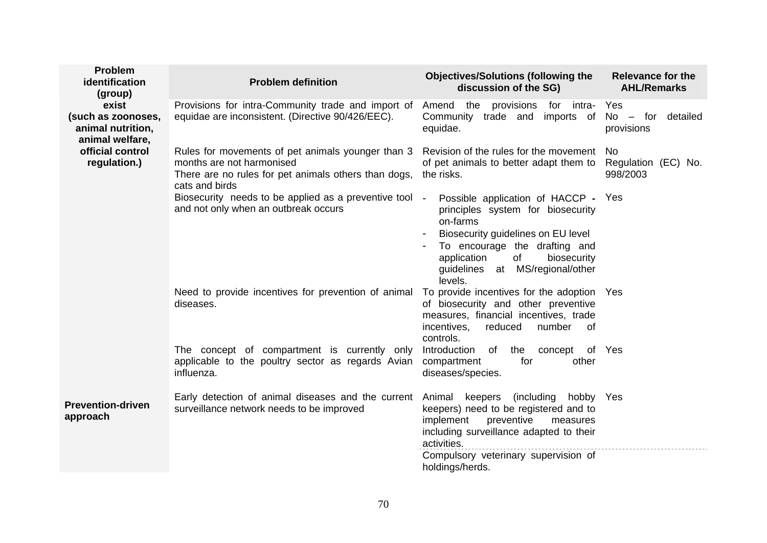| Problem<br>identification<br>(group)                                                                    | <b>Problem definition</b>                                                                                                                                | <b>Objectives/Solutions (following the</b><br>discussion of the SG)                                                                                                                                                                           | <b>Relevance for the</b><br><b>AHL/Remarks</b> |
|---------------------------------------------------------------------------------------------------------|----------------------------------------------------------------------------------------------------------------------------------------------------------|-----------------------------------------------------------------------------------------------------------------------------------------------------------------------------------------------------------------------------------------------|------------------------------------------------|
| exist<br>(such as zoonoses,<br>animal nutrition,<br>animal welfare,<br>official control<br>regulation.) | Provisions for intra-Community trade and import of<br>equidae are inconsistent. (Directive 90/426/EEC).                                                  | provisions for intra-<br>Amend the<br>Community trade and imports of<br>equidae.                                                                                                                                                              | Yes<br>$No - for detailed$<br>provisions       |
|                                                                                                         | Rules for movements of pet animals younger than 3<br>months are not harmonised<br>There are no rules for pet animals others than dogs,<br>cats and birds | Revision of the rules for the movement<br>of pet animals to better adapt them to Regulation (EC) No.<br>the risks.                                                                                                                            | No<br>998/2003                                 |
|                                                                                                         | Biosecurity needs to be applied as a preventive tool -<br>and not only when an outbreak occurs                                                           | Possible application of HACCP - Yes<br>principles system for biosecurity<br>on-farms<br>Biosecurity guidelines on EU level<br>To encourage the drafting and<br>application<br>of<br>biosecurity<br>guidelines at MS/regional/other<br>levels. |                                                |
|                                                                                                         | Need to provide incentives for prevention of animal<br>diseases.                                                                                         | To provide incentives for the adoption Yes<br>of biosecurity and other preventive<br>measures, financial incentives, trade<br>number<br>incentives,<br>reduced<br>of<br>controls.                                                             |                                                |
|                                                                                                         | The concept of compartment is currently only<br>applicable to the poultry sector as regards Avian<br>influenza.                                          | Introduction<br>of the<br>concept of Yes<br>compartment<br>for<br>other<br>diseases/species.                                                                                                                                                  |                                                |
| <b>Prevention-driven</b><br>approach                                                                    | Early detection of animal diseases and the current<br>surveillance network needs to be improved                                                          | keepers (including hobby Yes<br>Animal<br>keepers) need to be registered and to<br>implement<br>preventive<br>measures<br>including surveillance adapted to their<br>activities.                                                              |                                                |
|                                                                                                         |                                                                                                                                                          | Compulsory veterinary supervision of<br>holdings/herds.                                                                                                                                                                                       |                                                |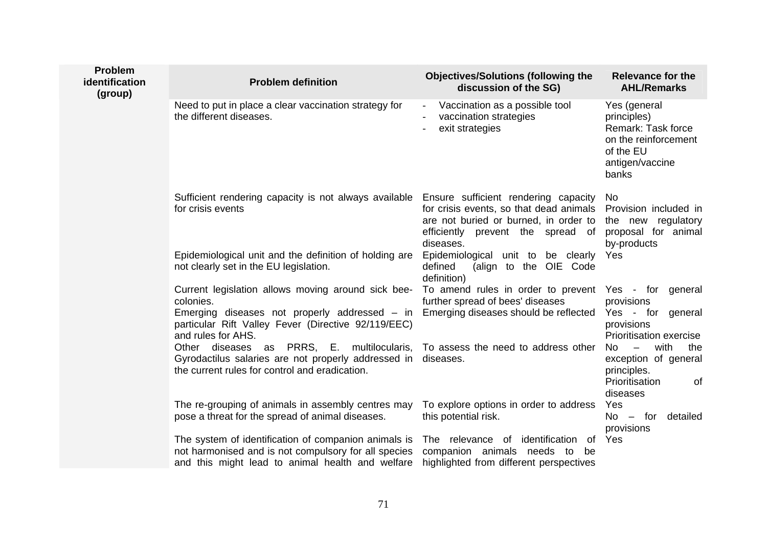| <b>Problem</b><br>identification<br>(group) | <b>Problem definition</b>                                                                                                                                        | <b>Objectives/Solutions (following the</b><br>discussion of the SG)                                                                                                        | <b>Relevance for the</b><br><b>AHL/Remarks</b>                                                                     |
|---------------------------------------------|------------------------------------------------------------------------------------------------------------------------------------------------------------------|----------------------------------------------------------------------------------------------------------------------------------------------------------------------------|--------------------------------------------------------------------------------------------------------------------|
|                                             | Need to put in place a clear vaccination strategy for<br>the different diseases.                                                                                 | Vaccination as a possible tool<br>$\overline{\phantom{a}}$<br>vaccination strategies<br>exit strategies                                                                    | Yes (general<br>principles)<br>Remark: Task force<br>on the reinforcement<br>of the EU<br>antigen/vaccine<br>banks |
|                                             | Sufficient rendering capacity is not always available<br>for crisis events                                                                                       | Ensure sufficient rendering capacity<br>for crisis events, so that dead animals<br>are not buried or burned, in order to<br>efficiently prevent the spread of<br>diseases. | No<br>Provision included in<br>the new regulatory<br>proposal for animal<br>by-products                            |
|                                             | Epidemiological unit and the definition of holding are<br>not clearly set in the EU legislation.                                                                 | Epidemiological unit to be clearly<br>defined<br>(align to the OIE Code<br>definition)                                                                                     | Yes                                                                                                                |
|                                             | Current legislation allows moving around sick bee-<br>colonies.                                                                                                  | To amend rules in order to prevent<br>further spread of bees' diseases                                                                                                     | Yes - for general<br>provisions                                                                                    |
|                                             | Emerging diseases not properly addressed – in<br>particular Rift Valley Fever (Directive 92/119/EEC)<br>and rules for AHS.                                       | Emerging diseases should be reflected                                                                                                                                      | Yes - for general<br>provisions<br>Prioritisation exercise                                                         |
|                                             | as PRRS, E. multilocularis,<br>Other diseases<br>Gyrodactilus salaries are not properly addressed in<br>the current rules for control and eradication.           | To assess the need to address other<br>diseases.                                                                                                                           | with<br>No<br>$\equiv$<br>the<br>exception of general<br>principles.<br>Prioritisation<br>0f<br>diseases           |
|                                             | The re-grouping of animals in assembly centres may<br>pose a threat for the spread of animal diseases.                                                           | To explore options in order to address<br>this potential risk.                                                                                                             | Yes<br>$No - for$<br>detailed<br>provisions                                                                        |
|                                             | The system of identification of companion animals is<br>not harmonised and is not compulsory for all species<br>and this might lead to animal health and welfare | The relevance of identification<br>of<br>companion animals needs to be<br>highlighted from different perspectives                                                          | Yes                                                                                                                |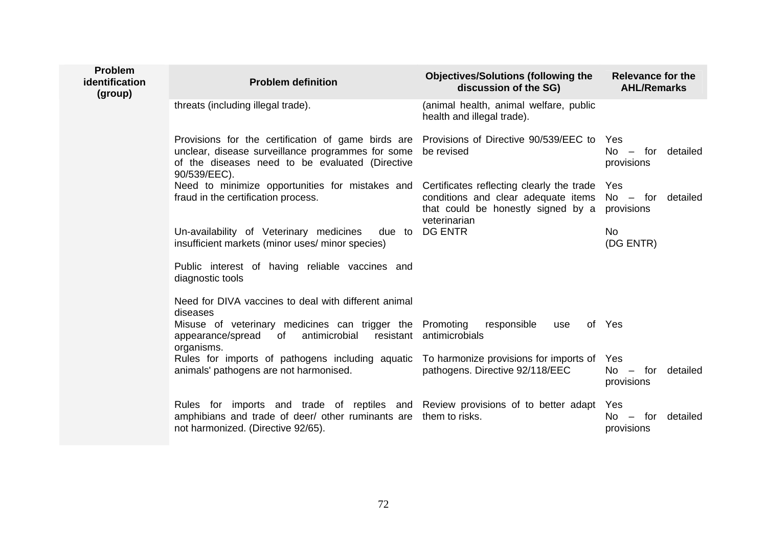| <b>Problem</b><br><i>identification</i><br>(group) | <b>Problem definition</b>                                                                                                                                                                                        | <b>Objectives/Solutions (following the</b><br>discussion of the SG)                       | <b>Relevance for the</b><br><b>AHL/Remarks</b> |
|----------------------------------------------------|------------------------------------------------------------------------------------------------------------------------------------------------------------------------------------------------------------------|-------------------------------------------------------------------------------------------|------------------------------------------------|
|                                                    | threats (including illegal trade).                                                                                                                                                                               | (animal health, animal welfare, public<br>health and illegal trade).                      |                                                |
|                                                    | Provisions for the certification of game birds are Provisions of Directive 90/539/EEC to<br>unclear, disease surveillance programmes for some<br>of the diseases need to be evaluated (Directive<br>90/539/EEC). | be revised                                                                                | Yes<br>$No - for detailed$<br>provisions       |
|                                                    | Need to minimize opportunities for mistakes and Certificates reflecting clearly the trade<br>fraud in the certification process.                                                                                 | conditions and clear adequate items<br>that could be honestly signed by a<br>veterinarian | Yes<br>$No - for detailed$<br>provisions       |
|                                                    | Un-availability of Veterinary medicines<br>due to<br>insufficient markets (minor uses/ minor species)                                                                                                            | DG ENTR                                                                                   | <b>No</b><br>(DG ENTR)                         |
|                                                    | Public interest of having reliable vaccines and<br>diagnostic tools                                                                                                                                              |                                                                                           |                                                |
|                                                    | Need for DIVA vaccines to deal with different animal<br>diseases                                                                                                                                                 |                                                                                           |                                                |
|                                                    | Misuse of veterinary medicines can trigger the Promoting<br>antimicrobial<br>appearance/spread of<br>organisms.                                                                                                  | responsible<br>use<br>resistant antimicrobials                                            | of Yes                                         |
|                                                    | Rules for imports of pathogens including aquatic To harmonize provisions for imports of Yes<br>animals' pathogens are not harmonised.                                                                            | pathogens. Directive 92/118/EEC                                                           | $No - for$<br>detailed<br>provisions           |
|                                                    | Rules for imports and trade of reptiles and Review provisions of to better adapt<br>amphibians and trade of deer/ other ruminants are them to risks.<br>not harmonized. (Directive 92/65).                       |                                                                                           | Yes<br>detailed<br>$No - for$<br>provisions    |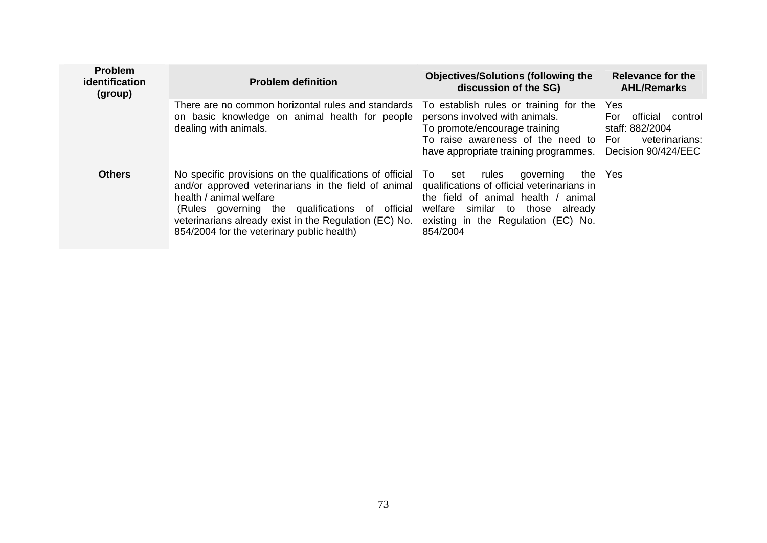| <b>Problem</b><br>identification<br>(group) | <b>Problem definition</b>                                                                                                                                                                                                                                                                                                                             | <b>Objectives/Solutions (following the</b><br>discussion of the SG)                                                                                                                         | Relevance for the<br><b>AHL/Remarks</b>                                                       |
|---------------------------------------------|-------------------------------------------------------------------------------------------------------------------------------------------------------------------------------------------------------------------------------------------------------------------------------------------------------------------------------------------------------|---------------------------------------------------------------------------------------------------------------------------------------------------------------------------------------------|-----------------------------------------------------------------------------------------------|
|                                             | There are no common horizontal rules and standards<br>on basic knowledge on animal health for people<br>dealing with animals.                                                                                                                                                                                                                         | To establish rules or training for the<br>persons involved with animals.<br>To promote/encourage training<br>To raise awareness of the need to For<br>have appropriate training programmes. | Yes<br>official<br>For<br>control<br>staff: 882/2004<br>veterinarians:<br>Decision 90/424/EEC |
| <b>Others</b>                               | No specific provisions on the qualifications of official To<br>and/or approved veterinarians in the field of animal qualifications of official veterinarians in<br>health / animal welfare<br>(Rules governing the qualifications of official<br>veterinarians already exist in the Regulation (EC) No.<br>854/2004 for the veterinary public health) | rules<br>governing<br>set<br>the field of animal health / animal<br>welfare similar to those already<br>existing in the Regulation (EC) No.<br>854/2004                                     | the Yes                                                                                       |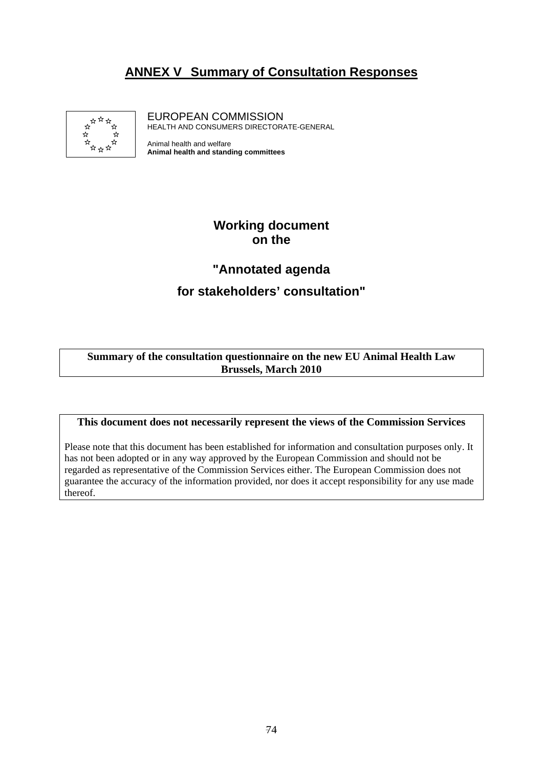## **ANNEX V Summary of Consultation Responses**



EUROPEAN COMMISSION HEALTH AND CONSUMERS DIRECTORATE-GENERAL

Animal health and welfare **Animal health and standing committees**

## **Working document on the**

# **"Annotated agenda for stakeholders' consultation"**

#### **Summary of the consultation questionnaire on the new EU Animal Health Law Brussels, March 2010**

#### **This document does not necessarily represent the views of the Commission Services**

Please note that this document has been established for information and consultation purposes only. It has not been adopted or in any way approved by the European Commission and should not be regarded as representative of the Commission Services either. The European Commission does not guarantee the accuracy of the information provided, nor does it accept responsibility for any use made thereof.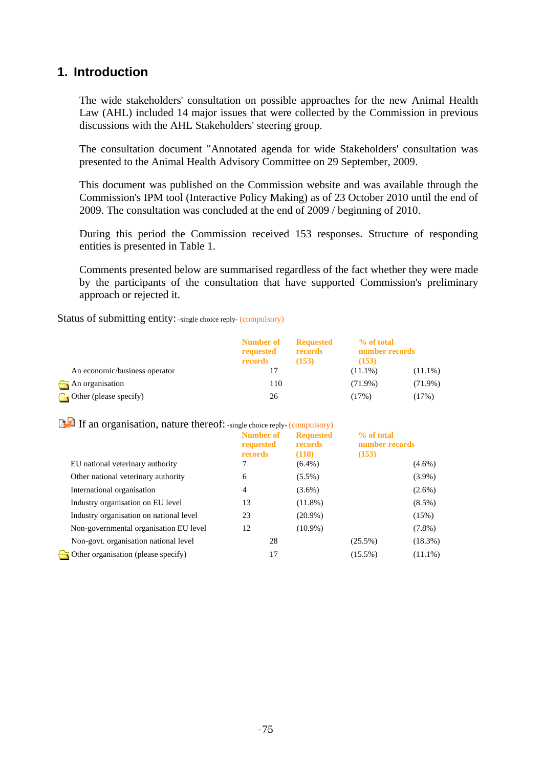## **1. Introduction**

The wide stakeholders' consultation on possible approaches for the new Animal Health Law (AHL) included 14 major issues that were collected by the Commission in previous discussions with the AHL Stakeholders' steering group.

The consultation document "Annotated agenda for wide Stakeholders' consultation was presented to the Animal Health Advisory Committee on 29 September, 2009.

This document was published on the Commission website and was available through the Commission's IPM tool (Interactive Policy Making) as of 23 October 2010 until the end of 2009. The consultation was concluded at the end of 2009 / beginning of 2010.

During this period the Commission received 153 responses. Structure of responding entities is presented in Table 1.

Comments presented below are summarised regardless of the fact whether they were made by the participants of the consultation that have supported Commission's preliminary approach or rejected it.

Status of submitting entity: -single choice reply- (compulsory)

|                               | Number of<br>requested | <b>Requested</b><br>records | % of total<br>number records |            |
|-------------------------------|------------------------|-----------------------------|------------------------------|------------|
|                               | records                | (153)                       | (153)                        |            |
| An economic/business operator |                        |                             | $(11.1\%)$                   | $(11.1\%)$ |
| An organisation               | 110                    |                             | $(71.9\%)$                   | $(71.9\%)$ |
| Other (please specify)        | 26                     |                             | (17%)                        | (17%)      |

If an organisation, nature thereof: -single choice reply- (compulsory)

| EU national veterinary authority           | <b>Number of</b><br>requested<br>records | <b>Requested</b><br>records<br>(110)<br>$(6.4\%)$ | % of total<br>number records<br>(153) | $(4.6\%)$  |
|--------------------------------------------|------------------------------------------|---------------------------------------------------|---------------------------------------|------------|
| Other national veterinary authority        | 6                                        | $(5.5\%)$                                         |                                       | $(3.9\%)$  |
|                                            |                                          |                                                   |                                       |            |
| International organisation                 | 4                                        | $(3.6\%)$                                         |                                       | $(2.6\%)$  |
| Industry organisation on EU level          | 13                                       | $(11.8\%)$                                        |                                       | $(8.5\%)$  |
| Industry organisation on national level    | 23                                       | $(20.9\%)$                                        |                                       | (15%)      |
| Non-governmental organisation EU level     | 12                                       | $(10.9\%)$                                        |                                       | $(7.8\%)$  |
| Non-govt. organisation national level      | 28                                       |                                                   | $(25.5\%)$                            | $(18.3\%)$ |
| $\Box$ Other organisation (please specify) | 17                                       |                                                   | $(15.5\%)$                            | $(11.1\%)$ |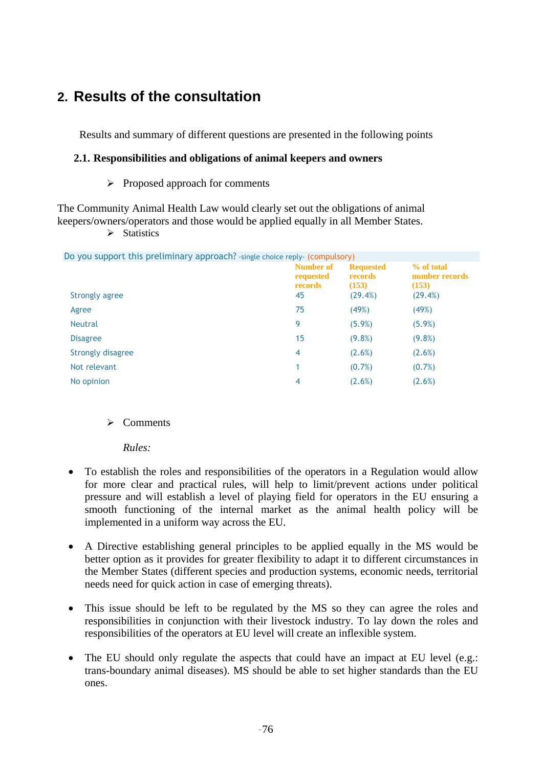# **2. Results of the consultation**

Results and summary of different questions are presented in the following points

## **2.1. Responsibilities and obligations of animal keepers and owners**

 $\triangleright$  Proposed approach for comments

The Community Animal Health Law would clearly set out the obligations of animal keepers/owners/operators and those would be applied equally in all Member States.

 $\triangleright$  Statistics

| Do you support this preliminary approach? -single choice reply- (compulsory) |                                                |                                                        |                                                  |
|------------------------------------------------------------------------------|------------------------------------------------|--------------------------------------------------------|--------------------------------------------------|
| Strongly agree                                                               | <b>Number of</b><br>requested<br>records<br>45 | <b>Requested</b><br><b>records</b><br>(153)<br>(29.4%) | % of total<br>number records<br>(153)<br>(29.4%) |
| Agree                                                                        | 75                                             | (49%)                                                  | (49%)                                            |
| <b>Neutral</b>                                                               | 9                                              | $(5.9\%)$                                              | $(5.9\%)$                                        |
| <b>Disagree</b>                                                              | 15                                             | $(9.8\%)$                                              | $(9.8\%)$                                        |
| Strongly disagree                                                            | 4                                              | (2.6%)                                                 | (2.6%)                                           |
| Not relevant                                                                 |                                                | $(0.7\%)$                                              | $(0.7\%)$                                        |
| No opinion                                                                   | 4                                              | (2.6%)                                                 | (2.6%)                                           |

## $\triangleright$  Comments

*Rules:* 

- To establish the roles and responsibilities of the operators in a Regulation would allow for more clear and practical rules, will help to limit/prevent actions under political pressure and will establish a level of playing field for operators in the EU ensuring a smooth functioning of the internal market as the animal health policy will be implemented in a uniform way across the EU.
- A Directive establishing general principles to be applied equally in the MS would be better option as it provides for greater flexibility to adapt it to different circumstances in the Member States (different species and production systems, economic needs, territorial needs need for quick action in case of emerging threats).
- This issue should be left to be regulated by the MS so they can agree the roles and responsibilities in conjunction with their livestock industry. To lay down the roles and responsibilities of the operators at EU level will create an inflexible system.
- The EU should only regulate the aspects that could have an impact at EU level (e.g.: trans-boundary animal diseases). MS should be able to set higher standards than the EU ones.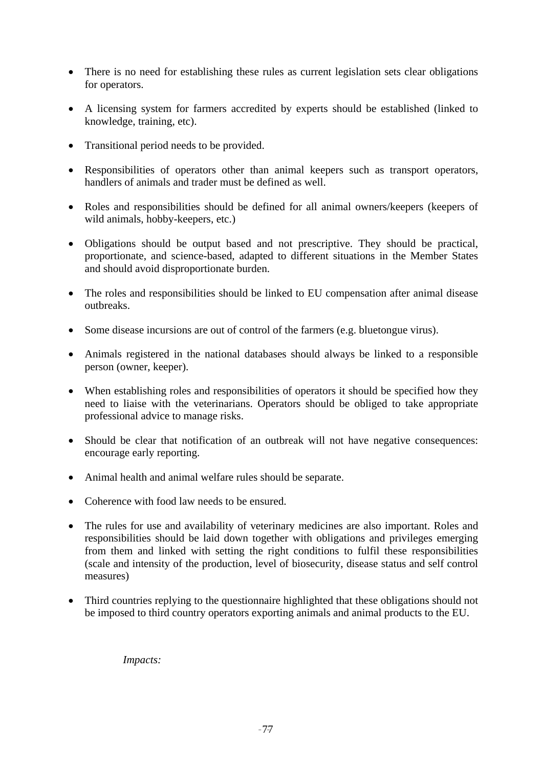- There is no need for establishing these rules as current legislation sets clear obligations for operators.
- A licensing system for farmers accredited by experts should be established (linked to knowledge, training, etc).
- Transitional period needs to be provided.
- Responsibilities of operators other than animal keepers such as transport operators, handlers of animals and trader must be defined as well.
- Roles and responsibilities should be defined for all animal owners/keepers (keepers of wild animals, hobby-keepers, etc.)
- Obligations should be output based and not prescriptive. They should be practical, proportionate, and science-based, adapted to different situations in the Member States and should avoid disproportionate burden.
- The roles and responsibilities should be linked to EU compensation after animal disease outbreaks.
- Some disease incursions are out of control of the farmers (e.g. bluetongue virus).
- Animals registered in the national databases should always be linked to a responsible person (owner, keeper).
- When establishing roles and responsibilities of operators it should be specified how they need to liaise with the veterinarians. Operators should be obliged to take appropriate professional advice to manage risks.
- Should be clear that notification of an outbreak will not have negative consequences: encourage early reporting.
- Animal health and animal welfare rules should be separate.
- Coherence with food law needs to be ensured.
- The rules for use and availability of veterinary medicines are also important. Roles and responsibilities should be laid down together with obligations and privileges emerging from them and linked with setting the right conditions to fulfil these responsibilities (scale and intensity of the production, level of biosecurity, disease status and self control measures)
- Third countries replying to the questionnaire highlighted that these obligations should not be imposed to third country operators exporting animals and animal products to the EU.

*Impacts:*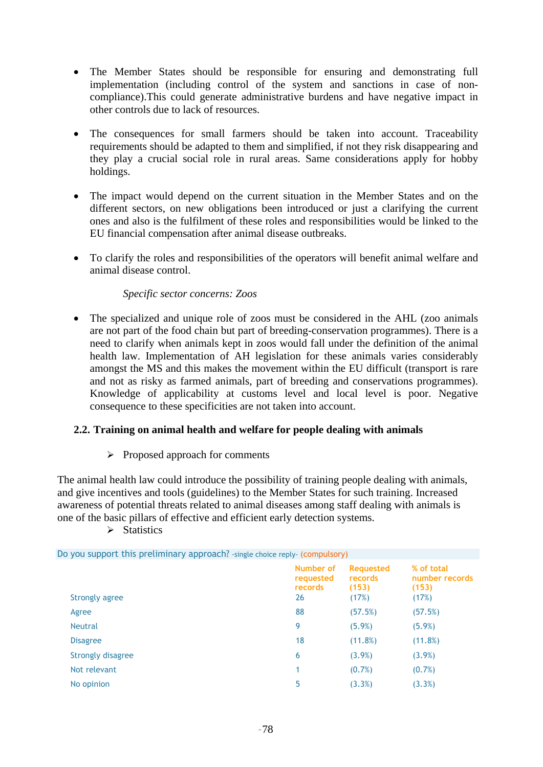- The Member States should be responsible for ensuring and demonstrating full implementation (including control of the system and sanctions in case of noncompliance).This could generate administrative burdens and have negative impact in other controls due to lack of resources.
- The consequences for small farmers should be taken into account. Traceability requirements should be adapted to them and simplified, if not they risk disappearing and they play a crucial social role in rural areas. Same considerations apply for hobby holdings.
- The impact would depend on the current situation in the Member States and on the different sectors, on new obligations been introduced or just a clarifying the current ones and also is the fulfilment of these roles and responsibilities would be linked to the EU financial compensation after animal disease outbreaks.
- To clarify the roles and responsibilities of the operators will benefit animal welfare and animal disease control.

## *Specific sector concerns: Zoos*

• The specialized and unique role of zoos must be considered in the AHL (zoo animals are not part of the food chain but part of breeding-conservation programmes). There is a need to clarify when animals kept in zoos would fall under the definition of the animal health law. Implementation of AH legislation for these animals varies considerably amongst the MS and this makes the movement within the EU difficult (transport is rare and not as risky as farmed animals, part of breeding and conservations programmes). Knowledge of applicability at customs level and local level is poor. Negative consequence to these specificities are not taken into account.

## **2.2. Training on animal health and welfare for people dealing with animals**

 $\triangleright$  Proposed approach for comments

The animal health law could introduce the possibility of training people dealing with animals, and give incentives and tools (guidelines) to the Member States for such training. Increased awareness of potential threats related to animal diseases among staff dealing with animals is one of the basic pillars of effective and efficient early detection systems.

 $\triangleright$  Statistics

| Do you support this preliminary approach? - single choice reply- (compulsory) |                                         |                                               |                                                |
|-------------------------------------------------------------------------------|-----------------------------------------|-----------------------------------------------|------------------------------------------------|
| Strongly agree                                                                | Number of<br>requested<br>records<br>26 | <b>Requested</b><br>records<br>(153)<br>(17%) | % of total<br>number records<br>(153)<br>(17%) |
| Agree                                                                         | 88                                      | (57.5%)                                       | (57.5%)                                        |
| <b>Neutral</b>                                                                | 9                                       | $(5.9\%)$                                     | $(5.9\%)$                                      |
| <b>Disagree</b>                                                               | 18                                      | (11.8%)                                       | (11.8%)                                        |
| <b>Strongly disagree</b>                                                      | 6                                       | $(3.9\%)$                                     | $(3.9\%)$                                      |
| Not relevant                                                                  | 1                                       | $(0.7\%)$                                     | (0.7%)                                         |
| No opinion                                                                    | 5                                       | (3.3%)                                        | (3.3%)                                         |
|                                                                               |                                         |                                               |                                                |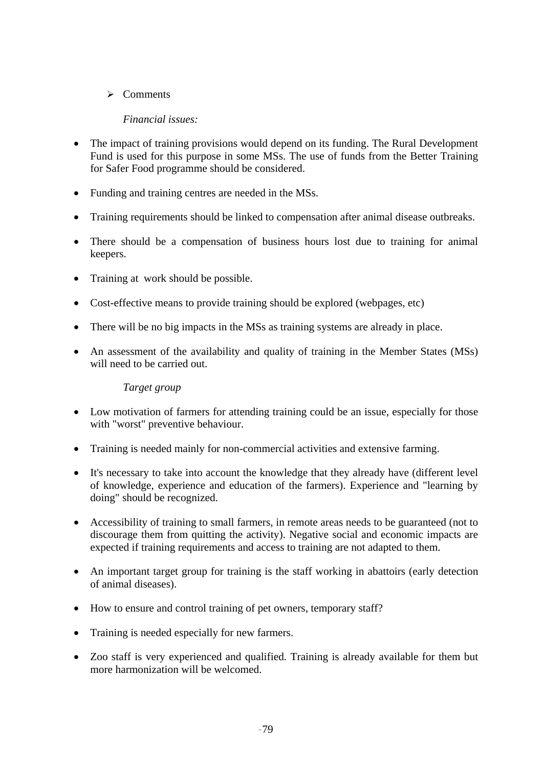$\triangleright$  Comments

## *Financial issues:*

- The impact of training provisions would depend on its funding. The Rural Development Fund is used for this purpose in some MSs. The use of funds from the Better Training for Safer Food programme should be considered.
- Funding and training centres are needed in the MSs.
- Training requirements should be linked to compensation after animal disease outbreaks.
- There should be a compensation of business hours lost due to training for animal keepers.
- Training at work should be possible.
- Cost-effective means to provide training should be explored (webpages, etc)
- There will be no big impacts in the MSs as training systems are already in place.
- An assessment of the availability and quality of training in the Member States (MSs) will need to be carried out.

## *Target group*

- Low motivation of farmers for attending training could be an issue, especially for those with "worst" preventive behaviour.
- Training is needed mainly for non-commercial activities and extensive farming.
- It's necessary to take into account the knowledge that they already have (different level of knowledge, experience and education of the farmers). Experience and "learning by doing" should be recognized.
- Accessibility of training to small farmers, in remote areas needs to be guaranteed (not to discourage them from quitting the activity). Negative social and economic impacts are expected if training requirements and access to training are not adapted to them.
- An important target group for training is the staff working in abattoirs (early detection of animal diseases).
- How to ensure and control training of pet owners, temporary staff?
- Training is needed especially for new farmers.
- Zoo staff is very experienced and qualified. Training is already available for them but more harmonization will be welcomed.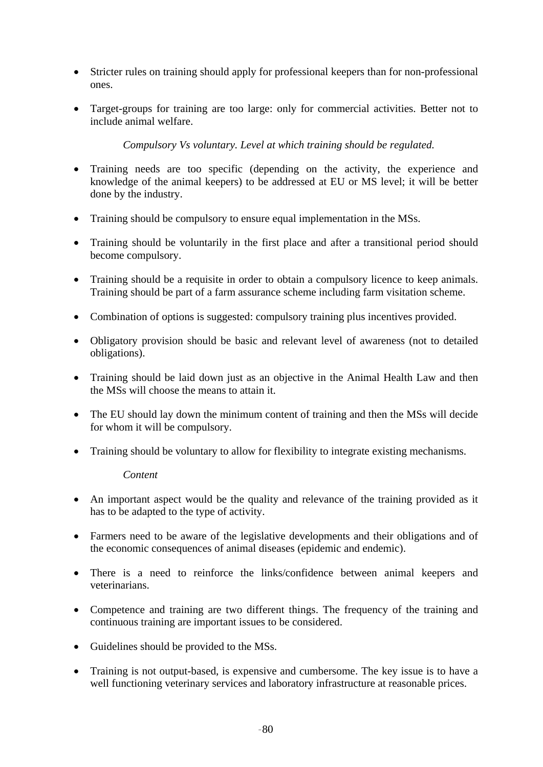- Stricter rules on training should apply for professional keepers than for non-professional ones.
- Target-groups for training are too large: only for commercial activities. Better not to include animal welfare.

*Compulsory Vs voluntary. Level at which training should be regulated.* 

- Training needs are too specific (depending on the activity, the experience and knowledge of the animal keepers) to be addressed at EU or MS level; it will be better done by the industry.
- Training should be compulsory to ensure equal implementation in the MSs.
- Training should be voluntarily in the first place and after a transitional period should become compulsory.
- Training should be a requisite in order to obtain a compulsory licence to keep animals. Training should be part of a farm assurance scheme including farm visitation scheme.
- Combination of options is suggested: compulsory training plus incentives provided.
- Obligatory provision should be basic and relevant level of awareness (not to detailed obligations).
- Training should be laid down just as an objective in the Animal Health Law and then the MSs will choose the means to attain it.
- The EU should lay down the minimum content of training and then the MSs will decide for whom it will be compulsory.
- Training should be voluntary to allow for flexibility to integrate existing mechanisms.

## *Content*

- An important aspect would be the quality and relevance of the training provided as it has to be adapted to the type of activity.
- Farmers need to be aware of the legislative developments and their obligations and of the economic consequences of animal diseases (epidemic and endemic).
- There is a need to reinforce the links/confidence between animal keepers and veterinarians.
- Competence and training are two different things. The frequency of the training and continuous training are important issues to be considered.
- Guidelines should be provided to the MSs.
- Training is not output-based, is expensive and cumbersome. The key issue is to have a well functioning veterinary services and laboratory infrastructure at reasonable prices.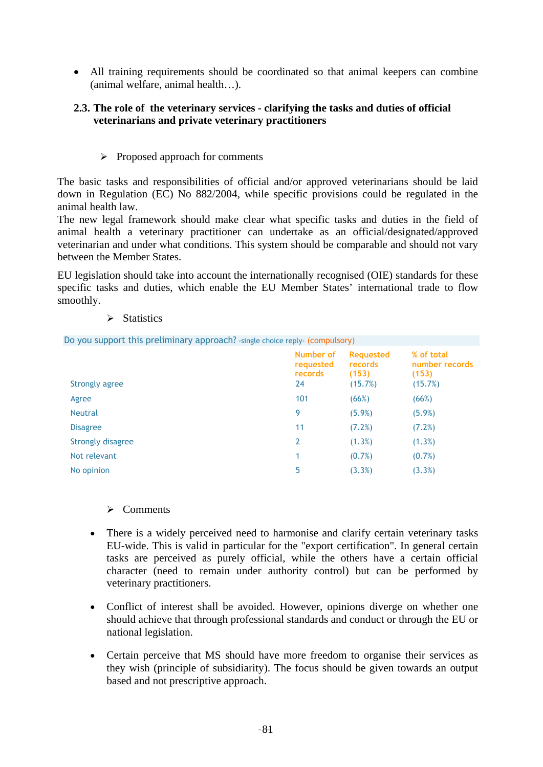• All training requirements should be coordinated so that animal keepers can combine (animal welfare, animal health…).

## **2.3. The role of the veterinary services - clarifying the tasks and duties of official veterinarians and private veterinary practitioners**

 $\triangleright$  Proposed approach for comments

The basic tasks and responsibilities of official and/or approved veterinarians should be laid down in Regulation (EC) No 882/2004, while specific provisions could be regulated in the animal health law.

The new legal framework should make clear what specific tasks and duties in the field of animal health a veterinary practitioner can undertake as an official/designated/approved veterinarian and under what conditions. This system should be comparable and should not vary between the Member States.

EU legislation should take into account the internationally recognised (OIE) standards for these specific tasks and duties, which enable the EU Member States' international trade to flow smoothly.

 $\triangleright$  Statistics

Do you support this preliminary approach? -single choice reply- (compulsory)

| Strongly agree    | Number of<br>requested<br>records<br>24 | <b>Requested</b><br>records<br>(153)<br>(15.7%) | % of total<br>number records<br>(153)<br>(15.7%) |
|-------------------|-----------------------------------------|-------------------------------------------------|--------------------------------------------------|
| Agree             | 101                                     | (66%)                                           | (66%)                                            |
| <b>Neutral</b>    | 9                                       | (5.9%)                                          | $(5.9\%)$                                        |
| <b>Disagree</b>   | 11                                      | (7.2%)                                          | (7.2%)                                           |
| Strongly disagree | 2                                       | (1.3%)                                          | (1.3%)                                           |
| Not relevant      | 1                                       | $(0.7\%)$                                       | (0.7%)                                           |
| No opinion        | 5                                       | (3.3%)                                          | (3.3%)                                           |

- ¾ Comments
- There is a widely perceived need to harmonise and clarify certain veterinary tasks EU-wide. This is valid in particular for the "export certification". In general certain tasks are perceived as purely official, while the others have a certain official character (need to remain under authority control) but can be performed by veterinary practitioners.
- Conflict of interest shall be avoided. However, opinions diverge on whether one should achieve that through professional standards and conduct or through the EU or national legislation.
- Certain perceive that MS should have more freedom to organise their services as they wish (principle of subsidiarity). The focus should be given towards an output based and not prescriptive approach.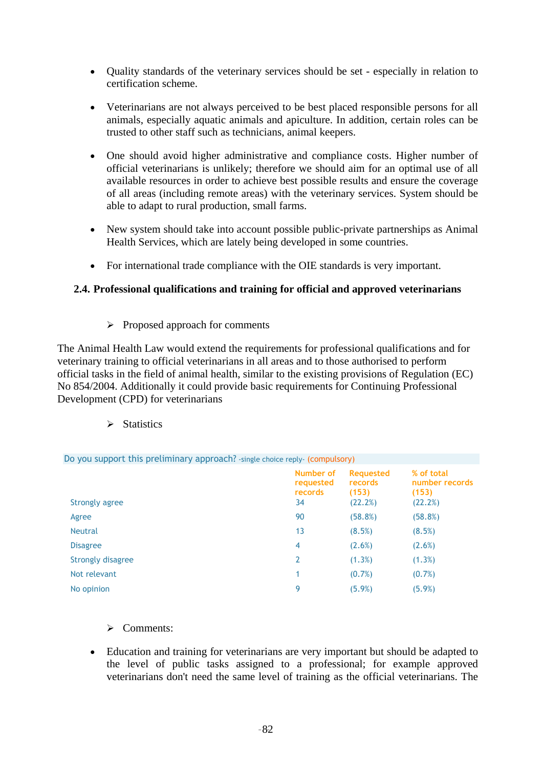- Quality standards of the veterinary services should be set especially in relation to certification scheme.
- Veterinarians are not always perceived to be best placed responsible persons for all animals, especially aquatic animals and apiculture. In addition, certain roles can be trusted to other staff such as technicians, animal keepers.
- One should avoid higher administrative and compliance costs. Higher number of official veterinarians is unlikely; therefore we should aim for an optimal use of all available resources in order to achieve best possible results and ensure the coverage of all areas (including remote areas) with the veterinary services. System should be able to adapt to rural production, small farms.
- New system should take into account possible public-private partnerships as Animal Health Services, which are lately being developed in some countries.
- For international trade compliance with the OIE standards is very important.

## **2.4. Professional qualifications and training for official and approved veterinarians**

 $\triangleright$  Proposed approach for comments

The Animal Health Law would extend the requirements for professional qualifications and for veterinary training to official veterinarians in all areas and to those authorised to perform official tasks in the field of animal health, similar to the existing provisions of Regulation (EC) No 854/2004. Additionally it could provide basic requirements for Continuing Professional Development (CPD) for veterinarians

 $\triangleright$  Statistics

Do you support this preliminary approach? -single choice reply- (compulsory)

| <b>Strongly agree</b> | Number of<br>requested<br>records<br>34 | <b>Requested</b><br>records<br>(153)<br>(22.2%) | % of total<br>number records<br>(153)<br>(22.2%) |
|-----------------------|-----------------------------------------|-------------------------------------------------|--------------------------------------------------|
| Agree                 | 90                                      | (58.8%)                                         | (58.8%)                                          |
| <b>Neutral</b>        | 13                                      | (8.5%)                                          | (8.5%)                                           |
| <b>Disagree</b>       | 4                                       | $(2.6\%)$                                       | (2.6%)                                           |
| Strongly disagree     | 2                                       | (1.3%)                                          | (1.3%)                                           |
| Not relevant          | 1                                       | $(0.7\%)$                                       | $(0.7\%)$                                        |
| No opinion            | 9                                       | (5.9%)                                          | (5.9%)                                           |

¾ Comments:

• Education and training for veterinarians are very important but should be adapted to the level of public tasks assigned to a professional; for example approved veterinarians don't need the same level of training as the official veterinarians. The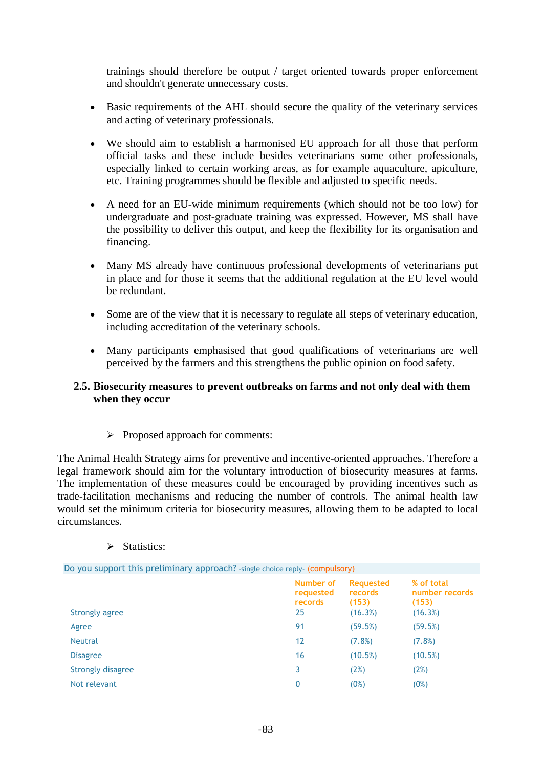trainings should therefore be output / target oriented towards proper enforcement and shouldn't generate unnecessary costs.

- Basic requirements of the AHL should secure the quality of the veterinary services and acting of veterinary professionals.
- We should aim to establish a harmonised EU approach for all those that perform official tasks and these include besides veterinarians some other professionals, especially linked to certain working areas, as for example aquaculture, apiculture, etc. Training programmes should be flexible and adjusted to specific needs.
- A need for an EU-wide minimum requirements (which should not be too low) for undergraduate and post-graduate training was expressed. However, MS shall have the possibility to deliver this output, and keep the flexibility for its organisation and financing.
- Many MS already have continuous professional developments of veterinarians put in place and for those it seems that the additional regulation at the EU level would be redundant.
- Some are of the view that it is necessary to regulate all steps of veterinary education, including accreditation of the veterinary schools.
- Many participants emphasised that good qualifications of veterinarians are well perceived by the farmers and this strengthens the public opinion on food safety.

## **2.5. Biosecurity measures to prevent outbreaks on farms and not only deal with them when they occur**

 $\triangleright$  Proposed approach for comments:

The Animal Health Strategy aims for preventive and incentive-oriented approaches. Therefore a legal framework should aim for the voluntary introduction of biosecurity measures at farms. The implementation of these measures could be encouraged by providing incentives such as trade-facilitation mechanisms and reducing the number of controls. The animal health law would set the minimum criteria for biosecurity measures, allowing them to be adapted to local circumstances.

#### ¾ Statistics:

| Do you support this preliminary approach? -single choice reply- (compulsory) |                                         |                                                 |                                                  |
|------------------------------------------------------------------------------|-----------------------------------------|-------------------------------------------------|--------------------------------------------------|
| Strongly agree                                                               | Number of<br>requested<br>records<br>25 | <b>Requested</b><br>records<br>(153)<br>(16.3%) | % of total<br>number records<br>(153)<br>(16.3%) |
| Agree                                                                        | 91                                      | (59.5%)                                         | (59.5%)                                          |
| <b>Neutral</b>                                                               | 12                                      | (7.8%)                                          | (7.8%)                                           |
| <b>Disagree</b>                                                              | 16                                      | (10.5%)                                         | (10.5%)                                          |
| Strongly disagree                                                            | 3                                       | (2%)                                            | (2%)                                             |
| Not relevant                                                                 | 0                                       | (0%)                                            | (0%)                                             |
|                                                                              |                                         |                                                 |                                                  |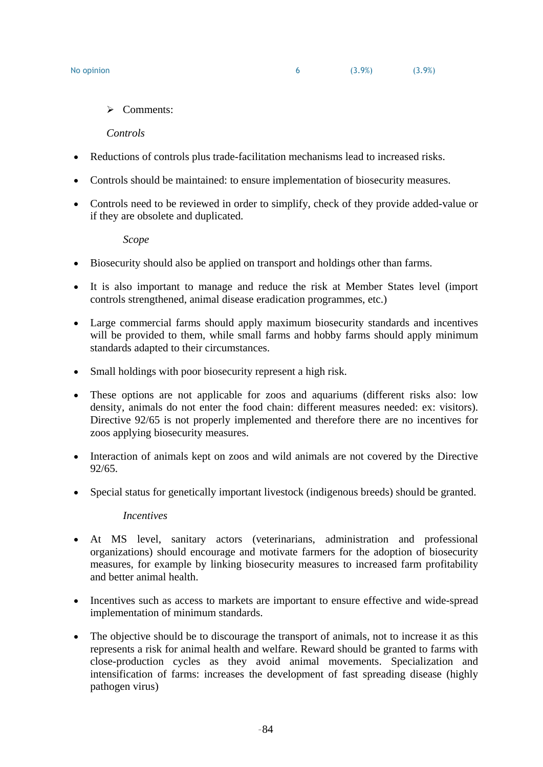$\triangleright$  Comments:

*Controls* 

- Reductions of controls plus trade-facilitation mechanisms lead to increased risks.
- Controls should be maintained: to ensure implementation of biosecurity measures.
- Controls need to be reviewed in order to simplify, check of they provide added-value or if they are obsolete and duplicated.

*Scope* 

- Biosecurity should also be applied on transport and holdings other than farms.
- It is also important to manage and reduce the risk at Member States level (import controls strengthened, animal disease eradication programmes, etc.)
- Large commercial farms should apply maximum biosecurity standards and incentives will be provided to them, while small farms and hobby farms should apply minimum standards adapted to their circumstances.
- Small holdings with poor biosecurity represent a high risk.
- These options are not applicable for zoos and aquariums (different risks also: low density, animals do not enter the food chain: different measures needed: ex: visitors). Directive 92/65 is not properly implemented and therefore there are no incentives for zoos applying biosecurity measures.
- Interaction of animals kept on zoos and wild animals are not covered by the Directive 92/65.
- Special status for genetically important livestock (indigenous breeds) should be granted.

#### *Incentives*

- At MS level, sanitary actors (veterinarians, administration and professional organizations) should encourage and motivate farmers for the adoption of biosecurity measures, for example by linking biosecurity measures to increased farm profitability and better animal health.
- Incentives such as access to markets are important to ensure effective and wide-spread implementation of minimum standards.
- The objective should be to discourage the transport of animals, not to increase it as this represents a risk for animal health and welfare. Reward should be granted to farms with close-production cycles as they avoid animal movements. Specialization and intensification of farms: increases the development of fast spreading disease (highly pathogen virus)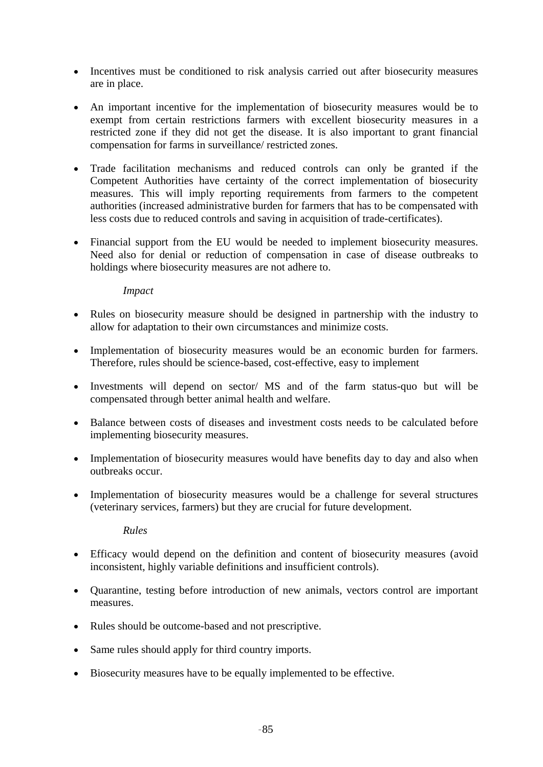- Incentives must be conditioned to risk analysis carried out after biosecurity measures are in place.
- An important incentive for the implementation of biosecurity measures would be to exempt from certain restrictions farmers with excellent biosecurity measures in a restricted zone if they did not get the disease. It is also important to grant financial compensation for farms in surveillance/ restricted zones.
- Trade facilitation mechanisms and reduced controls can only be granted if the Competent Authorities have certainty of the correct implementation of biosecurity measures. This will imply reporting requirements from farmers to the competent authorities (increased administrative burden for farmers that has to be compensated with less costs due to reduced controls and saving in acquisition of trade-certificates).
- Financial support from the EU would be needed to implement biosecurity measures. Need also for denial or reduction of compensation in case of disease outbreaks to holdings where biosecurity measures are not adhere to.

## *Impact*

- Rules on biosecurity measure should be designed in partnership with the industry to allow for adaptation to their own circumstances and minimize costs.
- Implementation of biosecurity measures would be an economic burden for farmers. Therefore, rules should be science-based, cost-effective, easy to implement
- Investments will depend on sector/ MS and of the farm status-quo but will be compensated through better animal health and welfare.
- Balance between costs of diseases and investment costs needs to be calculated before implementing biosecurity measures.
- Implementation of biosecurity measures would have benefits day to day and also when outbreaks occur.
- Implementation of biosecurity measures would be a challenge for several structures (veterinary services, farmers) but they are crucial for future development.

#### *Rules*

- Efficacy would depend on the definition and content of biosecurity measures (avoid inconsistent, highly variable definitions and insufficient controls).
- Quarantine, testing before introduction of new animals, vectors control are important measures.
- Rules should be outcome-based and not prescriptive.
- Same rules should apply for third country imports.
- Biosecurity measures have to be equally implemented to be effective.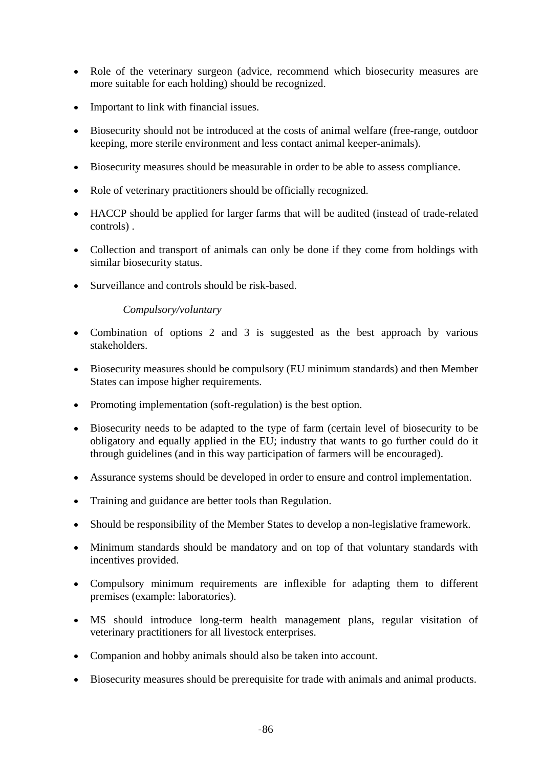- Role of the veterinary surgeon (advice, recommend which biosecurity measures are more suitable for each holding) should be recognized.
- Important to link with financial issues.
- Biosecurity should not be introduced at the costs of animal welfare (free-range, outdoor keeping, more sterile environment and less contact animal keeper-animals).
- Biosecurity measures should be measurable in order to be able to assess compliance.
- Role of veterinary practitioners should be officially recognized.
- HACCP should be applied for larger farms that will be audited (instead of trade-related controls) .
- Collection and transport of animals can only be done if they come from holdings with similar biosecurity status.
- Surveillance and controls should be risk-based.

## *Compulsory/voluntary*

- Combination of options 2 and 3 is suggested as the best approach by various stakeholders.
- Biosecurity measures should be compulsory (EU minimum standards) and then Member States can impose higher requirements.
- Promoting implementation (soft-regulation) is the best option.
- Biosecurity needs to be adapted to the type of farm (certain level of biosecurity to be obligatory and equally applied in the EU; industry that wants to go further could do it through guidelines (and in this way participation of farmers will be encouraged).
- Assurance systems should be developed in order to ensure and control implementation.
- Training and guidance are better tools than Regulation.
- Should be responsibility of the Member States to develop a non-legislative framework.
- Minimum standards should be mandatory and on top of that voluntary standards with incentives provided.
- Compulsory minimum requirements are inflexible for adapting them to different premises (example: laboratories).
- MS should introduce long-term health management plans, regular visitation of veterinary practitioners for all livestock enterprises.
- Companion and hobby animals should also be taken into account.
- Biosecurity measures should be prerequisite for trade with animals and animal products.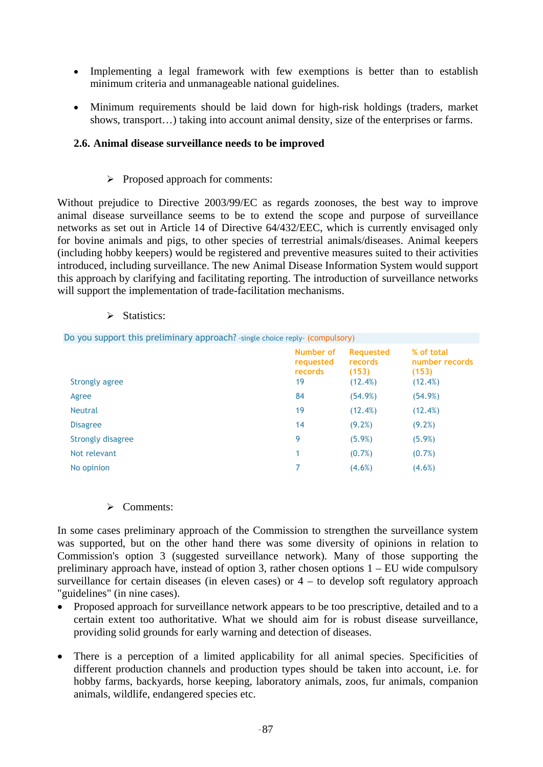- Implementing a legal framework with few exemptions is better than to establish minimum criteria and unmanageable national guidelines.
- Minimum requirements should be laid down for high-risk holdings (traders, market shows, transport…) taking into account animal density, size of the enterprises or farms.

## **2.6. Animal disease surveillance needs to be improved**

## $\triangleright$  Proposed approach for comments:

Without prejudice to Directive 2003/99/EC as regards zoonoses, the best way to improve animal disease surveillance seems to be to extend the scope and purpose of surveillance networks as set out in Article 14 of Directive 64/432/EEC, which is currently envisaged only for bovine animals and pigs, to other species of terrestrial animals/diseases. Animal keepers (including hobby keepers) would be registered and preventive measures suited to their activities introduced, including surveillance. The new Animal Disease Information System would support this approach by clarifying and facilitating reporting. The introduction of surveillance networks will support the implementation of trade-facilitation mechanisms.

- Do you support this preliminary approach? -single choice reply- (compulsory) **Number of requested records Requested records (153) % of total number records (153)**  Strongly agree 19 (12.4%) (12.4%) (12.4%) Agree 84 (54.9%) (54.9%) Neutral (12.4%) (12.4%) Disagree  $(9.2\%)$  (9.2%) Strongly disagree 6 (5.9%) (5.9%) (5.9%) Not relevant  $(0.7%)$  (0.7%) (0.7%) No opinion  $(4.6\%)$  (4.6%) (4.6%)
- $\triangleright$  Statistics:

#### ¾ Comments:

In some cases preliminary approach of the Commission to strengthen the surveillance system was supported, but on the other hand there was some diversity of opinions in relation to Commission's option 3 (suggested surveillance network). Many of those supporting the preliminary approach have, instead of option 3, rather chosen options 1 – EU wide compulsory surveillance for certain diseases (in eleven cases) or  $4 -$  to develop soft regulatory approach "guidelines" (in nine cases).

- Proposed approach for surveillance network appears to be too prescriptive, detailed and to a certain extent too authoritative. What we should aim for is robust disease surveillance, providing solid grounds for early warning and detection of diseases.
- There is a perception of a limited applicability for all animal species. Specificities of different production channels and production types should be taken into account, i.e. for hobby farms, backyards, horse keeping, laboratory animals, zoos, fur animals, companion animals, wildlife, endangered species etc.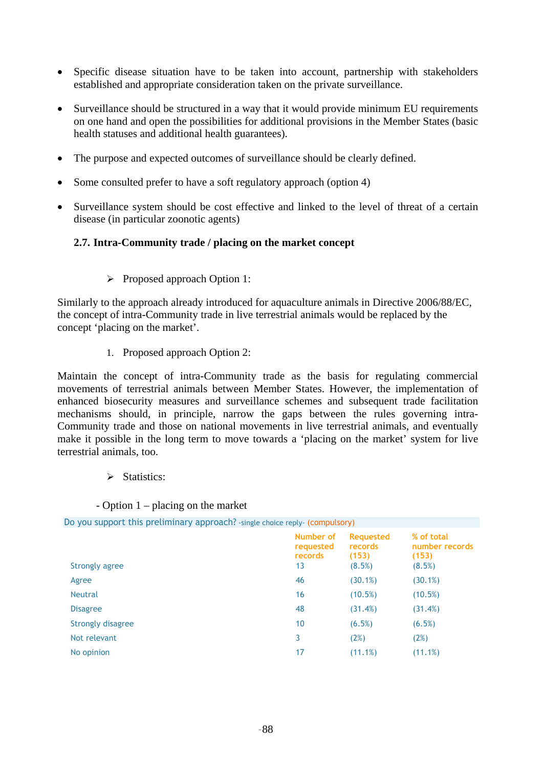- Specific disease situation have to be taken into account, partnership with stakeholders established and appropriate consideration taken on the private surveillance.
- Surveillance should be structured in a way that it would provide minimum EU requirements on one hand and open the possibilities for additional provisions in the Member States (basic health statuses and additional health guarantees).
- The purpose and expected outcomes of surveillance should be clearly defined.
- Some consulted prefer to have a soft regulatory approach (option 4)
- Surveillance system should be cost effective and linked to the level of threat of a certain disease (in particular zoonotic agents)

## **2.7. Intra-Community trade / placing on the market concept**

¾ Proposed approach Option 1:

Similarly to the approach already introduced for aquaculture animals in Directive 2006/88/EC, the concept of intra-Community trade in live terrestrial animals would be replaced by the concept 'placing on the market'.

1. Proposed approach Option 2:

Maintain the concept of intra-Community trade as the basis for regulating commercial movements of terrestrial animals between Member States. However, the implementation of enhanced biosecurity measures and surveillance schemes and subsequent trade facilitation mechanisms should, in principle, narrow the gaps between the rules governing intra-Community trade and those on national movements in live terrestrial animals, and eventually make it possible in the long term to move towards a 'placing on the market' system for live terrestrial animals, too.

 $\triangleright$  Statistics:

#### - Option 1 – placing on the market

Do you support this preliminary approach? -single choice reply- (compulsory)

| <b>Strongly agree</b> | Number of<br>requested<br>records<br>13 | <b>Requested</b><br>records<br>(153)<br>(8.5%) | % of total<br>number records<br>(153)<br>(8.5%) |
|-----------------------|-----------------------------------------|------------------------------------------------|-------------------------------------------------|
| Agree                 | 46                                      | (30.1%)                                        | (30.1%)                                         |
| <b>Neutral</b>        | 16                                      | (10.5%)                                        | (10.5%)                                         |
| <b>Disagree</b>       | 48                                      | (31.4%)                                        | (31.4%)                                         |
| Strongly disagree     | 10                                      | (6.5%)                                         | (6.5%)                                          |
| Not relevant          | 3                                       | (2%)                                           | (2%)                                            |
| No opinion            | 17                                      | (11.1%)                                        | (11.1%)                                         |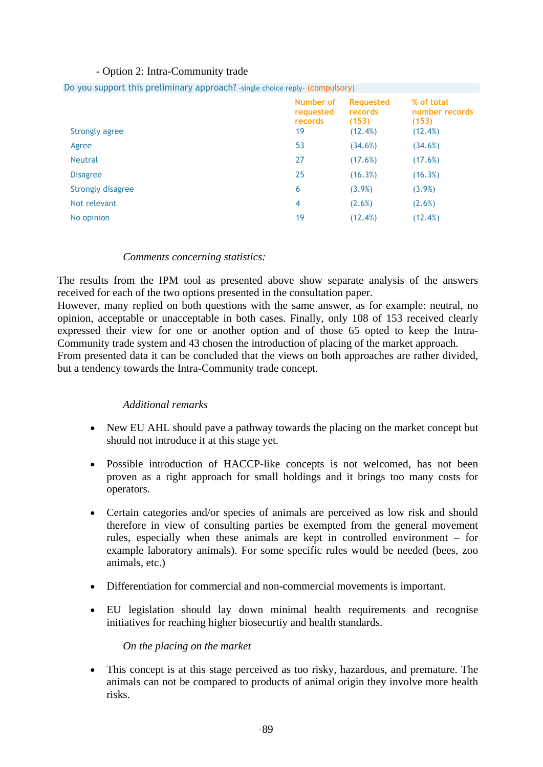## - Option 2: Intra-Community trade

|                       | Number of<br>requested<br>records | <b>Requested</b><br>records<br>(153) | % of total<br>number records<br>(153) |
|-----------------------|-----------------------------------|--------------------------------------|---------------------------------------|
| <b>Strongly agree</b> | 19                                | (12.4%)                              | (12.4%)                               |
| Agree                 | 53                                | (34.6%)                              | (34.6%)                               |
| <b>Neutral</b>        | 27                                | (17.6%)                              | (17.6%)                               |
| <b>Disagree</b>       | 25                                | (16.3%)                              | (16.3%)                               |
| Strongly disagree     | 6                                 | (3.9%)                               | $(3.9\%)$                             |
| Not relevant          | $\overline{4}$                    | (2.6%)                               | (2.6%)                                |
| No opinion            | 19                                | (12.4%)                              | (12.4%)                               |
|                       |                                   |                                      |                                       |

## Do you support this preliminary approach? -single choice reply- (compulsory)

#### *Comments concerning statistics:*

The results from the IPM tool as presented above show separate analysis of the answers received for each of the two options presented in the consultation paper.

However, many replied on both questions with the same answer, as for example: neutral, no opinion, acceptable or unacceptable in both cases. Finally, only 108 of 153 received clearly expressed their view for one or another option and of those 65 opted to keep the Intra-Community trade system and 43 chosen the introduction of placing of the market approach.

From presented data it can be concluded that the views on both approaches are rather divided, but a tendency towards the Intra-Community trade concept.

#### *Additional remarks*

- New EU AHL should pave a pathway towards the placing on the market concept but should not introduce it at this stage yet.
- Possible introduction of HACCP-like concepts is not welcomed, has not been proven as a right approach for small holdings and it brings too many costs for operators.
- Certain categories and/or species of animals are perceived as low risk and should therefore in view of consulting parties be exempted from the general movement rules, especially when these animals are kept in controlled environment – for example laboratory animals). For some specific rules would be needed (bees, zoo animals, etc.)
- Differentiation for commercial and non-commercial movements is important.
- EU legislation should lay down minimal health requirements and recognise initiatives for reaching higher biosecurtiy and health standards.

#### *On the placing on the market*

• This concept is at this stage perceived as too risky, hazardous, and premature. The animals can not be compared to products of animal origin they involve more health risks.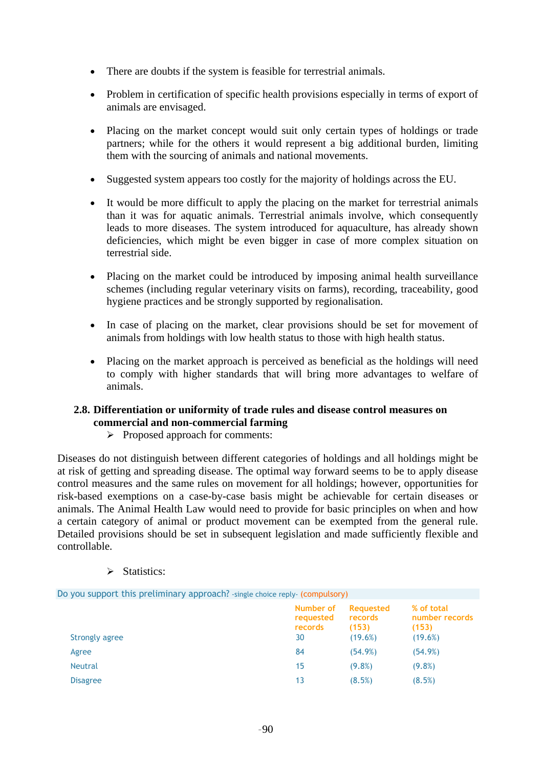- There are doubts if the system is feasible for terrestrial animals.
- Problem in certification of specific health provisions especially in terms of export of animals are envisaged.
- Placing on the market concept would suit only certain types of holdings or trade partners; while for the others it would represent a big additional burden, limiting them with the sourcing of animals and national movements.
- Suggested system appears too costly for the majority of holdings across the EU.
- It would be more difficult to apply the placing on the market for terrestrial animals than it was for aquatic animals. Terrestrial animals involve, which consequently leads to more diseases. The system introduced for aquaculture, has already shown deficiencies, which might be even bigger in case of more complex situation on terrestrial side.
- Placing on the market could be introduced by imposing animal health surveillance schemes (including regular veterinary visits on farms), recording, traceability, good hygiene practices and be strongly supported by regionalisation.
- In case of placing on the market, clear provisions should be set for movement of animals from holdings with low health status to those with high health status.
- Placing on the market approach is perceived as beneficial as the holdings will need to comply with higher standards that will bring more advantages to welfare of animals.

## **2.8. Differentiation or uniformity of trade rules and disease control measures on commercial and non-commercial farming**

 $\triangleright$  Proposed approach for comments:

Diseases do not distinguish between different categories of holdings and all holdings might be at risk of getting and spreading disease. The optimal way forward seems to be to apply disease control measures and the same rules on movement for all holdings; however, opportunities for risk-based exemptions on a case-by-case basis might be achievable for certain diseases or animals. The Animal Health Law would need to provide for basic principles on when and how a certain category of animal or product movement can be exempted from the general rule. Detailed provisions should be set in subsequent legislation and made sufficiently flexible and controllable.

 $\triangleright$  Statistics:

| Do you support this preliminary approach? - single choice reply- (compulsory) |                                         |                                                 |                                                  |
|-------------------------------------------------------------------------------|-----------------------------------------|-------------------------------------------------|--------------------------------------------------|
| Strongly agree                                                                | Number of<br>requested<br>records<br>30 | <b>Requested</b><br>records<br>(153)<br>(19.6%) | % of total<br>number records<br>(153)<br>(19.6%) |
| Agree                                                                         | 84                                      | (54.9%)                                         | (54.9%)                                          |
| <b>Neutral</b>                                                                | 15                                      | $(9.8\%)$                                       | $(9.8\%)$                                        |
| <b>Disagree</b>                                                               | 13                                      | (8.5%)                                          | (8.5%)                                           |
|                                                                               |                                         |                                                 |                                                  |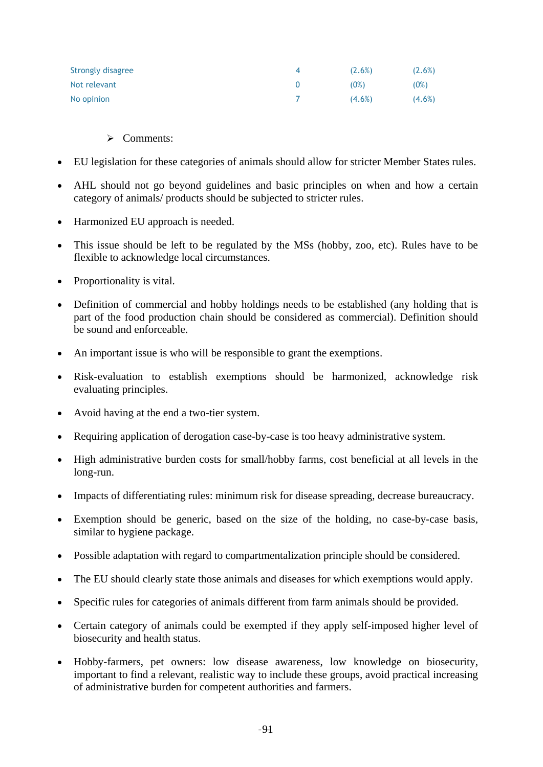| Strongly disagree | (2.6%)    | $(2.6\%)$ |
|-------------------|-----------|-----------|
| Not relevant      | (0%)      | (0%)      |
| No opinion        | $(4.6\%)$ | $(4.6\%)$ |

## ¾ Comments:

- EU legislation for these categories of animals should allow for stricter Member States rules.
- AHL should not go beyond guidelines and basic principles on when and how a certain category of animals/ products should be subjected to stricter rules.
- Harmonized EU approach is needed.
- This issue should be left to be regulated by the MSs (hobby, zoo, etc). Rules have to be flexible to acknowledge local circumstances.
- Proportionality is vital.
- Definition of commercial and hobby holdings needs to be established (any holding that is part of the food production chain should be considered as commercial). Definition should be sound and enforceable.
- An important issue is who will be responsible to grant the exemptions.
- Risk-evaluation to establish exemptions should be harmonized, acknowledge risk evaluating principles.
- Avoid having at the end a two-tier system.
- Requiring application of derogation case-by-case is too heavy administrative system.
- High administrative burden costs for small/hobby farms, cost beneficial at all levels in the long-run.
- Impacts of differentiating rules: minimum risk for disease spreading, decrease bureaucracy.
- Exemption should be generic, based on the size of the holding, no case-by-case basis, similar to hygiene package.
- Possible adaptation with regard to compartmentalization principle should be considered.
- The EU should clearly state those animals and diseases for which exemptions would apply.
- Specific rules for categories of animals different from farm animals should be provided.
- Certain category of animals could be exempted if they apply self-imposed higher level of biosecurity and health status.
- Hobby-farmers, pet owners: low disease awareness, low knowledge on biosecurity, important to find a relevant, realistic way to include these groups, avoid practical increasing of administrative burden for competent authorities and farmers.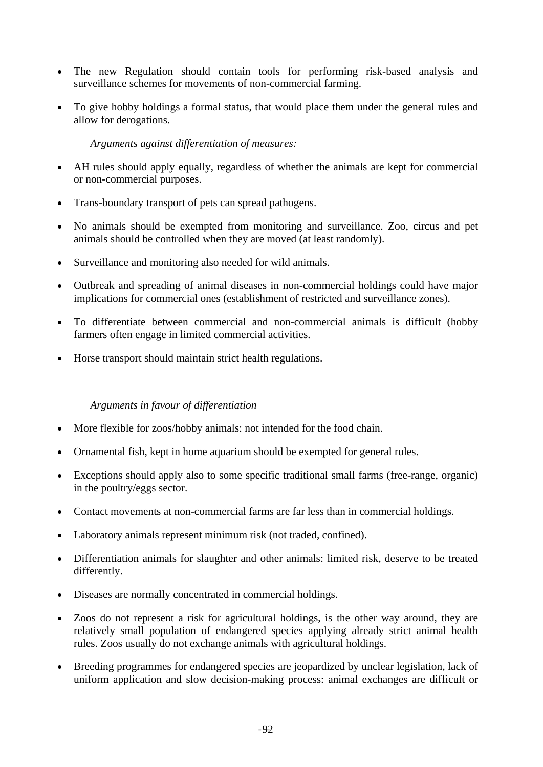- The new Regulation should contain tools for performing risk-based analysis and surveillance schemes for movements of non-commercial farming.
- To give hobby holdings a formal status, that would place them under the general rules and allow for derogations.

*Arguments against differentiation of measures:* 

- AH rules should apply equally, regardless of whether the animals are kept for commercial or non-commercial purposes.
- Trans-boundary transport of pets can spread pathogens.
- No animals should be exempted from monitoring and surveillance. Zoo, circus and pet animals should be controlled when they are moved (at least randomly).
- Surveillance and monitoring also needed for wild animals.
- Outbreak and spreading of animal diseases in non-commercial holdings could have major implications for commercial ones (establishment of restricted and surveillance zones).
- To differentiate between commercial and non-commercial animals is difficult (hobby farmers often engage in limited commercial activities.
- Horse transport should maintain strict health regulations.

#### *Arguments in favour of differentiation*

- More flexible for zoos/hobby animals: not intended for the food chain.
- Ornamental fish, kept in home aquarium should be exempted for general rules.
- Exceptions should apply also to some specific traditional small farms (free-range, organic) in the poultry/eggs sector.
- Contact movements at non-commercial farms are far less than in commercial holdings.
- Laboratory animals represent minimum risk (not traded, confined).
- Differentiation animals for slaughter and other animals: limited risk, deserve to be treated differently.
- Diseases are normally concentrated in commercial holdings.
- Zoos do not represent a risk for agricultural holdings, is the other way around, they are relatively small population of endangered species applying already strict animal health rules. Zoos usually do not exchange animals with agricultural holdings.
- Breeding programmes for endangered species are jeopardized by unclear legislation, lack of uniform application and slow decision-making process: animal exchanges are difficult or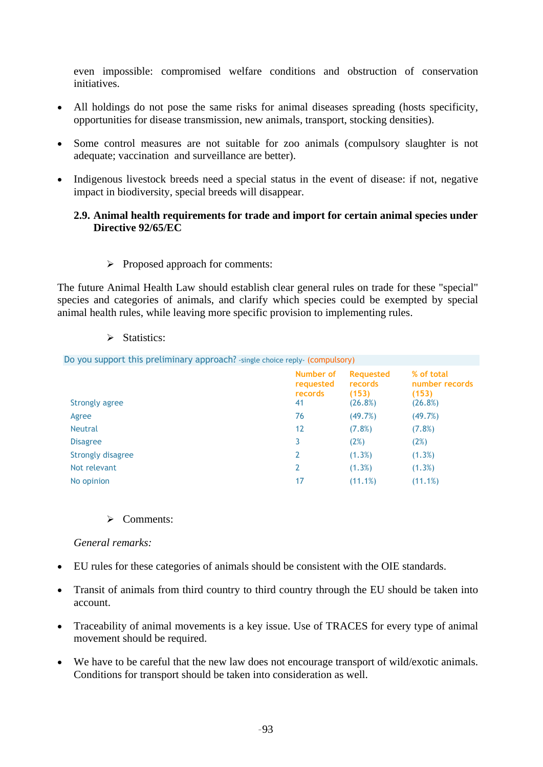even impossible: compromised welfare conditions and obstruction of conservation initiatives.

- All holdings do not pose the same risks for animal diseases spreading (hosts specificity, opportunities for disease transmission, new animals, transport, stocking densities).
- Some control measures are not suitable for zoo animals (compulsory slaughter is not adequate; vaccination and surveillance are better).
- Indigenous livestock breeds need a special status in the event of disease: if not, negative impact in biodiversity, special breeds will disappear.

## **2.9. Animal health requirements for trade and import for certain animal species under Directive 92/65/EC**

 $\triangleright$  Proposed approach for comments:

The future Animal Health Law should establish clear general rules on trade for these "special" species and categories of animals, and clarify which species could be exempted by special animal health rules, while leaving more specific provision to implementing rules.

 $\triangleright$  Statistics:

| Do you support this preliminary approach? -single choice reply- (compulsory) |                                         |                                                 |                                                  |
|------------------------------------------------------------------------------|-----------------------------------------|-------------------------------------------------|--------------------------------------------------|
| Strongly agree                                                               | Number of<br>requested<br>records<br>41 | <b>Requested</b><br>records<br>(153)<br>(26.8%) | % of total<br>number records<br>(153)<br>(26.8%) |
| Agree                                                                        | 76                                      | (49.7%)                                         | (49.7%)                                          |
| <b>Neutral</b>                                                               | 12                                      | $(7.8\%)$                                       | (7.8%)                                           |
| <b>Disagree</b>                                                              | 3                                       | (2%)                                            | (2%)                                             |
| Strongly disagree                                                            | 2                                       | (1.3%)                                          | (1.3%)                                           |
| Not relevant                                                                 | 2                                       | (1.3%)                                          | (1.3%)                                           |
| No opinion                                                                   | 17                                      | (11.1%)                                         | (11.1%)                                          |

¾ Comments:

*General remarks:* 

- EU rules for these categories of animals should be consistent with the OIE standards.
- Transit of animals from third country to third country through the EU should be taken into account.
- Traceability of animal movements is a key issue. Use of TRACES for every type of animal movement should be required.
- We have to be careful that the new law does not encourage transport of wild/exotic animals. Conditions for transport should be taken into consideration as well.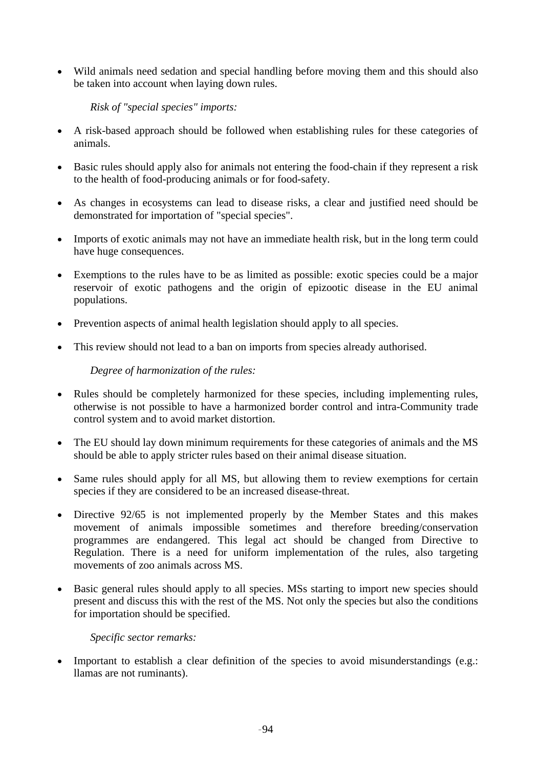• Wild animals need sedation and special handling before moving them and this should also be taken into account when laying down rules.

*Risk of "special species" imports:* 

- A risk-based approach should be followed when establishing rules for these categories of animals.
- Basic rules should apply also for animals not entering the food-chain if they represent a risk to the health of food-producing animals or for food-safety.
- As changes in ecosystems can lead to disease risks, a clear and justified need should be demonstrated for importation of "special species".
- Imports of exotic animals may not have an immediate health risk, but in the long term could have huge consequences.
- Exemptions to the rules have to be as limited as possible: exotic species could be a major reservoir of exotic pathogens and the origin of epizootic disease in the EU animal populations.
- Prevention aspects of animal health legislation should apply to all species.
- This review should not lead to a ban on imports from species already authorised.

## *Degree of harmonization of the rules:*

- Rules should be completely harmonized for these species, including implementing rules, otherwise is not possible to have a harmonized border control and intra-Community trade control system and to avoid market distortion.
- The EU should lay down minimum requirements for these categories of animals and the MS should be able to apply stricter rules based on their animal disease situation.
- Same rules should apply for all MS, but allowing them to review exemptions for certain species if they are considered to be an increased disease-threat.
- Directive 92/65 is not implemented properly by the Member States and this makes movement of animals impossible sometimes and therefore breeding/conservation programmes are endangered. This legal act should be changed from Directive to Regulation. There is a need for uniform implementation of the rules, also targeting movements of zoo animals across MS.
- Basic general rules should apply to all species. MSs starting to import new species should present and discuss this with the rest of the MS. Not only the species but also the conditions for importation should be specified.

*Specific sector remarks:* 

• Important to establish a clear definition of the species to avoid misunderstandings (e.g.: llamas are not ruminants).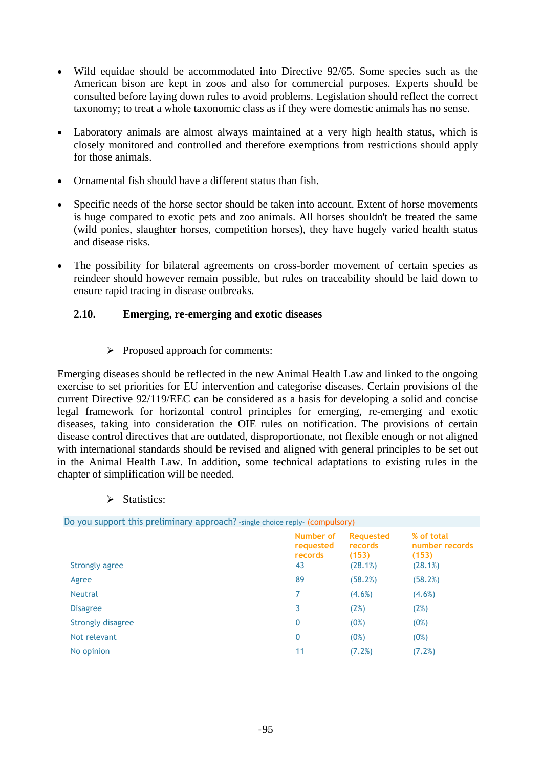- Wild equidae should be accommodated into Directive 92/65. Some species such as the American bison are kept in zoos and also for commercial purposes. Experts should be consulted before laying down rules to avoid problems. Legislation should reflect the correct taxonomy; to treat a whole taxonomic class as if they were domestic animals has no sense.
- Laboratory animals are almost always maintained at a very high health status, which is closely monitored and controlled and therefore exemptions from restrictions should apply for those animals.
- Ornamental fish should have a different status than fish.
- Specific needs of the horse sector should be taken into account. Extent of horse movements is huge compared to exotic pets and zoo animals. All horses shouldn't be treated the same (wild ponies, slaughter horses, competition horses), they have hugely varied health status and disease risks.
- The possibility for bilateral agreements on cross-border movement of certain species as reindeer should however remain possible, but rules on traceability should be laid down to ensure rapid tracing in disease outbreaks.

## **2.10. Emerging, re-emerging and exotic diseases**

#### $\triangleright$  Proposed approach for comments:

Emerging diseases should be reflected in the new Animal Health Law and linked to the ongoing exercise to set priorities for EU intervention and categorise diseases. Certain provisions of the current Directive 92/119/EEC can be considered as a basis for developing a solid and concise legal framework for horizontal control principles for emerging, re-emerging and exotic diseases, taking into consideration the OIE rules on notification. The provisions of certain disease control directives that are outdated, disproportionate, not flexible enough or not aligned with international standards should be revised and aligned with general principles to be set out in the Animal Health Law. In addition, some technical adaptations to existing rules in the chapter of simplification will be needed.

 $\triangleright$  Statistics:

| Do you support this preliminary approach? -single choice reply- (compulsory) |                                                 |                                                  |  |  |
|------------------------------------------------------------------------------|-------------------------------------------------|--------------------------------------------------|--|--|
| Number of<br>requested<br>records<br>43                                      | <b>Requested</b><br>records<br>(153)<br>(28.1%) | % of total<br>number records<br>(153)<br>(28.1%) |  |  |
| 89                                                                           | (58.2%)                                         | (58.2%)                                          |  |  |
| 7                                                                            | $(4.6\%)$                                       | $(4.6\%)$                                        |  |  |
| 3                                                                            | (2%)                                            | (2%)                                             |  |  |
| 0                                                                            | (0%)                                            | (0%)                                             |  |  |
| 0                                                                            | (0%)                                            | (0%)                                             |  |  |
| 11                                                                           | (7.2%)                                          | (7.2%)                                           |  |  |
|                                                                              |                                                 |                                                  |  |  |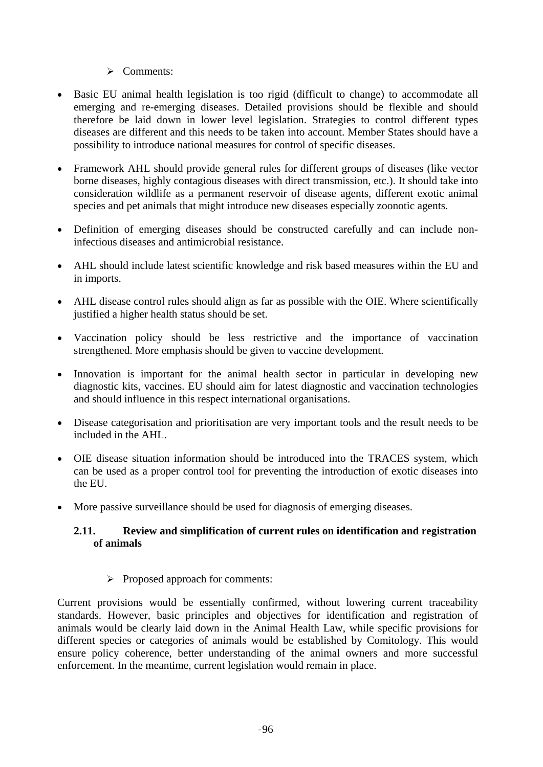## $\triangleright$  Comments:

- Basic EU animal health legislation is too rigid (difficult to change) to accommodate all emerging and re-emerging diseases. Detailed provisions should be flexible and should therefore be laid down in lower level legislation. Strategies to control different types diseases are different and this needs to be taken into account. Member States should have a possibility to introduce national measures for control of specific diseases.
- Framework AHL should provide general rules for different groups of diseases (like vector borne diseases, highly contagious diseases with direct transmission, etc.). It should take into consideration wildlife as a permanent reservoir of disease agents, different exotic animal species and pet animals that might introduce new diseases especially zoonotic agents.
- Definition of emerging diseases should be constructed carefully and can include noninfectious diseases and antimicrobial resistance.
- AHL should include latest scientific knowledge and risk based measures within the EU and in imports.
- AHL disease control rules should align as far as possible with the OIE. Where scientifically justified a higher health status should be set.
- Vaccination policy should be less restrictive and the importance of vaccination strengthened. More emphasis should be given to vaccine development.
- Innovation is important for the animal health sector in particular in developing new diagnostic kits, vaccines. EU should aim for latest diagnostic and vaccination technologies and should influence in this respect international organisations.
- Disease categorisation and prioritisation are very important tools and the result needs to be included in the AHL.
- OIE disease situation information should be introduced into the TRACES system, which can be used as a proper control tool for preventing the introduction of exotic diseases into the EU.
- More passive surveillance should be used for diagnosis of emerging diseases.

## **2.11. Review and simplification of current rules on identification and registration of animals**

 $\triangleright$  Proposed approach for comments:

Current provisions would be essentially confirmed, without lowering current traceability standards. However, basic principles and objectives for identification and registration of animals would be clearly laid down in the Animal Health Law, while specific provisions for different species or categories of animals would be established by Comitology. This would ensure policy coherence, better understanding of the animal owners and more successful enforcement. In the meantime, current legislation would remain in place.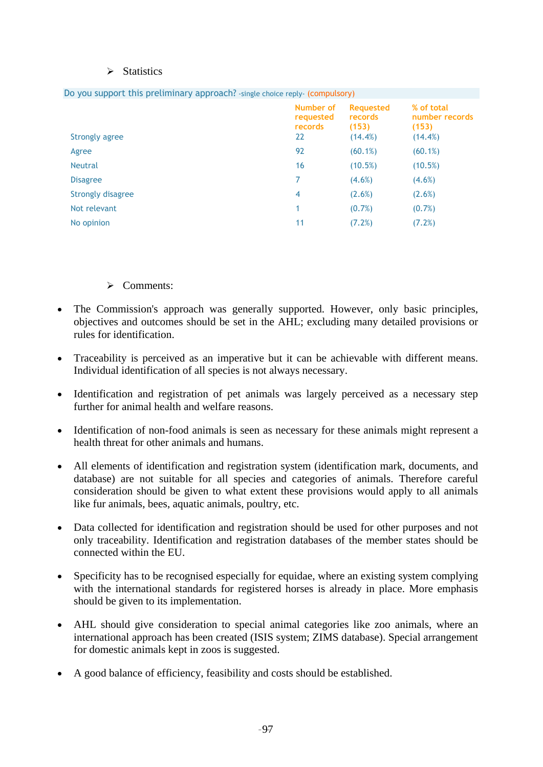#### $\triangleright$  Statistics

| <b>Strongly agree</b>    | Number of<br>requested<br>records<br>22 | <b>Requested</b><br>records<br>(153)<br>$(14.4\%)$ | % of total<br>number records<br>(153)<br>$(14.4\%)$ |
|--------------------------|-----------------------------------------|----------------------------------------------------|-----------------------------------------------------|
| Agree                    | 92                                      | $(60.1\%)$                                         | (60.1%)                                             |
| <b>Neutral</b>           | 16                                      | (10.5%)                                            | (10.5%)                                             |
| <b>Disagree</b>          | 7                                       | $(4.6\%)$                                          | $(4.6\%)$                                           |
| <b>Strongly disagree</b> | 4                                       | (2.6%)                                             | (2.6%)                                              |
| Not relevant             |                                         | $(0.7\%)$                                          | $(0.7\%)$                                           |
| No opinion               | 11                                      | (7.2%)                                             | (7.2%)                                              |

Do you support this preliminary approach? -single choice reply- (compulsory)

## $\triangleright$  Comments:

- The Commission's approach was generally supported. However, only basic principles, objectives and outcomes should be set in the AHL; excluding many detailed provisions or rules for identification.
- Traceability is perceived as an imperative but it can be achievable with different means. Individual identification of all species is not always necessary.
- Identification and registration of pet animals was largely perceived as a necessary step further for animal health and welfare reasons.
- Identification of non-food animals is seen as necessary for these animals might represent a health threat for other animals and humans.
- All elements of identification and registration system (identification mark, documents, and database) are not suitable for all species and categories of animals. Therefore careful consideration should be given to what extent these provisions would apply to all animals like fur animals, bees, aquatic animals, poultry, etc.
- Data collected for identification and registration should be used for other purposes and not only traceability. Identification and registration databases of the member states should be connected within the EU.
- Specificity has to be recognised especially for equidae, where an existing system complying with the international standards for registered horses is already in place. More emphasis should be given to its implementation.
- AHL should give consideration to special animal categories like zoo animals, where an international approach has been created (ISIS system; ZIMS database). Special arrangement for domestic animals kept in zoos is suggested.
- A good balance of efficiency, feasibility and costs should be established.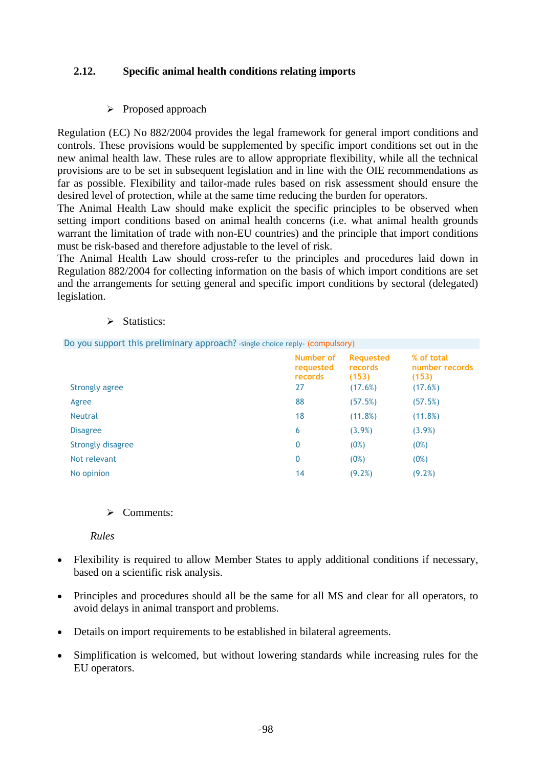## **2.12. Specific animal health conditions relating imports**

 $\triangleright$  Proposed approach

Regulation (EC) No 882/2004 provides the legal framework for general import conditions and controls. These provisions would be supplemented by specific import conditions set out in the new animal health law. These rules are to allow appropriate flexibility, while all the technical provisions are to be set in subsequent legislation and in line with the OIE recommendations as far as possible. Flexibility and tailor-made rules based on risk assessment should ensure the desired level of protection, while at the same time reducing the burden for operators.

The Animal Health Law should make explicit the specific principles to be observed when setting import conditions based on animal health concerns (i.e. what animal health grounds warrant the limitation of trade with non-EU countries) and the principle that import conditions must be risk-based and therefore adjustable to the level of risk.

The Animal Health Law should cross-refer to the principles and procedures laid down in Regulation 882/2004 for collecting information on the basis of which import conditions are set and the arrangements for setting general and specific import conditions by sectoral (delegated) legislation.

#### $\triangleright$  Statistics:

Do you support this preliminary approach? -single choice reply- (compulsory)

| Strongly agree    | Number of<br>requested<br>records<br>27 | <b>Requested</b><br>records<br>(153)<br>(17.6%) | % of total<br>number records<br>(153)<br>(17.6%) |
|-------------------|-----------------------------------------|-------------------------------------------------|--------------------------------------------------|
| Agree             | 88                                      | (57.5%)                                         | (57.5%)                                          |
| <b>Neutral</b>    | 18                                      | (11.8%)                                         | (11.8%)                                          |
| <b>Disagree</b>   | 6                                       | (3.9%)                                          | (3.9%)                                           |
| Strongly disagree | $\mathbf 0$                             | (0%)                                            | (0%)                                             |
| Not relevant      | $\mathbf 0$                             | (0%)                                            | (0%)                                             |
| No opinion        | 14                                      | (9.2%)                                          | $(9.2\%)$                                        |

#### $\triangleright$  Comments:

#### *Rules*

- Flexibility is required to allow Member States to apply additional conditions if necessary, based on a scientific risk analysis.
- Principles and procedures should all be the same for all MS and clear for all operators, to avoid delays in animal transport and problems.
- Details on import requirements to be established in bilateral agreements.
- Simplification is welcomed, but without lowering standards while increasing rules for the EU operators.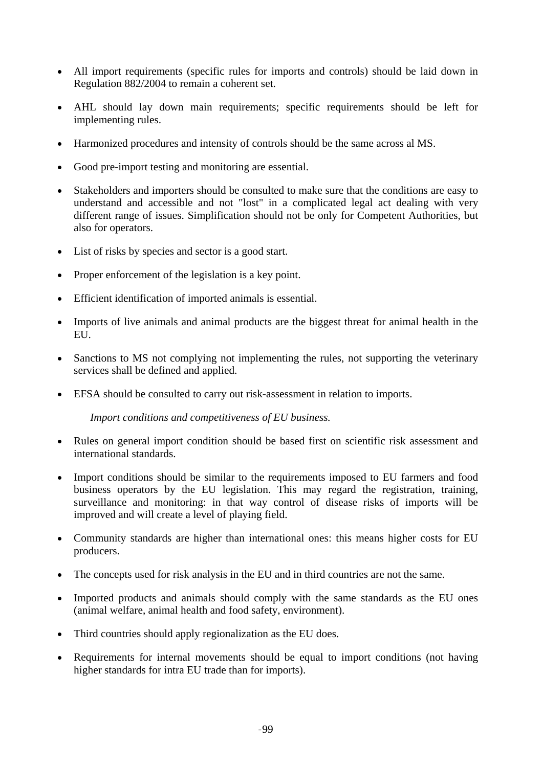- All import requirements (specific rules for imports and controls) should be laid down in Regulation 882/2004 to remain a coherent set.
- AHL should lay down main requirements; specific requirements should be left for implementing rules.
- Harmonized procedures and intensity of controls should be the same across al MS.
- Good pre-import testing and monitoring are essential.
- Stakeholders and importers should be consulted to make sure that the conditions are easy to understand and accessible and not "lost" in a complicated legal act dealing with very different range of issues. Simplification should not be only for Competent Authorities, but also for operators.
- List of risks by species and sector is a good start.
- Proper enforcement of the legislation is a key point.
- Efficient identification of imported animals is essential.
- Imports of live animals and animal products are the biggest threat for animal health in the EU.
- Sanctions to MS not complying not implementing the rules, not supporting the veterinary services shall be defined and applied.
- EFSA should be consulted to carry out risk-assessment in relation to imports.

*Import conditions and competitiveness of EU business.* 

- Rules on general import condition should be based first on scientific risk assessment and international standards.
- Import conditions should be similar to the requirements imposed to EU farmers and food business operators by the EU legislation. This may regard the registration, training, surveillance and monitoring: in that way control of disease risks of imports will be improved and will create a level of playing field.
- Community standards are higher than international ones: this means higher costs for EU producers.
- The concepts used for risk analysis in the EU and in third countries are not the same.
- Imported products and animals should comply with the same standards as the EU ones (animal welfare, animal health and food safety, environment).
- Third countries should apply regionalization as the EU does.
- Requirements for internal movements should be equal to import conditions (not having higher standards for intra EU trade than for imports).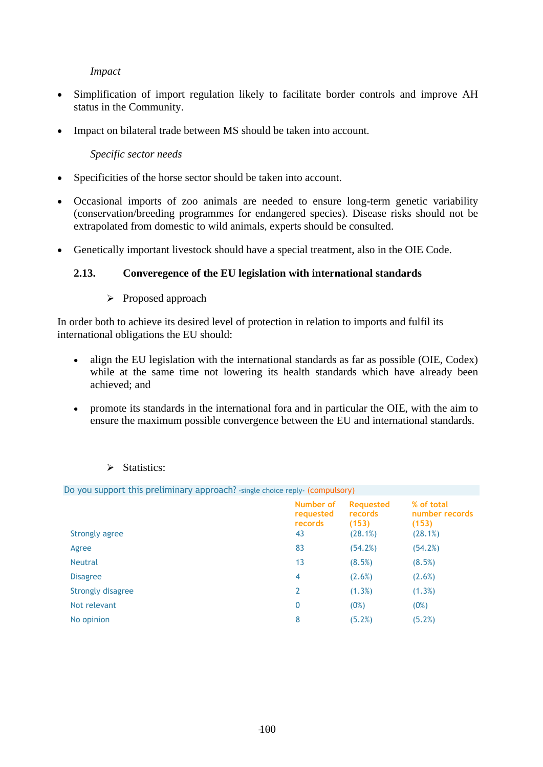## *Impact*

- Simplification of import regulation likely to facilitate border controls and improve AH status in the Community.
- Impact on bilateral trade between MS should be taken into account.

## *Specific sector needs*

- Specificities of the horse sector should be taken into account.
- Occasional imports of zoo animals are needed to ensure long-term genetic variability (conservation/breeding programmes for endangered species). Disease risks should not be extrapolated from domestic to wild animals, experts should be consulted.
- Genetically important livestock should have a special treatment, also in the OIE Code.

## **2.13. Converegence of the EU legislation with international standards**

¾ Proposed approach

In order both to achieve its desired level of protection in relation to imports and fulfil its international obligations the EU should:

- align the EU legislation with the international standards as far as possible (OIE, Codex) while at the same time not lowering its health standards which have already been achieved; and
- promote its standards in the international fora and in particular the OIE, with the aim to ensure the maximum possible convergence between the EU and international standards.

| Do you support this preliminary approach? - single choice reply- (compulsory) |                                         |                                                 |                                                  |
|-------------------------------------------------------------------------------|-----------------------------------------|-------------------------------------------------|--------------------------------------------------|
| Strongly agree                                                                | Number of<br>requested<br>records<br>43 | <b>Requested</b><br>records<br>(153)<br>(28.1%) | % of total<br>number records<br>(153)<br>(28.1%) |
| Agree                                                                         | 83                                      | (54.2%)                                         | (54.2%)                                          |
| <b>Neutral</b>                                                                | 13                                      | (8.5%)                                          | (8.5%)                                           |
| <b>Disagree</b>                                                               | 4                                       | (2.6%)                                          | (2.6%)                                           |
| Strongly disagree                                                             | $\overline{2}$                          | (1.3%)                                          | (1.3%)                                           |
| Not relevant                                                                  | 0                                       | (0%)                                            | (0%)                                             |
| No opinion                                                                    | 8                                       | (5.2%)                                          | (5.2%)                                           |
|                                                                               |                                         |                                                 |                                                  |

## > Statistics: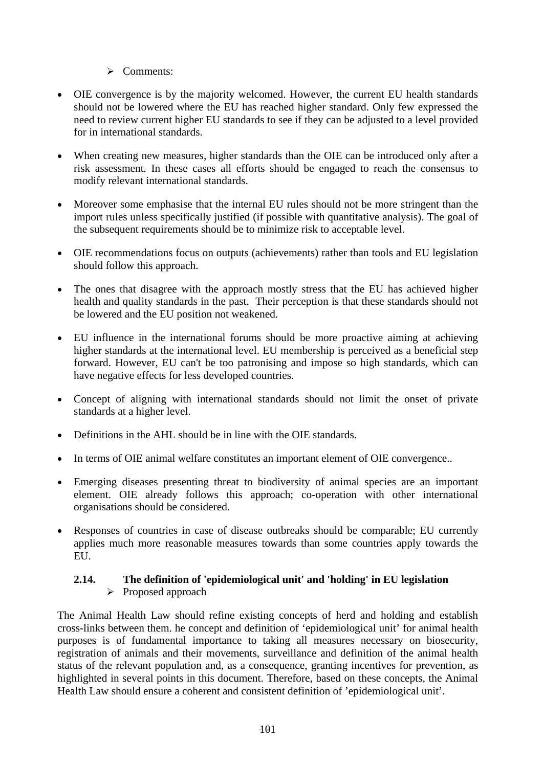## $\triangleright$  Comments:

- OIE convergence is by the majority welcomed. However, the current EU health standards should not be lowered where the EU has reached higher standard. Only few expressed the need to review current higher EU standards to see if they can be adjusted to a level provided for in international standards.
- When creating new measures, higher standards than the OIE can be introduced only after a risk assessment. In these cases all efforts should be engaged to reach the consensus to modify relevant international standards.
- Moreover some emphasise that the internal EU rules should not be more stringent than the import rules unless specifically justified (if possible with quantitative analysis). The goal of the subsequent requirements should be to minimize risk to acceptable level.
- OIE recommendations focus on outputs (achievements) rather than tools and EU legislation should follow this approach.
- The ones that disagree with the approach mostly stress that the EU has achieved higher health and quality standards in the past. Their perception is that these standards should not be lowered and the EU position not weakened.
- EU influence in the international forums should be more proactive aiming at achieving higher standards at the international level. EU membership is perceived as a beneficial step forward. However, EU can't be too patronising and impose so high standards, which can have negative effects for less developed countries.
- Concept of aligning with international standards should not limit the onset of private standards at a higher level.
- Definitions in the AHL should be in line with the OIE standards.
- In terms of OIE animal welfare constitutes an important element of OIE convergence..
- Emerging diseases presenting threat to biodiversity of animal species are an important element. OIE already follows this approach; co-operation with other international organisations should be considered.
- Responses of countries in case of disease outbreaks should be comparable; EU currently applies much more reasonable measures towards than some countries apply towards the EU.

#### **2.14. The definition of 'epidemiological unit' and 'holding' in EU legislation**  ¾ Proposed approach

The Animal Health Law should refine existing concepts of herd and holding and establish cross-links between them. he concept and definition of 'epidemiological unit' for animal health purposes is of fundamental importance to taking all measures necessary on biosecurity, registration of animals and their movements, surveillance and definition of the animal health status of the relevant population and, as a consequence, granting incentives for prevention, as highlighted in several points in this document. Therefore, based on these concepts, the Animal Health Law should ensure a coherent and consistent definition of 'epidemiological unit'.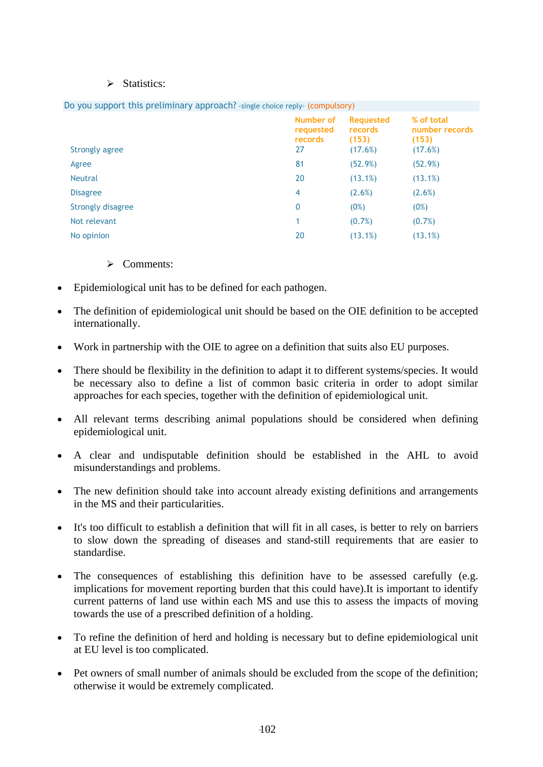#### $\triangleright$  Statistics:

| bo you support this pretirminary approach: single choice repty- (compaisory) |                                         |                                                 |                                                  |
|------------------------------------------------------------------------------|-----------------------------------------|-------------------------------------------------|--------------------------------------------------|
| <b>Strongly agree</b>                                                        | Number of<br>requested<br>records<br>27 | <b>Requested</b><br>records<br>(153)<br>(17.6%) | % of total<br>number records<br>(153)<br>(17.6%) |
|                                                                              |                                         |                                                 |                                                  |
| Agree                                                                        | 81                                      | (52.9%)                                         | (52.9%)                                          |
| <b>Neutral</b>                                                               | 20                                      | (13.1%)                                         | (13.1%)                                          |
| <b>Disagree</b>                                                              | 4                                       | (2.6%)                                          | (2.6%)                                           |
| Strongly disagree                                                            | 0                                       | (0%)                                            | (0%)                                             |
| Not relevant                                                                 |                                         | $(0.7\%)$                                       | $(0.7\%)$                                        |
| No opinion                                                                   | 20                                      | (13.1%)                                         | (13.1%)                                          |
|                                                                              |                                         |                                                 |                                                  |

## Do you support this preliminary approach? -single choice reply- (compulsory)

## $\triangleright$  Comments:

- Epidemiological unit has to be defined for each pathogen.
- The definition of epidemiological unit should be based on the OIE definition to be accepted internationally.
- Work in partnership with the OIE to agree on a definition that suits also EU purposes.
- There should be flexibility in the definition to adapt it to different systems/species. It would be necessary also to define a list of common basic criteria in order to adopt similar approaches for each species, together with the definition of epidemiological unit.
- All relevant terms describing animal populations should be considered when defining epidemiological unit.
- A clear and undisputable definition should be established in the AHL to avoid misunderstandings and problems.
- The new definition should take into account already existing definitions and arrangements in the MS and their particularities.
- It's too difficult to establish a definition that will fit in all cases, is better to rely on barriers to slow down the spreading of diseases and stand-still requirements that are easier to standardise.
- The consequences of establishing this definition have to be assessed carefully (e.g. implications for movement reporting burden that this could have).It is important to identify current patterns of land use within each MS and use this to assess the impacts of moving towards the use of a prescribed definition of a holding.
- To refine the definition of herd and holding is necessary but to define epidemiological unit at EU level is too complicated.
- Pet owners of small number of animals should be excluded from the scope of the definition; otherwise it would be extremely complicated.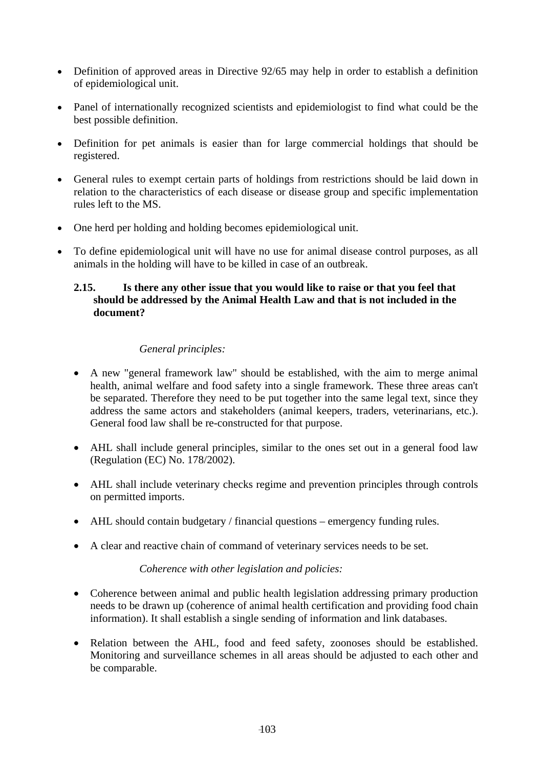- Definition of approved areas in Directive 92/65 may help in order to establish a definition of epidemiological unit.
- Panel of internationally recognized scientists and epidemiologist to find what could be the best possible definition.
- Definition for pet animals is easier than for large commercial holdings that should be registered.
- General rules to exempt certain parts of holdings from restrictions should be laid down in relation to the characteristics of each disease or disease group and specific implementation rules left to the MS.
- One herd per holding and holding becomes epidemiological unit.
- To define epidemiological unit will have no use for animal disease control purposes, as all animals in the holding will have to be killed in case of an outbreak.

## **2.15. Is there any other issue that you would like to raise or that you feel that should be addressed by the Animal Health Law and that is not included in the document?**

## *General principles:*

- A new "general framework law" should be established, with the aim to merge animal health, animal welfare and food safety into a single framework. These three areas can't be separated. Therefore they need to be put together into the same legal text, since they address the same actors and stakeholders (animal keepers, traders, veterinarians, etc.). General food law shall be re-constructed for that purpose.
- AHL shall include general principles, similar to the ones set out in a general food law (Regulation (EC) No. 178/2002).
- AHL shall include veterinary checks regime and prevention principles through controls on permitted imports.
- AHL should contain budgetary / financial questions emergency funding rules.
- A clear and reactive chain of command of veterinary services needs to be set.

#### *Coherence with other legislation and policies:*

- Coherence between animal and public health legislation addressing primary production needs to be drawn up (coherence of animal health certification and providing food chain information). It shall establish a single sending of information and link databases.
- Relation between the AHL, food and feed safety, zoonoses should be established. Monitoring and surveillance schemes in all areas should be adjusted to each other and be comparable.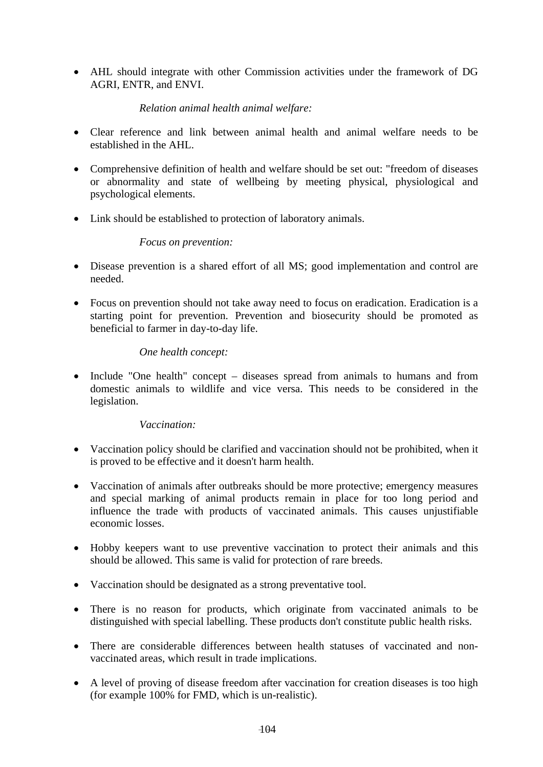• AHL should integrate with other Commission activities under the framework of DG AGRI, ENTR, and ENVI.

## *Relation animal health animal welfare:*

- Clear reference and link between animal health and animal welfare needs to be established in the AHL.
- Comprehensive definition of health and welfare should be set out: "freedom of diseases or abnormality and state of wellbeing by meeting physical, physiological and psychological elements.
- Link should be established to protection of laboratory animals.

#### *Focus on prevention:*

- Disease prevention is a shared effort of all MS; good implementation and control are needed.
- Focus on prevention should not take away need to focus on eradication. Eradication is a starting point for prevention. Prevention and biosecurity should be promoted as beneficial to farmer in day-to-day life.

## *One health concept:*

• Include "One health" concept – diseases spread from animals to humans and from domestic animals to wildlife and vice versa. This needs to be considered in the legislation.

## *Vaccination:*

- Vaccination policy should be clarified and vaccination should not be prohibited, when it is proved to be effective and it doesn't harm health.
- Vaccination of animals after outbreaks should be more protective; emergency measures and special marking of animal products remain in place for too long period and influence the trade with products of vaccinated animals. This causes unjustifiable economic losses.
- Hobby keepers want to use preventive vaccination to protect their animals and this should be allowed. This same is valid for protection of rare breeds.
- Vaccination should be designated as a strong preventative tool.
- There is no reason for products, which originate from vaccinated animals to be distinguished with special labelling. These products don't constitute public health risks.
- There are considerable differences between health statuses of vaccinated and nonvaccinated areas, which result in trade implications.
- A level of proving of disease freedom after vaccination for creation diseases is too high (for example 100% for FMD, which is un-realistic).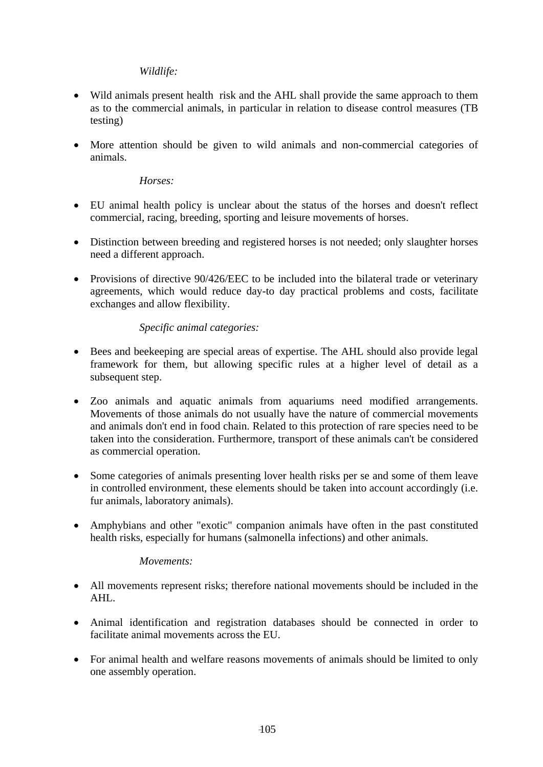## *Wildlife:*

- Wild animals present health risk and the AHL shall provide the same approach to them as to the commercial animals, in particular in relation to disease control measures (TB testing)
- More attention should be given to wild animals and non-commercial categories of animals.

## *Horses:*

- EU animal health policy is unclear about the status of the horses and doesn't reflect commercial, racing, breeding, sporting and leisure movements of horses.
- Distinction between breeding and registered horses is not needed; only slaughter horses need a different approach.
- Provisions of directive 90/426/EEC to be included into the bilateral trade or veterinary agreements, which would reduce day-to day practical problems and costs, facilitate exchanges and allow flexibility.

## *Specific animal categories:*

- Bees and beekeeping are special areas of expertise. The AHL should also provide legal framework for them, but allowing specific rules at a higher level of detail as a subsequent step.
- Zoo animals and aquatic animals from aquariums need modified arrangements. Movements of those animals do not usually have the nature of commercial movements and animals don't end in food chain. Related to this protection of rare species need to be taken into the consideration. Furthermore, transport of these animals can't be considered as commercial operation.
- Some categories of animals presenting lover health risks per se and some of them leave in controlled environment, these elements should be taken into account accordingly (i.e. fur animals, laboratory animals).
- Amphybians and other "exotic" companion animals have often in the past constituted health risks, especially for humans (salmonella infections) and other animals.

#### *Movements:*

- All movements represent risks; therefore national movements should be included in the AHL.
- Animal identification and registration databases should be connected in order to facilitate animal movements across the EU.
- For animal health and welfare reasons movements of animals should be limited to only one assembly operation.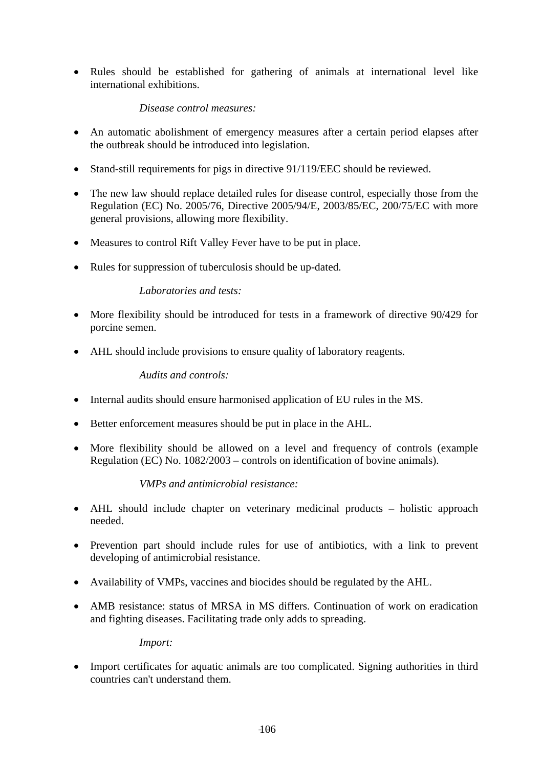• Rules should be established for gathering of animals at international level like international exhibitions.

## *Disease control measures:*

- An automatic abolishment of emergency measures after a certain period elapses after the outbreak should be introduced into legislation.
- Stand-still requirements for pigs in directive 91/119/EEC should be reviewed.
- The new law should replace detailed rules for disease control, especially those from the Regulation (EC) No. 2005/76, Directive 2005/94/E, 2003/85/EC, 200/75/EC with more general provisions, allowing more flexibility.
- Measures to control Rift Valley Fever have to be put in place.
- Rules for suppression of tuberculosis should be up-dated.

## *Laboratories and tests:*

- More flexibility should be introduced for tests in a framework of directive 90/429 for porcine semen.
- AHL should include provisions to ensure quality of laboratory reagents.

## *Audits and controls:*

- Internal audits should ensure harmonised application of EU rules in the MS.
- Better enforcement measures should be put in place in the AHL.
- More flexibility should be allowed on a level and frequency of controls (example Regulation (EC) No. 1082/2003 – controls on identification of bovine animals).

## *VMPs and antimicrobial resistance:*

- AHL should include chapter on veterinary medicinal products holistic approach needed.
- Prevention part should include rules for use of antibiotics, with a link to prevent developing of antimicrobial resistance.
- Availability of VMPs, vaccines and biocides should be regulated by the AHL.
- AMB resistance: status of MRSA in MS differs. Continuation of work on eradication and fighting diseases. Facilitating trade only adds to spreading.

*Import:* 

• Import certificates for aquatic animals are too complicated. Signing authorities in third countries can't understand them.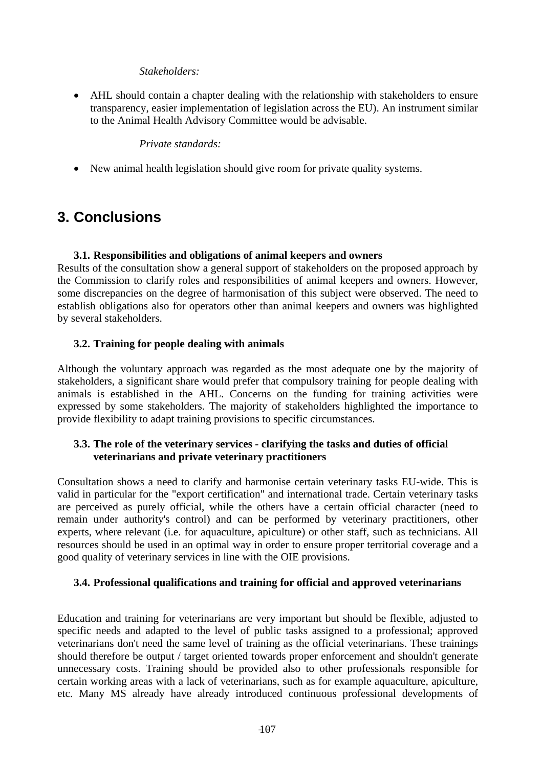## *Stakeholders:*

• AHL should contain a chapter dealing with the relationship with stakeholders to ensure transparency, easier implementation of legislation across the EU). An instrument similar to the Animal Health Advisory Committee would be advisable.

## *Private standards:*

• New animal health legislation should give room for private quality systems.

# **3. Conclusions**

## **3.1. Responsibilities and obligations of animal keepers and owners**

Results of the consultation show a general support of stakeholders on the proposed approach by the Commission to clarify roles and responsibilities of animal keepers and owners. However, some discrepancies on the degree of harmonisation of this subject were observed. The need to establish obligations also for operators other than animal keepers and owners was highlighted by several stakeholders.

## **3.2. Training for people dealing with animals**

Although the voluntary approach was regarded as the most adequate one by the majority of stakeholders, a significant share would prefer that compulsory training for people dealing with animals is established in the AHL. Concerns on the funding for training activities were expressed by some stakeholders. The majority of stakeholders highlighted the importance to provide flexibility to adapt training provisions to specific circumstances.

## **3.3. The role of the veterinary services - clarifying the tasks and duties of official veterinarians and private veterinary practitioners**

Consultation shows a need to clarify and harmonise certain veterinary tasks EU-wide. This is valid in particular for the "export certification" and international trade. Certain veterinary tasks are perceived as purely official, while the others have a certain official character (need to remain under authority's control) and can be performed by veterinary practitioners, other experts, where relevant (i.e. for aquaculture, apiculture) or other staff, such as technicians. All resources should be used in an optimal way in order to ensure proper territorial coverage and a good quality of veterinary services in line with the OIE provisions.

## **3.4. Professional qualifications and training for official and approved veterinarians**

Education and training for veterinarians are very important but should be flexible, adjusted to specific needs and adapted to the level of public tasks assigned to a professional; approved veterinarians don't need the same level of training as the official veterinarians. These trainings should therefore be output / target oriented towards proper enforcement and shouldn't generate unnecessary costs. Training should be provided also to other professionals responsible for certain working areas with a lack of veterinarians, such as for example aquaculture, apiculture, etc. Many MS already have already introduced continuous professional developments of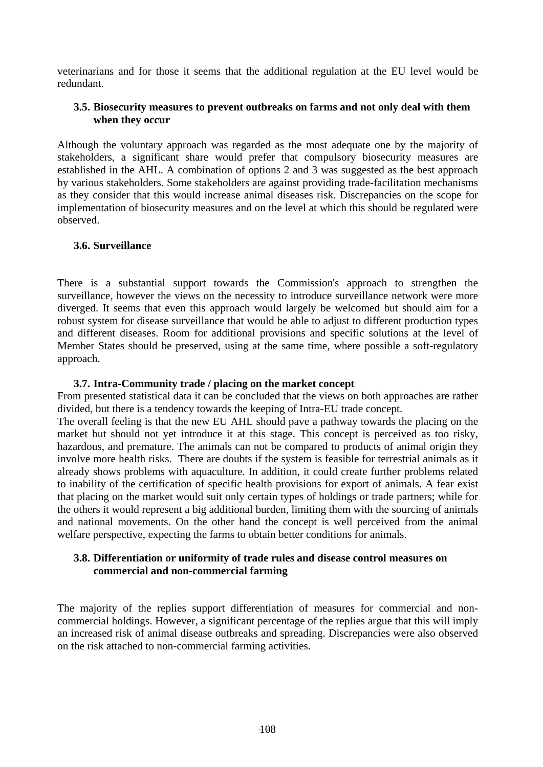veterinarians and for those it seems that the additional regulation at the EU level would be redundant.

## **3.5. Biosecurity measures to prevent outbreaks on farms and not only deal with them when they occur**

Although the voluntary approach was regarded as the most adequate one by the majority of stakeholders, a significant share would prefer that compulsory biosecurity measures are established in the AHL. A combination of options 2 and 3 was suggested as the best approach by various stakeholders. Some stakeholders are against providing trade-facilitation mechanisms as they consider that this would increase animal diseases risk. Discrepancies on the scope for implementation of biosecurity measures and on the level at which this should be regulated were observed.

## **3.6. Surveillance**

There is a substantial support towards the Commission's approach to strengthen the surveillance, however the views on the necessity to introduce surveillance network were more diverged. It seems that even this approach would largely be welcomed but should aim for a robust system for disease surveillance that would be able to adjust to different production types and different diseases. Room for additional provisions and specific solutions at the level of Member States should be preserved, using at the same time, where possible a soft-regulatory approach.

#### **3.7. Intra-Community trade / placing on the market concept**

From presented statistical data it can be concluded that the views on both approaches are rather divided, but there is a tendency towards the keeping of Intra-EU trade concept.

The overall feeling is that the new EU AHL should pave a pathway towards the placing on the market but should not yet introduce it at this stage. This concept is perceived as too risky, hazardous, and premature. The animals can not be compared to products of animal origin they involve more health risks. There are doubts if the system is feasible for terrestrial animals as it already shows problems with aquaculture. In addition, it could create further problems related to inability of the certification of specific health provisions for export of animals. A fear exist that placing on the market would suit only certain types of holdings or trade partners; while for the others it would represent a big additional burden, limiting them with the sourcing of animals and national movements. On the other hand the concept is well perceived from the animal welfare perspective, expecting the farms to obtain better conditions for animals.

## **3.8. Differentiation or uniformity of trade rules and disease control measures on commercial and non-commercial farming**

The majority of the replies support differentiation of measures for commercial and noncommercial holdings. However, a significant percentage of the replies argue that this will imply an increased risk of animal disease outbreaks and spreading. Discrepancies were also observed on the risk attached to non-commercial farming activities.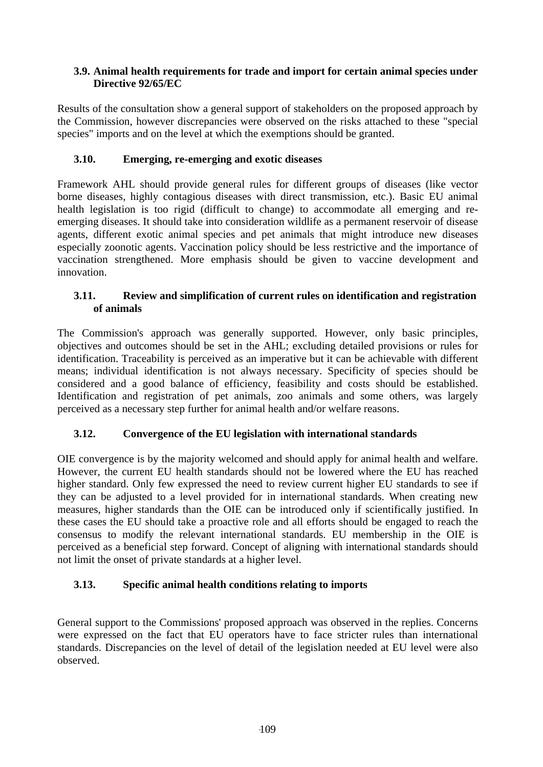## **3.9. Animal health requirements for trade and import for certain animal species under Directive 92/65/EC**

Results of the consultation show a general support of stakeholders on the proposed approach by the Commission, however discrepancies were observed on the risks attached to these "special species" imports and on the level at which the exemptions should be granted.

## **3.10. Emerging, re-emerging and exotic diseases**

Framework AHL should provide general rules for different groups of diseases (like vector borne diseases, highly contagious diseases with direct transmission, etc.). Basic EU animal health legislation is too rigid (difficult to change) to accommodate all emerging and reemerging diseases. It should take into consideration wildlife as a permanent reservoir of disease agents, different exotic animal species and pet animals that might introduce new diseases especially zoonotic agents. Vaccination policy should be less restrictive and the importance of vaccination strengthened. More emphasis should be given to vaccine development and innovation.

## **3.11. Review and simplification of current rules on identification and registration of animals**

The Commission's approach was generally supported. However, only basic principles, objectives and outcomes should be set in the AHL; excluding detailed provisions or rules for identification. Traceability is perceived as an imperative but it can be achievable with different means; individual identification is not always necessary. Specificity of species should be considered and a good balance of efficiency, feasibility and costs should be established. Identification and registration of pet animals, zoo animals and some others, was largely perceived as a necessary step further for animal health and/or welfare reasons.

## **3.12. Convergence of the EU legislation with international standards**

OIE convergence is by the majority welcomed and should apply for animal health and welfare. However, the current EU health standards should not be lowered where the EU has reached higher standard. Only few expressed the need to review current higher EU standards to see if they can be adjusted to a level provided for in international standards. When creating new measures, higher standards than the OIE can be introduced only if scientifically justified. In these cases the EU should take a proactive role and all efforts should be engaged to reach the consensus to modify the relevant international standards. EU membership in the OIE is perceived as a beneficial step forward. Concept of aligning with international standards should not limit the onset of private standards at a higher level.

## **3.13. Specific animal health conditions relating to imports**

General support to the Commissions' proposed approach was observed in the replies. Concerns were expressed on the fact that EU operators have to face stricter rules than international standards. Discrepancies on the level of detail of the legislation needed at EU level were also observed.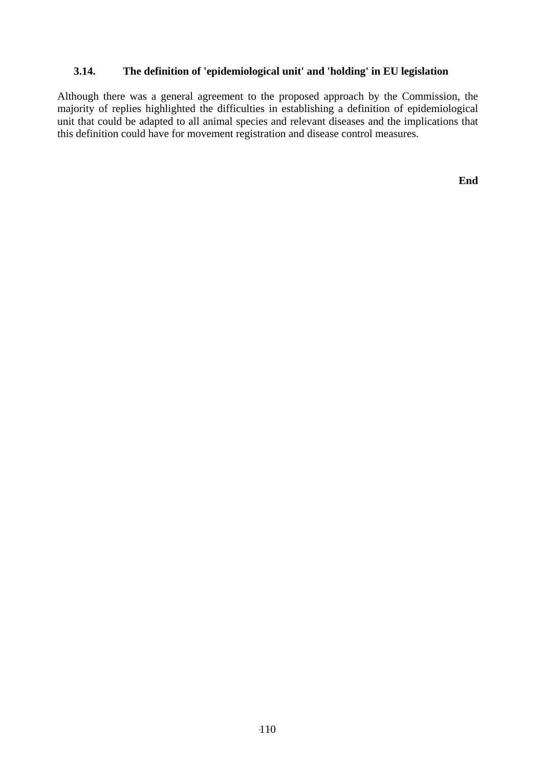## **3.14. The definition of 'epidemiological unit' and 'holding' in EU legislation**

Although there was a general agreement to the proposed approach by the Commission, the majority of replies highlighted the difficulties in establishing a definition of epidemiological unit that could be adapted to all animal species and relevant diseases and the implications that this definition could have for movement registration and disease control measures.

**End**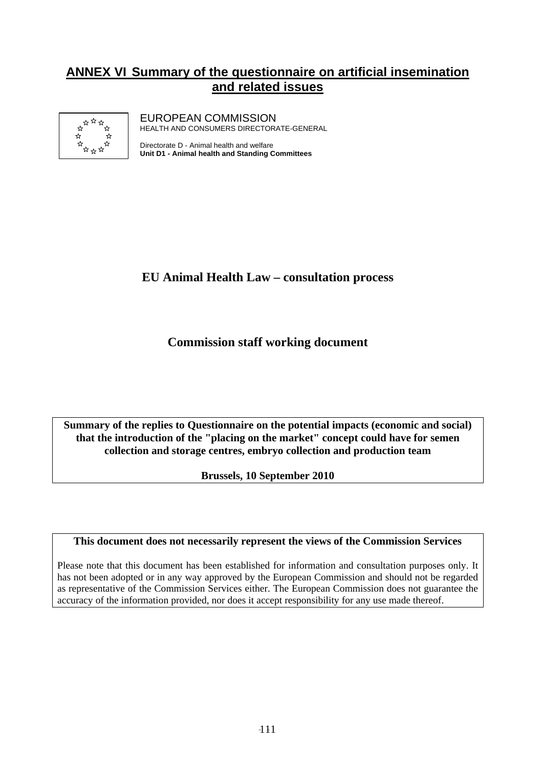## **ANNEX VI Summary of the questionnaire on artificial insemination and related issues**



EUROPEAN COMMISSION HEALTH AND CONSUMERS DIRECTORATE-GENERAL

Directorate D - Animal health and welfare **Unit D1 - Animal health and Standing Committees**

## **EU Animal Health Law – consultation process**

**Commission staff working document** 

**Summary of the replies to Questionnaire on the potential impacts (economic and social) that the introduction of the "placing on the market" concept could have for semen collection and storage centres, embryo collection and production team** 

**Brussels, 10 September 2010** 

**This document does not necessarily represent the views of the Commission Services** 

Please note that this document has been established for information and consultation purposes only. It has not been adopted or in any way approved by the European Commission and should not be regarded as representative of the Commission Services either. The European Commission does not guarantee the accuracy of the information provided, nor does it accept responsibility for any use made thereof.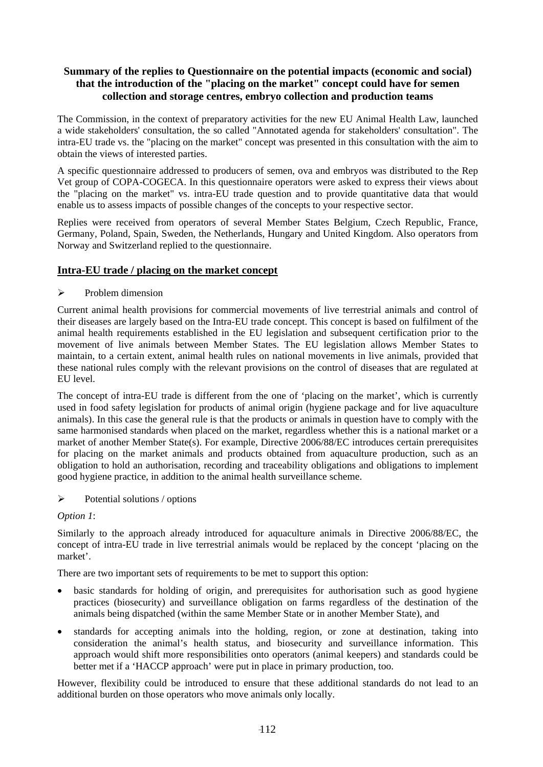## **Summary of the replies to Questionnaire on the potential impacts (economic and social) that the introduction of the "placing on the market" concept could have for semen collection and storage centres, embryo collection and production teams**

The Commission, in the context of preparatory activities for the new EU Animal Health Law, launched a wide stakeholders' consultation, the so called "Annotated agenda for stakeholders' consultation". The intra-EU trade vs. the "placing on the market" concept was presented in this consultation with the aim to obtain the views of interested parties.

A specific questionnaire addressed to producers of semen, ova and embryos was distributed to the Rep Vet group of COPA-COGECA. In this questionnaire operators were asked to express their views about the "placing on the market" vs. intra-EU trade question and to provide quantitative data that would enable us to assess impacts of possible changes of the concepts to your respective sector.

Replies were received from operators of several Member States Belgium, Czech Republic, France, Germany, Poland, Spain, Sweden, the Netherlands, Hungary and United Kingdom. Also operators from Norway and Switzerland replied to the questionnaire.

### **Intra-EU trade / placing on the market concept**

### $\triangleright$  Problem dimension

Current animal health provisions for commercial movements of live terrestrial animals and control of their diseases are largely based on the Intra-EU trade concept. This concept is based on fulfilment of the animal health requirements established in the EU legislation and subsequent certification prior to the movement of live animals between Member States. The EU legislation allows Member States to maintain, to a certain extent, animal health rules on national movements in live animals, provided that these national rules comply with the relevant provisions on the control of diseases that are regulated at EU level.

The concept of intra-EU trade is different from the one of 'placing on the market', which is currently used in food safety legislation for products of animal origin (hygiene package and for live aquaculture animals). In this case the general rule is that the products or animals in question have to comply with the same harmonised standards when placed on the market, regardless whether this is a national market or a market of another Member State(s). For example, Directive 2006/88/EC introduces certain prerequisites for placing on the market animals and products obtained from aquaculture production, such as an obligation to hold an authorisation, recording and traceability obligations and obligations to implement good hygiene practice, in addition to the animal health surveillance scheme.

### $\triangleright$  Potential solutions / options

### *Option 1*:

Similarly to the approach already introduced for aquaculture animals in Directive 2006/88/EC, the concept of intra-EU trade in live terrestrial animals would be replaced by the concept 'placing on the market'.

There are two important sets of requirements to be met to support this option:

- basic standards for holding of origin, and prerequisites for authorisation such as good hygiene practices (biosecurity) and surveillance obligation on farms regardless of the destination of the animals being dispatched (within the same Member State or in another Member State), and
- standards for accepting animals into the holding, region, or zone at destination, taking into consideration the animal's health status, and biosecurity and surveillance information. This approach would shift more responsibilities onto operators (animal keepers) and standards could be better met if a 'HACCP approach' were put in place in primary production, too.

However, flexibility could be introduced to ensure that these additional standards do not lead to an additional burden on those operators who move animals only locally.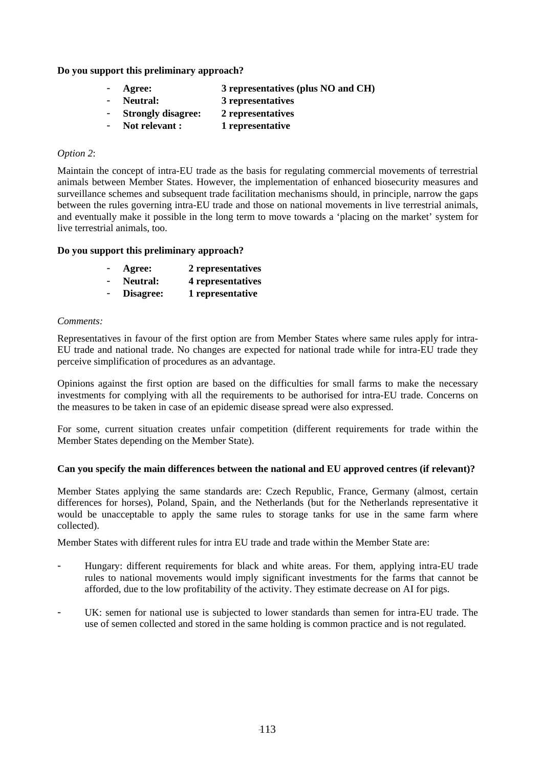#### **Do you support this preliminary approach?**

- Agree: 3 representatives (plus NO and CH)
- **Neutral: 3 representatives**
- **Strongly disagree: 2 representatives**
- Not relevant : 1 representative

#### *Option 2*:

Maintain the concept of intra-EU trade as the basis for regulating commercial movements of terrestrial animals between Member States. However, the implementation of enhanced biosecurity measures and surveillance schemes and subsequent trade facilitation mechanisms should, in principle, narrow the gaps between the rules governing intra-EU trade and those on national movements in live terrestrial animals, and eventually make it possible in the long term to move towards a 'placing on the market' system for live terrestrial animals, too.

#### **Do you support this preliminary approach?**

| $\overline{\phantom{0}}$ | Agree:    | 2 representatives |
|--------------------------|-----------|-------------------|
| $\blacksquare$           | Neutral:  | 4 representatives |
| $\blacksquare$           | Disagree: | 1 representative  |

#### *Comments:*

Representatives in favour of the first option are from Member States where same rules apply for intra-EU trade and national trade. No changes are expected for national trade while for intra-EU trade they perceive simplification of procedures as an advantage.

Opinions against the first option are based on the difficulties for small farms to make the necessary investments for complying with all the requirements to be authorised for intra-EU trade. Concerns on the measures to be taken in case of an epidemic disease spread were also expressed.

For some, current situation creates unfair competition (different requirements for trade within the Member States depending on the Member State).

#### **Can you specify the main differences between the national and EU approved centres (if relevant)?**

Member States applying the same standards are: Czech Republic, France, Germany (almost, certain differences for horses), Poland, Spain, and the Netherlands (but for the Netherlands representative it would be unacceptable to apply the same rules to storage tanks for use in the same farm where collected).

Member States with different rules for intra EU trade and trade within the Member State are:

- Hungary: different requirements for black and white areas. For them, applying intra-EU trade rules to national movements would imply significant investments for the farms that cannot be afforded, due to the low profitability of the activity. They estimate decrease on AI for pigs.
- UK: semen for national use is subjected to lower standards than semen for intra-EU trade. The use of semen collected and stored in the same holding is common practice and is not regulated.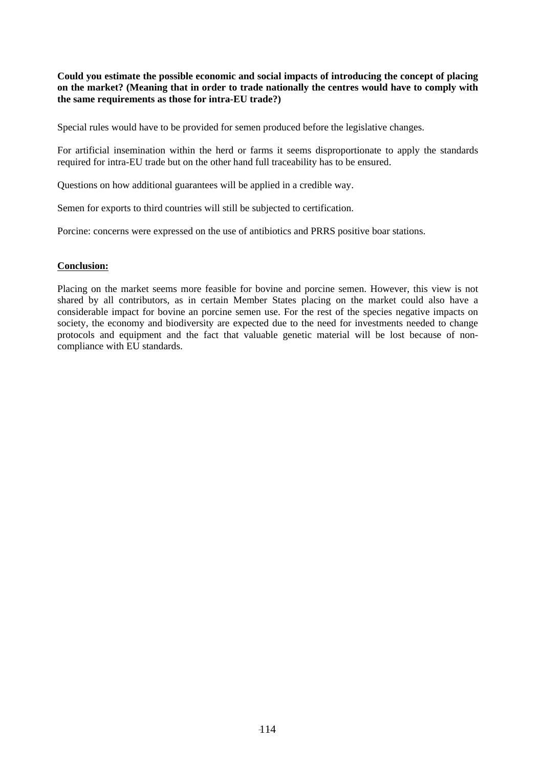**Could you estimate the possible economic and social impacts of introducing the concept of placing on the market? (Meaning that in order to trade nationally the centres would have to comply with the same requirements as those for intra-EU trade?)** 

Special rules would have to be provided for semen produced before the legislative changes.

For artificial insemination within the herd or farms it seems disproportionate to apply the standards required for intra-EU trade but on the other hand full traceability has to be ensured.

Questions on how additional guarantees will be applied in a credible way.

Semen for exports to third countries will still be subjected to certification.

Porcine: concerns were expressed on the use of antibiotics and PRRS positive boar stations.

#### **Conclusion:**

Placing on the market seems more feasible for bovine and porcine semen. However, this view is not shared by all contributors, as in certain Member States placing on the market could also have a considerable impact for bovine an porcine semen use. For the rest of the species negative impacts on society, the economy and biodiversity are expected due to the need for investments needed to change protocols and equipment and the fact that valuable genetic material will be lost because of noncompliance with EU standards.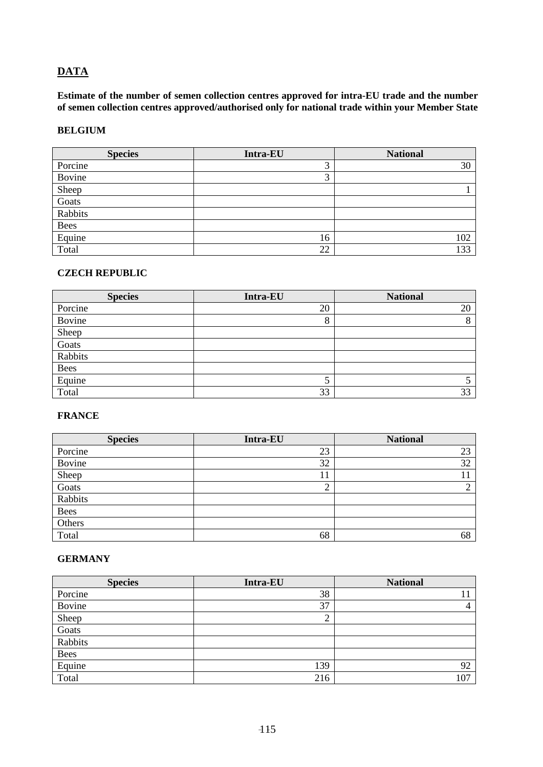## **DATA**

**Estimate of the number of semen collection centres approved for intra-EU trade and the number of semen collection centres approved/authorised only for national trade within your Member State** 

#### **BELGIUM**

| <b>Species</b> | Intra-EU | <b>National</b> |
|----------------|----------|-----------------|
| Porcine        | 3        | 30              |
| Bovine         | 3        |                 |
| Sheep          |          |                 |
| Goats          |          |                 |
| Rabbits        |          |                 |
| <b>Bees</b>    |          |                 |
| Equine         | 16       | 102             |
| Total          | 22       | 133             |

#### **CZECH REPUBLIC**

| <b>Species</b> | <b>Intra-EU</b> | <b>National</b> |
|----------------|-----------------|-----------------|
| Porcine        | 20              | 20              |
| Bovine         | 8               | 8               |
| Sheep          |                 |                 |
| Goats          |                 |                 |
| Rabbits        |                 |                 |
| <b>Bees</b>    |                 |                 |
| Equine         |                 |                 |
| Total          | 33              | 33              |

## **FRANCE**

| <b>Species</b> | Intra-EU | <b>National</b> |
|----------------|----------|-----------------|
| Porcine        | 23       | 23              |
| Bovine         | 32       | 32              |
| Sheep          | 11       | 11              |
| Goats          | ◠<br>∠   | ◠               |
| Rabbits        |          |                 |
| <b>Bees</b>    |          |                 |
| Others         |          |                 |
| Total          | 68       | 68              |

### **GERMANY**

| <b>Species</b> | Intra-EU       | <b>National</b> |
|----------------|----------------|-----------------|
| Porcine        | 38             |                 |
| Bovine         | 37             |                 |
| Sheep          | $\bigcap$<br>∠ |                 |
| Goats          |                |                 |
| Rabbits        |                |                 |
| <b>Bees</b>    |                |                 |
| Equine         | 139            | 92              |
| Total          | 216            | 107             |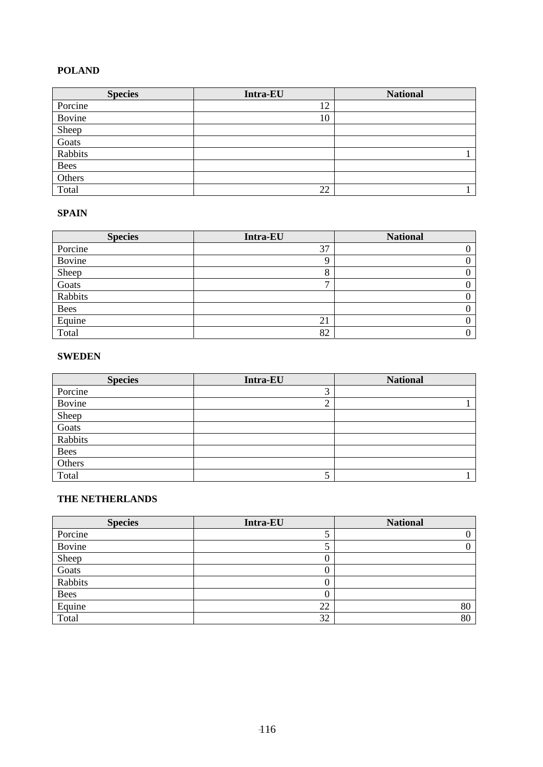### **POLAND**

| <b>Species</b> | Intra-EU | <b>National</b> |
|----------------|----------|-----------------|
| Porcine        | 12       |                 |
| Bovine         | 10       |                 |
| Sheep          |          |                 |
| Goats          |          |                 |
| Rabbits        |          |                 |
| <b>Bees</b>    |          |                 |
| Others         |          |                 |
| Total          | 22       |                 |

#### **SPAIN**

| <b>Species</b> | <b>Intra-EU</b> | <b>National</b> |
|----------------|-----------------|-----------------|
| Porcine        | 37              |                 |
| Bovine         |                 |                 |
| Sheep          | ◠               |                 |
| Goats          | -               |                 |
| Rabbits        |                 |                 |
| <b>Bees</b>    |                 |                 |
| Equine         | 21              |                 |
| Total          | 82              |                 |

#### **SWEDEN**

| <b>Species</b> | Intra-EU       | <b>National</b> |
|----------------|----------------|-----------------|
| Porcine        | $\bigcap$<br>J |                 |
| Bovine         | ◠<br>∠         |                 |
| Sheep          |                |                 |
| Goats          |                |                 |
| Rabbits        |                |                 |
| <b>Bees</b>    |                |                 |
| Others         |                |                 |
| Total          | ◡              |                 |

### **THE NETHERLANDS**

| <b>Species</b> | <b>Intra-EU</b> | <b>National</b> |
|----------------|-----------------|-----------------|
| Porcine        |                 |                 |
| Bovine         | J               |                 |
| Sheep          | U               |                 |
| Goats          | U               |                 |
| Rabbits        | U               |                 |
| Bees           | 0               |                 |
| Equine         | 22              | 80              |
| Total          | 32              | 80              |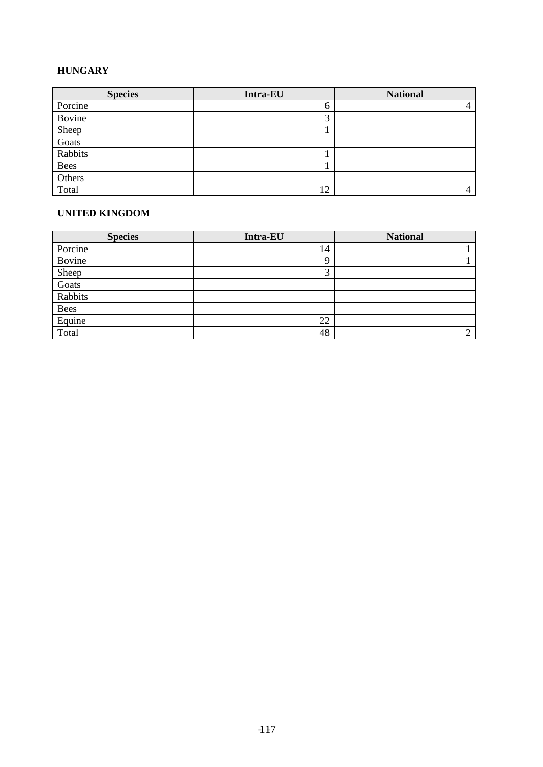### **HUNGARY**

| <b>Species</b> | <b>Intra-EU</b> | <b>National</b> |
|----------------|-----------------|-----------------|
| Porcine        | O               |                 |
| Bovine         | $\bigcap$<br>ͻ  |                 |
| Sheep          |                 |                 |
| Goats          |                 |                 |
| Rabbits        |                 |                 |
| <b>Bees</b>    |                 |                 |
| Others         |                 |                 |
| Total          | 12              |                 |

#### **UNITED KINGDOM**

| <b>Species</b> | <b>Intra-EU</b> | <b>National</b> |
|----------------|-----------------|-----------------|
| Porcine        | 14              |                 |
| Bovine         | Q               |                 |
| Sheep          | ⌒<br>Ć          |                 |
| Goats          |                 |                 |
| Rabbits        |                 |                 |
| <b>Bees</b>    |                 |                 |
| Equine         | 22              |                 |
| Total          | 48              | ◠               |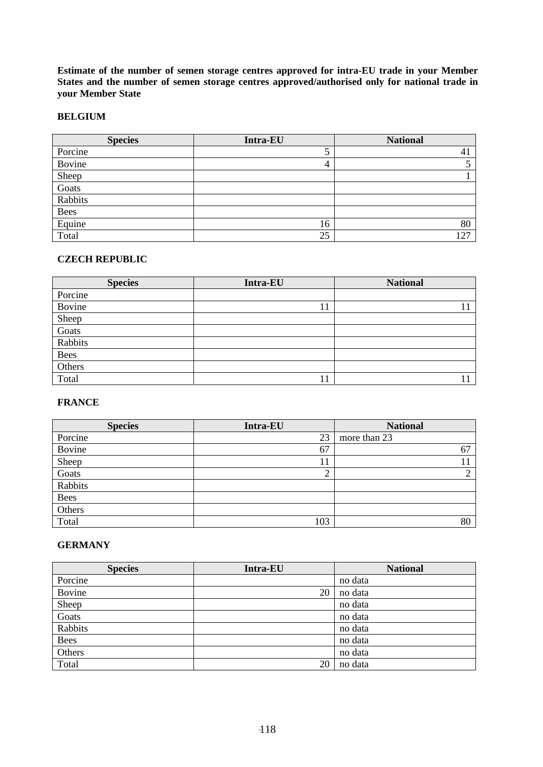**Estimate of the number of semen storage centres approved for intra-EU trade in your Member States and the number of semen storage centres approved/authorised only for national trade in your Member State** 

#### **BELGIUM**

| <b>Species</b> | <b>Intra-EU</b> | <b>National</b> |
|----------------|-----------------|-----------------|
| Porcine        | 5               | 41              |
| Bovine         | 4               |                 |
| Sheep          |                 |                 |
| Goats          |                 |                 |
| Rabbits        |                 |                 |
| <b>Bees</b>    |                 |                 |
| Equine         | 16              | 80              |
| Total          | 25              | 127             |

#### **CZECH REPUBLIC**

| <b>Species</b> | Intra-EU | <b>National</b> |
|----------------|----------|-----------------|
| Porcine        |          |                 |
| Bovine         | 11       |                 |
| Sheep          |          |                 |
| Goats          |          |                 |
| Rabbits        |          |                 |
| Bees           |          |                 |
| Others         |          |                 |
| Total          | 11       |                 |

#### **FRANCE**

| <b>Species</b> | Intra-EU | <b>National</b> |
|----------------|----------|-----------------|
| Porcine        | 23       | more than 23    |
| Bovine         | 67       | 67              |
| Sheep          | 11       |                 |
| Goats          | ി<br>∠   | ◠               |
| Rabbits        |          |                 |
| <b>Bees</b>    |          |                 |
| Others         |          |                 |
| Total          | 103      | 80              |

### **GERMANY**

| <b>Species</b> | Intra-EU | <b>National</b> |
|----------------|----------|-----------------|
| Porcine        |          | no data         |
| Bovine         | 20       | no data         |
| Sheep          |          | no data         |
| Goats          |          | no data         |
| Rabbits        |          | no data         |
| <b>Bees</b>    |          | no data         |
| Others         |          | no data         |
| Total          | 20       | no data         |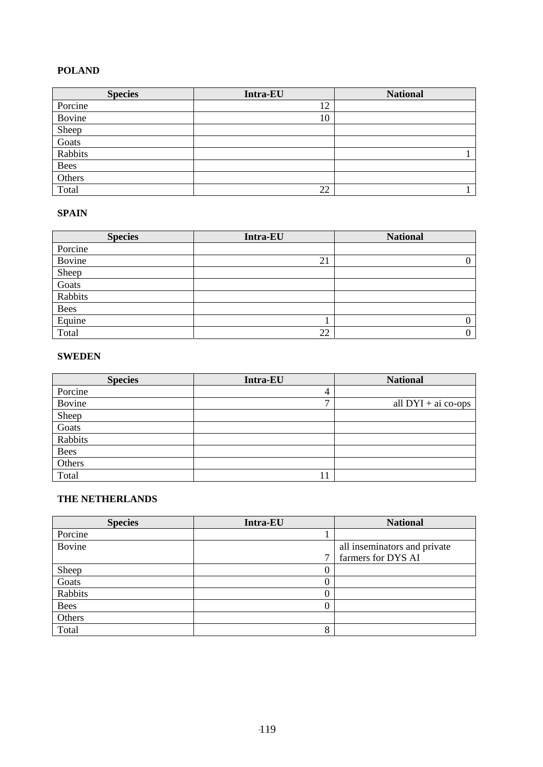### **POLAND**

| <b>Species</b> | Intra-EU | <b>National</b> |
|----------------|----------|-----------------|
| Porcine        | 12       |                 |
| Bovine         | 10       |                 |
| Sheep          |          |                 |
| Goats          |          |                 |
| Rabbits        |          |                 |
| <b>Bees</b>    |          |                 |
| Others         |          |                 |
| Total          | 22       |                 |

#### **SPAIN**

| <b>Species</b> | <b>Intra-EU</b> | <b>National</b> |
|----------------|-----------------|-----------------|
| Porcine        |                 |                 |
| Bovine         | 21              |                 |
| Sheep          |                 |                 |
| Goats          |                 |                 |
| Rabbits        |                 |                 |
| <b>Bees</b>    |                 |                 |
| Equine         |                 |                 |
| Total          | 22              | 0               |

#### **SWEDEN**

| <b>Species</b> | <b>Intra-EU</b> | <b>National</b>       |
|----------------|-----------------|-----------------------|
| Porcine        | 4               |                       |
| Bovine         | $\overline{ }$  | all $DYI + ai co-ops$ |
| Sheep          |                 |                       |
| Goats          |                 |                       |
| Rabbits        |                 |                       |
| <b>Bees</b>    |                 |                       |
| Others         |                 |                       |
| Total          | 11              |                       |

#### **THE NETHERLANDS**

| <b>Species</b> | Intra-EU | <b>National</b>              |
|----------------|----------|------------------------------|
| Porcine        |          |                              |
| Bovine         |          | all inseminators and private |
|                | 7        | farmers for DYS AI           |
| Sheep          | U        |                              |
| Goats          | U        |                              |
| Rabbits        |          |                              |
| <b>Bees</b>    | O        |                              |
| Others         |          |                              |
| Total          | 8        |                              |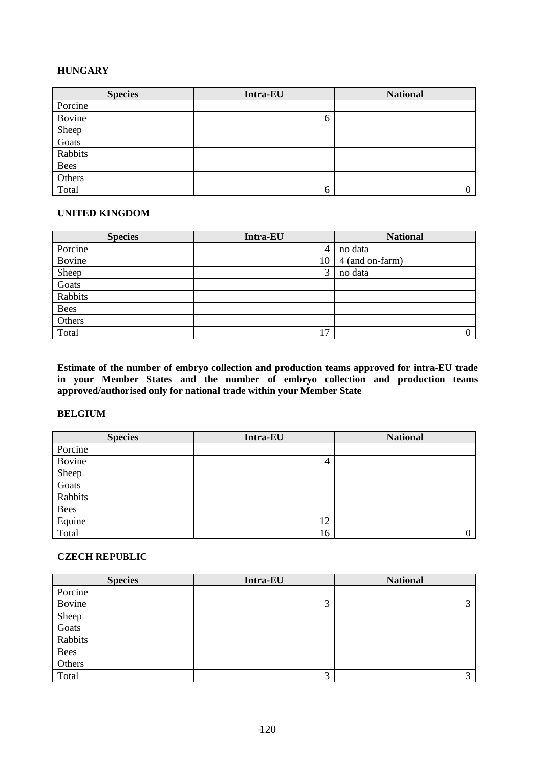### **HUNGARY**

| <b>Species</b> | Intra-EU | <b>National</b> |
|----------------|----------|-----------------|
| Porcine        |          |                 |
| Bovine         | O        |                 |
| Sheep          |          |                 |
| Goats          |          |                 |
| Rabbits        |          |                 |
| <b>Bees</b>    |          |                 |
| Others         |          |                 |
| Total          | 6        | 0               |

#### **UNITED KINGDOM**

| <b>Species</b> | Intra-EU | <b>National</b> |
|----------------|----------|-----------------|
| Porcine        | 4        | no data         |
| Bovine         | 10       | 4 (and on-farm) |
| Sheep          | 3        | no data         |
| Goats          |          |                 |
| Rabbits        |          |                 |
| <b>Bees</b>    |          |                 |
| Others         |          |                 |
| Total          | 17       | 0               |

**Estimate of the number of embryo collection and production teams approved for intra-EU trade in your Member States and the number of embryo collection and production teams approved/authorised only for national trade within your Member State** 

#### **BELGIUM**

| <b>Species</b> | <b>Intra-EU</b> | <b>National</b> |
|----------------|-----------------|-----------------|
| Porcine        |                 |                 |
| Bovine         | 4               |                 |
| Sheep          |                 |                 |
| Goats          |                 |                 |
| Rabbits        |                 |                 |
| Bees           |                 |                 |
| Equine         | 12              |                 |
| Total          | 16              |                 |

## **CZECH REPUBLIC**

| <b>Species</b> | Intra-EU | <b>National</b>   |
|----------------|----------|-------------------|
| Porcine        |          |                   |
| Bovine         | 3        | $\mathbf{\Omega}$ |
| Sheep          |          |                   |
| Goats          |          |                   |
| Rabbits        |          |                   |
| <b>Bees</b>    |          |                   |
| Others         |          |                   |
| Total          | 3        | $\mathbf{\Omega}$ |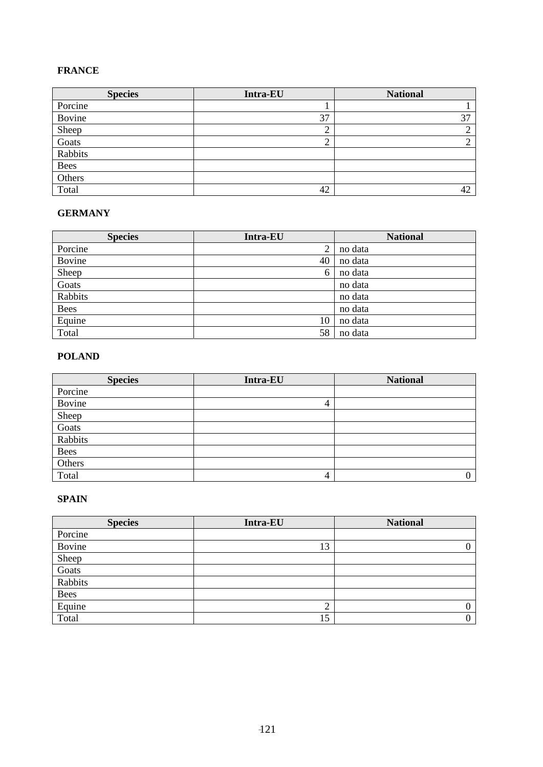## **FRANCE**

| <b>Species</b> | <b>Intra-EU</b>               | <b>National</b> |
|----------------|-------------------------------|-----------------|
| Porcine        |                               |                 |
| Bovine         | 37                            | 37              |
| Sheep          | $\overline{\phantom{a}}$<br>∠ | ⌒               |
| Goats          | ◠<br>∠                        | ◠               |
| Rabbits        |                               |                 |
| <b>Bees</b>    |                               |                 |
| Others         |                               |                 |
| Total          | 42                            | 42              |

### **GERMANY**

| <b>Species</b> | <b>Intra-EU</b> | <b>National</b> |
|----------------|-----------------|-----------------|
| Porcine        | $\overline{2}$  | no data         |
| Bovine         | 40              | no data         |
| Sheep          | 6               | no data         |
| Goats          |                 | no data         |
| Rabbits        |                 | no data         |
| <b>Bees</b>    |                 | no data         |
| Equine         | 10              | no data         |
| Total          | 58              | no data         |

## **POLAND**

| <b>Species</b> | Intra-EU | <b>National</b> |
|----------------|----------|-----------------|
| Porcine        |          |                 |
| Bovine         | 4        |                 |
| Sheep          |          |                 |
| Goats          |          |                 |
| Rabbits        |          |                 |
| Bees           |          |                 |
| Others         |          |                 |
| Total          | 4        | $\Omega$        |

## **SPAIN**

| <b>Species</b> | <b>Intra-EU</b> | <b>National</b> |
|----------------|-----------------|-----------------|
| Porcine        |                 |                 |
| Bovine         | 13              |                 |
| Sheep          |                 |                 |
| Goats          |                 |                 |
| Rabbits        |                 |                 |
| Bees           |                 |                 |
| Equine         | ◠<br>∸          |                 |
| Total          | 15              |                 |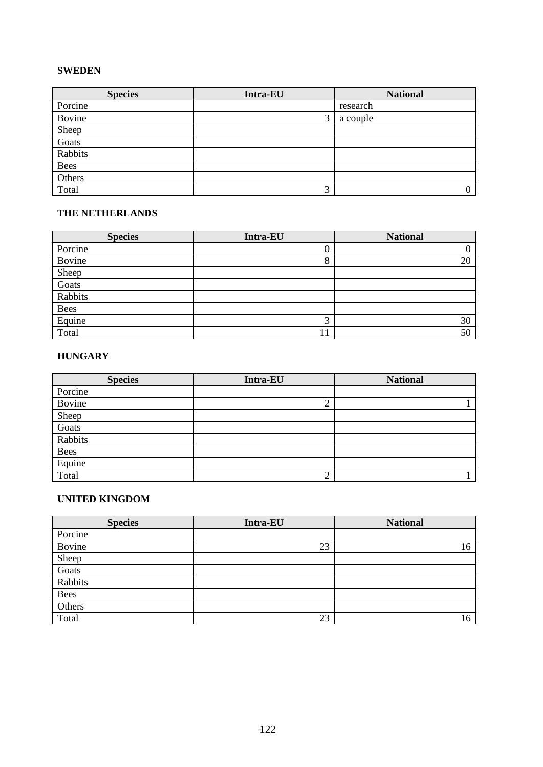#### **SWEDEN**

| <b>Species</b> | Intra-EU | <b>National</b>  |
|----------------|----------|------------------|
| Porcine        |          | research         |
| Bovine         | 3        | a couple         |
| Sheep          |          |                  |
| Goats          |          |                  |
| Rabbits        |          |                  |
| <b>Bees</b>    |          |                  |
| Others         |          |                  |
| Total          | 3        | $\boldsymbol{0}$ |

#### **THE NETHERLANDS**

| <b>Species</b> | Intra-EU       | <b>National</b> |
|----------------|----------------|-----------------|
| Porcine        | υ              |                 |
| Bovine         | 8              | 20              |
| Sheep          |                |                 |
| Goats          |                |                 |
| Rabbits        |                |                 |
| <b>Bees</b>    |                |                 |
| Equine         | $\bigcap$<br>Ľ | 30              |
| Total          | 11             | 50              |

#### **HUNGARY**

| <b>Species</b> | <b>Intra-EU</b> | <b>National</b> |
|----------------|-----------------|-----------------|
| Porcine        |                 |                 |
| Bovine         | $\overline{2}$  |                 |
| Sheep          |                 |                 |
| Goats          |                 |                 |
| Rabbits        |                 |                 |
| <b>Bees</b>    |                 |                 |
| Equine         |                 |                 |
| Total          | $\bigcap$<br>∠  |                 |

#### **UNITED KINGDOM**

| <b>Species</b> | Intra-EU | <b>National</b> |
|----------------|----------|-----------------|
| Porcine        |          |                 |
| Bovine         | 23       | 16              |
| Sheep          |          |                 |
| Goats          |          |                 |
| Rabbits        |          |                 |
| <b>Bees</b>    |          |                 |
| Others         |          |                 |
| Total          | 23       | 16              |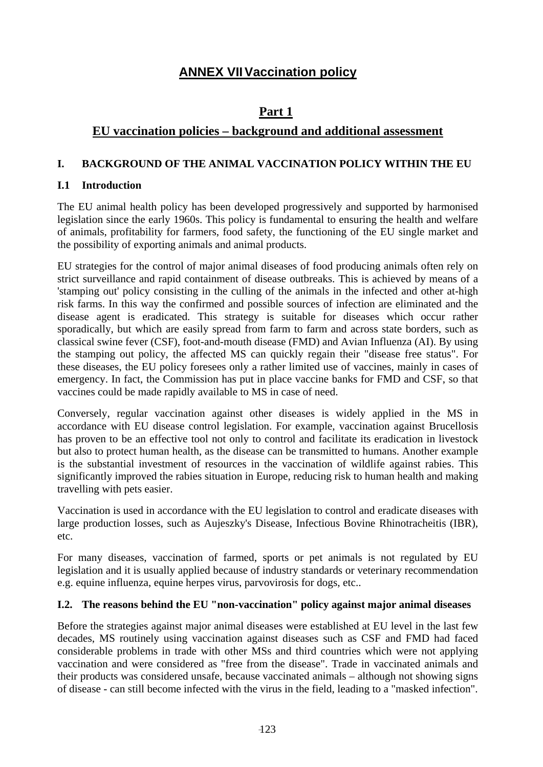## **ANNEX VII Vaccination policy**

## **Part 1**

## **EU vaccination policies – background and additional assessment**

## **I. BACKGROUND OF THE ANIMAL VACCINATION POLICY WITHIN THE EU**

## **I.1 Introduction**

The EU animal health policy has been developed progressively and supported by harmonised legislation since the early 1960s. This policy is fundamental to ensuring the health and welfare of animals, profitability for farmers, food safety, the functioning of the EU single market and the possibility of exporting animals and animal products.

EU strategies for the control of major animal diseases of food producing animals often rely on strict surveillance and rapid containment of disease outbreaks. This is achieved by means of a 'stamping out' policy consisting in the culling of the animals in the infected and other at-high risk farms. In this way the confirmed and possible sources of infection are eliminated and the disease agent is eradicated. This strategy is suitable for diseases which occur rather sporadically, but which are easily spread from farm to farm and across state borders, such as classical swine fever (CSF), foot-and-mouth disease (FMD) and Avian Influenza (AI). By using the stamping out policy, the affected MS can quickly regain their "disease free status". For these diseases, the EU policy foresees only a rather limited use of vaccines, mainly in cases of emergency. In fact, the Commission has put in place vaccine banks for FMD and CSF, so that vaccines could be made rapidly available to MS in case of need.

Conversely, regular vaccination against other diseases is widely applied in the MS in accordance with EU disease control legislation. For example, vaccination against Brucellosis has proven to be an effective tool not only to control and facilitate its eradication in livestock but also to protect human health, as the disease can be transmitted to humans. Another example is the substantial investment of resources in the vaccination of wildlife against rabies. This significantly improved the rabies situation in Europe, reducing risk to human health and making travelling with pets easier.

Vaccination is used in accordance with the EU legislation to control and eradicate diseases with large production losses, such as Aujeszky's Disease, Infectious Bovine Rhinotracheitis (IBR), etc.

For many diseases, vaccination of farmed, sports or pet animals is not regulated by EU legislation and it is usually applied because of industry standards or veterinary recommendation e.g. equine influenza, equine herpes virus, parvovirosis for dogs, etc..

## **I.2. The reasons behind the EU "non-vaccination" policy against major animal diseases**

Before the strategies against major animal diseases were established at EU level in the last few decades, MS routinely using vaccination against diseases such as CSF and FMD had faced considerable problems in trade with other MSs and third countries which were not applying vaccination and were considered as "free from the disease". Trade in vaccinated animals and their products was considered unsafe, because vaccinated animals – although not showing signs of disease - can still become infected with the virus in the field, leading to a "masked infection".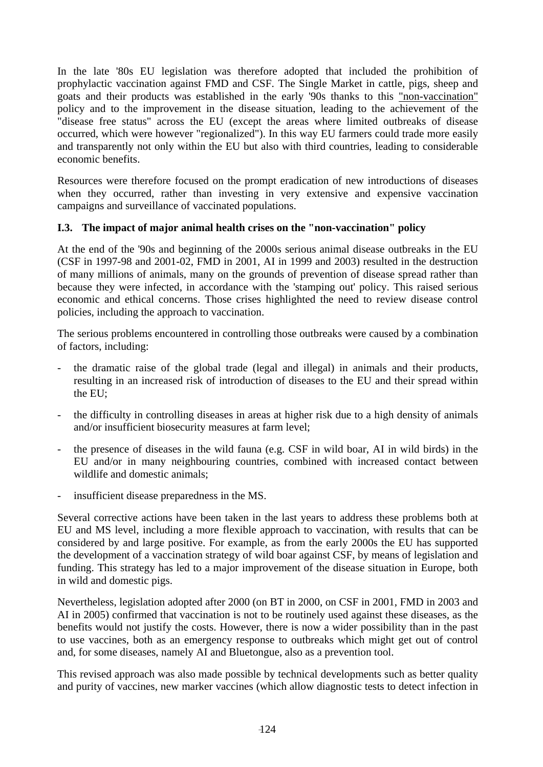In the late '80s EU legislation was therefore adopted that included the prohibition of prophylactic vaccination against FMD and CSF. The Single Market in cattle, pigs, sheep and goats and their products was established in the early '90s thanks to this "non-vaccination" policy and to the improvement in the disease situation, leading to the achievement of the "disease free status" across the EU (except the areas where limited outbreaks of disease occurred, which were however "regionalized"). In this way EU farmers could trade more easily and transparently not only within the EU but also with third countries, leading to considerable economic benefits.

Resources were therefore focused on the prompt eradication of new introductions of diseases when they occurred, rather than investing in very extensive and expensive vaccination campaigns and surveillance of vaccinated populations.

## **I.3. The impact of major animal health crises on the "non-vaccination" policy**

At the end of the '90s and beginning of the 2000s serious animal disease outbreaks in the EU (CSF in 1997-98 and 2001-02, FMD in 2001, AI in 1999 and 2003) resulted in the destruction of many millions of animals, many on the grounds of prevention of disease spread rather than because they were infected, in accordance with the 'stamping out' policy. This raised serious economic and ethical concerns. Those crises highlighted the need to review disease control policies, including the approach to vaccination.

The serious problems encountered in controlling those outbreaks were caused by a combination of factors, including:

- the dramatic raise of the global trade (legal and illegal) in animals and their products, resulting in an increased risk of introduction of diseases to the EU and their spread within the EU;
- the difficulty in controlling diseases in areas at higher risk due to a high density of animals and/or insufficient biosecurity measures at farm level;
- the presence of diseases in the wild fauna (e.g. CSF in wild boar, AI in wild birds) in the EU and/or in many neighbouring countries, combined with increased contact between wildlife and domestic animals;
- insufficient disease preparedness in the MS.

Several corrective actions have been taken in the last years to address these problems both at EU and MS level, including a more flexible approach to vaccination, with results that can be considered by and large positive. For example, as from the early 2000s the EU has supported the development of a vaccination strategy of wild boar against CSF, by means of legislation and funding. This strategy has led to a major improvement of the disease situation in Europe, both in wild and domestic pigs.

Nevertheless, legislation adopted after 2000 (on BT in 2000, on CSF in 2001, FMD in 2003 and AI in 2005) confirmed that vaccination is not to be routinely used against these diseases, as the benefits would not justify the costs. However, there is now a wider possibility than in the past to use vaccines, both as an emergency response to outbreaks which might get out of control and, for some diseases, namely AI and Bluetongue, also as a prevention tool.

This revised approach was also made possible by technical developments such as better quality and purity of vaccines, new marker vaccines (which allow diagnostic tests to detect infection in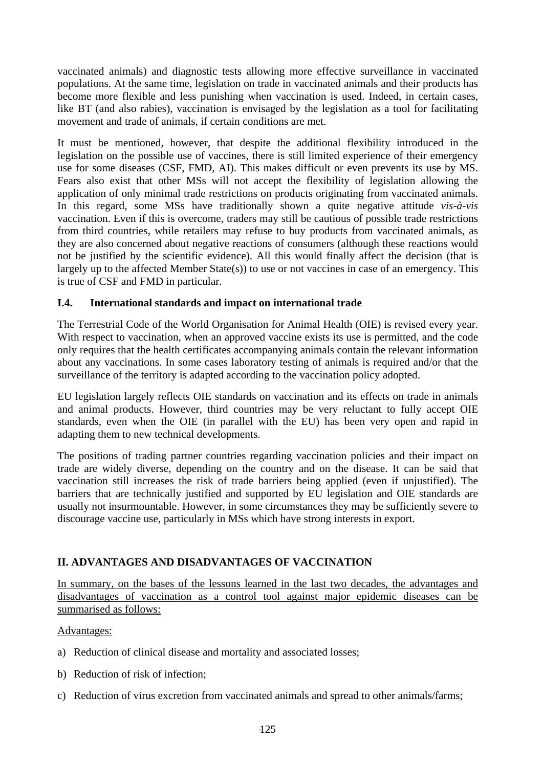vaccinated animals) and diagnostic tests allowing more effective surveillance in vaccinated populations. At the same time, legislation on trade in vaccinated animals and their products has become more flexible and less punishing when vaccination is used. Indeed, in certain cases, like BT (and also rabies), vaccination is envisaged by the legislation as a tool for facilitating movement and trade of animals, if certain conditions are met.

It must be mentioned, however, that despite the additional flexibility introduced in the legislation on the possible use of vaccines, there is still limited experience of their emergency use for some diseases (CSF, FMD, AI). This makes difficult or even prevents its use by MS. Fears also exist that other MSs will not accept the flexibility of legislation allowing the application of only minimal trade restrictions on products originating from vaccinated animals. In this regard, some MSs have traditionally shown a quite negative attitude *vis-à-vis* vaccination. Even if this is overcome, traders may still be cautious of possible trade restrictions from third countries, while retailers may refuse to buy products from vaccinated animals, as they are also concerned about negative reactions of consumers (although these reactions would not be justified by the scientific evidence). All this would finally affect the decision (that is largely up to the affected Member State(s)) to use or not vaccines in case of an emergency. This is true of CSF and FMD in particular.

## **I.4. International standards and impact on international trade**

The Terrestrial Code of the World Organisation for Animal Health (OIE) is revised every year. With respect to vaccination, when an approved vaccine exists its use is permitted, and the code only requires that the health certificates accompanying animals contain the relevant information about any vaccinations. In some cases laboratory testing of animals is required and/or that the surveillance of the territory is adapted according to the vaccination policy adopted.

EU legislation largely reflects OIE standards on vaccination and its effects on trade in animals and animal products. However, third countries may be very reluctant to fully accept OIE standards, even when the OIE (in parallel with the EU) has been very open and rapid in adapting them to new technical developments.

The positions of trading partner countries regarding vaccination policies and their impact on trade are widely diverse, depending on the country and on the disease. It can be said that vaccination still increases the risk of trade barriers being applied (even if unjustified). The barriers that are technically justified and supported by EU legislation and OIE standards are usually not insurmountable. However, in some circumstances they may be sufficiently severe to discourage vaccine use, particularly in MSs which have strong interests in export.

## **II. ADVANTAGES AND DISADVANTAGES OF VACCINATION**

In summary, on the bases of the lessons learned in the last two decades, the advantages and disadvantages of vaccination as a control tool against major epidemic diseases can be summarised as follows:

## Advantages:

- a) Reduction of clinical disease and mortality and associated losses;
- b) Reduction of risk of infection;
- c) Reduction of virus excretion from vaccinated animals and spread to other animals/farms;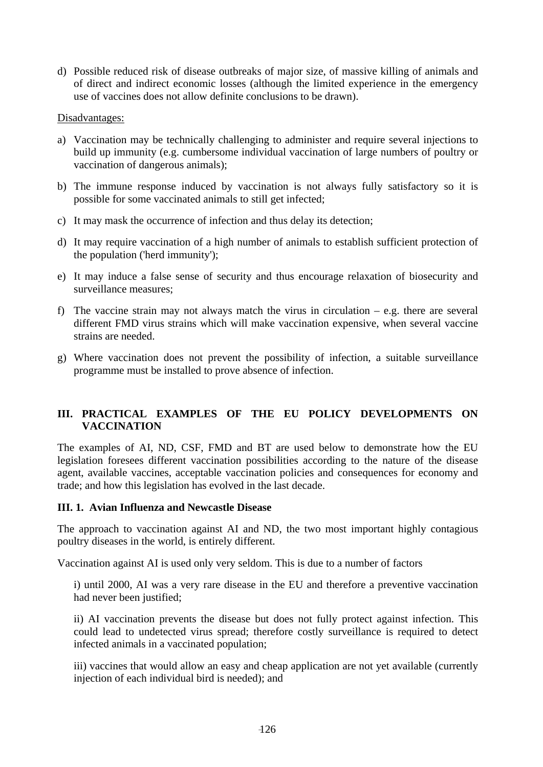d) Possible reduced risk of disease outbreaks of major size, of massive killing of animals and of direct and indirect economic losses (although the limited experience in the emergency use of vaccines does not allow definite conclusions to be drawn).

### Disadvantages:

- a) Vaccination may be technically challenging to administer and require several injections to build up immunity (e.g. cumbersome individual vaccination of large numbers of poultry or vaccination of dangerous animals);
- b) The immune response induced by vaccination is not always fully satisfactory so it is possible for some vaccinated animals to still get infected;
- c) It may mask the occurrence of infection and thus delay its detection;
- d) It may require vaccination of a high number of animals to establish sufficient protection of the population ('herd immunity');
- e) It may induce a false sense of security and thus encourage relaxation of biosecurity and surveillance measures;
- f) The vaccine strain may not always match the virus in circulation e.g. there are several different FMD virus strains which will make vaccination expensive, when several vaccine strains are needed.
- g) Where vaccination does not prevent the possibility of infection, a suitable surveillance programme must be installed to prove absence of infection.

## **III. PRACTICAL EXAMPLES OF THE EU POLICY DEVELOPMENTS ON VACCINATION**

The examples of AI, ND, CSF, FMD and BT are used below to demonstrate how the EU legislation foresees different vaccination possibilities according to the nature of the disease agent, available vaccines, acceptable vaccination policies and consequences for economy and trade; and how this legislation has evolved in the last decade.

## **III. 1. Avian Influenza and Newcastle Disease**

The approach to vaccination against AI and ND, the two most important highly contagious poultry diseases in the world, is entirely different.

Vaccination against AI is used only very seldom. This is due to a number of factors

i) until 2000, AI was a very rare disease in the EU and therefore a preventive vaccination had never been justified;

ii) AI vaccination prevents the disease but does not fully protect against infection. This could lead to undetected virus spread; therefore costly surveillance is required to detect infected animals in a vaccinated population;

iii) vaccines that would allow an easy and cheap application are not yet available (currently injection of each individual bird is needed); and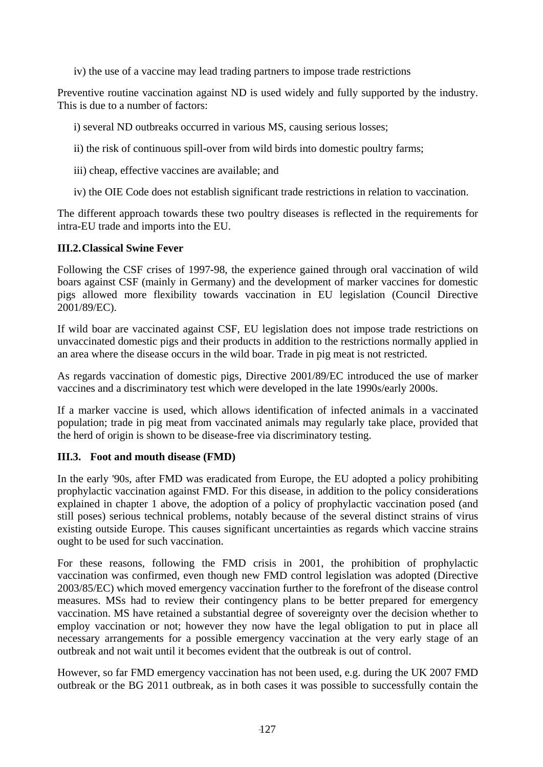iv) the use of a vaccine may lead trading partners to impose trade restrictions

Preventive routine vaccination against ND is used widely and fully supported by the industry. This is due to a number of factors:

i) several ND outbreaks occurred in various MS, causing serious losses;

ii) the risk of continuous spill-over from wild birds into domestic poultry farms;

iii) cheap, effective vaccines are available; and

iv) the OIE Code does not establish significant trade restrictions in relation to vaccination.

The different approach towards these two poultry diseases is reflected in the requirements for intra-EU trade and imports into the EU.

## **III.2. Classical Swine Fever**

Following the CSF crises of 1997-98, the experience gained through oral vaccination of wild boars against CSF (mainly in Germany) and the development of marker vaccines for domestic pigs allowed more flexibility towards vaccination in EU legislation (Council Directive 2001/89/EC).

If wild boar are vaccinated against CSF, EU legislation does not impose trade restrictions on unvaccinated domestic pigs and their products in addition to the restrictions normally applied in an area where the disease occurs in the wild boar. Trade in pig meat is not restricted.

As regards vaccination of domestic pigs, Directive 2001/89/EC introduced the use of marker vaccines and a discriminatory test which were developed in the late 1990s/early 2000s.

If a marker vaccine is used, which allows identification of infected animals in a vaccinated population; trade in pig meat from vaccinated animals may regularly take place, provided that the herd of origin is shown to be disease-free via discriminatory testing.

## **III.3. Foot and mouth disease (FMD)**

In the early '90s, after FMD was eradicated from Europe, the EU adopted a policy prohibiting prophylactic vaccination against FMD. For this disease, in addition to the policy considerations explained in chapter 1 above, the adoption of a policy of prophylactic vaccination posed (and still poses) serious technical problems, notably because of the several distinct strains of virus existing outside Europe. This causes significant uncertainties as regards which vaccine strains ought to be used for such vaccination.

For these reasons, following the FMD crisis in 2001, the prohibition of prophylactic vaccination was confirmed, even though new FMD control legislation was adopted (Directive 2003/85/EC) which moved emergency vaccination further to the forefront of the disease control measures. MSs had to review their contingency plans to be better prepared for emergency vaccination. MS have retained a substantial degree of sovereignty over the decision whether to employ vaccination or not; however they now have the legal obligation to put in place all necessary arrangements for a possible emergency vaccination at the very early stage of an outbreak and not wait until it becomes evident that the outbreak is out of control.

However, so far FMD emergency vaccination has not been used, e.g. during the UK 2007 FMD outbreak or the BG 2011 outbreak, as in both cases it was possible to successfully contain the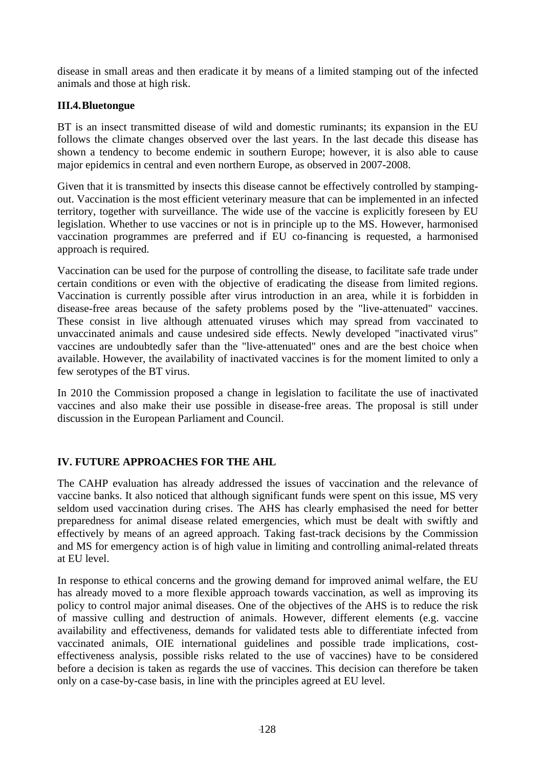disease in small areas and then eradicate it by means of a limited stamping out of the infected animals and those at high risk.

## **III.4. Bluetongue**

BT is an insect transmitted disease of wild and domestic ruminants; its expansion in the EU follows the climate changes observed over the last years. In the last decade this disease has shown a tendency to become endemic in southern Europe; however, it is also able to cause major epidemics in central and even northern Europe, as observed in 2007-2008.

Given that it is transmitted by insects this disease cannot be effectively controlled by stampingout. Vaccination is the most efficient veterinary measure that can be implemented in an infected territory, together with surveillance. The wide use of the vaccine is explicitly foreseen by EU legislation. Whether to use vaccines or not is in principle up to the MS. However, harmonised vaccination programmes are preferred and if EU co-financing is requested, a harmonised approach is required.

Vaccination can be used for the purpose of controlling the disease, to facilitate safe trade under certain conditions or even with the objective of eradicating the disease from limited regions. Vaccination is currently possible after virus introduction in an area, while it is forbidden in disease-free areas because of the safety problems posed by the "live-attenuated" vaccines. These consist in live although attenuated viruses which may spread from vaccinated to unvaccinated animals and cause undesired side effects. Newly developed "inactivated virus" vaccines are undoubtedly safer than the "live-attenuated" ones and are the best choice when available. However, the availability of inactivated vaccines is for the moment limited to only a few serotypes of the BT virus.

In 2010 the Commission proposed a change in legislation to facilitate the use of inactivated vaccines and also make their use possible in disease-free areas. The proposal is still under discussion in the European Parliament and Council.

## **IV. FUTURE APPROACHES FOR THE AHL**

The CAHP evaluation has already addressed the issues of vaccination and the relevance of vaccine banks. It also noticed that although significant funds were spent on this issue, MS very seldom used vaccination during crises. The AHS has clearly emphasised the need for better preparedness for animal disease related emergencies, which must be dealt with swiftly and effectively by means of an agreed approach. Taking fast-track decisions by the Commission and MS for emergency action is of high value in limiting and controlling animal-related threats at EU level.

In response to ethical concerns and the growing demand for improved animal welfare, the EU has already moved to a more flexible approach towards vaccination, as well as improving its policy to control major animal diseases. One of the objectives of the AHS is to reduce the risk of massive culling and destruction of animals. However, different elements (e.g. vaccine availability and effectiveness, demands for validated tests able to differentiate infected from vaccinated animals, OIE international guidelines and possible trade implications, costeffectiveness analysis, possible risks related to the use of vaccines) have to be considered before a decision is taken as regards the use of vaccines. This decision can therefore be taken only on a case-by-case basis, in line with the principles agreed at EU level.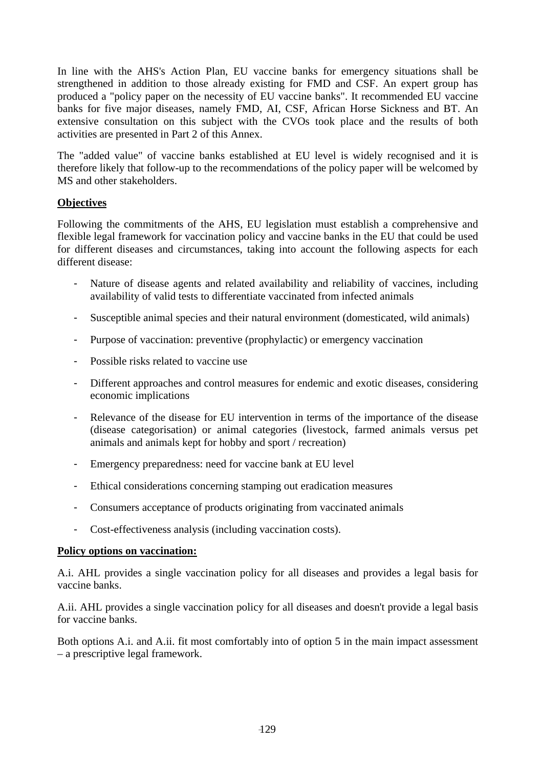In line with the AHS's Action Plan, EU vaccine banks for emergency situations shall be strengthened in addition to those already existing for FMD and CSF. An expert group has produced a "policy paper on the necessity of EU vaccine banks". It recommended EU vaccine banks for five major diseases, namely FMD, AI, CSF, African Horse Sickness and BT. An extensive consultation on this subject with the CVOs took place and the results of both activities are presented in Part 2 of this Annex.

The "added value" of vaccine banks established at EU level is widely recognised and it is therefore likely that follow-up to the recommendations of the policy paper will be welcomed by MS and other stakeholders.

## **Objectives**

Following the commitments of the AHS, EU legislation must establish a comprehensive and flexible legal framework for vaccination policy and vaccine banks in the EU that could be used for different diseases and circumstances, taking into account the following aspects for each different disease:

- Nature of disease agents and related availability and reliability of vaccines, including availability of valid tests to differentiate vaccinated from infected animals
- Susceptible animal species and their natural environment (domesticated, wild animals)
- Purpose of vaccination: preventive (prophylactic) or emergency vaccination
- Possible risks related to vaccine use
- Different approaches and control measures for endemic and exotic diseases, considering economic implications
- Relevance of the disease for EU intervention in terms of the importance of the disease (disease categorisation) or animal categories (livestock, farmed animals versus pet animals and animals kept for hobby and sport / recreation)
- Emergency preparedness: need for vaccine bank at EU level
- Ethical considerations concerning stamping out eradication measures
- Consumers acceptance of products originating from vaccinated animals
- Cost-effectiveness analysis (including vaccination costs).

## **Policy options on vaccination:**

A.i. AHL provides a single vaccination policy for all diseases and provides a legal basis for vaccine banks.

A.ii. AHL provides a single vaccination policy for all diseases and doesn't provide a legal basis for vaccine banks.

Both options A.i. and A.ii. fit most comfortably into of option 5 in the main impact assessment – a prescriptive legal framework.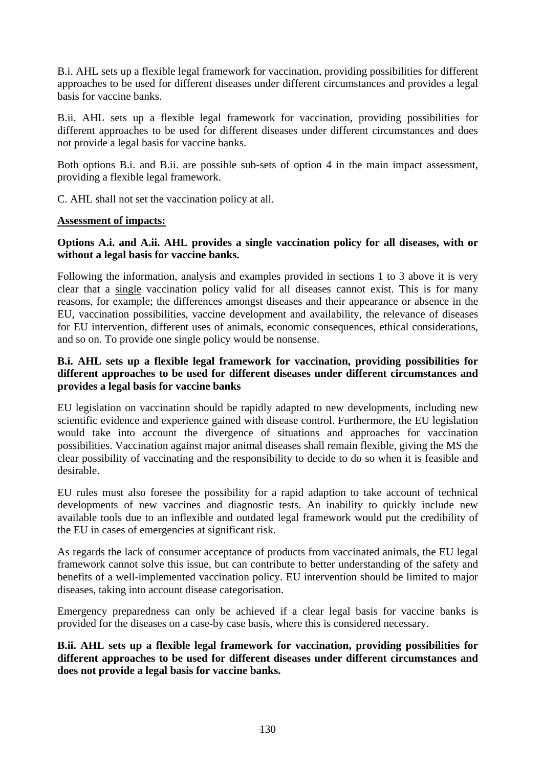B.i. AHL sets up a flexible legal framework for vaccination, providing possibilities for different approaches to be used for different diseases under different circumstances and provides a legal basis for vaccine banks.

B.ii. AHL sets up a flexible legal framework for vaccination, providing possibilities for different approaches to be used for different diseases under different circumstances and does not provide a legal basis for vaccine banks.

Both options B.i. and B.ii. are possible sub-sets of option 4 in the main impact assessment, providing a flexible legal framework.

C. AHL shall not set the vaccination policy at all.

### **Assessment of impacts:**

## **Options A.i. and A.ii. AHL provides a single vaccination policy for all diseases, with or without a legal basis for vaccine banks.**

Following the information, analysis and examples provided in sections 1 to 3 above it is very clear that a single vaccination policy valid for all diseases cannot exist. This is for many reasons, for example; the differences amongst diseases and their appearance or absence in the EU, vaccination possibilities, vaccine development and availability, the relevance of diseases for EU intervention, different uses of animals, economic consequences, ethical considerations, and so on. To provide one single policy would be nonsense.

## **B.i. AHL sets up a flexible legal framework for vaccination, providing possibilities for different approaches to be used for different diseases under different circumstances and provides a legal basis for vaccine banks**

EU legislation on vaccination should be rapidly adapted to new developments, including new scientific evidence and experience gained with disease control. Furthermore, the EU legislation would take into account the divergence of situations and approaches for vaccination possibilities. Vaccination against major animal diseases shall remain flexible, giving the MS the clear possibility of vaccinating and the responsibility to decide to do so when it is feasible and desirable.

EU rules must also foresee the possibility for a rapid adaption to take account of technical developments of new vaccines and diagnostic tests. An inability to quickly include new available tools due to an inflexible and outdated legal framework would put the credibility of the EU in cases of emergencies at significant risk.

As regards the lack of consumer acceptance of products from vaccinated animals, the EU legal framework cannot solve this issue, but can contribute to better understanding of the safety and benefits of a well-implemented vaccination policy. EU intervention should be limited to major diseases, taking into account disease categorisation.

Emergency preparedness can only be achieved if a clear legal basis for vaccine banks is provided for the diseases on a case-by case basis, where this is considered necessary.

## **B.ii. AHL sets up a flexible legal framework for vaccination, providing possibilities for different approaches to be used for different diseases under different circumstances and does not provide a legal basis for vaccine banks.**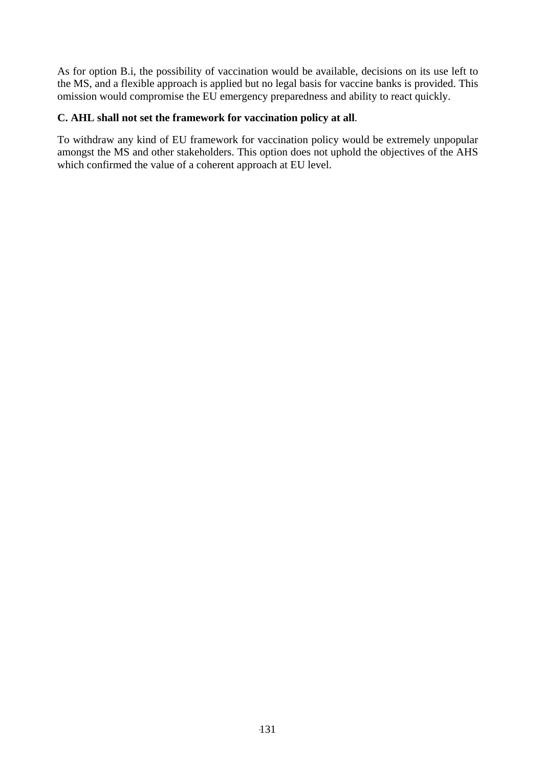As for option B.i, the possibility of vaccination would be available, decisions on its use left to the MS, and a flexible approach is applied but no legal basis for vaccine banks is provided. This omission would compromise the EU emergency preparedness and ability to react quickly.

## **C. AHL shall not set the framework for vaccination policy at all**.

To withdraw any kind of EU framework for vaccination policy would be extremely unpopular amongst the MS and other stakeholders. This option does not uphold the objectives of the AHS which confirmed the value of a coherent approach at EU level.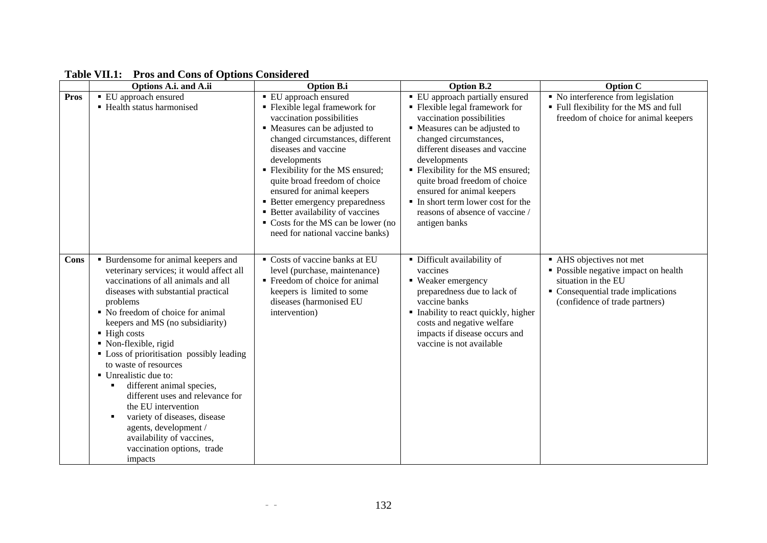|             | Options A.i. and A.ii                                                                                                                                                                                                                                                                                                                                                                                                                                                                                                                                                                                                                                 | <b>Option B.i</b>                                                                                                                                                                                                                                                                                                                                                                                                                                        | <b>Option B.2</b>                                                                                                                                                                                                                                                                                                                                                                                      | <b>Option C</b>                                                                                                                                                                        |
|-------------|-------------------------------------------------------------------------------------------------------------------------------------------------------------------------------------------------------------------------------------------------------------------------------------------------------------------------------------------------------------------------------------------------------------------------------------------------------------------------------------------------------------------------------------------------------------------------------------------------------------------------------------------------------|----------------------------------------------------------------------------------------------------------------------------------------------------------------------------------------------------------------------------------------------------------------------------------------------------------------------------------------------------------------------------------------------------------------------------------------------------------|--------------------------------------------------------------------------------------------------------------------------------------------------------------------------------------------------------------------------------------------------------------------------------------------------------------------------------------------------------------------------------------------------------|----------------------------------------------------------------------------------------------------------------------------------------------------------------------------------------|
| <b>Pros</b> | ■ EU approach ensured<br>• Health status harmonised                                                                                                                                                                                                                                                                                                                                                                                                                                                                                                                                                                                                   | ■ EU approach ensured<br>• Flexible legal framework for<br>vaccination possibilities<br>• Measures can be adjusted to<br>changed circumstances, different<br>diseases and vaccine<br>developments<br>• Flexibility for the MS ensured;<br>quite broad freedom of choice<br>ensured for animal keepers<br>• Better emergency preparedness<br>• Better availability of vaccines<br>• Costs for the MS can be lower (no<br>need for national vaccine banks) | • EU approach partially ensured<br>• Flexible legal framework for<br>vaccination possibilities<br>• Measures can be adjusted to<br>changed circumstances,<br>different diseases and vaccine<br>developments<br>• Flexibility for the MS ensured;<br>quite broad freedom of choice<br>ensured for animal keepers<br>In short term lower cost for the<br>reasons of absence of vaccine/<br>antigen banks | $\blacksquare$ No interference from legislation<br>• Full flexibility for the MS and full<br>freedom of choice for animal keepers                                                      |
| Cons        | • Burdensome for animal keepers and<br>veterinary services; it would affect all<br>vaccinations of all animals and all<br>diseases with substantial practical<br>problems<br>• No freedom of choice for animal<br>keepers and MS (no subsidiarity)<br>$\blacksquare$ High costs<br>• Non-flexible, rigid<br>• Loss of prioritisation possibly leading<br>to waste of resources<br>• Unrealistic due to:<br>different animal species,<br>٠<br>different uses and relevance for<br>the EU intervention<br>variety of diseases, disease<br>$\blacksquare$<br>agents, development /<br>availability of vaccines,<br>vaccination options, trade<br>impacts | Costs of vaccine banks at EU<br>level (purchase, maintenance)<br>■ Freedom of choice for animal<br>keepers is limited to some<br>diseases (harmonised EU<br>intervention)                                                                                                                                                                                                                                                                                | • Difficult availability of<br>vaccines<br>• Weaker emergency<br>preparedness due to lack of<br>vaccine banks<br>• Inability to react quickly, higher<br>costs and negative welfare<br>impacts if disease occurs and<br>vaccine is not available                                                                                                                                                       | $\overline{\phantom{a}}$ AHS objectives not met<br>• Possible negative impact on health<br>situation in the EU<br>• Consequential trade implications<br>(confidence of trade partners) |

## **Table VII.1: Pros and Cons of Options Considered**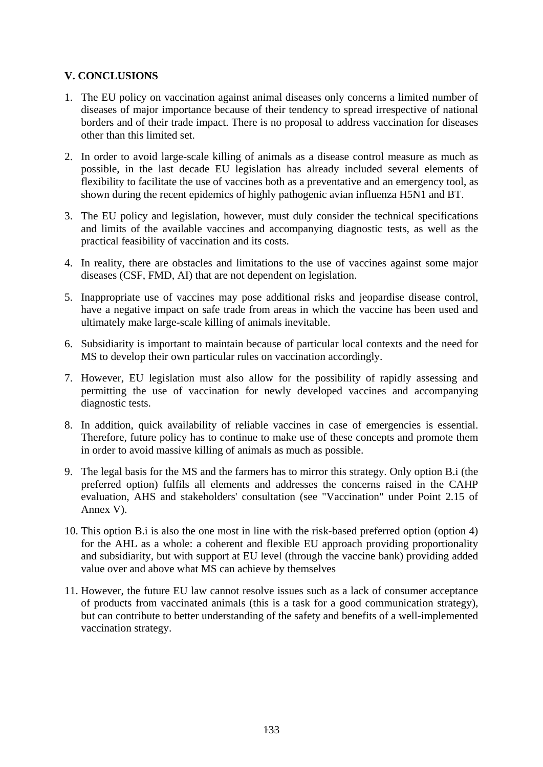### **V. CONCLUSIONS**

- 1. The EU policy on vaccination against animal diseases only concerns a limited number of diseases of major importance because of their tendency to spread irrespective of national borders and of their trade impact. There is no proposal to address vaccination for diseases other than this limited set.
- 2. In order to avoid large-scale killing of animals as a disease control measure as much as possible, in the last decade EU legislation has already included several elements of flexibility to facilitate the use of vaccines both as a preventative and an emergency tool, as shown during the recent epidemics of highly pathogenic avian influenza H5N1 and BT.
- 3. The EU policy and legislation, however, must duly consider the technical specifications and limits of the available vaccines and accompanying diagnostic tests, as well as the practical feasibility of vaccination and its costs.
- 4. In reality, there are obstacles and limitations to the use of vaccines against some major diseases (CSF, FMD, AI) that are not dependent on legislation.
- 5. Inappropriate use of vaccines may pose additional risks and jeopardise disease control, have a negative impact on safe trade from areas in which the vaccine has been used and ultimately make large-scale killing of animals inevitable.
- 6. Subsidiarity is important to maintain because of particular local contexts and the need for MS to develop their own particular rules on vaccination accordingly.
- 7. However, EU legislation must also allow for the possibility of rapidly assessing and permitting the use of vaccination for newly developed vaccines and accompanying diagnostic tests.
- 8. In addition, quick availability of reliable vaccines in case of emergencies is essential. Therefore, future policy has to continue to make use of these concepts and promote them in order to avoid massive killing of animals as much as possible.
- 9. The legal basis for the MS and the farmers has to mirror this strategy. Only option B.i (the preferred option) fulfils all elements and addresses the concerns raised in the CAHP evaluation, AHS and stakeholders' consultation (see "Vaccination" under Point 2.15 of Annex V).
- 10. This option B.i is also the one most in line with the risk-based preferred option (option 4) for the AHL as a whole: a coherent and flexible EU approach providing proportionality and subsidiarity, but with support at EU level (through the vaccine bank) providing added value over and above what MS can achieve by themselves
- 11. However, the future EU law cannot resolve issues such as a lack of consumer acceptance of products from vaccinated animals (this is a task for a good communication strategy), but can contribute to better understanding of the safety and benefits of a well-implemented vaccination strategy.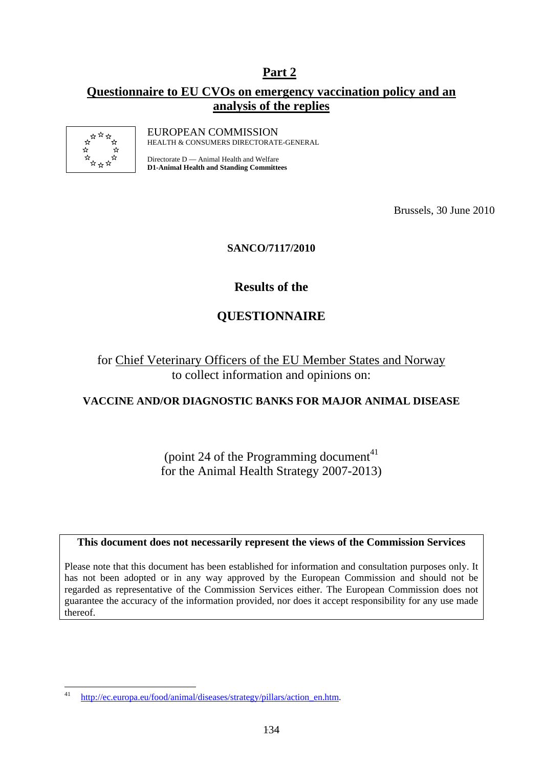## **Part 2**

## **Questionnaire to EU CVOs on emergency vaccination policy and an analysis of the replies**



EUROPEAN COMMISSION HEALTH & CONSUMERS DIRECTORATE-GENERAL

Directorate D — Animal Health and Welfare **D1-Animal Health and Standing Committees** 

Brussels, 30 June 2010

## **SANCO/7117/2010**

## **Results of the**

## **QUESTIONNAIRE**

for Chief Veterinary Officers of the EU Member States and Norway to collect information and opinions on:

## **VACCINE AND/OR DIAGNOSTIC BANKS FOR MAJOR ANIMAL DISEASE**

(point 24 of the Programming document<sup>41)</sup> for the Animal Health Strategy 2007-2013)

### **This document does not necessarily represent the views of the Commission Services**

Please note that this document has been established for information and consultation purposes only. It has not been adopted or in any way approved by the European Commission and should not be regarded as representative of the Commission Services either. The European Commission does not guarantee the accuracy of the information provided, nor does it accept responsibility for any use made thereof.

 $\overline{41}$ http://ec.europa.eu/food/animal/diseases/strategy/pillars/action\_en.htm.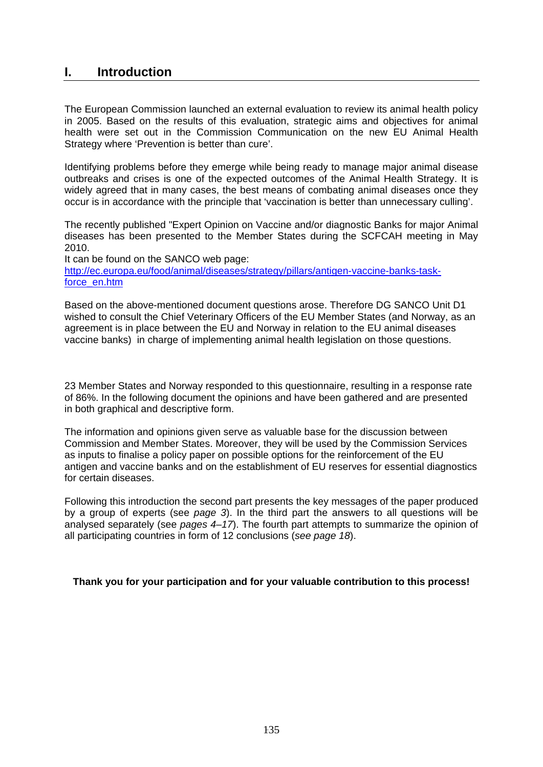## **I. Introduction**

The European Commission launched an external evaluation to review its animal health policy in 2005. Based on the results of this evaluation, strategic aims and objectives for animal health were set out in the Commission Communication on the new EU Animal Health Strategy where 'Prevention is better than cure'.

Identifying problems before they emerge while being ready to manage major animal disease outbreaks and crises is one of the expected outcomes of the Animal Health Strategy. It is widely agreed that in many cases, the best means of combating animal diseases once they occur is in accordance with the principle that 'vaccination is better than unnecessary culling'.

The recently published "Expert Opinion on Vaccine and/or diagnostic Banks for major Animal diseases has been presented to the Member States during the SCFCAH meeting in May 2010.

It can be found on the SANCO web page: [http://ec.europa.eu/food/animal/diseases/strategy/pillars/antigen-vaccine-banks-task](http://ec.europa.eu/food/animal/diseases/strategy/pillars/antigen-vaccine-banks-task-force_en.htm)[force\\_en.htm](http://ec.europa.eu/food/animal/diseases/strategy/pillars/antigen-vaccine-banks-task-force_en.htm)

Based on the above-mentioned document questions arose. Therefore DG SANCO Unit D1 wished to consult the Chief Veterinary Officers of the EU Member States (and Norway, as an agreement is in place between the EU and Norway in relation to the EU animal diseases vaccine banks) in charge of implementing animal health legislation on those questions.

23 Member States and Norway responded to this questionnaire, resulting in a response rate of 86%. In the following document the opinions and have been gathered and are presented in both graphical and descriptive form.

The information and opinions given serve as valuable base for the discussion between Commission and Member States. Moreover, they will be used by the Commission Services as inputs to finalise a policy paper on possible options for the reinforcement of the EU antigen and vaccine banks and on the establishment of EU reserves for essential diagnostics for certain diseases.

Following this introduction the second part presents the key messages of the paper produced by a group of experts (see *page 3*). In the third part the answers to all questions will be analysed separately (see *pages 4–17*). The fourth part attempts to summarize the opinion of all participating countries in form of 12 conclusions (*see page 18*).

### **Thank you for your participation and for your valuable contribution to this process!**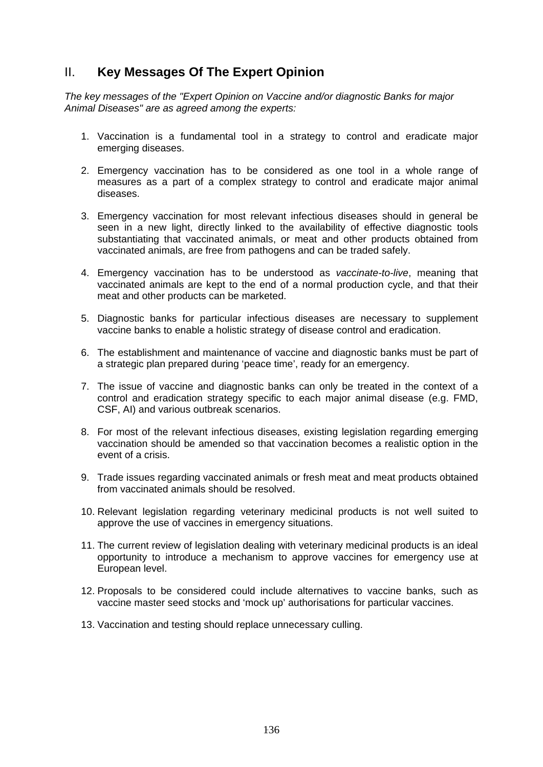## II. **Key Messages Of The Expert Opinion**

*The key messages of the "Expert Opinion on Vaccine and/or diagnostic Banks for major Animal Diseases" are as agreed among the experts:* 

- 1. Vaccination is a fundamental tool in a strategy to control and eradicate major emerging diseases.
- 2. Emergency vaccination has to be considered as one tool in a whole range of measures as a part of a complex strategy to control and eradicate major animal diseases.
- 3. Emergency vaccination for most relevant infectious diseases should in general be seen in a new light, directly linked to the availability of effective diagnostic tools substantiating that vaccinated animals, or meat and other products obtained from vaccinated animals, are free from pathogens and can be traded safely.
- 4. Emergency vaccination has to be understood as *vaccinate-to-live*, meaning that vaccinated animals are kept to the end of a normal production cycle, and that their meat and other products can be marketed.
- 5. Diagnostic banks for particular infectious diseases are necessary to supplement vaccine banks to enable a holistic strategy of disease control and eradication.
- 6. The establishment and maintenance of vaccine and diagnostic banks must be part of a strategic plan prepared during 'peace time', ready for an emergency.
- 7. The issue of vaccine and diagnostic banks can only be treated in the context of a control and eradication strategy specific to each major animal disease (e.g. FMD, CSF, AI) and various outbreak scenarios.
- 8. For most of the relevant infectious diseases, existing legislation regarding emerging vaccination should be amended so that vaccination becomes a realistic option in the event of a crisis.
- 9. Trade issues regarding vaccinated animals or fresh meat and meat products obtained from vaccinated animals should be resolved.
- 10. Relevant legislation regarding veterinary medicinal products is not well suited to approve the use of vaccines in emergency situations.
- 11. The current review of legislation dealing with veterinary medicinal products is an ideal opportunity to introduce a mechanism to approve vaccines for emergency use at European level.
- 12. Proposals to be considered could include alternatives to vaccine banks, such as vaccine master seed stocks and 'mock up' authorisations for particular vaccines.
- 13. Vaccination and testing should replace unnecessary culling.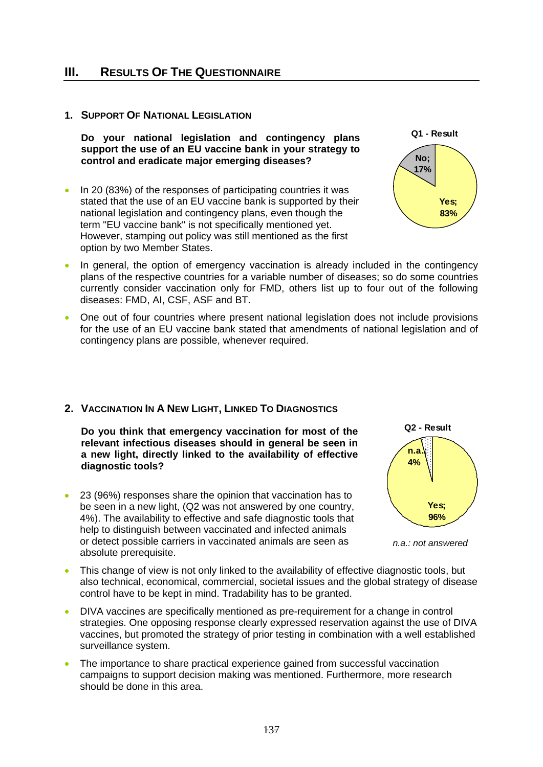## **III. RESULTS OF THE QUESTIONNAIRE**

## **1. SUPPORT OF NATIONAL LEGISLATION**

**Do your national legislation and contingency plans support the use of an EU vaccine bank in your strategy to control and eradicate major emerging diseases?** 

• In 20 (83%) of the responses of participating countries it was stated that the use of an EU vaccine bank is supported by their national legislation and contingency plans, even though the term "EU vaccine bank" is not specifically mentioned yet. However, stamping out policy was still mentioned as the first option by two Member States.



- In general, the option of emergency vaccination is already included in the contingency plans of the respective countries for a variable number of diseases; so do some countries currently consider vaccination only for FMD, others list up to four out of the following diseases: FMD, AI, CSF, ASF and BT.
- One out of four countries where present national legislation does not include provisions for the use of an EU vaccine bank stated that amendments of national legislation and of contingency plans are possible, whenever required.

## **2. VACCINATION IN A NEW LIGHT, LINKED TO DIAGNOSTICS**

**Do you think that emergency vaccination for most of the relevant infectious diseases should in general be seen in a new light, directly linked to the availability of effective diagnostic tools?** 

• 23 (96%) responses share the opinion that vaccination has to be seen in a new light, (Q2 was not answered by one country, 4%). The availability to effective and safe diagnostic tools that help to distinguish between vaccinated and infected animals or detect possible carriers in vaccinated animals are seen as absolute prerequisite.





- This change of view is not only linked to the availability of effective diagnostic tools, but also technical, economical, commercial, societal issues and the global strategy of disease control have to be kept in mind. Tradability has to be granted.
- DIVA vaccines are specifically mentioned as pre-requirement for a change in control strategies. One opposing response clearly expressed reservation against the use of DIVA vaccines, but promoted the strategy of prior testing in combination with a well established surveillance system.
- The importance to share practical experience gained from successful vaccination campaigns to support decision making was mentioned. Furthermore, more research should be done in this area.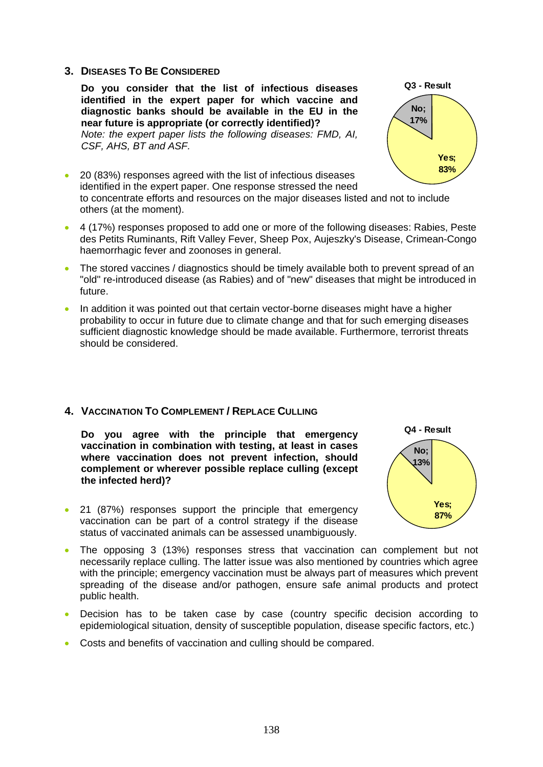### **3. DISEASES TO BE CONSIDERED**

**Do you consider that the list of infectious diseases identified in the expert paper for which vaccine and diagnostic banks should be available in the EU in the near future is appropriate (or correctly identified)?**  *Note: the expert paper lists the following diseases: FMD, AI, CSF, AHS, BT and ASF.* 



- 20 (83%) responses agreed with the list of infectious diseases identified in the expert paper. One response stressed the need to concentrate efforts and resources on the major diseases listed and not to include others (at the moment).
- 4 (17%) responses proposed to add one or more of the following diseases: Rabies, Peste des Petits Ruminants, Rift Valley Fever, Sheep Pox, Aujeszky's Disease, Crimean-Congo haemorrhagic fever and zoonoses in general.
- The stored vaccines / diagnostics should be timely available both to prevent spread of an "old" re-introduced disease (as Rabies) and of "new" diseases that might be introduced in future.
- In addition it was pointed out that certain vector-borne diseases might have a higher probability to occur in future due to climate change and that for such emerging diseases sufficient diagnostic knowledge should be made available. Furthermore, terrorist threats should be considered.

## **4. VACCINATION TO COMPLEMENT / REPLACE CULLING**

**Do you agree with the principle that emergency vaccination in combination with testing, at least in cases where vaccination does not prevent infection, should complement or wherever possible replace culling (except the infected herd)?** 

• 21 (87%) responses support the principle that emergency vaccination can be part of a control strategy if the disease status of vaccinated animals can be assessed unambiguously.



- The opposing 3 (13%) responses stress that vaccination can complement but not necessarily replace culling. The latter issue was also mentioned by countries which agree with the principle; emergency vaccination must be always part of measures which prevent spreading of the disease and/or pathogen, ensure safe animal products and protect public health.
- Decision has to be taken case by case (country specific decision according to epidemiological situation, density of susceptible population, disease specific factors, etc.)
- Costs and benefits of vaccination and culling should be compared.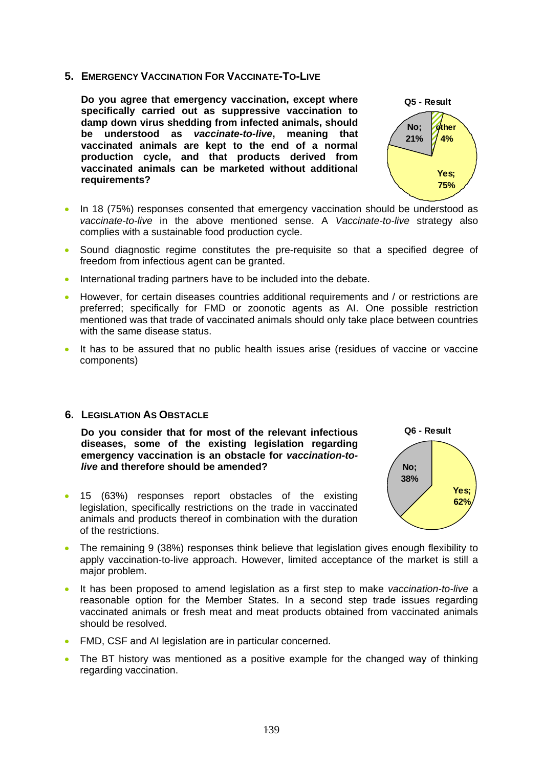**5. EMERGENCY VACCINATION FOR VACCINATE-TO-LIVE**

**Do you agree that emergency vaccination, except where specifically carried out as suppressive vaccination to damp down virus shedding from infected animals, should be understood as** *vaccinate-to-live***, meaning that vaccinated animals are kept to the end of a normal production cycle, and that products derived from vaccinated animals can be marketed without additional requirements?** 



- In 18 (75%) responses consented that emergency vaccination should be understood as *vaccinate-to-live* in the above mentioned sense. A *Vaccinate-to-live* strategy also complies with a sustainable food production cycle.
- Sound diagnostic regime constitutes the pre-requisite so that a specified degree of freedom from infectious agent can be granted.
- International trading partners have to be included into the debate.
- However, for certain diseases countries additional requirements and / or restrictions are preferred; specifically for FMD or zoonotic agents as AI. One possible restriction mentioned was that trade of vaccinated animals should only take place between countries with the same disease status.
- It has to be assured that no public health issues arise (residues of vaccine or vaccine components)

#### **6. LEGISLATION AS OBSTACLE**

**Do you consider that for most of the relevant infectious diseases, some of the existing legislation regarding emergency vaccination is an obstacle for** *vaccination-tolive* **and therefore should be amended?** 

• 15 (63%) responses report obstacles of the existing legislation, specifically restrictions on the trade in vaccinated animals and products thereof in combination with the duration of the restrictions.



- The remaining 9 (38%) responses think believe that legislation gives enough flexibility to apply vaccination-to-live approach. However, limited acceptance of the market is still a major problem.
- It has been proposed to amend legislation as a first step to make *vaccination-to-live* a reasonable option for the Member States. In a second step trade issues regarding vaccinated animals or fresh meat and meat products obtained from vaccinated animals should be resolved.
- FMD, CSF and AI legislation are in particular concerned.
- The BT history was mentioned as a positive example for the changed way of thinking regarding vaccination.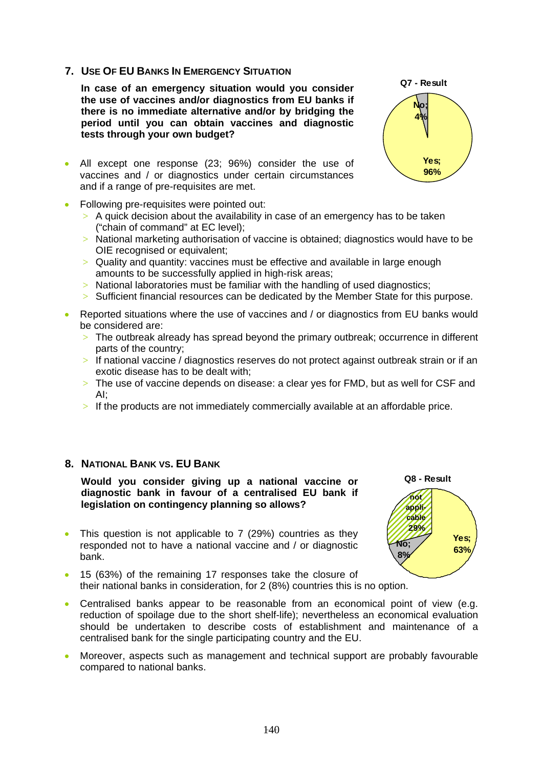## **7. USE OF EU BANKS IN EMERGENCY SITUATION**

**In case of an emergency situation would you consider the use of vaccines and/or diagnostics from EU banks if there is no immediate alternative and/or by bridging the period until you can obtain vaccines and diagnostic tests through your own budget?** 

- All except one response (23; 96%) consider the use of vaccines and / or diagnostics under certain circumstances and if a range of pre-requisites are met.
- Following pre-requisites were pointed out:
	- $>$  A quick decision about the availability in case of an emergency has to be taken ("chain of command" at EC level);
	- > National marketing authorisation of vaccine is obtained; diagnostics would have to be OIE recognised or equivalent;
	- > Quality and quantity: vaccines must be effective and available in large enough amounts to be successfully applied in high-risk areas;
	- $>$  National laboratories must be familiar with the handling of used diagnostics;
	- $>$  Sufficient financial resources can be dedicated by the Member State for this purpose.
- Reported situations where the use of vaccines and / or diagnostics from EU banks would be considered are:
	- $>$  The outbreak already has spread beyond the primary outbreak; occurrence in different parts of the country;
	- > If national vaccine / diagnostics reserves do not protect against outbreak strain or if an exotic disease has to be dealt with;
	- $>$  The use of vaccine depends on disease: a clear ves for FMD, but as well for CSF and AI;
	- $>$  If the products are not immediately commercially available at an affordable price.

#### **8. NATIONAL BANK VS. EU BANK**

**Would you consider giving up a national vaccine or diagnostic bank in favour of a centralised EU bank if legislation on contingency planning so allows?** 

- This question is not applicable to 7 (29%) countries as they responded not to have a national vaccine and / or diagnostic bank.
- 15 (63%) of the remaining 17 responses take the closure of their national banks in consideration, for 2 (8%) countries this is no option.
- Centralised banks appear to be reasonable from an economical point of view (e.g. reduction of spoilage due to the short shelf-life); nevertheless an economical evaluation should be undertaken to describe costs of establishment and maintenance of a centralised bank for the single participating country and the EU.
- Moreover, aspects such as management and technical support are probably favourable compared to national banks.



**Q8 - Result**

**not applicable 29%**

**8%**

**Yes; 63% No;**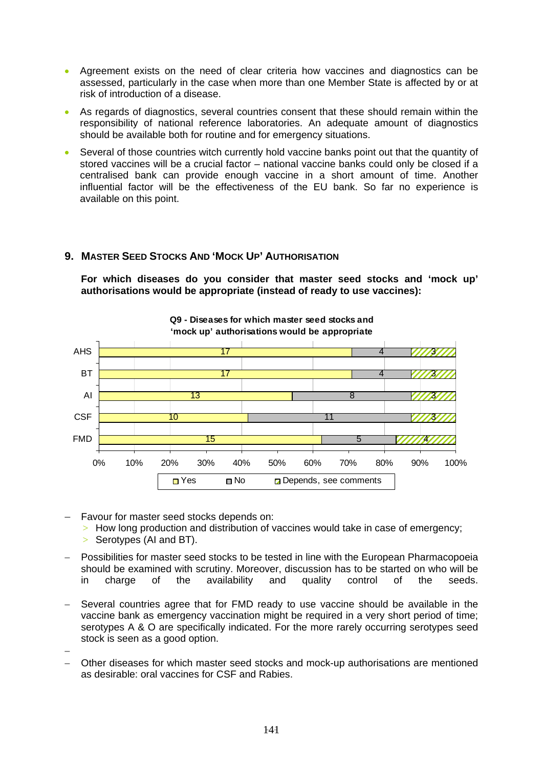- Agreement exists on the need of clear criteria how vaccines and diagnostics can be assessed, particularly in the case when more than one Member State is affected by or at risk of introduction of a disease.
- As regards of diagnostics, several countries consent that these should remain within the responsibility of national reference laboratories. An adequate amount of diagnostics should be available both for routine and for emergency situations.
- Several of those countries witch currently hold vaccine banks point out that the quantity of stored vaccines will be a crucial factor – national vaccine banks could only be closed if a centralised bank can provide enough vaccine in a short amount of time. Another influential factor will be the effectiveness of the EU bank. So far no experience is available on this point.

## **9. MASTER SEED STOCKS AND 'MOCK UP' AUTHORISATION**

**For which diseases do you consider that master seed stocks and 'mock up' authorisations would be appropriate (instead of ready to use vaccines):** 



- − Favour for master seed stocks depends on:
	- > How long production and distribution of vaccines would take in case of emergency;
	- $>$  Serotypes (AI and BT).
- Possibilities for master seed stocks to be tested in line with the European Pharmacopoeia should be examined with scrutiny. Moreover, discussion has to be started on who will be in charge of the availability and quality control of the seeds.
- Several countries agree that for FMD ready to use vaccine should be available in the vaccine bank as emergency vaccination might be required in a very short period of time; serotypes A & O are specifically indicated. For the more rarely occurring serotypes seed stock is seen as a good option.
- − − Other diseases for which master seed stocks and mock-up authorisations are mentioned as desirable: oral vaccines for CSF and Rabies.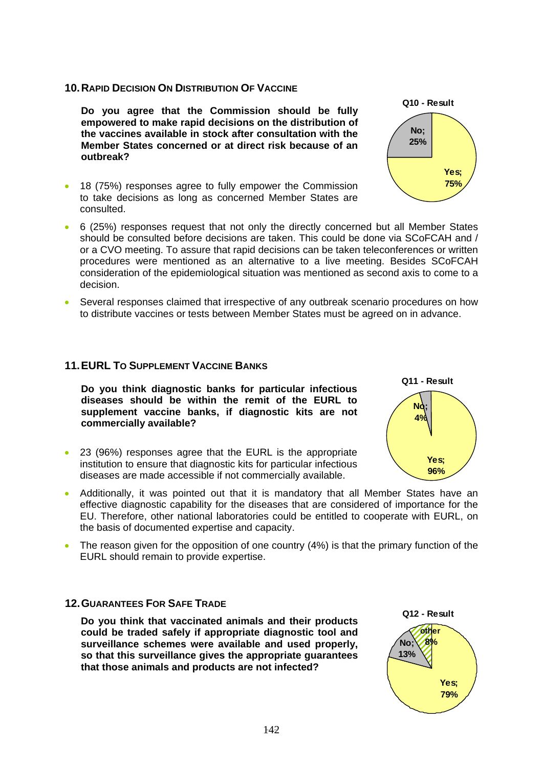#### **10. RAPID DECISION ON DISTRIBUTION OF VACCINE**

**Do you agree that the Commission should be fully empowered to make rapid decisions on the distribution of the vaccines available in stock after consultation with the Member States concerned or at direct risk because of an outbreak?** 

- 18 (75%) responses agree to fully empower the Commission to take decisions as long as concerned Member States are consulted.
- 6 (25%) responses request that not only the directly concerned but all Member States should be consulted before decisions are taken. This could be done via SCoFCAH and / or a CVO meeting. To assure that rapid decisions can be taken teleconferences or written procedures were mentioned as an alternative to a live meeting. Besides SCoFCAH consideration of the epidemiological situation was mentioned as second axis to come to a decision.
- Several responses claimed that irrespective of any outbreak scenario procedures on how to distribute vaccines or tests between Member States must be agreed on in advance.

### **11. EURL TO SUPPLEMENT VACCINE BANKS**

**Do you think diagnostic banks for particular infectious diseases should be within the remit of the EURL to supplement vaccine banks, if diagnostic kits are not commercially available?** 

- 23 (96%) responses agree that the EURL is the appropriate institution to ensure that diagnostic kits for particular infectious diseases are made accessible if not commercially available.
- Additionally, it was pointed out that it is mandatory that all Member States have an effective diagnostic capability for the diseases that are considered of importance for the EU. Therefore, other national laboratories could be entitled to cooperate with EURL, on the basis of documented expertise and capacity.
- The reason given for the opposition of one country (4%) is that the primary function of the EURL should remain to provide expertise.

## **12. GUARANTEES FOR SAFE TRADE**

**Do you think that vaccinated animals and their products could be traded safely if appropriate diagnostic tool and surveillance schemes were available and used properly, so that this surveillance gives the appropriate guarantees that those animals and products are not infected?** 





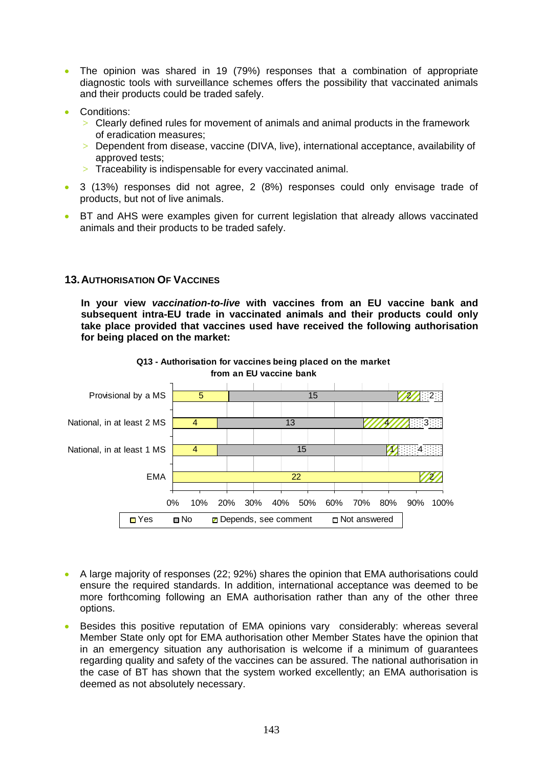- The opinion was shared in 19 (79%) responses that a combination of appropriate diagnostic tools with surveillance schemes offers the possibility that vaccinated animals and their products could be traded safely.
- Conditions:
	- $>$  Clearly defined rules for movement of animals and animal products in the framework of eradication measures;
	- > Dependent from disease, vaccine (DIVA, live), international acceptance, availability of approved tests;
	- $>$  Traceability is indispensable for every vaccinated animal.
- 3 (13%) responses did not agree, 2 (8%) responses could only envisage trade of products, but not of live animals.
- BT and AHS were examples given for current legislation that already allows vaccinated animals and their products to be traded safely.

## **13. AUTHORISATION OF VACCINES**

**In your view** *vaccination-to-live* **with vaccines from an EU vaccine bank and subsequent intra-EU trade in vaccinated animals and their products could only take place provided that vaccines used have received the following authorisation for being placed on the market:** 



# **Q13 - Authorisation for vaccines being placed on the market from an EU vaccine bank**

- A large majority of responses (22; 92%) shares the opinion that EMA authorisations could ensure the required standards. In addition, international acceptance was deemed to be more forthcoming following an EMA authorisation rather than any of the other three options.
- Besides this positive reputation of EMA opinions vary considerably: whereas several Member State only opt for EMA authorisation other Member States have the opinion that in an emergency situation any authorisation is welcome if a minimum of guarantees regarding quality and safety of the vaccines can be assured. The national authorisation in the case of BT has shown that the system worked excellently; an EMA authorisation is deemed as not absolutely necessary.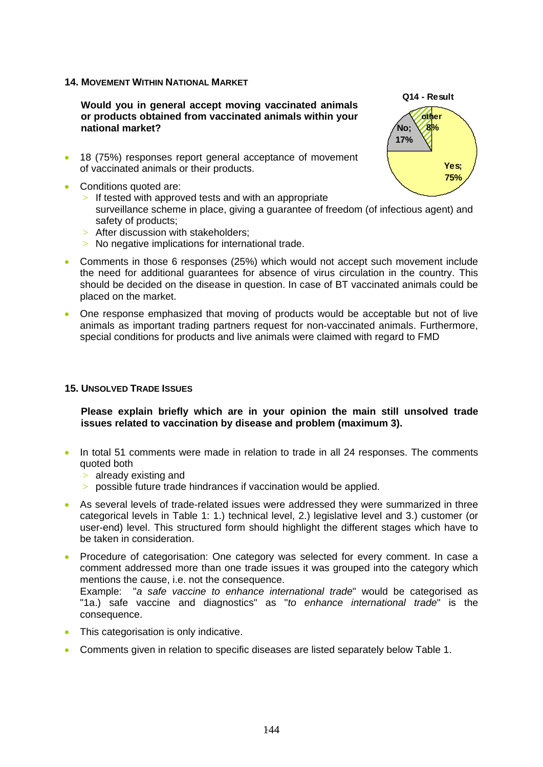#### **14. MOVEMENT WITHIN NATIONAL MARKET**

**Would you in general accept moving vaccinated animals or products obtained from vaccinated animals within your national market?** 

- 18 (75%) responses report general acceptance of movement of vaccinated animals or their products.
- Conditions quoted are:
	- $>$  If tested with approved tests and with an appropriate surveillance scheme in place, giving a guarantee of freedom (of infectious agent) and safety of products;
	- > After discussion with stakeholders;
	- > No negative implications for international trade.
- Comments in those 6 responses (25%) which would not accept such movement include the need for additional guarantees for absence of virus circulation in the country. This should be decided on the disease in question. In case of BT vaccinated animals could be placed on the market.
- One response emphasized that moving of products would be acceptable but not of live animals as important trading partners request for non-vaccinated animals. Furthermore, special conditions for products and live animals were claimed with regard to FMD

### **15. UNSOLVED TRADE ISSUES**

#### **Please explain briefly which are in your opinion the main still unsolved trade issues related to vaccination by disease and problem (maximum 3).**

- In total 51 comments were made in relation to trade in all 24 responses. The comments quoted both
	- > already existing and
	- > possible future trade hindrances if vaccination would be applied.
- As several levels of trade-related issues were addressed they were summarized in three categorical levels in Table 1: 1.) technical level, 2.) legislative level and 3.) customer (or user-end) level. This structured form should highlight the different stages which have to be taken in consideration.
- Procedure of categorisation: One category was selected for every comment. In case a comment addressed more than one trade issues it was grouped into the category which mentions the cause, i.e. not the consequence.

Example: "*a safe vaccine to enhance international trade*" would be categorised as "1a.) safe vaccine and diagnostics" as "*to enhance international trade*" is the consequence.

- This categorisation is only indicative.
- Comments given in relation to specific diseases are listed separately below Table 1.

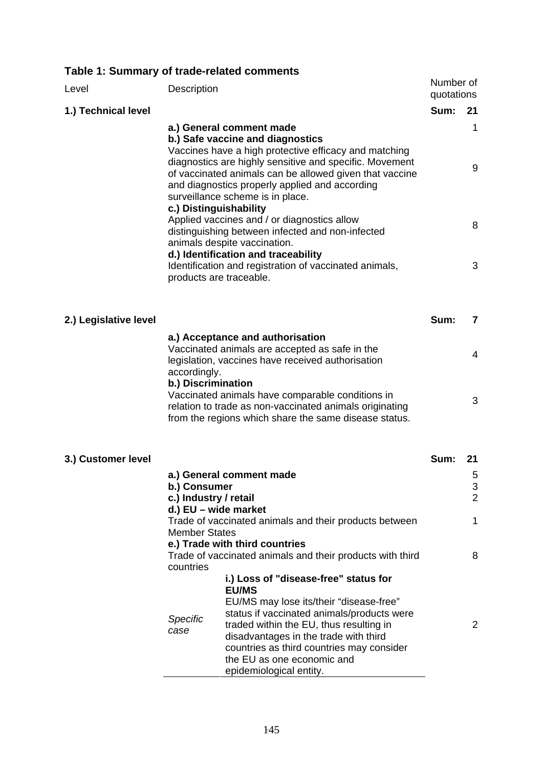# **Table 1: Summary of trade-related comments**

| Level                 | Description                                  |                                                                                                                                                                                                                                                                                                                                          | Number of<br>quotations |                                                  |
|-----------------------|----------------------------------------------|------------------------------------------------------------------------------------------------------------------------------------------------------------------------------------------------------------------------------------------------------------------------------------------------------------------------------------------|-------------------------|--------------------------------------------------|
| 1.) Technical level   |                                              |                                                                                                                                                                                                                                                                                                                                          | Sum:                    | 21                                               |
|                       | c.) Distinguishability                       | a.) General comment made<br>b.) Safe vaccine and diagnostics<br>Vaccines have a high protective efficacy and matching<br>diagnostics are highly sensitive and specific. Movement<br>of vaccinated animals can be allowed given that vaccine<br>and diagnostics properly applied and according<br>surveillance scheme is in place.        |                         | 1<br>9                                           |
|                       |                                              | Applied vaccines and / or diagnostics allow<br>distinguishing between infected and non-infected<br>animals despite vaccination.                                                                                                                                                                                                          |                         | 8                                                |
|                       |                                              | d.) Identification and traceability<br>Identification and registration of vaccinated animals,<br>products are traceable.                                                                                                                                                                                                                 |                         | 3                                                |
| 2.) Legislative level |                                              |                                                                                                                                                                                                                                                                                                                                          | Sum:                    | 7                                                |
|                       | accordingly.                                 | a.) Acceptance and authorisation<br>Vaccinated animals are accepted as safe in the<br>legislation, vaccines have received authorisation                                                                                                                                                                                                  |                         | 4                                                |
|                       | b.) Discrimination                           | Vaccinated animals have comparable conditions in<br>relation to trade as non-vaccinated animals originating<br>from the regions which share the same disease status.                                                                                                                                                                     |                         | 3                                                |
| 3.) Customer level    |                                              |                                                                                                                                                                                                                                                                                                                                          | Sum:                    | 21                                               |
|                       | b.) Consumer<br>c.) Industry / retail        | a.) General comment made                                                                                                                                                                                                                                                                                                                 |                         | 5<br>$\ensuremath{\mathsf{3}}$<br>$\overline{2}$ |
|                       | d.) EU - wide market<br><b>Member States</b> | Trade of vaccinated animals and their products between<br>e.) Trade with third countries                                                                                                                                                                                                                                                 |                         | 1                                                |
|                       | countries                                    | Trade of vaccinated animals and their products with third                                                                                                                                                                                                                                                                                |                         | 8                                                |
|                       | <b>Specific</b><br>case                      | i.) Loss of "disease-free" status for<br><b>EU/MS</b><br>EU/MS may lose its/their "disease-free"<br>status if vaccinated animals/products were<br>traded within the EU, thus resulting in<br>disadvantages in the trade with third<br>countries as third countries may consider<br>the EU as one economic and<br>epidemiological entity. |                         | 2                                                |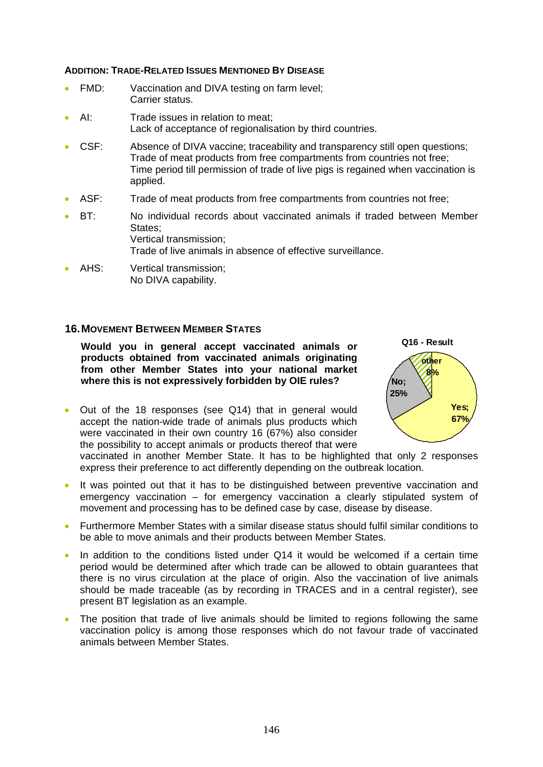#### **ADDITION: TRADE-RELATED ISSUES MENTIONED BY DISEASE**

- FMD: Vaccination and DIVA testing on farm level; Carrier status.
- AI: Trade issues in relation to meat: Lack of acceptance of regionalisation by third countries.
- CSF: Absence of DIVA vaccine; traceability and transparency still open questions; Trade of meat products from free compartments from countries not free; Time period till permission of trade of live pigs is regained when vaccination is applied.
- ASF: Trade of meat products from free compartments from countries not free;
- BT: No individual records about vaccinated animals if traded between Member States; Vertical transmission; Trade of live animals in absence of effective surveillance.
- AHS: Vertical transmission: No DIVA capability.

#### **16. MOVEMENT BETWEEN MEMBER STATES**

**Would you in general accept vaccinated animals or products obtained from vaccinated animals originating from other Member States into your national market where this is not expressively forbidden by OIE rules?** 

• Out of the 18 responses (see Q14) that in general would accept the nation-wide trade of animals plus products which were vaccinated in their own country 16 (67%) also consider the possibility to accept animals or products thereof that were



vaccinated in another Member State. It has to be highlighted that only 2 responses express their preference to act differently depending on the outbreak location.

- It was pointed out that it has to be distinguished between preventive vaccination and emergency vaccination – for emergency vaccination a clearly stipulated system of movement and processing has to be defined case by case, disease by disease.
- Furthermore Member States with a similar disease status should fulfil similar conditions to be able to move animals and their products between Member States.
- In addition to the conditions listed under Q14 it would be welcomed if a certain time period would be determined after which trade can be allowed to obtain guarantees that there is no virus circulation at the place of origin. Also the vaccination of live animals should be made traceable (as by recording in TRACES and in a central register), see present BT legislation as an example.
- The position that trade of live animals should be limited to regions following the same vaccination policy is among those responses which do not favour trade of vaccinated animals between Member States.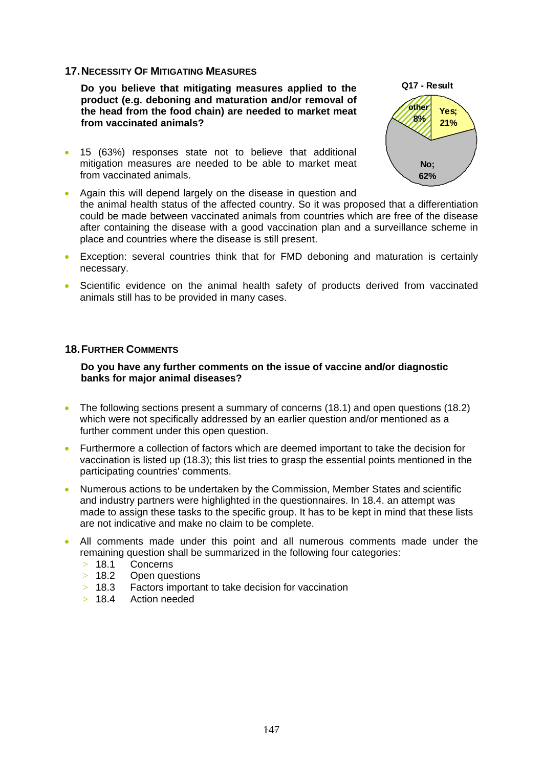#### **17. NECESSITY OF MITIGATING MEASURES**

**Do you believe that mitigating measures applied to the product (e.g. deboning and maturation and/or removal of the head from the food chain) are needed to market meat from vaccinated animals?** 

• 15 (63%) responses state not to believe that additional mitigation measures are needed to be able to market meat from vaccinated animals.



- Exception: several countries think that for FMD deboning and maturation is certainly necessary.
- Scientific evidence on the animal health safety of products derived from vaccinated animals still has to be provided in many cases.

#### **18. FURTHER COMMENTS**

#### **Do you have any further comments on the issue of vaccine and/or diagnostic banks for major animal diseases?**

- The following sections present a summary of concerns (18.1) and open questions (18.2) which were not specifically addressed by an earlier question and/or mentioned as a further comment under this open question.
- Furthermore a collection of factors which are deemed important to take the decision for vaccination is listed up (18.3); this list tries to grasp the essential points mentioned in the participating countries' comments.
- Numerous actions to be undertaken by the Commission, Member States and scientific and industry partners were highlighted in the questionnaires. In 18.4. an attempt was made to assign these tasks to the specific group. It has to be kept in mind that these lists are not indicative and make no claim to be complete.
- All comments made under this point and all numerous comments made under the remaining question shall be summarized in the following four categories:
	- > 18.1 Concerns
	- > 18.2 Open questions<br>> 18.3 Factors importar
	- Factors important to take decision for vaccination
	- > 18.4 Action needed

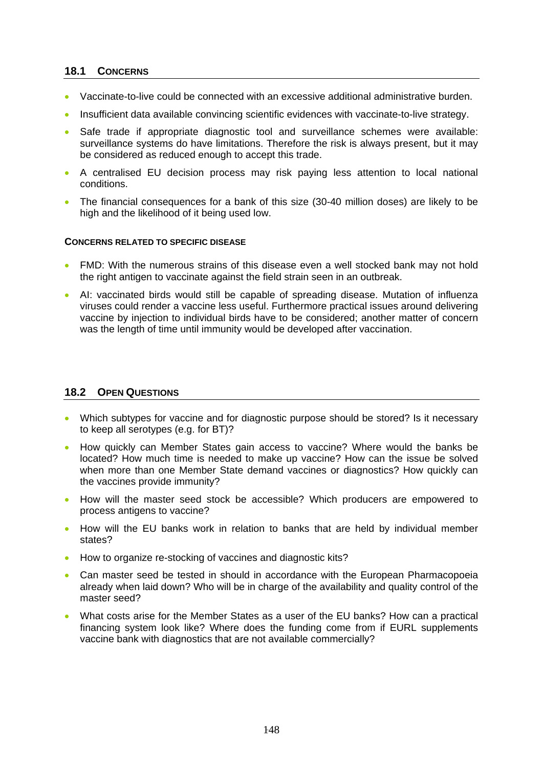## **18.1 CONCERNS**

- Vaccinate-to-live could be connected with an excessive additional administrative burden.
- Insufficient data available convincing scientific evidences with vaccinate-to-live strategy.
- Safe trade if appropriate diagnostic tool and surveillance schemes were available: surveillance systems do have limitations. Therefore the risk is always present, but it may be considered as reduced enough to accept this trade.
- A centralised EU decision process may risk paying less attention to local national conditions.
- The financial consequences for a bank of this size (30-40 million doses) are likely to be high and the likelihood of it being used low.

#### **CONCERNS RELATED TO SPECIFIC DISEASE**

- FMD: With the numerous strains of this disease even a well stocked bank may not hold the right antigen to vaccinate against the field strain seen in an outbreak.
- AI: vaccinated birds would still be capable of spreading disease. Mutation of influenza viruses could render a vaccine less useful. Furthermore practical issues around delivering vaccine by injection to individual birds have to be considered; another matter of concern was the length of time until immunity would be developed after vaccination.

# **18.2 OPEN QUESTIONS**

- Which subtypes for vaccine and for diagnostic purpose should be stored? Is it necessary to keep all serotypes (e.g. for BT)?
- How quickly can Member States gain access to vaccine? Where would the banks be located? How much time is needed to make up vaccine? How can the issue be solved when more than one Member State demand vaccines or diagnostics? How quickly can the vaccines provide immunity?
- How will the master seed stock be accessible? Which producers are empowered to process antigens to vaccine?
- How will the EU banks work in relation to banks that are held by individual member states?
- How to organize re-stocking of vaccines and diagnostic kits?
- Can master seed be tested in should in accordance with the European Pharmacopoeia already when laid down? Who will be in charge of the availability and quality control of the master seed?
- What costs arise for the Member States as a user of the EU banks? How can a practical financing system look like? Where does the funding come from if EURL supplements vaccine bank with diagnostics that are not available commercially?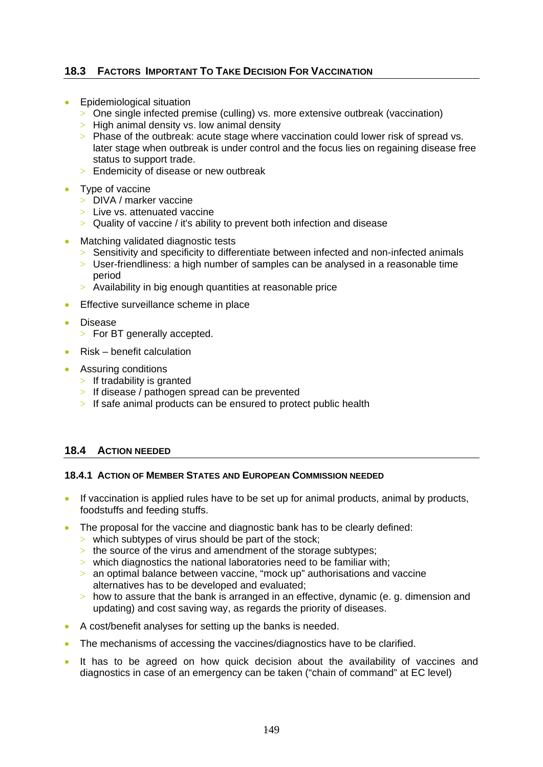# **18.3 FACTORS IMPORTANT TO TAKE DECISION FOR VACCINATION**

- Epidemiological situation
	- > One single infected premise (culling) vs. more extensive outbreak (vaccination)
	- $>$  High animal density vs. low animal density
	- > Phase of the outbreak: acute stage where vaccination could lower risk of spread vs. later stage when outbreak is under control and the focus lies on regaining disease free status to support trade.
	- > Endemicity of disease or new outbreak
- Type of vaccine
	- > DIVA / marker vaccine
	- $>$  Live vs. attenuated vaccine
	- > Quality of vaccine / it's ability to prevent both infection and disease
- Matching validated diagnostic tests
	- > Sensitivity and specificity to differentiate between infected and non-infected animals
	- $>$  User-friendliness: a high number of samples can be analysed in a reasonable time period
	- > Availability in big enough quantities at reasonable price
- Effective surveillance scheme in place
- Disease
	- > For BT generally accepted.
- Risk benefit calculation
- Assuring conditions
	- $>$  If tradability is granted
	- > If disease / pathogen spread can be prevented
	- > If safe animal products can be ensured to protect public health

# **18.4 ACTION NEEDED**

#### **18.4.1 ACTION OF MEMBER STATES AND EUROPEAN COMMISSION NEEDED**

- If vaccination is applied rules have to be set up for animal products, animal by products, foodstuffs and feeding stuffs.
- The proposal for the vaccine and diagnostic bank has to be clearly defined:
	- $>$  which subtypes of virus should be part of the stock;
	- $>$  the source of the virus and amendment of the storage subtypes;
	- $>$  which diagnostics the national laboratories need to be familiar with:
	- > an optimal balance between vaccine, "mock up" authorisations and vaccine alternatives has to be developed and evaluated;
	- $>$  how to assure that the bank is arranged in an effective, dynamic (e. g. dimension and updating) and cost saving way, as regards the priority of diseases.
- A cost/benefit analyses for setting up the banks is needed.
- The mechanisms of accessing the vaccines/diagnostics have to be clarified.
- It has to be agreed on how quick decision about the availability of vaccines and diagnostics in case of an emergency can be taken ("chain of command" at EC level)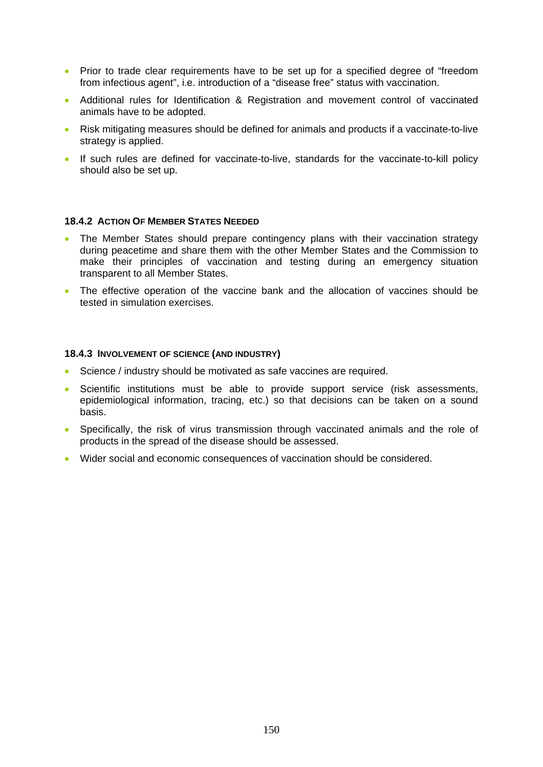- Prior to trade clear requirements have to be set up for a specified degree of "freedom" from infectious agent", i.e. introduction of a "disease free" status with vaccination.
- Additional rules for Identification & Registration and movement control of vaccinated animals have to be adopted.
- Risk mitigating measures should be defined for animals and products if a vaccinate-to-live strategy is applied.
- If such rules are defined for vaccinate-to-live, standards for the vaccinate-to-kill policy should also be set up.

#### **18.4.2 ACTION OF MEMBER STATES NEEDED**

- The Member States should prepare contingency plans with their vaccination strategy during peacetime and share them with the other Member States and the Commission to make their principles of vaccination and testing during an emergency situation transparent to all Member States.
- The effective operation of the vaccine bank and the allocation of vaccines should be tested in simulation exercises.

#### **18.4.3 INVOLVEMENT OF SCIENCE (AND INDUSTRY)**

- Science / industry should be motivated as safe vaccines are required.
- Scientific institutions must be able to provide support service (risk assessments, epidemiological information, tracing, etc.) so that decisions can be taken on a sound basis.
- Specifically, the risk of virus transmission through vaccinated animals and the role of products in the spread of the disease should be assessed.
- Wider social and economic consequences of vaccination should be considered.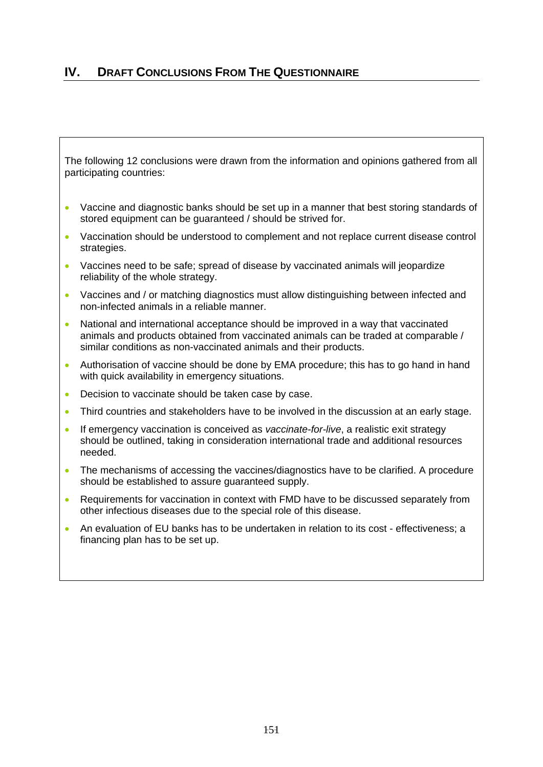# **IV. DRAFT CONCLUSIONS FROM THE QUESTIONNAIRE**

The following 12 conclusions were drawn from the information and opinions gathered from all participating countries:

- Vaccine and diagnostic banks should be set up in a manner that best storing standards of stored equipment can be guaranteed / should be strived for.
- Vaccination should be understood to complement and not replace current disease control strategies.
- Vaccines need to be safe; spread of disease by vaccinated animals will jeopardize reliability of the whole strategy.
- Vaccines and / or matching diagnostics must allow distinguishing between infected and non-infected animals in a reliable manner.
- National and international acceptance should be improved in a way that vaccinated animals and products obtained from vaccinated animals can be traded at comparable / similar conditions as non-vaccinated animals and their products.
- Authorisation of vaccine should be done by EMA procedure; this has to go hand in hand with quick availability in emergency situations.
- Decision to vaccinate should be taken case by case.
- Third countries and stakeholders have to be involved in the discussion at an early stage.
- If emergency vaccination is conceived as *vaccinate-for-live*, a realistic exit strategy should be outlined, taking in consideration international trade and additional resources needed.
- The mechanisms of accessing the vaccines/diagnostics have to be clarified. A procedure should be established to assure guaranteed supply.
- Requirements for vaccination in context with FMD have to be discussed separately from other infectious diseases due to the special role of this disease.
- An evaluation of EU banks has to be undertaken in relation to its cost effectiveness; a financing plan has to be set up.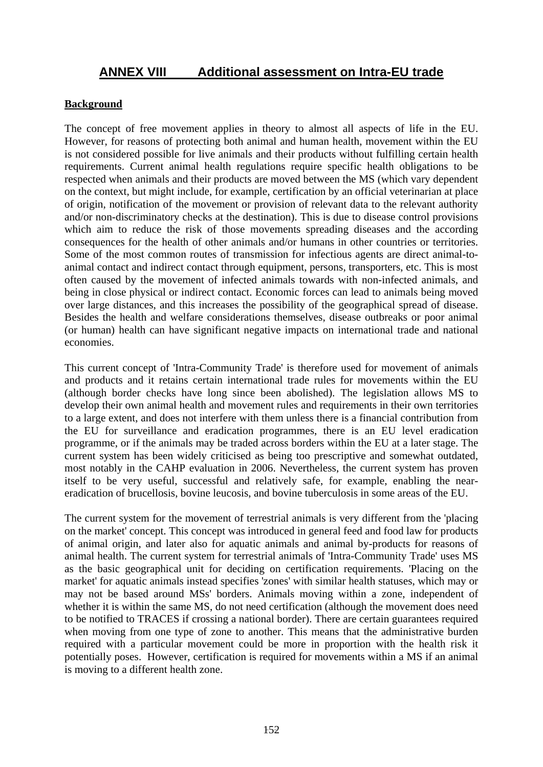# **ANNEX VIII Additional assessment on Intra-EU trade**

# **Background**

The concept of free movement applies in theory to almost all aspects of life in the EU. However, for reasons of protecting both animal and human health, movement within the EU is not considered possible for live animals and their products without fulfilling certain health requirements. Current animal health regulations require specific health obligations to be respected when animals and their products are moved between the MS (which vary dependent on the context, but might include, for example, certification by an official veterinarian at place of origin, notification of the movement or provision of relevant data to the relevant authority and/or non-discriminatory checks at the destination). This is due to disease control provisions which aim to reduce the risk of those movements spreading diseases and the according consequences for the health of other animals and/or humans in other countries or territories. Some of the most common routes of transmission for infectious agents are direct animal-toanimal contact and indirect contact through equipment, persons, transporters, etc. This is most often caused by the movement of infected animals towards with non-infected animals, and being in close physical or indirect contact. Economic forces can lead to animals being moved over large distances, and this increases the possibility of the geographical spread of disease. Besides the health and welfare considerations themselves, disease outbreaks or poor animal (or human) health can have significant negative impacts on international trade and national economies.

This current concept of 'Intra-Community Trade' is therefore used for movement of animals and products and it retains certain international trade rules for movements within the EU (although border checks have long since been abolished). The legislation allows MS to develop their own animal health and movement rules and requirements in their own territories to a large extent, and does not interfere with them unless there is a financial contribution from the EU for surveillance and eradication programmes, there is an EU level eradication programme, or if the animals may be traded across borders within the EU at a later stage. The current system has been widely criticised as being too prescriptive and somewhat outdated, most notably in the CAHP evaluation in 2006. Nevertheless, the current system has proven itself to be very useful, successful and relatively safe, for example, enabling the neareradication of brucellosis, bovine leucosis, and bovine tuberculosis in some areas of the EU.

The current system for the movement of terrestrial animals is very different from the 'placing on the market' concept. This concept was introduced in general feed and food law for products of animal origin, and later also for aquatic animals and animal by-products for reasons of animal health. The current system for terrestrial animals of 'Intra-Community Trade' uses MS as the basic geographical unit for deciding on certification requirements. 'Placing on the market' for aquatic animals instead specifies 'zones' with similar health statuses, which may or may not be based around MSs' borders. Animals moving within a zone, independent of whether it is within the same MS, do not need certification (although the movement does need to be notified to TRACES if crossing a national border). There are certain guarantees required when moving from one type of zone to another. This means that the administrative burden required with a particular movement could be more in proportion with the health risk it potentially poses. However, certification is required for movements within a MS if an animal is moving to a different health zone.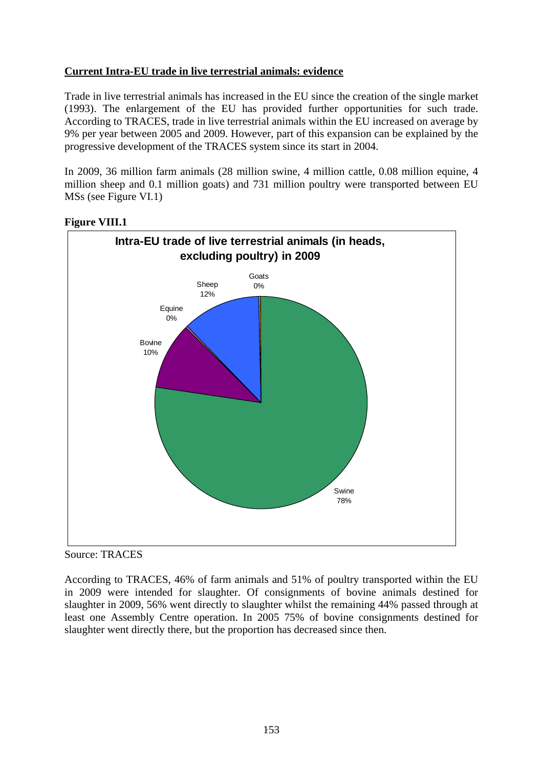# **Current Intra-EU trade in live terrestrial animals: evidence**

Trade in live terrestrial animals has increased in the EU since the creation of the single market (1993). The enlargement of the EU has provided further opportunities for such trade. According to TRACES, trade in live terrestrial animals within the EU increased on average by 9% per year between 2005 and 2009. However, part of this expansion can be explained by the progressive development of the TRACES system since its start in 2004.

In 2009, 36 million farm animals (28 million swine, 4 million cattle, 0.08 million equine, 4 million sheep and 0.1 million goats) and 731 million poultry were transported between EU MSs (see Figure VI.1)



# **Figure VIII.1**

Source: TRACES

According to TRACES, 46% of farm animals and 51% of poultry transported within the EU in 2009 were intended for slaughter. Of consignments of bovine animals destined for slaughter in 2009, 56% went directly to slaughter whilst the remaining 44% passed through at least one Assembly Centre operation. In 2005 75% of bovine consignments destined for slaughter went directly there, but the proportion has decreased since then.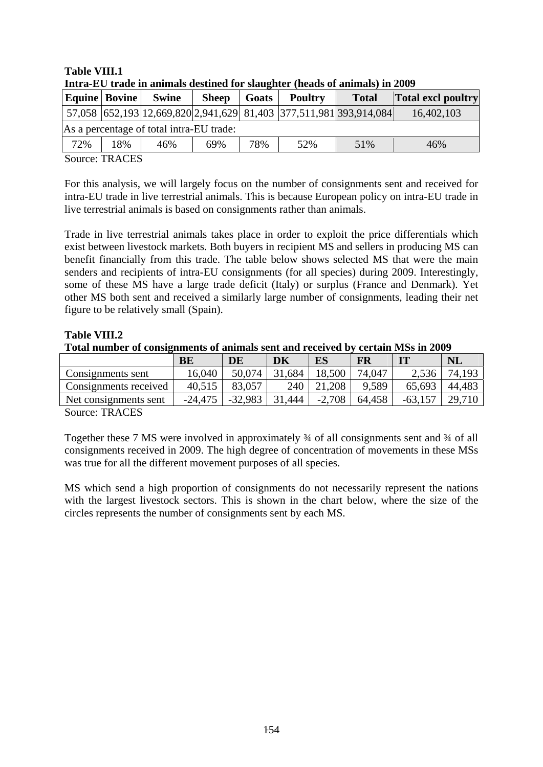# **Table VIII.1**

|                                          | Thu a-L'O' if auc in annihais ucsuncu for siaughter (heaus of annihais) in 2007 |              |              |       |                                                                    |              |                           |
|------------------------------------------|---------------------------------------------------------------------------------|--------------|--------------|-------|--------------------------------------------------------------------|--------------|---------------------------|
|                                          | Equine   Bovine                                                                 | <b>Swine</b> | <b>Sheep</b> | Goats | <b>Poultry</b>                                                     | <b>Total</b> | <b>Total excl poultry</b> |
|                                          |                                                                                 |              |              |       | 57,058 652,193 12,669,820 2,941,629 81,403 377,511,981 393,914,084 |              | 16,402,103                |
| As a percentage of total intra-EU trade: |                                                                                 |              |              |       |                                                                    |              |                           |
| 72%                                      | 18%                                                                             | 46%          | 69%          | 78%   | 52%                                                                | 51%          | 46%                       |

**Intra-EU trade in animals destined for slaughter (heads of animals) in 2009** 

Source: TRACES

For this analysis, we will largely focus on the number of consignments sent and received for intra-EU trade in live terrestrial animals. This is because European policy on intra-EU trade in live terrestrial animals is based on consignments rather than animals.

Trade in live terrestrial animals takes place in order to exploit the price differentials which exist between livestock markets. Both buyers in recipient MS and sellers in producing MS can benefit financially from this trade. The table below shows selected MS that were the main senders and recipients of intra-EU consignments (for all species) during 2009. Interestingly, some of these MS have a large trade deficit (Italy) or surplus (France and Denmark). Yet other MS both sent and received a similarly large number of consignments, leading their net figure to be relatively small (Spain).

#### **Table VIII.2**

**Total number of consignments of animals sent and received by certain MSs in 2009** 

|                                     | BE        | DE        | DK         | ES       | <b>FR</b> | $_{\rm IT}$ | <b>NL</b> |
|-------------------------------------|-----------|-----------|------------|----------|-----------|-------------|-----------|
| Consignments sent                   | 16,040    | 50,074    | 31,684     | 18,500   | 74.047    | 2,536       | 74,193    |
| Consignments received               | 40,515    | 83,057    | 240        |          | 9,589     | 65,693      | 44,483    |
| Net consignments sent               | $-24,475$ | $-32,983$ | .444<br>31 | $-2,708$ | 64,458    |             |           |
| $\sim$<br>$\mathbf{m}$ $\mathbf{m}$ |           |           |            |          |           |             |           |

Source: TRACES

Together these 7 MS were involved in approximately ¾ of all consignments sent and ¾ of all consignments received in 2009. The high degree of concentration of movements in these MSs was true for all the different movement purposes of all species.

MS which send a high proportion of consignments do not necessarily represent the nations with the largest livestock sectors. This is shown in the chart below, where the size of the circles represents the number of consignments sent by each MS.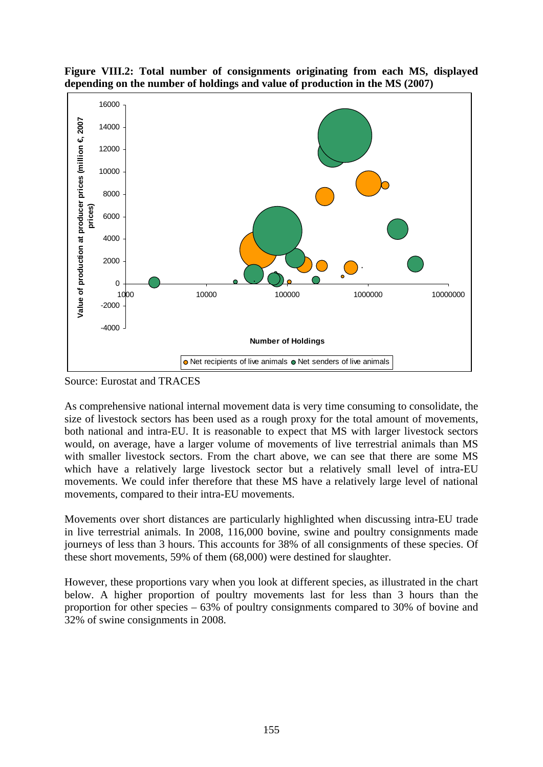

**Figure VIII.2: Total number of consignments originating from each MS, displayed depending on the number of holdings and value of production in the MS (2007)** 

Source: Eurostat and TRACES

As comprehensive national internal movement data is very time consuming to consolidate, the size of livestock sectors has been used as a rough proxy for the total amount of movements, both national and intra-EU. It is reasonable to expect that MS with larger livestock sectors would, on average, have a larger volume of movements of live terrestrial animals than MS with smaller livestock sectors. From the chart above, we can see that there are some MS which have a relatively large livestock sector but a relatively small level of intra-EU movements. We could infer therefore that these MS have a relatively large level of national movements, compared to their intra-EU movements.

Movements over short distances are particularly highlighted when discussing intra-EU trade in live terrestrial animals. In 2008, 116,000 bovine, swine and poultry consignments made journeys of less than 3 hours. This accounts for 38% of all consignments of these species. Of these short movements, 59% of them (68,000) were destined for slaughter.

However, these proportions vary when you look at different species, as illustrated in the chart below. A higher proportion of poultry movements last for less than 3 hours than the proportion for other species – 63% of poultry consignments compared to 30% of bovine and 32% of swine consignments in 2008.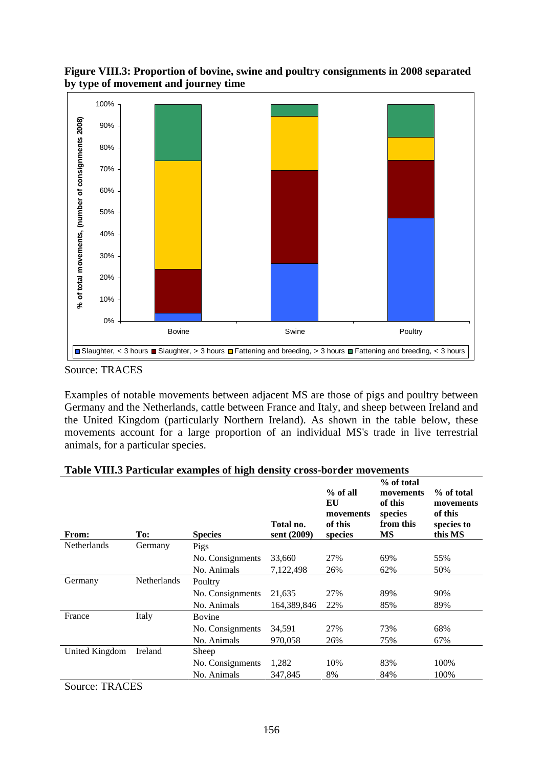**Figure VIII.3: Proportion of bovine, swine and poultry consignments in 2008 separated by type of movement and journey time** 



Examples of notable movements between adjacent MS are those of pigs and poultry between Germany and the Netherlands, cattle between France and Italy, and sheep between Ireland and the United Kingdom (particularly Northern Ireland). As shown in the table below, these movements account for a large proportion of an individual MS's trade in live terrestrial animals, for a particular species.

| From:              | To:                | <b>Species</b>   | Total no.<br>sent (2009) | $%$ of all<br>EU<br>movements<br>of this<br>species | % of total<br>movements<br>of this<br>species<br>from this<br><b>MS</b> | % of total<br>movements<br>of this<br>species to<br>this MS |
|--------------------|--------------------|------------------|--------------------------|-----------------------------------------------------|-------------------------------------------------------------------------|-------------------------------------------------------------|
| <b>Netherlands</b> | Germany            | Pigs             |                          |                                                     |                                                                         |                                                             |
|                    |                    | No. Consignments | 33,660                   | 27%                                                 | 69%                                                                     | 55%                                                         |
|                    |                    | No. Animals      | 7,122,498                | 26%                                                 | 62%                                                                     | 50%                                                         |
| Germany            | <b>Netherlands</b> | Poultry          |                          |                                                     |                                                                         |                                                             |
|                    |                    | No. Consignments | 21,635                   | 27%                                                 | 89%                                                                     | 90%                                                         |
|                    |                    | No. Animals      | 164,389,846              | 22%                                                 | 85%                                                                     | 89%                                                         |
| France             | Italy              | Bovine           |                          |                                                     |                                                                         |                                                             |
|                    |                    | No. Consignments | 34,591                   | 27%                                                 | 73%                                                                     | 68%                                                         |
|                    |                    | No. Animals      | 970,058                  | 26%                                                 | 75%                                                                     | 67%                                                         |
| United Kingdom     | Ireland            | Sheep            |                          |                                                     |                                                                         |                                                             |
|                    |                    | No. Consignments | 1,282                    | 10%                                                 | 83%                                                                     | 100%                                                        |
|                    |                    | No. Animals      | 347,845                  | 8%                                                  | 84%                                                                     | 100%                                                        |

#### **Table VIII.3 Particular examples of high density cross-border movements**

Source: TRACES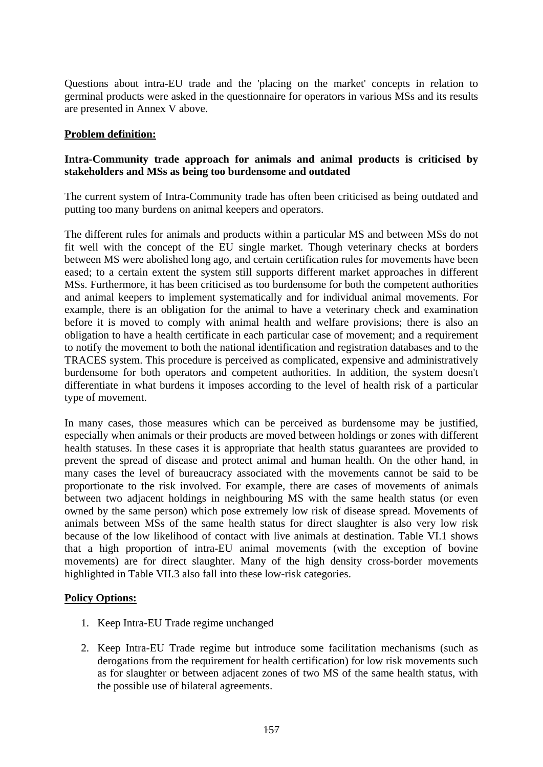Questions about intra-EU trade and the 'placing on the market' concepts in relation to germinal products were asked in the questionnaire for operators in various MSs and its results are presented in Annex V above.

#### **Problem definition:**

## **Intra-Community trade approach for animals and animal products is criticised by stakeholders and MSs as being too burdensome and outdated**

The current system of Intra-Community trade has often been criticised as being outdated and putting too many burdens on animal keepers and operators.

The different rules for animals and products within a particular MS and between MSs do not fit well with the concept of the EU single market. Though veterinary checks at borders between MS were abolished long ago, and certain certification rules for movements have been eased; to a certain extent the system still supports different market approaches in different MSs. Furthermore, it has been criticised as too burdensome for both the competent authorities and animal keepers to implement systematically and for individual animal movements. For example, there is an obligation for the animal to have a veterinary check and examination before it is moved to comply with animal health and welfare provisions; there is also an obligation to have a health certificate in each particular case of movement; and a requirement to notify the movement to both the national identification and registration databases and to the TRACES system. This procedure is perceived as complicated, expensive and administratively burdensome for both operators and competent authorities. In addition, the system doesn't differentiate in what burdens it imposes according to the level of health risk of a particular type of movement.

In many cases, those measures which can be perceived as burdensome may be justified, especially when animals or their products are moved between holdings or zones with different health statuses. In these cases it is appropriate that health status guarantees are provided to prevent the spread of disease and protect animal and human health. On the other hand, in many cases the level of bureaucracy associated with the movements cannot be said to be proportionate to the risk involved. For example, there are cases of movements of animals between two adjacent holdings in neighbouring MS with the same health status (or even owned by the same person) which pose extremely low risk of disease spread. Movements of animals between MSs of the same health status for direct slaughter is also very low risk because of the low likelihood of contact with live animals at destination. Table VI.1 shows that a high proportion of intra-EU animal movements (with the exception of bovine movements) are for direct slaughter. Many of the high density cross-border movements highlighted in Table VII.3 also fall into these low-risk categories.

#### **Policy Options:**

- 1. Keep Intra-EU Trade regime unchanged
- 2. Keep Intra-EU Trade regime but introduce some facilitation mechanisms (such as derogations from the requirement for health certification) for low risk movements such as for slaughter or between adjacent zones of two MS of the same health status, with the possible use of bilateral agreements.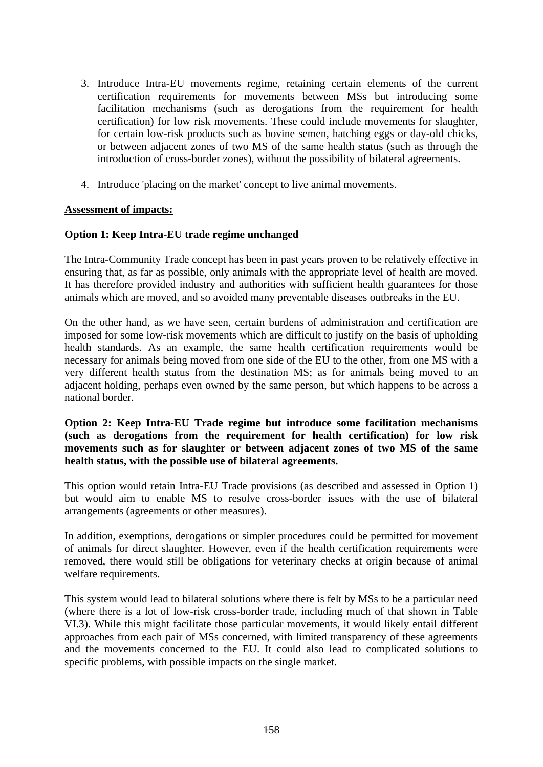- 3. Introduce Intra-EU movements regime, retaining certain elements of the current certification requirements for movements between MSs but introducing some facilitation mechanisms (such as derogations from the requirement for health certification) for low risk movements. These could include movements for slaughter, for certain low-risk products such as bovine semen, hatching eggs or day-old chicks, or between adjacent zones of two MS of the same health status (such as through the introduction of cross-border zones), without the possibility of bilateral agreements.
- 4. Introduce 'placing on the market' concept to live animal movements.

## **Assessment of impacts:**

## **Option 1: Keep Intra-EU trade regime unchanged**

The Intra-Community Trade concept has been in past years proven to be relatively effective in ensuring that, as far as possible, only animals with the appropriate level of health are moved. It has therefore provided industry and authorities with sufficient health guarantees for those animals which are moved, and so avoided many preventable diseases outbreaks in the EU.

On the other hand, as we have seen, certain burdens of administration and certification are imposed for some low-risk movements which are difficult to justify on the basis of upholding health standards. As an example, the same health certification requirements would be necessary for animals being moved from one side of the EU to the other, from one MS with a very different health status from the destination MS; as for animals being moved to an adjacent holding, perhaps even owned by the same person, but which happens to be across a national border.

## **Option 2: Keep Intra-EU Trade regime but introduce some facilitation mechanisms (such as derogations from the requirement for health certification) for low risk movements such as for slaughter or between adjacent zones of two MS of the same health status, with the possible use of bilateral agreements.**

This option would retain Intra-EU Trade provisions (as described and assessed in Option 1) but would aim to enable MS to resolve cross-border issues with the use of bilateral arrangements (agreements or other measures).

In addition, exemptions, derogations or simpler procedures could be permitted for movement of animals for direct slaughter. However, even if the health certification requirements were removed, there would still be obligations for veterinary checks at origin because of animal welfare requirements.

This system would lead to bilateral solutions where there is felt by MSs to be a particular need (where there is a lot of low-risk cross-border trade, including much of that shown in Table VI.3). While this might facilitate those particular movements, it would likely entail different approaches from each pair of MSs concerned, with limited transparency of these agreements and the movements concerned to the EU. It could also lead to complicated solutions to specific problems, with possible impacts on the single market.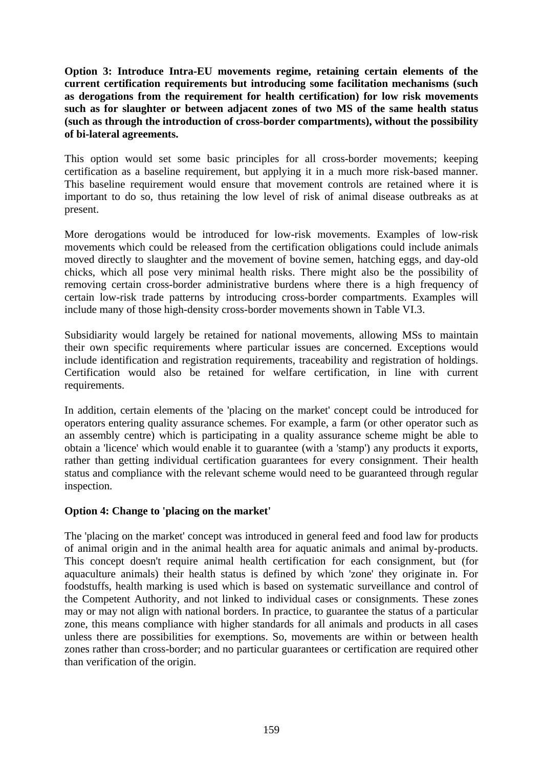**Option 3: Introduce Intra-EU movements regime, retaining certain elements of the current certification requirements but introducing some facilitation mechanisms (such as derogations from the requirement for health certification) for low risk movements such as for slaughter or between adjacent zones of two MS of the same health status (such as through the introduction of cross-border compartments), without the possibility of bi-lateral agreements.** 

This option would set some basic principles for all cross-border movements; keeping certification as a baseline requirement, but applying it in a much more risk-based manner. This baseline requirement would ensure that movement controls are retained where it is important to do so, thus retaining the low level of risk of animal disease outbreaks as at present.

More derogations would be introduced for low-risk movements. Examples of low-risk movements which could be released from the certification obligations could include animals moved directly to slaughter and the movement of bovine semen, hatching eggs, and day-old chicks, which all pose very minimal health risks. There might also be the possibility of removing certain cross-border administrative burdens where there is a high frequency of certain low-risk trade patterns by introducing cross-border compartments. Examples will include many of those high-density cross-border movements shown in Table VI.3.

Subsidiarity would largely be retained for national movements, allowing MSs to maintain their own specific requirements where particular issues are concerned. Exceptions would include identification and registration requirements, traceability and registration of holdings. Certification would also be retained for welfare certification, in line with current requirements.

In addition, certain elements of the 'placing on the market' concept could be introduced for operators entering quality assurance schemes. For example, a farm (or other operator such as an assembly centre) which is participating in a quality assurance scheme might be able to obtain a 'licence' which would enable it to guarantee (with a 'stamp') any products it exports, rather than getting individual certification guarantees for every consignment. Their health status and compliance with the relevant scheme would need to be guaranteed through regular inspection.

# **Option 4: Change to 'placing on the market'**

The 'placing on the market' concept was introduced in general feed and food law for products of animal origin and in the animal health area for aquatic animals and animal by-products. This concept doesn't require animal health certification for each consignment, but (for aquaculture animals) their health status is defined by which 'zone' they originate in. For foodstuffs, health marking is used which is based on systematic surveillance and control of the Competent Authority, and not linked to individual cases or consignments. These zones may or may not align with national borders. In practice, to guarantee the status of a particular zone, this means compliance with higher standards for all animals and products in all cases unless there are possibilities for exemptions. So, movements are within or between health zones rather than cross-border; and no particular guarantees or certification are required other than verification of the origin.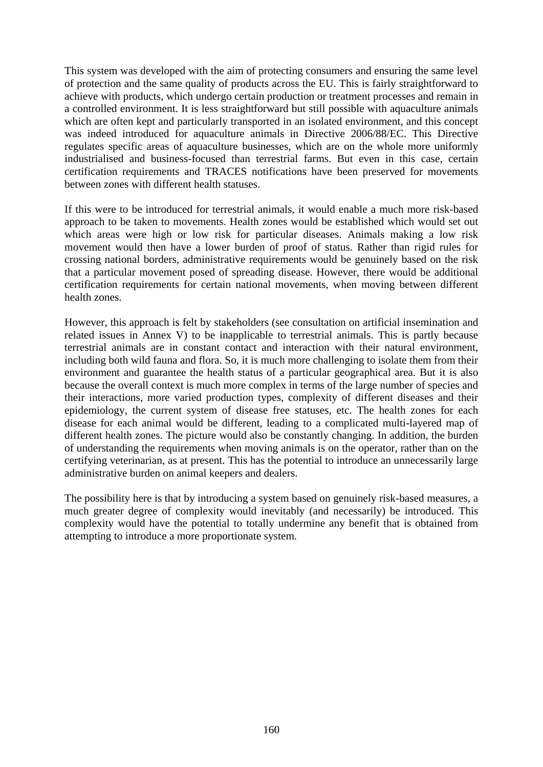This system was developed with the aim of protecting consumers and ensuring the same level of protection and the same quality of products across the EU. This is fairly straightforward to achieve with products, which undergo certain production or treatment processes and remain in a controlled environment. It is less straightforward but still possible with aquaculture animals which are often kept and particularly transported in an isolated environment, and this concept was indeed introduced for aquaculture animals in Directive 2006/88/EC. This Directive regulates specific areas of aquaculture businesses, which are on the whole more uniformly industrialised and business-focused than terrestrial farms. But even in this case, certain certification requirements and TRACES notifications have been preserved for movements between zones with different health statuses.

If this were to be introduced for terrestrial animals, it would enable a much more risk-based approach to be taken to movements. Health zones would be established which would set out which areas were high or low risk for particular diseases. Animals making a low risk movement would then have a lower burden of proof of status. Rather than rigid rules for crossing national borders, administrative requirements would be genuinely based on the risk that a particular movement posed of spreading disease. However, there would be additional certification requirements for certain national movements, when moving between different health zones.

However, this approach is felt by stakeholders (see consultation on artificial insemination and related issues in Annex V) to be inapplicable to terrestrial animals. This is partly because terrestrial animals are in constant contact and interaction with their natural environment, including both wild fauna and flora. So, it is much more challenging to isolate them from their environment and guarantee the health status of a particular geographical area. But it is also because the overall context is much more complex in terms of the large number of species and their interactions, more varied production types, complexity of different diseases and their epidemiology, the current system of disease free statuses, etc. The health zones for each disease for each animal would be different, leading to a complicated multi-layered map of different health zones. The picture would also be constantly changing. In addition, the burden of understanding the requirements when moving animals is on the operator, rather than on the certifying veterinarian, as at present. This has the potential to introduce an unnecessarily large administrative burden on animal keepers and dealers.

The possibility here is that by introducing a system based on genuinely risk-based measures, a much greater degree of complexity would inevitably (and necessarily) be introduced. This complexity would have the potential to totally undermine any benefit that is obtained from attempting to introduce a more proportionate system.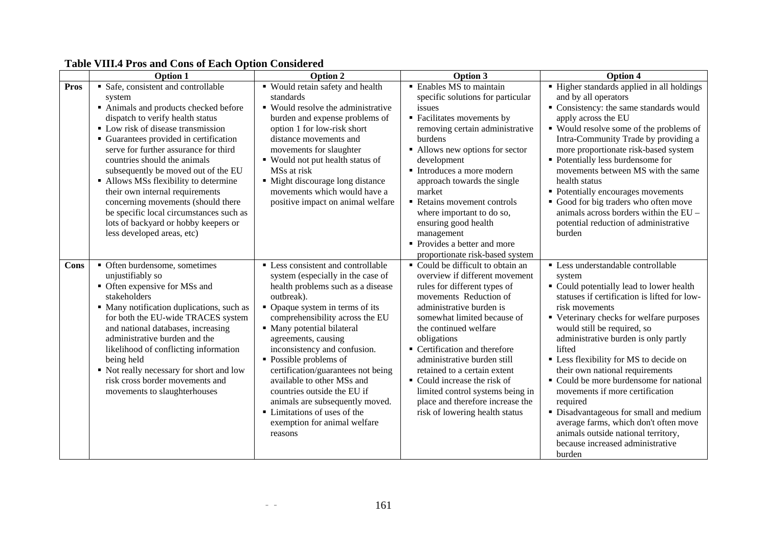|             | They'll hop while Comp of Eather Operon Compress<br><b>Option 1</b>         | Option 2                                                         | Option 3                                                             | Option 4                                                                   |
|-------------|-----------------------------------------------------------------------------|------------------------------------------------------------------|----------------------------------------------------------------------|----------------------------------------------------------------------------|
| <b>Pros</b> | • Safe, consistent and controllable                                         | • Would retain safety and health                                 | • Enables MS to maintain                                             | • Higher standards applied in all holdings                                 |
|             | system                                                                      | standards                                                        | specific solutions for particular                                    | and by all operators                                                       |
|             | Animals and products checked before                                         | • Would resolve the administrative                               | issues                                                               | Consistency: the same standards would                                      |
|             | dispatch to verify health status<br>• Low risk of disease transmission      | burden and expense problems of<br>option 1 for low-risk short    | • Facilitates movements by<br>removing certain administrative        | apply across the EU<br>• Would resolve some of the problems of             |
|             | • Guarantees provided in certification                                      | distance movements and                                           | burdens                                                              | Intra-Community Trade by providing a                                       |
|             | serve for further assurance for third                                       | movements for slaughter                                          | • Allows new options for sector                                      | more proportionate risk-based system                                       |
|             | countries should the animals                                                | ■ Would not put health status of                                 | development                                                          | • Potentially less burdensome for                                          |
|             | subsequently be moved out of the EU                                         | MSs at risk                                                      | Introduces a more modern                                             | movements between MS with the same                                         |
|             | • Allows MSs flexibility to determine                                       | • Might discourage long distance                                 | approach towards the single                                          | health status                                                              |
|             | their own internal requirements                                             | movements which would have a                                     | market                                                               | • Potentially encourages movements                                         |
|             | concerning movements (should there                                          | positive impact on animal welfare                                | Retains movement controls                                            | • Good for big traders who often move                                      |
|             | be specific local circumstances such as                                     |                                                                  | where important to do so,                                            | animals across borders within the EU -                                     |
|             | lots of backyard or hobby keepers or                                        |                                                                  | ensuring good health                                                 | potential reduction of administrative                                      |
|             | less developed areas, etc)                                                  |                                                                  | management                                                           | burden                                                                     |
|             |                                                                             |                                                                  | • Provides a better and more                                         |                                                                            |
| Cons        | • Often burdensome, sometimes                                               | • Less consistent and controllable                               | proportionate risk-based system<br>• Could be difficult to obtain an | • Less understandable controllable                                         |
|             | unjustifiably so                                                            | system (especially in the case of                                | overview if different movement                                       | system                                                                     |
|             | • Often expensive for MSs and                                               | health problems such as a disease                                | rules for different types of                                         | • Could potentially lead to lower health                                   |
|             | stakeholders                                                                | outbreak).                                                       | movements Reduction of                                               | statuses if certification is lifted for low-                               |
|             | • Many notification duplications, such as                                   | • Opaque system in terms of its                                  | administrative burden is                                             | risk movements                                                             |
|             | for both the EU-wide TRACES system                                          | comprehensibility across the EU                                  | somewhat limited because of                                          | • Veterinary checks for welfare purposes                                   |
|             | and national databases, increasing                                          | • Many potential bilateral                                       | the continued welfare                                                | would still be required, so                                                |
|             | administrative burden and the                                               | agreements, causing                                              | obligations                                                          | administrative burden is only partly                                       |
|             | likelihood of conflicting information                                       | inconsistency and confusion.                                     | • Certification and therefore                                        | lifted                                                                     |
|             | being held                                                                  | • Possible problems of                                           | administrative burden still                                          | • Less flexibility for MS to decide on                                     |
|             | • Not really necessary for short and low<br>risk cross border movements and | certification/guarantees not being<br>available to other MSs and | retained to a certain extent<br>• Could increase the risk of         | their own national requirements<br>• Could be more burdensome for national |
|             | movements to slaughterhouses                                                | countries outside the EU if                                      | limited control systems being in                                     | movements if more certification                                            |
|             |                                                                             | animals are subsequently moved.                                  | place and therefore increase the                                     | required                                                                   |
|             |                                                                             | • Limitations of uses of the                                     | risk of lowering health status                                       | · Disadvantageous for small and medium                                     |
|             |                                                                             | exemption for animal welfare                                     |                                                                      | average farms, which don't often move                                      |
|             |                                                                             | reasons                                                          |                                                                      | animals outside national territory,                                        |
|             |                                                                             |                                                                  |                                                                      | because increased administrative                                           |
|             |                                                                             |                                                                  |                                                                      | burden                                                                     |

# **Table VIII.4 Pros and Cons of Each Option Considered**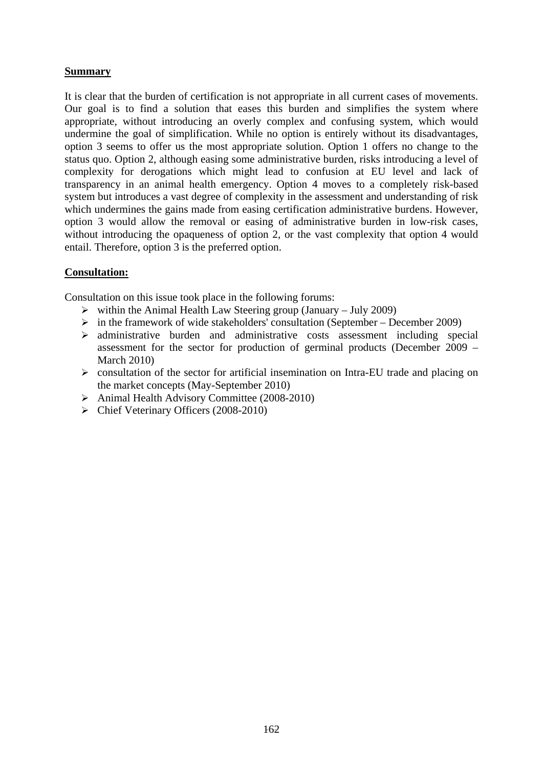# **Summary**

It is clear that the burden of certification is not appropriate in all current cases of movements. Our goal is to find a solution that eases this burden and simplifies the system where appropriate, without introducing an overly complex and confusing system, which would undermine the goal of simplification. While no option is entirely without its disadvantages, option 3 seems to offer us the most appropriate solution. Option 1 offers no change to the status quo. Option 2, although easing some administrative burden, risks introducing a level of complexity for derogations which might lead to confusion at EU level and lack of transparency in an animal health emergency. Option 4 moves to a completely risk-based system but introduces a vast degree of complexity in the assessment and understanding of risk which undermines the gains made from easing certification administrative burdens. However, option 3 would allow the removal or easing of administrative burden in low-risk cases, without introducing the opaqueness of option 2, or the vast complexity that option 4 would entail. Therefore, option 3 is the preferred option.

## **Consultation:**

Consultation on this issue took place in the following forums:

- $\triangleright$  within the Animal Health Law Steering group (January July 2009)
- $\triangleright$  in the framework of wide stakeholders' consultation (September December 2009)
- $\geq$  administrative burden and administrative costs assessment including special assessment for the sector for production of germinal products (December 2009 – March 2010)
- ¾ consultation of the sector for artificial insemination on Intra-EU trade and placing on the market concepts (May-September 2010)
- ¾ Animal Health Advisory Committee (2008-2010)
- ¾ Chief Veterinary Officers (2008-2010)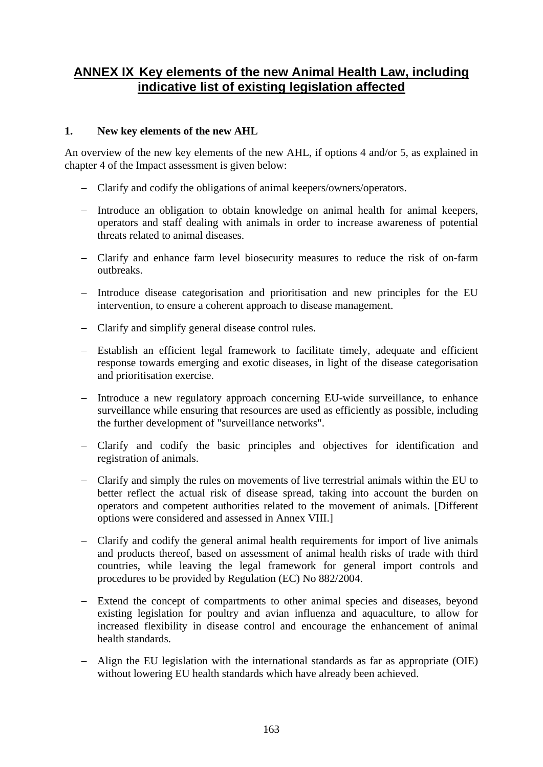# **ANNEX IX Key elements of the new Animal Health Law, including indicative list of existing legislation affected**

# **1. New key elements of the new AHL**

An overview of the new key elements of the new AHL, if options 4 and/or 5, as explained in chapter 4 of the Impact assessment is given below:

- − Clarify and codify the obligations of animal keepers/owners/operators.
- − Introduce an obligation to obtain knowledge on animal health for animal keepers, operators and staff dealing with animals in order to increase awareness of potential threats related to animal diseases.
- − Clarify and enhance farm level biosecurity measures to reduce the risk of on-farm outbreaks.
- − Introduce disease categorisation and prioritisation and new principles for the EU intervention, to ensure a coherent approach to disease management.
- − Clarify and simplify general disease control rules.
- − Establish an efficient legal framework to facilitate timely, adequate and efficient response towards emerging and exotic diseases, in light of the disease categorisation and prioritisation exercise.
- − Introduce a new regulatory approach concerning EU-wide surveillance, to enhance surveillance while ensuring that resources are used as efficiently as possible, including the further development of "surveillance networks".
- − Clarify and codify the basic principles and objectives for identification and registration of animals.
- − Clarify and simply the rules on movements of live terrestrial animals within the EU to better reflect the actual risk of disease spread, taking into account the burden on operators and competent authorities related to the movement of animals. [Different options were considered and assessed in Annex VIII.]
- − Clarify and codify the general animal health requirements for import of live animals and products thereof, based on assessment of animal health risks of trade with third countries, while leaving the legal framework for general import controls and procedures to be provided by Regulation (EC) No 882/2004.
- − Extend the concept of compartments to other animal species and diseases, beyond existing legislation for poultry and avian influenza and aquaculture, to allow for increased flexibility in disease control and encourage the enhancement of animal health standards.
- − Align the EU legislation with the international standards as far as appropriate (OIE) without lowering EU health standards which have already been achieved.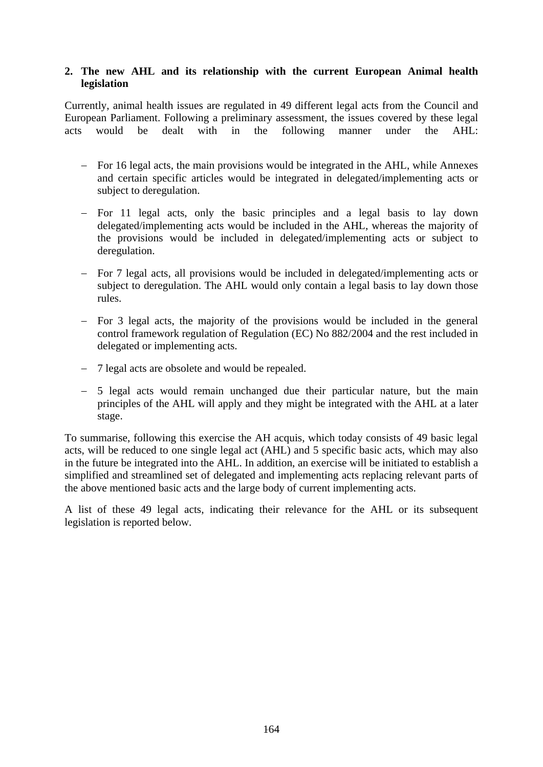# **2. The new AHL and its relationship with the current European Animal health legislation**

Currently, animal health issues are regulated in 49 different legal acts from the Council and European Parliament. Following a preliminary assessment, the issues covered by these legal acts would be dealt with in the following manner under the AHL:

- − For 16 legal acts, the main provisions would be integrated in the AHL, while Annexes and certain specific articles would be integrated in delegated/implementing acts or subject to deregulation.
- − For 11 legal acts, only the basic principles and a legal basis to lay down delegated/implementing acts would be included in the AHL, whereas the majority of the provisions would be included in delegated/implementing acts or subject to deregulation.
- − For 7 legal acts, all provisions would be included in delegated/implementing acts or subject to deregulation. The AHL would only contain a legal basis to lay down those rules.
- − For 3 legal acts, the majority of the provisions would be included in the general control framework regulation of Regulation (EC) No 882/2004 and the rest included in delegated or implementing acts.
- − 7 legal acts are obsolete and would be repealed.
- − 5 legal acts would remain unchanged due their particular nature, but the main principles of the AHL will apply and they might be integrated with the AHL at a later stage.

To summarise, following this exercise the AH acquis, which today consists of 49 basic legal acts, will be reduced to one single legal act (AHL) and 5 specific basic acts, which may also in the future be integrated into the AHL. In addition, an exercise will be initiated to establish a simplified and streamlined set of delegated and implementing acts replacing relevant parts of the above mentioned basic acts and the large body of current implementing acts.

A list of these 49 legal acts, indicating their relevance for the AHL or its subsequent legislation is reported below.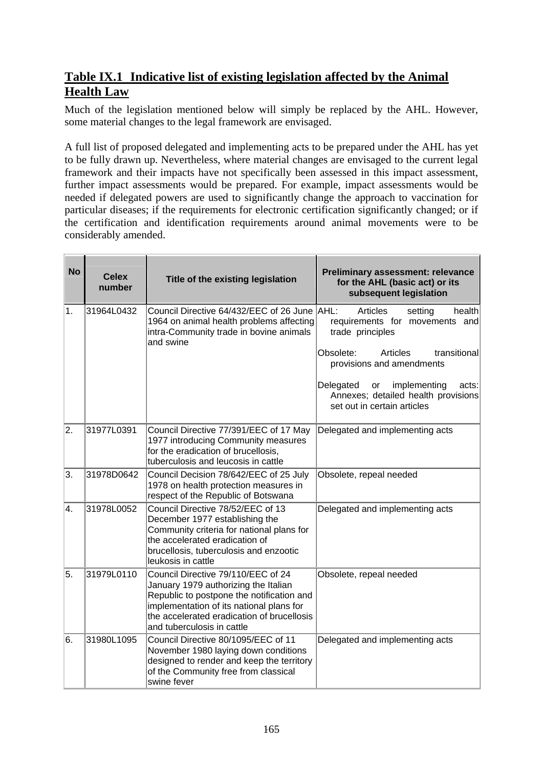# **Table IX.1 Indicative list of existing legislation affected by the Animal Health Law**

Much of the legislation mentioned below will simply be replaced by the AHL. However, some material changes to the legal framework are envisaged.

A full list of proposed delegated and implementing acts to be prepared under the AHL has yet to be fully drawn up. Nevertheless, where material changes are envisaged to the current legal framework and their impacts have not specifically been assessed in this impact assessment, further impact assessments would be prepared. For example, impact assessments would be needed if delegated powers are used to significantly change the approach to vaccination for particular diseases; if the requirements for electronic certification significantly changed; or if the certification and identification requirements around animal movements were to be considerably amended.

| <b>No</b> | <b>Celex</b><br>number | Title of the existing legislation                                                                                                                                                                                                               | <b>Preliminary assessment: relevance</b><br>for the AHL (basic act) or its<br>subsequent legislation                                                                                                                                                                        |
|-----------|------------------------|-------------------------------------------------------------------------------------------------------------------------------------------------------------------------------------------------------------------------------------------------|-----------------------------------------------------------------------------------------------------------------------------------------------------------------------------------------------------------------------------------------------------------------------------|
| 1.        | 31964L0432             | Council Directive 64/432/EEC of 26 June AHL:<br>1964 on animal health problems affecting<br>intra-Community trade in bovine animals<br>and swine                                                                                                | Articles<br>health<br>setting<br>requirements for movements and<br>trade principles<br>Obsolete:<br>Articles<br>transitional<br>provisions and amendments<br>Delegated<br>implementing<br>or<br>acts:<br>Annexes; detailed health provisions<br>set out in certain articles |
| 2.        | 31977L0391             | Council Directive 77/391/EEC of 17 May<br>1977 introducing Community measures<br>for the eradication of brucellosis,<br>tuberculosis and leucosis in cattle                                                                                     | Delegated and implementing acts                                                                                                                                                                                                                                             |
| 3.        | 31978D0642             | Council Decision 78/642/EEC of 25 July<br>1978 on health protection measures in<br>respect of the Republic of Botswana                                                                                                                          | Obsolete, repeal needed                                                                                                                                                                                                                                                     |
| 4.        | 31978L0052             | Council Directive 78/52/EEC of 13<br>December 1977 establishing the<br>Community criteria for national plans for<br>the accelerated eradication of<br>brucellosis, tuberculosis and enzootic<br>leukosis in cattle                              | Delegated and implementing acts                                                                                                                                                                                                                                             |
| 5.        | 31979L0110             | Council Directive 79/110/EEC of 24<br>January 1979 authorizing the Italian<br>Republic to postpone the notification and<br>implementation of its national plans for<br>the accelerated eradication of brucellosis<br>and tuberculosis in cattle | Obsolete, repeal needed                                                                                                                                                                                                                                                     |
| 6.        | 31980L1095             | Council Directive 80/1095/EEC of 11<br>November 1980 laying down conditions<br>designed to render and keep the territory<br>of the Community free from classical<br>swine fever                                                                 | Delegated and implementing acts                                                                                                                                                                                                                                             |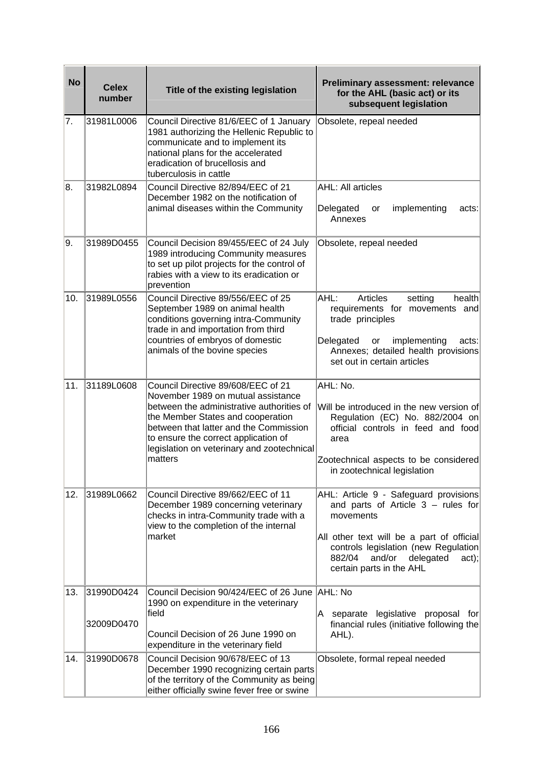| <b>No</b> | <b>Celex</b>             | Title of the existing legislation                                                                                                                                                                                                                                                                     | <b>Preliminary assessment: relevance</b>                                                                                                                                                                                                               |
|-----------|--------------------------|-------------------------------------------------------------------------------------------------------------------------------------------------------------------------------------------------------------------------------------------------------------------------------------------------------|--------------------------------------------------------------------------------------------------------------------------------------------------------------------------------------------------------------------------------------------------------|
|           | number                   |                                                                                                                                                                                                                                                                                                       | for the AHL (basic act) or its<br>subsequent legislation                                                                                                                                                                                               |
| 7.        | 31981L0006               | Council Directive 81/6/EEC of 1 January<br>1981 authorizing the Hellenic Republic to<br>communicate and to implement its<br>national plans for the accelerated<br>eradication of brucellosis and<br>tuberculosis in cattle                                                                            | Obsolete, repeal needed                                                                                                                                                                                                                                |
| 8.        | 31982L0894               | Council Directive 82/894/EEC of 21<br>December 1982 on the notification of<br>animal diseases within the Community                                                                                                                                                                                    | <b>AHL: All articles</b><br>implementing<br>Delegated<br>acts:<br>or<br>Annexes                                                                                                                                                                        |
| 9.        | 31989D0455               | Council Decision 89/455/EEC of 24 July<br>1989 introducing Community measures<br>to set up pilot projects for the control of<br>rabies with a view to its eradication or<br>prevention                                                                                                                | Obsolete, repeal needed                                                                                                                                                                                                                                |
| 10.       | 31989L0556               | Council Directive 89/556/EEC of 25<br>September 1989 on animal health<br>conditions governing intra-Community<br>trade in and importation from third<br>countries of embryos of domestic<br>animals of the bovine species                                                                             | AHL:<br><b>Articles</b><br>health<br>setting<br>requirements for movements and<br>trade principles<br>Delegated<br>implementing<br>acts:<br>or<br>Annexes; detailed health provisions<br>set out in certain articles                                   |
| 11.       | 31189L0608               | Council Directive 89/608/EEC of 21<br>November 1989 on mutual assistance<br>between the administrative authorities of<br>the Member States and cooperation<br>between that latter and the Commission<br>to ensure the correct application of<br>legislation on veterinary and zootechnical<br>matters | AHL: No.<br>Will be introduced in the new version of<br>Regulation (EC) No. 882/2004 on<br>official controls in feed and food<br>area<br>Zootechnical aspects to be considered<br>in zootechnical legislation                                          |
| 12.       | 31989L0662               | Council Directive 89/662/EEC of 11<br>December 1989 concerning veterinary<br>checks in intra-Community trade with a<br>view to the completion of the internal<br>market                                                                                                                               | AHL: Article 9 - Safeguard provisions<br>and parts of Article $3 -$ rules for<br>movements<br>All other text will be a part of official<br>controls legislation (new Regulation)<br>and/or<br>882/04<br>delegated<br>act);<br>certain parts in the AHL |
| 13.       | 31990D0424<br>32009D0470 | Council Decision 90/424/EEC of 26 June<br>1990 on expenditure in the veterinary<br>lfield<br>Council Decision of 26 June 1990 on<br>expenditure in the veterinary field                                                                                                                               | AHL: No<br>A separate legislative proposal for<br>financial rules (initiative following the<br>AHL).                                                                                                                                                   |
| 14.       | 31990D0678               | Council Decision 90/678/EEC of 13<br>December 1990 recognizing certain parts<br>of the territory of the Community as being<br>either officially swine fever free or swine                                                                                                                             | Obsolete, formal repeal needed                                                                                                                                                                                                                         |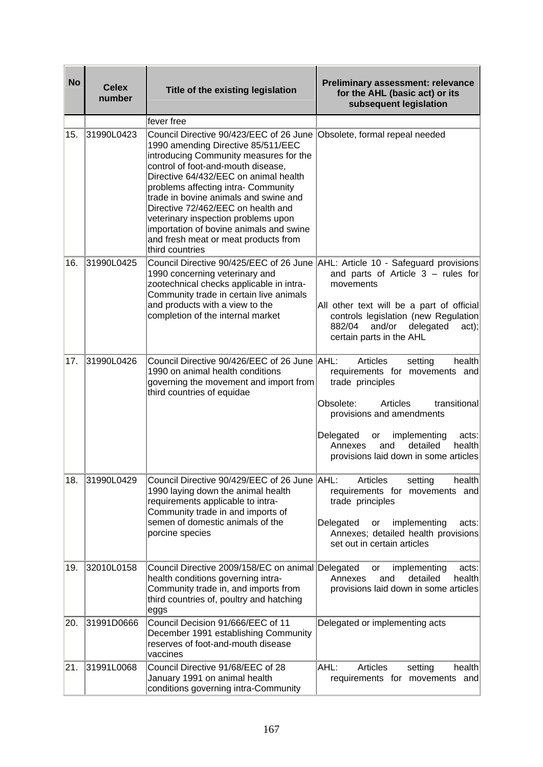| <b>No</b> | <b>Celex</b><br>number | Title of the existing legislation                                                                                                                                                                                                                                                                                                                                                                                                                                         | <b>Preliminary assessment: relevance</b><br>for the AHL (basic act) or its<br>subsequent legislation                                                                                                                                                                                   |
|-----------|------------------------|---------------------------------------------------------------------------------------------------------------------------------------------------------------------------------------------------------------------------------------------------------------------------------------------------------------------------------------------------------------------------------------------------------------------------------------------------------------------------|----------------------------------------------------------------------------------------------------------------------------------------------------------------------------------------------------------------------------------------------------------------------------------------|
|           |                        | fever free                                                                                                                                                                                                                                                                                                                                                                                                                                                                |                                                                                                                                                                                                                                                                                        |
| 15.       | 31990L0423             | Council Directive 90/423/EEC of 26 June<br>1990 amending Directive 85/511/EEC<br>introducing Community measures for the<br>control of foot-and-mouth disease,<br>Directive 64/432/EEC on animal health<br>problems affecting intra- Community<br>trade in bovine animals and swine and<br>Directive 72/462/EEC on health and<br>veterinary inspection problems upon<br>importation of bovine animals and swine<br>and fresh meat or meat products from<br>third countries | Obsolete, formal repeal needed                                                                                                                                                                                                                                                         |
| 16.       | 31990L0425             | Council Directive 90/425/EEC of 26 June AHL: Article 10 - Safeguard provisions<br>1990 concerning veterinary and<br>zootechnical checks applicable in intra-<br>Community trade in certain live animals<br>and products with a view to the<br>completion of the internal market                                                                                                                                                                                           | and parts of Article $3 -$ rules for<br>movements<br>All other text will be a part of official<br>controls legislation (new Regulation<br>882/04<br>and/or<br>delegated<br>act);<br>certain parts in the AHL                                                                           |
| 17.       | 31990L0426             | Council Directive 90/426/EEC of 26 June AHL:<br>1990 on animal health conditions<br>governing the movement and import from<br>third countries of equidae                                                                                                                                                                                                                                                                                                                  | Articles<br>setting<br>health<br>requirements for movements and<br>trade principles<br>Obsolete:<br>Articles<br>transitional<br>provisions and amendments<br>Delegated<br>implementing<br>or<br>acts:<br>detailed<br>Annexes<br>and<br>health<br>provisions laid down in some articles |
| 18.       | 31990L0429             | Council Directive 90/429/EEC of 26 June   AHL:<br>1990 laying down the animal health<br>requirements applicable to intra-<br>Community trade in and imports of<br>semen of domestic animals of the<br>porcine species                                                                                                                                                                                                                                                     | Articles<br>setting<br>health<br>requirements for movements and<br>trade principles<br>Delegated<br>implementing<br>or<br>acts:<br>Annexes; detailed health provisions<br>set out in certain articles                                                                                  |
| 19.       | 32010L0158             | Council Directive 2009/158/EC on animal Delegated<br>health conditions governing intra-<br>Community trade in, and imports from<br>third countries of, poultry and hatching<br>eggs                                                                                                                                                                                                                                                                                       | implementing<br>acts:<br>or<br>detailed<br>health<br>Annexes<br>and<br>provisions laid down in some articles                                                                                                                                                                           |
| 20.       | 31991D0666             | Council Decision 91/666/EEC of 11<br>December 1991 establishing Community<br>reserves of foot-and-mouth disease<br>vaccines                                                                                                                                                                                                                                                                                                                                               | Delegated or implementing acts                                                                                                                                                                                                                                                         |
| 21.       | 31991L0068             | Council Directive 91/68/EEC of 28<br>January 1991 on animal health<br>conditions governing intra-Community                                                                                                                                                                                                                                                                                                                                                                | AHL:<br>Articles<br>health<br>setting<br>requirements for movements and                                                                                                                                                                                                                |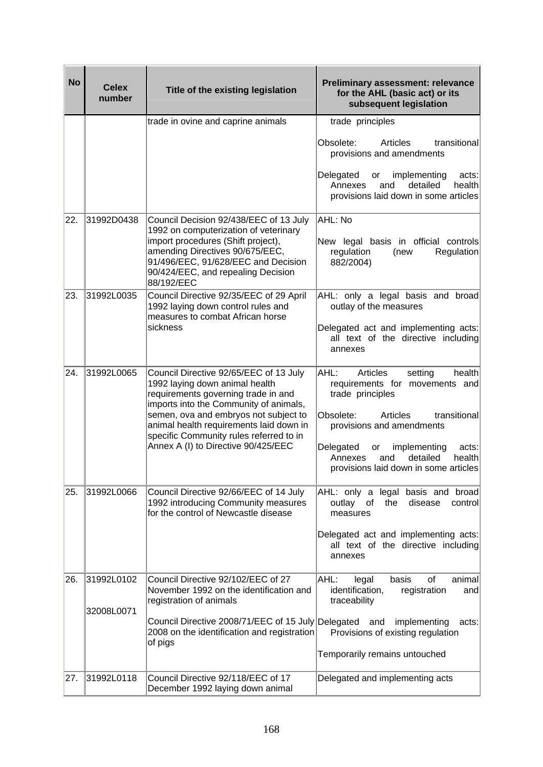| <b>No</b> | <b>Celex</b><br>number | Title of the existing legislation                                                                                                                                                                  | <b>Preliminary assessment: relevance</b><br>for the AHL (basic act) or its<br>subsequent legislation                                 |
|-----------|------------------------|----------------------------------------------------------------------------------------------------------------------------------------------------------------------------------------------------|--------------------------------------------------------------------------------------------------------------------------------------|
|           |                        | trade in ovine and caprine animals                                                                                                                                                                 | trade principles                                                                                                                     |
|           |                        |                                                                                                                                                                                                    | Obsolete:<br>Articles<br>transitional<br>provisions and amendments                                                                   |
|           |                        |                                                                                                                                                                                                    | Delegated<br>implementing<br>acts:<br>or<br>Annexes<br>detailed<br>health<br>and<br>provisions laid down in some articles            |
| 22.       | 31992D0438             | Council Decision 92/438/EEC of 13 July<br>1992 on computerization of veterinary                                                                                                                    | AHL: No                                                                                                                              |
|           |                        | import procedures (Shift project),<br>amending Directives 90/675/EEC,<br>91/496/EEC, 91/628/EEC and Decision<br>90/424/EEC, and repealing Decision<br>88/192/EEC                                   | New legal basis in official controls<br>regulation<br>(new<br>Regulation<br>882/2004)                                                |
| 23.       | 31992L0035             | Council Directive 92/35/EEC of 29 April<br>1992 laying down control rules and<br>measures to combat African horse                                                                                  | AHL: only a legal basis and broad<br>outlay of the measures                                                                          |
|           |                        | sickness                                                                                                                                                                                           | Delegated act and implementing acts:<br>all text of the directive including<br>annexes                                               |
| 24.       | 31992L0065             | Council Directive 92/65/EEC of 13 July<br>1992 laying down animal health<br>requirements governing trade in and<br>imports into the Community of animals,<br>semen, ova and embryos not subject to | AHL:<br>health<br>Articles<br>setting<br>requirements for movements and<br>trade principles<br>Obsolete:<br>Articles<br>transitional |
|           |                        | animal health requirements laid down in<br>specific Community rules referred to in                                                                                                                 | provisions and amendments                                                                                                            |
|           |                        | Annex A (I) to Directive 90/425/EEC                                                                                                                                                                | Delegated<br>implementing<br>or<br>acts:<br>detailed<br>Annexes<br>and<br>health<br>provisions laid down in some articles            |
| 25.       | 31992L0066             | Council Directive 92/66/EEC of 14 July<br>1992 introducing Community measures<br>for the control of Newcastle disease                                                                              | AHL: only a<br>legal basis and broad<br>outlay<br>the<br>disease<br>control<br>of<br>measures                                        |
|           |                        |                                                                                                                                                                                                    | Delegated act and implementing acts:<br>all text of the directive including<br>annexes                                               |
| 26.       | 31992L0102             | Council Directive 92/102/EEC of 27<br>November 1992 on the identification and<br>registration of animals                                                                                           | AHL:<br>legal<br>basis<br>of<br>animal<br>registration<br>identification,<br>and<br>traceability                                     |
|           | 32008L0071             |                                                                                                                                                                                                    |                                                                                                                                      |
|           |                        | Council Directive 2008/71/EEC of 15 July Delegated and<br>2008 on the identification and registration<br>of pigs                                                                                   | implementing<br>acts:<br>Provisions of existing regulation                                                                           |
|           |                        |                                                                                                                                                                                                    | Temporarily remains untouched                                                                                                        |
| 27.       | 31992L0118             | Council Directive 92/118/EEC of 17<br>December 1992 laying down animal                                                                                                                             | Delegated and implementing acts                                                                                                      |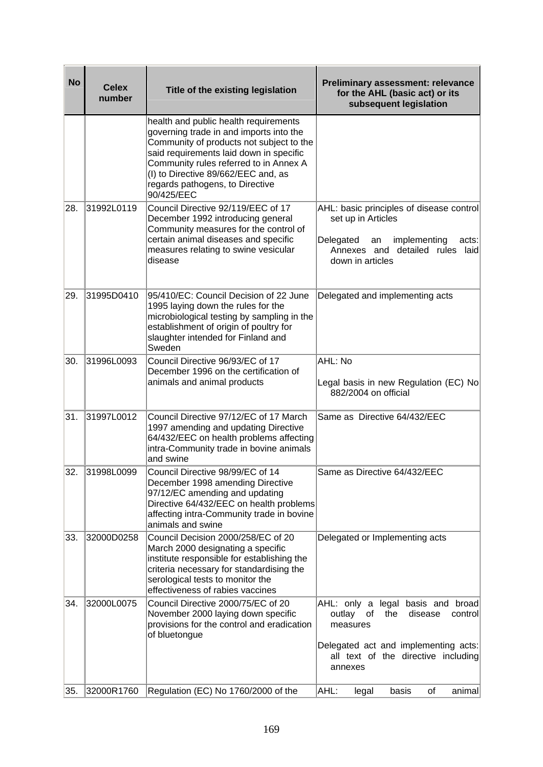| <b>No</b> | <b>Celex</b><br>number | Title of the existing legislation                                                                                                                                                                                                                                                                         | <b>Preliminary assessment: relevance</b><br>for the AHL (basic act) or its<br>subsequent legislation                                                                                    |
|-----------|------------------------|-----------------------------------------------------------------------------------------------------------------------------------------------------------------------------------------------------------------------------------------------------------------------------------------------------------|-----------------------------------------------------------------------------------------------------------------------------------------------------------------------------------------|
|           |                        | health and public health requirements<br>governing trade in and imports into the<br>Community of products not subject to the<br>said requirements laid down in specific<br>Community rules referred to in Annex A<br>(I) to Directive 89/662/EEC and, as<br>regards pathogens, to Directive<br>90/425/EEC |                                                                                                                                                                                         |
| 28.       | 31992L0119             | Council Directive 92/119/EEC of 17<br>December 1992 introducing general<br>Community measures for the control of<br>certain animal diseases and specific<br>measures relating to swine vesicular<br>disease                                                                                               | AHL: basic principles of disease control<br>set up in Articles<br>Delegated<br>implementing<br>acts:<br>an<br>Annexes and detailed rules laid<br>down in articles                       |
| 29.       | 31995D0410             | 95/410/EC: Council Decision of 22 June<br>1995 laying down the rules for the<br>microbiological testing by sampling in the<br>establishment of origin of poultry for<br>slaughter intended for Finland and<br>Sweden                                                                                      | Delegated and implementing acts                                                                                                                                                         |
| 30.       | 31996L0093             | Council Directive 96/93/EC of 17<br>December 1996 on the certification of<br>animals and animal products                                                                                                                                                                                                  | AHL: No<br>Legal basis in new Regulation (EC) No<br>882/2004 on official                                                                                                                |
| 31.       | 31997L0012             | Council Directive 97/12/EC of 17 March<br>1997 amending and updating Directive<br>64/432/EEC on health problems affecting<br>intra-Community trade in bovine animals<br>and swine                                                                                                                         | Same as Directive 64/432/EEC                                                                                                                                                            |
| 32.       | 31998L0099             | Council Directive 98/99/EC of 14<br>December 1998 amending Directive<br>97/12/EC amending and updating<br>Directive 64/432/EEC on health problems<br>affecting intra-Community trade in bovine<br>animals and swine                                                                                       | Same as Directive 64/432/EEC                                                                                                                                                            |
| 33.       | 32000D0258             | Council Decision 2000/258/EC of 20<br>March 2000 designating a specific<br>institute responsible for establishing the<br>criteria necessary for standardising the<br>serological tests to monitor the<br>effectiveness of rabies vaccines                                                                 | Delegated or Implementing acts                                                                                                                                                          |
| 34.       | 32000L0075             | Council Directive 2000/75/EC of 20<br>November 2000 laying down specific<br>provisions for the control and eradication<br>of bluetongue                                                                                                                                                                   | legal basis and broad<br>AHL: only a<br>outlay<br>of<br>the<br>disease<br>control<br>measures<br>Delegated act and implementing acts:<br>all text of the directive including<br>annexes |
| 35.       | 32000R1760             | Regulation (EC) No 1760/2000 of the                                                                                                                                                                                                                                                                       | basis<br> AHL:<br>οf<br>animal<br>legal                                                                                                                                                 |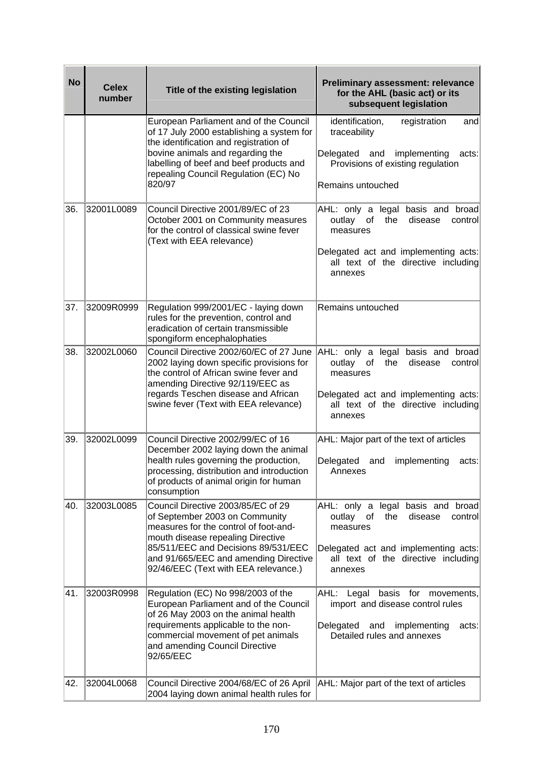| <b>No</b> | <b>Celex</b><br>number | Title of the existing legislation                                                                                                                                                                                          | <b>Preliminary assessment: relevance</b><br>for the AHL (basic act) or its<br>subsequent legislation                   |
|-----------|------------------------|----------------------------------------------------------------------------------------------------------------------------------------------------------------------------------------------------------------------------|------------------------------------------------------------------------------------------------------------------------|
|           |                        | European Parliament and of the Council<br>of 17 July 2000 establishing a system for<br>the identification and registration of                                                                                              | identification,<br>registration<br>and<br>traceability                                                                 |
|           |                        | bovine animals and regarding the<br>labelling of beef and beef products and<br>repealing Council Regulation (EC) No                                                                                                        | Delegated<br>implementing<br>and<br>acts:<br>Provisions of existing regulation                                         |
|           |                        | 820/97                                                                                                                                                                                                                     | Remains untouched                                                                                                      |
| 36.       | 32001L0089             | Council Directive 2001/89/EC of 23<br>October 2001 on Community measures<br>for the control of classical swine fever<br>(Text with EEA relevance)                                                                          | AHL: only a legal basis and broad<br>outlay<br>control<br>of<br>the<br>disease<br>measures                             |
|           |                        |                                                                                                                                                                                                                            | Delegated act and implementing acts:<br>all text of the directive including<br>annexes                                 |
| 37.       | 32009R0999             | Regulation 999/2001/EC - laying down<br>rules for the prevention, control and<br>eradication of certain transmissible<br>spongiform encephalophaties                                                                       | Remains untouched                                                                                                      |
| 38.       | 32002L0060             | Council Directive 2002/60/EC of 27 June<br>2002 laying down specific provisions for<br>the control of African swine fever and<br>amending Directive 92/119/EEC as                                                          | AHL: only a legal basis and broad<br>outlay<br>the<br>disease<br>control<br>of<br>measures                             |
|           |                        | regards Teschen disease and African<br>swine fever (Text with EEA relevance)                                                                                                                                               | Delegated act and implementing acts:<br>all text of the directive including<br>annexes                                 |
| 39.       | 32002L0099             | Council Directive 2002/99/EC of 16<br>December 2002 laying down the animal<br>health rules governing the production,<br>processing, distribution and introduction<br>of products of animal origin for human<br>consumption | AHL: Major part of the text of articles<br>Delegated<br>implementing<br>and<br>acts:<br>Annexes                        |
| 40.       | 32003L0085             | Council Directive 2003/85/EC of 29<br>of September 2003 on Community<br>measures for the control of foot-and-<br>mouth disease repealing Directive                                                                         | AHL: only a legal basis and broad<br>outlay<br>of<br>the<br>disease<br>control<br>measures                             |
|           |                        | 85/511/EEC and Decisions 89/531/EEC<br>and 91/665/EEC and amending Directive<br>92/46/EEC (Text with EEA relevance.)                                                                                                       | Delegated act and implementing acts:<br>all text of the directive including<br>annexes                                 |
| 41.       | 32003R0998             | Regulation (EC) No 998/2003 of the<br>European Parliament and of the Council<br>of 26 May 2003 on the animal health<br>requirements applicable to the non-                                                                 | AHL:<br>basis for movements,<br>Legal<br>import and disease control rules<br>Delegated<br>and<br>implementing<br>acts: |
|           |                        | commercial movement of pet animals<br>and amending Council Directive<br>92/65/EEC                                                                                                                                          | Detailed rules and annexes                                                                                             |
| 42.       | 32004L0068             | Council Directive 2004/68/EC of 26 April<br>2004 laying down animal health rules for                                                                                                                                       | AHL: Major part of the text of articles                                                                                |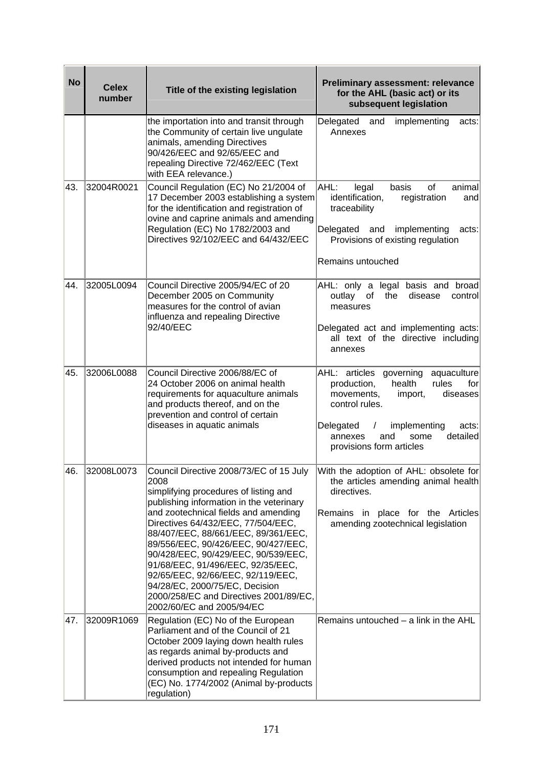| <b>No</b> | <b>Celex</b> | Title of the existing legislation                                                                                                                                                                                                                                                                                                                                                                                                                                                                                          | <b>Preliminary assessment: relevance</b><br>for the AHL (basic act) or its                                                                                                                                                                                   |
|-----------|--------------|----------------------------------------------------------------------------------------------------------------------------------------------------------------------------------------------------------------------------------------------------------------------------------------------------------------------------------------------------------------------------------------------------------------------------------------------------------------------------------------------------------------------------|--------------------------------------------------------------------------------------------------------------------------------------------------------------------------------------------------------------------------------------------------------------|
|           | number       |                                                                                                                                                                                                                                                                                                                                                                                                                                                                                                                            | subsequent legislation                                                                                                                                                                                                                                       |
|           |              | the importation into and transit through<br>the Community of certain live ungulate<br>animals, amending Directives<br>90/426/EEC and 92/65/EEC and<br>repealing Directive 72/462/EEC (Text<br>with EEA relevance.)                                                                                                                                                                                                                                                                                                         | Delegated<br>and<br>implementing<br>acts:<br>Annexes                                                                                                                                                                                                         |
| 43.       | 32004R0021   | Council Regulation (EC) No 21/2004 of<br>17 December 2003 establishing a system<br>for the identification and registration of<br>ovine and caprine animals and amending<br>Regulation (EC) No 1782/2003 and<br>Directives 92/102/EEC and 64/432/EEC                                                                                                                                                                                                                                                                        | AHL:<br>basis<br>of<br>animal<br>legal<br>identification,<br>registration<br>and<br>traceability<br>Delegated<br>implementing<br>and<br>acts:<br>Provisions of existing regulation<br>Remains untouched                                                      |
| 44.       | 32005L0094   | Council Directive 2005/94/EC of 20<br>December 2005 on Community<br>measures for the control of avian<br>influenza and repealing Directive<br>92/40/EEC                                                                                                                                                                                                                                                                                                                                                                    | AHL: only a legal basis and<br>broad<br>outlay<br>the<br>disease<br>control<br>of<br>measures<br>Delegated act and implementing acts:<br>all text of the directive including<br>annexes                                                                      |
| 45.       | 32006L0088   | Council Directive 2006/88/EC of<br>24 October 2006 on animal health<br>requirements for aquaculture animals<br>and products thereof, and on the<br>prevention and control of certain<br>diseases in aquatic animals                                                                                                                                                                                                                                                                                                        | AHL: articles governing<br>aquaculture<br>production,<br>health<br>rules<br>for<br>movements,<br>import,<br>diseases<br>control rules.<br>Delegated<br>implementing<br>acts:<br>$\sqrt{2}$<br>detailed<br>annexes<br>and<br>some<br>provisions form articles |
| 46.       | 32008L0073   | Council Directive 2008/73/EC of 15 July<br>2008<br>simplifying procedures of listing and<br>publishing information in the veterinary<br>and zootechnical fields and amending<br>Directives 64/432/EEC, 77/504/EEC,<br>88/407/EEC, 88/661/EEC, 89/361/EEC,<br>89/556/EEC, 90/426/EEC, 90/427/EEC,<br>90/428/EEC, 90/429/EEC, 90/539/EEC,<br>91/68/EEC, 91/496/EEC, 92/35/EEC,<br>92/65/EEC, 92/66/EEC, 92/119/EEC,<br>94/28/EC, 2000/75/EC, Decision<br>2000/258/EC and Directives 2001/89/EC,<br>2002/60/EC and 2005/94/EC | With the adoption of AHL: obsolete for<br>the articles amending animal health<br>directives.<br>Remains in place for the Articles<br>amending zootechnical legislation                                                                                       |
| 47.       | 32009R1069   | Regulation (EC) No of the European<br>Parliament and of the Council of 21<br>October 2009 laying down health rules<br>as regards animal by-products and<br>derived products not intended for human<br>consumption and repealing Regulation<br>(EC) No. 1774/2002 (Animal by-products<br>regulation)                                                                                                                                                                                                                        | Remains untouched $-$ a link in the AHL                                                                                                                                                                                                                      |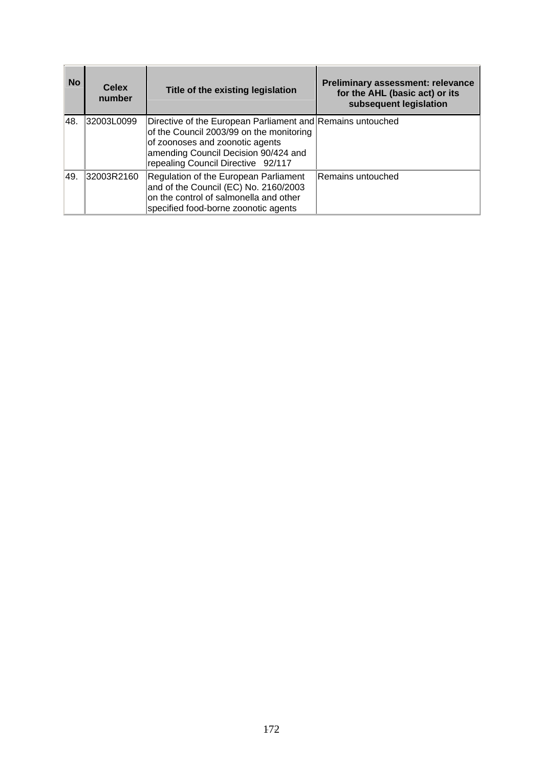| <b>No</b> | <b>Celex</b><br>number | Title of the existing legislation                                                                                                                                                                                       | <b>Preliminary assessment: relevance</b><br>for the AHL (basic act) or its<br>subsequent legislation |
|-----------|------------------------|-------------------------------------------------------------------------------------------------------------------------------------------------------------------------------------------------------------------------|------------------------------------------------------------------------------------------------------|
| 48.       | 32003L0099             | Directive of the European Parliament and Remains untouched<br>of the Council 2003/99 on the monitoring<br>of zoonoses and zoonotic agents<br>amending Council Decision 90/424 and<br>repealing Council Directive 92/117 |                                                                                                      |
| 49.       | 32003R2160             | Regulation of the European Parliament<br>and of the Council (EC) No. 2160/2003<br>on the control of salmonella and other<br>specified food-borne zoonotic agents                                                        | Remains untouched                                                                                    |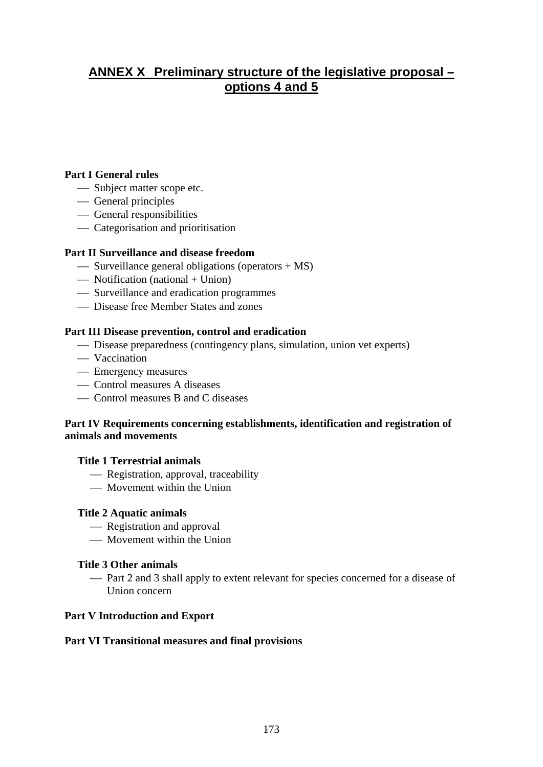# **ANNEX X Preliminary structure of the legislative proposal – options 4 and 5**

## **Part I General rules**

- Subject matter scope etc.
- General principles
- General responsibilities
- Categorisation and prioritisation

#### **Part II Surveillance and disease freedom**

- $\sim$  Surveillance general obligations (operators + MS)
- $\overline{\phantom{a}}$  Notification (national + Union)
- ⎯ Surveillance and eradication programmes
- Disease free Member States and zones

## **Part III Disease prevention, control and eradication**

- Disease preparedness (contingency plans, simulation, union vet experts)
- Vaccination
- Emergency measures
- Control measures A diseases
- Control measures B and C diseases

# **Part IV Requirements concerning establishments, identification and registration of animals and movements**

#### **Title 1 Terrestrial animals**

- Registration, approval, traceability
- Movement within the Union

#### **Title 2 Aquatic animals**

- Registration and approval
- Movement within the Union

#### **Title 3 Other animals**

 $-$  Part 2 and 3 shall apply to extent relevant for species concerned for a disease of Union concern

#### **Part V Introduction and Export**

#### **Part VI Transitional measures and final provisions**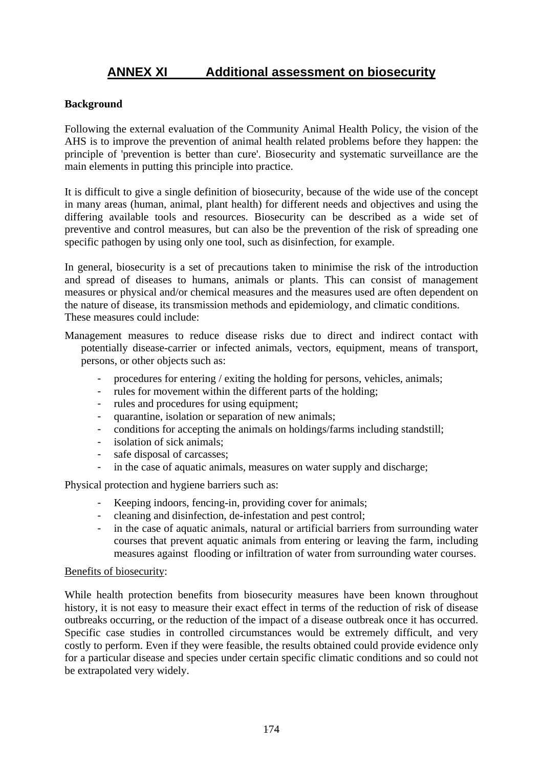# **ANNEX XI Additional assessment on biosecurity**

## **Background**

Following the external evaluation of the Community Animal Health Policy, the vision of the AHS is to improve the prevention of animal health related problems before they happen: the principle of 'prevention is better than cure'. Biosecurity and systematic surveillance are the main elements in putting this principle into practice.

It is difficult to give a single definition of biosecurity, because of the wide use of the concept in many areas (human, animal, plant health) for different needs and objectives and using the differing available tools and resources. Biosecurity can be described as a wide set of preventive and control measures, but can also be the prevention of the risk of spreading one specific pathogen by using only one tool, such as disinfection, for example.

In general, biosecurity is a set of precautions taken to minimise the risk of the introduction and spread of diseases to humans, animals or plants. This can consist of management measures or physical and/or chemical measures and the measures used are often dependent on the nature of disease, its transmission methods and epidemiology, and climatic conditions. These measures could include:

- Management measures to reduce disease risks due to direct and indirect contact with potentially disease-carrier or infected animals, vectors, equipment, means of transport, persons, or other objects such as:
	- procedures for entering / exiting the holding for persons, vehicles, animals;
	- rules for movement within the different parts of the holding;
	- rules and procedures for using equipment;
	- quarantine, isolation or separation of new animals;
	- conditions for accepting the animals on holdings/farms including standstill;
	- isolation of sick animals;
	- safe disposal of carcasses:
	- in the case of aquatic animals, measures on water supply and discharge;

Physical protection and hygiene barriers such as:

- Keeping indoors, fencing-in, providing cover for animals;
- cleaning and disinfection, de-infestation and pest control;
- in the case of aquatic animals, natural or artificial barriers from surrounding water courses that prevent aquatic animals from entering or leaving the farm, including measures against flooding or infiltration of water from surrounding water courses.

#### Benefits of biosecurity:

While health protection benefits from biosecurity measures have been known throughout history, it is not easy to measure their exact effect in terms of the reduction of risk of disease outbreaks occurring, or the reduction of the impact of a disease outbreak once it has occurred. Specific case studies in controlled circumstances would be extremely difficult, and very costly to perform. Even if they were feasible, the results obtained could provide evidence only for a particular disease and species under certain specific climatic conditions and so could not be extrapolated very widely.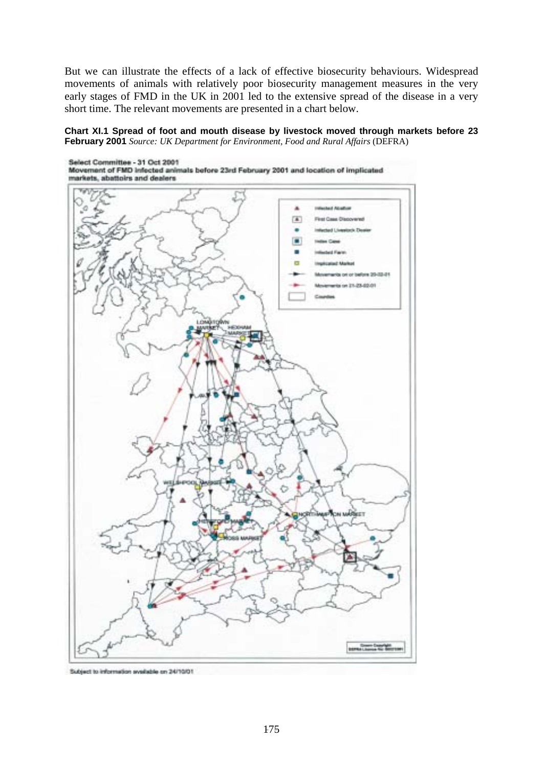But we can illustrate the effects of a lack of effective biosecurity behaviours. Widespread movements of animals with relatively poor biosecurity management measures in the very early stages of FMD in the UK in 2001 led to the extensive spread of the disease in a very short time. The relevant movements are presented in a chart below.

**Chart XI.1 Spread of foot and mouth disease by livestock moved through markets before 23 February 2001** *Source: UK Department for Environment, Food and Rural Affairs* (DEFRA)



Subject to information syndistrie on 24/10/01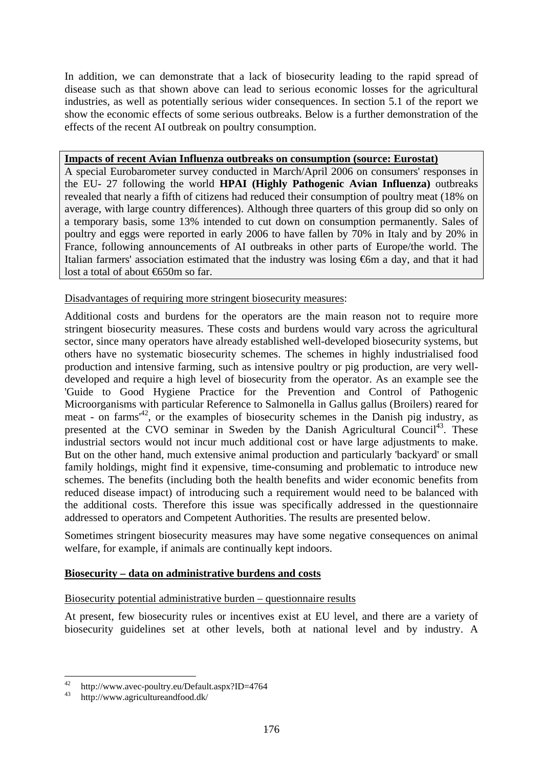In addition, we can demonstrate that a lack of biosecurity leading to the rapid spread of disease such as that shown above can lead to serious economic losses for the agricultural industries, as well as potentially serious wider consequences. In section 5.1 of the report we show the economic effects of some serious outbreaks. Below is a further demonstration of the effects of the recent AI outbreak on poultry consumption.

#### **Impacts of recent Avian Influenza outbreaks on consumption (source: Eurostat)**

A special Eurobarometer survey conducted in March/April 2006 on consumers' responses in the EU- 27 following the world **HPAI (Highly Pathogenic Avian Influenza)** outbreaks revealed that nearly a fifth of citizens had reduced their consumption of poultry meat (18% on average, with large country differences). Although three quarters of this group did so only on a temporary basis, some 13% intended to cut down on consumption permanently. Sales of poultry and eggs were reported in early 2006 to have fallen by 70% in Italy and by 20% in France, following announcements of AI outbreaks in other parts of Europe/the world. The Italian farmers' association estimated that the industry was losing €6m a day, and that it had lost a total of about €650m so far.

## Disadvantages of requiring more stringent biosecurity measures:

Additional costs and burdens for the operators are the main reason not to require more stringent biosecurity measures. These costs and burdens would vary across the agricultural sector, since many operators have already established well-developed biosecurity systems, but others have no systematic biosecurity schemes. The schemes in highly industrialised food production and intensive farming, such as intensive poultry or pig production, are very welldeveloped and require a high level of biosecurity from the operator. As an example see the 'Guide to Good Hygiene Practice for the Prevention and Control of Pathogenic Microorganisms with particular Reference to Salmonella in Gallus gallus (Broilers) reared for meat - on farms<sup> $42$ </sup>, or the examples of biosecurity schemes in the Danish pig industry, as presented at the CVO seminar in Sweden by the Danish Agricultural Council<sup>43</sup>. These industrial sectors would not incur much additional cost or have large adjustments to make. But on the other hand, much extensive animal production and particularly 'backyard' or small family holdings, might find it expensive, time-consuming and problematic to introduce new schemes. The benefits (including both the health benefits and wider economic benefits from reduced disease impact) of introducing such a requirement would need to be balanced with the additional costs. Therefore this issue was specifically addressed in the questionnaire addressed to operators and Competent Authorities. The results are presented below.

Sometimes stringent biosecurity measures may have some negative consequences on animal welfare, for example, if animals are continually kept indoors.

#### **Biosecurity – data on administrative burdens and costs**

#### Biosecurity potential administrative burden – questionnaire results

At present, few biosecurity rules or incentives exist at EU level, and there are a variety of biosecurity guidelines set at other levels, both at national level and by industry. A

 $42$ 42 http://www.avec-poultry.eu/Default.aspx?ID=4764  $\frac{43}{100}$  http://www.agricultureandfood.dk/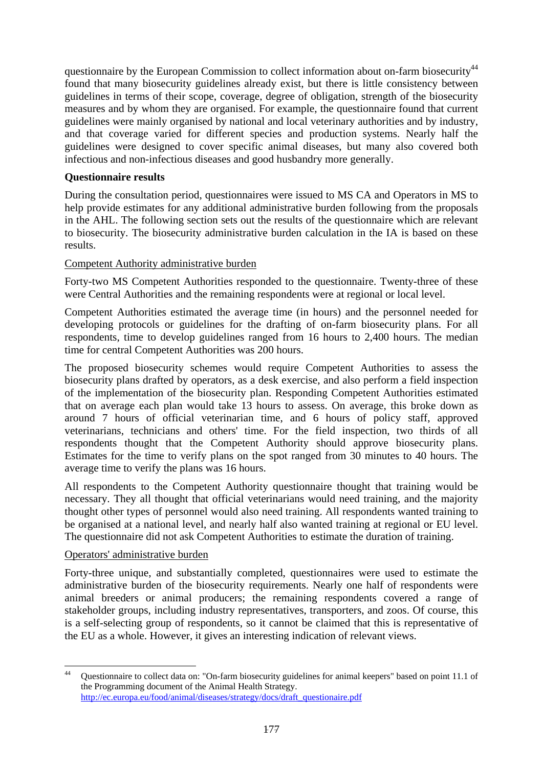questionnaire by the European Commission to collect information about on-farm biosecurity<sup>44</sup> found that many biosecurity guidelines already exist, but there is little consistency between guidelines in terms of their scope, coverage, degree of obligation, strength of the biosecurity measures and by whom they are organised. For example, the questionnaire found that current guidelines were mainly organised by national and local veterinary authorities and by industry, and that coverage varied for different species and production systems. Nearly half the guidelines were designed to cover specific animal diseases, but many also covered both infectious and non-infectious diseases and good husbandry more generally.

## **Questionnaire results**

During the consultation period, questionnaires were issued to MS CA and Operators in MS to help provide estimates for any additional administrative burden following from the proposals in the AHL. The following section sets out the results of the questionnaire which are relevant to biosecurity. The biosecurity administrative burden calculation in the IA is based on these results.

## Competent Authority administrative burden

Forty-two MS Competent Authorities responded to the questionnaire. Twenty-three of these were Central Authorities and the remaining respondents were at regional or local level.

Competent Authorities estimated the average time (in hours) and the personnel needed for developing protocols or guidelines for the drafting of on-farm biosecurity plans. For all respondents, time to develop guidelines ranged from 16 hours to 2,400 hours. The median time for central Competent Authorities was 200 hours.

The proposed biosecurity schemes would require Competent Authorities to assess the biosecurity plans drafted by operators, as a desk exercise, and also perform a field inspection of the implementation of the biosecurity plan. Responding Competent Authorities estimated that on average each plan would take 13 hours to assess. On average, this broke down as around 7 hours of official veterinarian time, and 6 hours of policy staff, approved veterinarians, technicians and others' time. For the field inspection, two thirds of all respondents thought that the Competent Authority should approve biosecurity plans. Estimates for the time to verify plans on the spot ranged from 30 minutes to 40 hours. The average time to verify the plans was 16 hours.

All respondents to the Competent Authority questionnaire thought that training would be necessary. They all thought that official veterinarians would need training, and the majority thought other types of personnel would also need training. All respondents wanted training to be organised at a national level, and nearly half also wanted training at regional or EU level. The questionnaire did not ask Competent Authorities to estimate the duration of training.

# Operators' administrative burden

Forty-three unique, and substantially completed, questionnaires were used to estimate the administrative burden of the biosecurity requirements. Nearly one half of respondents were animal breeders or animal producers; the remaining respondents covered a range of stakeholder groups, including industry representatives, transporters, and zoos. Of course, this is a self-selecting group of respondents, so it cannot be claimed that this is representative of the EU as a whole. However, it gives an interesting indication of relevant views.

 $44$ Questionnaire to collect data on: "On-farm biosecurity guidelines for animal keepers" based on point 11.1 of the Programming document of the Animal Health Strategy. [http://ec.europa.eu/food/animal/diseases/strategy/docs/draft\\_questionaire.pdf](http://ec.europa.eu/food/animal/diseases/strategy/docs/draft_questionaire.pdf)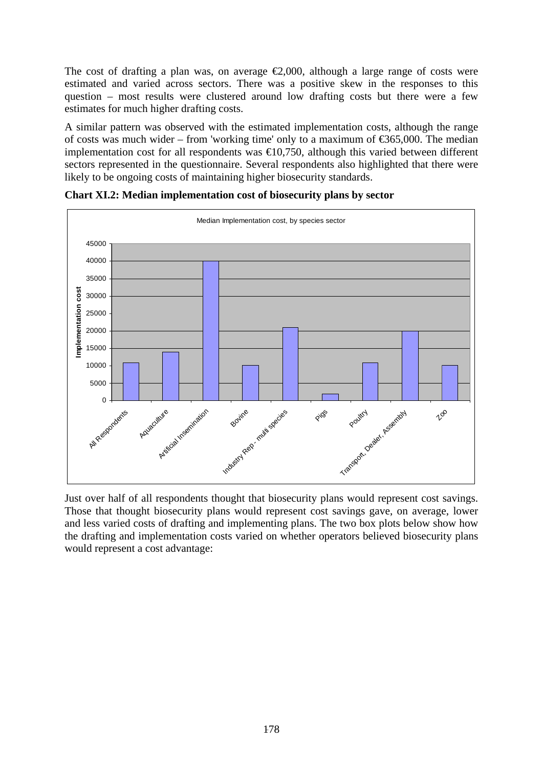The cost of drafting a plan was, on average  $\epsilon 2,000$ , although a large range of costs were estimated and varied across sectors. There was a positive skew in the responses to this question – most results were clustered around low drafting costs but there were a few estimates for much higher drafting costs.

A similar pattern was observed with the estimated implementation costs, although the range of costs was much wider – from 'working time' only to a maximum of  $\epsilon$ 365,000. The median implementation cost for all respondents was  $\epsilon 10,750$ , although this varied between different sectors represented in the questionnaire. Several respondents also highlighted that there were likely to be ongoing costs of maintaining higher biosecurity standards.



**Chart XI.2: Median implementation cost of biosecurity plans by sector** 

Just over half of all respondents thought that biosecurity plans would represent cost savings. Those that thought biosecurity plans would represent cost savings gave, on average, lower and less varied costs of drafting and implementing plans. The two box plots below show how the drafting and implementation costs varied on whether operators believed biosecurity plans would represent a cost advantage: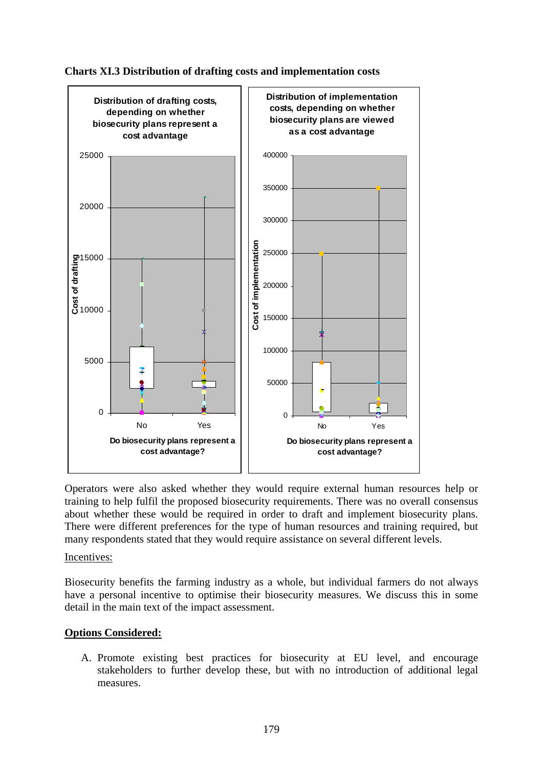



Operators were also asked whether they would require external human resources help or training to help fulfil the proposed biosecurity requirements. There was no overall consensus about whether these would be required in order to draft and implement biosecurity plans. There were different preferences for the type of human resources and training required, but many respondents stated that they would require assistance on several different levels.

Incentives:

Biosecurity benefits the farming industry as a whole, but individual farmers do not always have a personal incentive to optimise their biosecurity measures. We discuss this in some detail in the main text of the impact assessment.

# **Options Considered:**

A. Promote existing best practices for biosecurity at EU level, and encourage stakeholders to further develop these, but with no introduction of additional legal measures.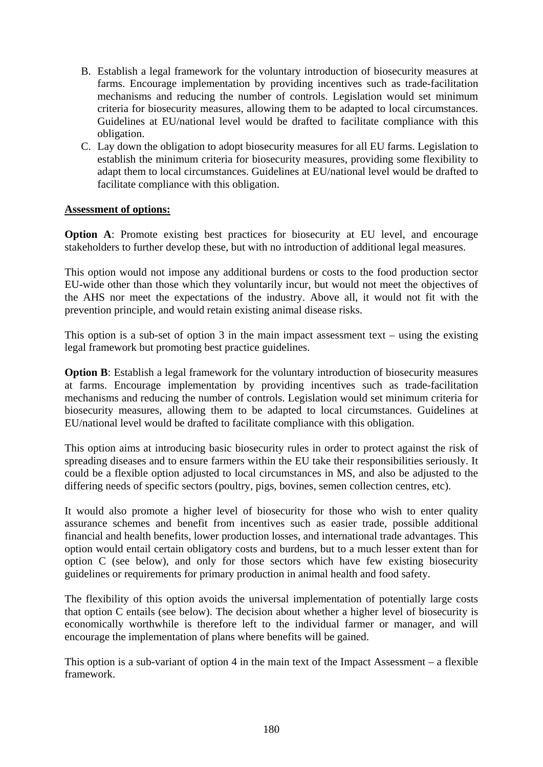- B. Establish a legal framework for the voluntary introduction of biosecurity measures at farms. Encourage implementation by providing incentives such as trade-facilitation mechanisms and reducing the number of controls. Legislation would set minimum criteria for biosecurity measures, allowing them to be adapted to local circumstances. Guidelines at EU/national level would be drafted to facilitate compliance with this obligation.
- C. Lay down the obligation to adopt biosecurity measures for all EU farms. Legislation to establish the minimum criteria for biosecurity measures, providing some flexibility to adapt them to local circumstances. Guidelines at EU/national level would be drafted to facilitate compliance with this obligation.

## **Assessment of options:**

**Option A:** Promote existing best practices for biosecurity at EU level, and encourage stakeholders to further develop these, but with no introduction of additional legal measures.

This option would not impose any additional burdens or costs to the food production sector EU-wide other than those which they voluntarily incur, but would not meet the objectives of the AHS nor meet the expectations of the industry. Above all, it would not fit with the prevention principle, and would retain existing animal disease risks.

This option is a sub-set of option 3 in the main impact assessment text – using the existing legal framework but promoting best practice guidelines.

**Option B**: Establish a legal framework for the voluntary introduction of biosecurity measures at farms. Encourage implementation by providing incentives such as trade-facilitation mechanisms and reducing the number of controls. Legislation would set minimum criteria for biosecurity measures, allowing them to be adapted to local circumstances. Guidelines at EU/national level would be drafted to facilitate compliance with this obligation.

This option aims at introducing basic biosecurity rules in order to protect against the risk of spreading diseases and to ensure farmers within the EU take their responsibilities seriously. It could be a flexible option adjusted to local circumstances in MS, and also be adjusted to the differing needs of specific sectors (poultry, pigs, bovines, semen collection centres, etc).

It would also promote a higher level of biosecurity for those who wish to enter quality assurance schemes and benefit from incentives such as easier trade, possible additional financial and health benefits, lower production losses, and international trade advantages. This option would entail certain obligatory costs and burdens, but to a much lesser extent than for option C (see below), and only for those sectors which have few existing biosecurity guidelines or requirements for primary production in animal health and food safety.

The flexibility of this option avoids the universal implementation of potentially large costs that option C entails (see below). The decision about whether a higher level of biosecurity is economically worthwhile is therefore left to the individual farmer or manager, and will encourage the implementation of plans where benefits will be gained.

This option is a sub-variant of option 4 in the main text of the Impact Assessment – a flexible framework.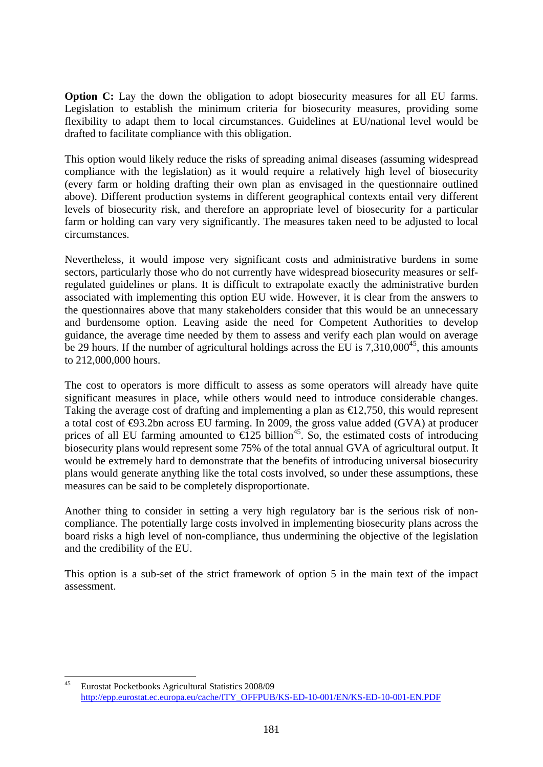**Option C:** Lay the down the obligation to adopt biosecurity measures for all EU farms. Legislation to establish the minimum criteria for biosecurity measures, providing some flexibility to adapt them to local circumstances. Guidelines at EU/national level would be drafted to facilitate compliance with this obligation.

This option would likely reduce the risks of spreading animal diseases (assuming widespread compliance with the legislation) as it would require a relatively high level of biosecurity (every farm or holding drafting their own plan as envisaged in the questionnaire outlined above). Different production systems in different geographical contexts entail very different levels of biosecurity risk, and therefore an appropriate level of biosecurity for a particular farm or holding can vary very significantly. The measures taken need to be adjusted to local circumstances.

Nevertheless, it would impose very significant costs and administrative burdens in some sectors, particularly those who do not currently have widespread biosecurity measures or selfregulated guidelines or plans. It is difficult to extrapolate exactly the administrative burden associated with implementing this option EU wide. However, it is clear from the answers to the questionnaires above that many stakeholders consider that this would be an unnecessary and burdensome option. Leaving aside the need for Competent Authorities to develop guidance, the average time needed by them to assess and verify each plan would on average be 29 hours. If the number of agricultural holdings across the EU is  $7.310,000^{45}$ , this amounts to 212,000,000 hours.

The cost to operators is more difficult to assess as some operators will already have quite significant measures in place, while others would need to introduce considerable changes. Taking the average cost of drafting and implementing a plan as  $\epsilon$ 12,750, this would represent a total cost of  $\Theta$ 3.2bn across EU farming. In 2009, the gross value added (GVA) at producer prices of all EU farming amounted to  $\mathfrak{E}25$  billion<sup>45</sup>. So, the estimated costs of introducing biosecurity plans would represent some 75% of the total annual GVA of agricultural output. It would be extremely hard to demonstrate that the benefits of introducing universal biosecurity plans would generate anything like the total costs involved, so under these assumptions, these measures can be said to be completely disproportionate.

Another thing to consider in setting a very high regulatory bar is the serious risk of noncompliance. The potentially large costs involved in implementing biosecurity plans across the board risks a high level of non-compliance, thus undermining the objective of the legislation and the credibility of the EU.

This option is a sub-set of the strict framework of option 5 in the main text of the impact assessment.

 $45$ 45 Eurostat Pocketbooks Agricultural Statistics 2008/09 [http://epp.eurostat.ec.europa.eu/cache/ITY\\_OFFPUB/KS-ED-10-001/EN/KS-ED-10-001-EN.PDF](http://epp.eurostat.ec.europa.eu/cache/ITY_OFFPUB/KS-ED-10-001/EN/KS-ED-10-001-EN.PDF)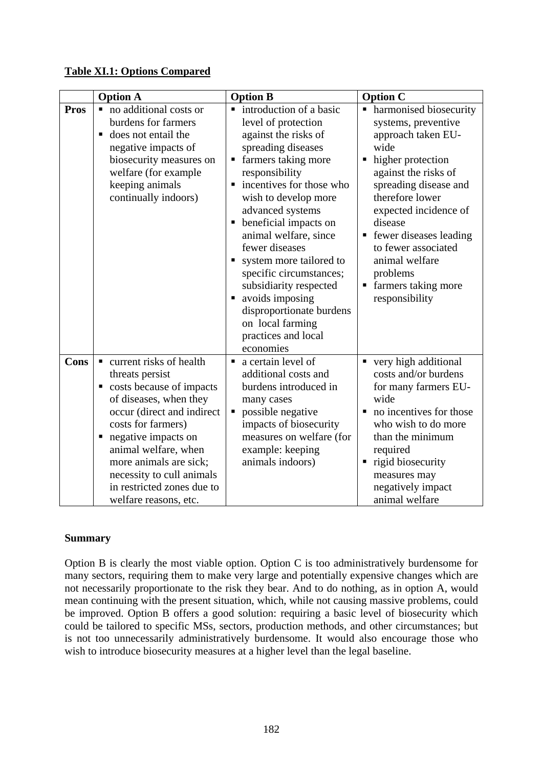## **Table XI.1: Options Compared**

|             | <b>Option A</b>                                                                                                                                                                                                                                                                                                             | <b>Option B</b>                                                                                                                                                                                                                                                                                                                                                                                                                                                                                   | <b>Option C</b>                                                                                                                                                                                                                                                                                                                            |
|-------------|-----------------------------------------------------------------------------------------------------------------------------------------------------------------------------------------------------------------------------------------------------------------------------------------------------------------------------|---------------------------------------------------------------------------------------------------------------------------------------------------------------------------------------------------------------------------------------------------------------------------------------------------------------------------------------------------------------------------------------------------------------------------------------------------------------------------------------------------|--------------------------------------------------------------------------------------------------------------------------------------------------------------------------------------------------------------------------------------------------------------------------------------------------------------------------------------------|
| <b>Pros</b> | no additional costs or<br>burdens for farmers<br>does not entail the<br>п<br>negative impacts of<br>biosecurity measures on<br>welfare (for example<br>keeping animals<br>continually indoors)                                                                                                                              | introduction of a basic<br>п<br>level of protection<br>against the risks of<br>spreading diseases<br>farmers taking more<br>Е<br>responsibility<br>incentives for those who<br>Ξ<br>wish to develop more<br>advanced systems<br>beneficial impacts on<br>Ξ<br>animal welfare, since<br>fewer diseases<br>system more tailored to<br>specific circumstances;<br>subsidiarity respected<br>avoids imposing<br>п<br>disproportionate burdens<br>on local farming<br>practices and local<br>economies | harmonised biosecurity<br>П<br>systems, preventive<br>approach taken EU-<br>wide<br>higher protection<br>п<br>against the risks of<br>spreading disease and<br>therefore lower<br>expected incidence of<br>disease<br>fewer diseases leading<br>to fewer associated<br>animal welfare<br>problems<br>farmers taking more<br>responsibility |
| <b>Cons</b> | current risks of health<br>threats persist<br>costs because of impacts<br>Ξ<br>of diseases, when they<br>occur (direct and indirect<br>costs for farmers)<br>negative impacts on<br>Е<br>animal welfare, when<br>more animals are sick;<br>necessity to cull animals<br>in restricted zones due to<br>welfare reasons, etc. | a certain level of<br>$\blacksquare$<br>additional costs and<br>burdens introduced in<br>many cases<br>possible negative<br>п<br>impacts of biosecurity<br>measures on welfare (for<br>example: keeping<br>animals indoors)                                                                                                                                                                                                                                                                       | very high additional<br>costs and/or burdens<br>for many farmers EU-<br>wide<br>no incentives for those<br>who wish to do more<br>than the minimum<br>required<br>rigid biosecurity<br>measures may<br>negatively impact<br>animal welfare                                                                                                 |

## **Summary**

Option B is clearly the most viable option. Option C is too administratively burdensome for many sectors, requiring them to make very large and potentially expensive changes which are not necessarily proportionate to the risk they bear. And to do nothing, as in option A, would mean continuing with the present situation, which, while not causing massive problems, could be improved. Option B offers a good solution: requiring a basic level of biosecurity which could be tailored to specific MSs, sectors, production methods, and other circumstances; but is not too unnecessarily administratively burdensome. It would also encourage those who wish to introduce biosecurity measures at a higher level than the legal baseline.